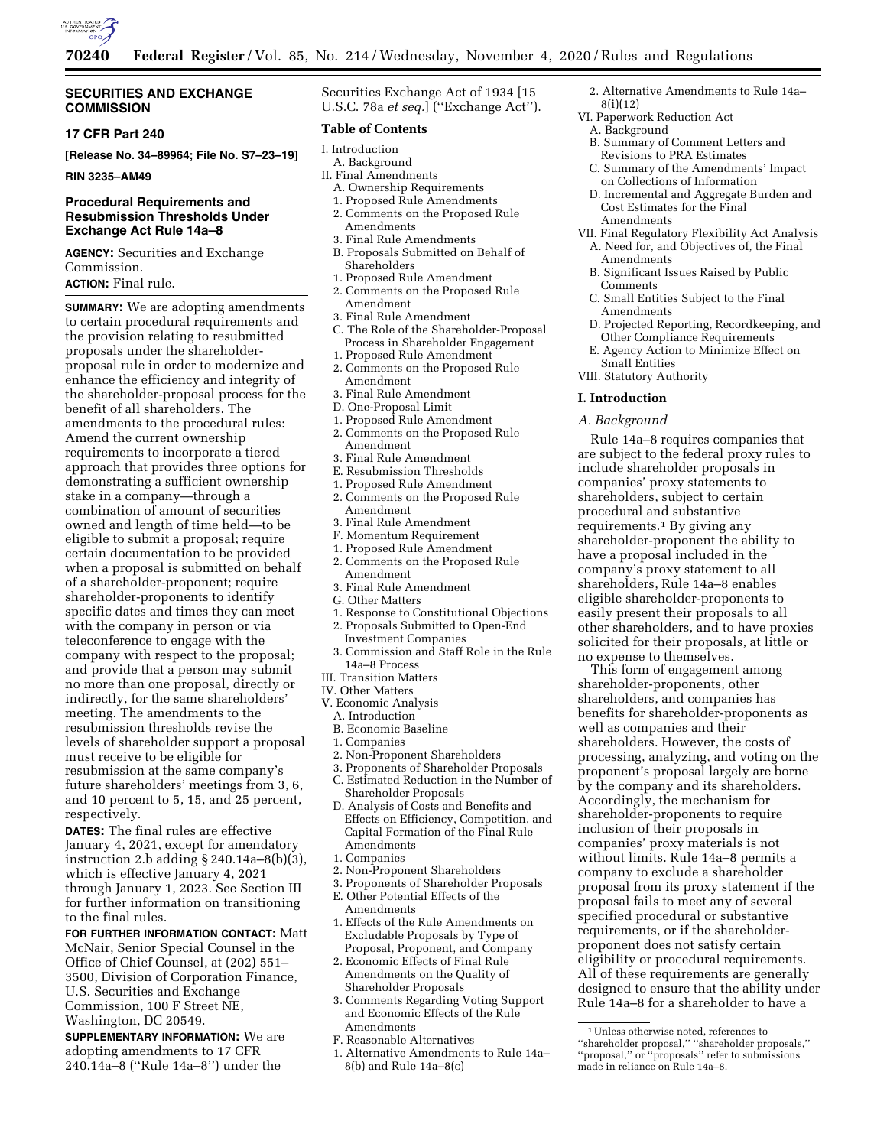

### **SECURITIES AND EXCHANGE COMMISSION**

### **17 CFR Part 240**

**[Release No. 34–89964; File No. S7–23–19]** 

**RIN 3235–AM49** 

## **Procedural Requirements and Resubmission Thresholds Under Exchange Act Rule 14a–8**

**AGENCY:** Securities and Exchange Commission.

# **ACTION:** Final rule.

**SUMMARY:** We are adopting amendments to certain procedural requirements and the provision relating to resubmitted proposals under the shareholderproposal rule in order to modernize and enhance the efficiency and integrity of the shareholder-proposal process for the benefit of all shareholders. The amendments to the procedural rules: Amend the current ownership requirements to incorporate a tiered approach that provides three options for demonstrating a sufficient ownership stake in a company—through a combination of amount of securities owned and length of time held—to be eligible to submit a proposal; require certain documentation to be provided when a proposal is submitted on behalf of a shareholder-proponent; require shareholder-proponents to identify specific dates and times they can meet with the company in person or via teleconference to engage with the company with respect to the proposal; and provide that a person may submit no more than one proposal, directly or indirectly, for the same shareholders' meeting. The amendments to the resubmission thresholds revise the levels of shareholder support a proposal must receive to be eligible for resubmission at the same company's future shareholders' meetings from 3, 6, and 10 percent to 5, 15, and 25 percent, respectively.

**DATES:** The final rules are effective January 4, 2021, except for amendatory instruction 2.b adding § 240.14a–8(b)(3), which is effective January 4, 2021 through January 1, 2023. See Section III for further information on transitioning to the final rules.

**FOR FURTHER INFORMATION CONTACT:** Matt McNair, Senior Special Counsel in the Office of Chief Counsel, at (202) 551– 3500, Division of Corporation Finance, U.S. Securities and Exchange Commission, 100 F Street NE, Washington, DC 20549.

**SUPPLEMENTARY INFORMATION:** We are adopting amendments to 17 CFR 240.14a–8 (''Rule 14a–8'') under the

Securities Exchange Act of 1934 [15 U.S.C. 78a *et seq.*] (''Exchange Act'').

## **Table of Contents**

- I. Introduction
- A. Background
- II. Final Amendments
	- A. Ownership Requirements
	- 1. Proposed Rule Amendments 2. Comments on the Proposed Rule Amendments
	- 3. Final Rule Amendments
	- B. Proposals Submitted on Behalf of Shareholders
- 1. Proposed Rule Amendment
- 2. Comments on the Proposed Rule Amendment
- 3. Final Rule Amendment
- C. The Role of the Shareholder-Proposal
- Process in Shareholder Engagement
- 1. Proposed Rule Amendment
- 2. Comments on the Proposed Rule Amendment
- 3. Final Rule Amendment
- D. One-Proposal Limit
- 1. Proposed Rule Amendment
- 2. Comments on the Proposed Rule Amendment
- 3. Final Rule Amendment
- E. Resubmission Thresholds
- 1. Proposed Rule Amendment 2. Comments on the Proposed Rule Amendment
- 3. Final Rule Amendment
- F. Momentum Requirement
- 1. Proposed Rule Amendment
- 2. Comments on the Proposed Rule Amendment
- 3. Final Rule Amendment
- G. Other Matters
- 1. Response to Constitutional Objections
- 2. Proposals Submitted to Open-End Investment Companies
- 3. Commission and Staff Role in the Rule 14a–8 Process
- III. Transition Matters
- IV. Other Matters
- V. Economic Analysis
	- A. Introduction
	- B. Economic Baseline
	- 1. Companies
	- 2. Non-Proponent Shareholders
	- 3. Proponents of Shareholder Proposals C. Estimated Reduction in the Number of Shareholder Proposals
- D. Analysis of Costs and Benefits and Effects on Efficiency, Competition, and Capital Formation of the Final Rule Amendments
- 1. Companies
- 2. Non-Proponent Shareholders
- 3. Proponents of Shareholder Proposals
- E. Other Potential Effects of the Amendments 1. Effects of the Rule Amendments on
- Excludable Proposals by Type of Proposal, Proponent, and Company 2. Economic Effects of Final Rule
- Amendments on the Quality of Shareholder Proposals
- 3. Comments Regarding Voting Support and Economic Effects of the Rule Amendments
- F. Reasonable Alternatives
- 1. Alternative Amendments to Rule 14a– 8(b) and Rule 14a–8(c)
- 2. Alternative Amendments to Rule 14a– 8(i)(12)
- VI. Paperwork Reduction Act
	- A. Background B. Summary of Comment Letters and Revisions to PRA Estimates
	- C. Summary of the Amendments' Impact on Collections of Information
	- D. Incremental and Aggregate Burden and Cost Estimates for the Final Amendments
- VII. Final Regulatory Flexibility Act Analysis
- A. Need for, and Objectives of, the Final Amendments
- B. Significant Issues Raised by Public **Comments**
- C. Small Entities Subject to the Final Amendments
- D. Projected Reporting, Recordkeeping, and Other Compliance Requirements
- E. Agency Action to Minimize Effect on Small Entities
- VIII. Statutory Authority

## **I. Introduction**

## *A. Background*

Rule 14a–8 requires companies that are subject to the federal proxy rules to include shareholder proposals in companies' proxy statements to shareholders, subject to certain procedural and substantive requirements.1 By giving any shareholder-proponent the ability to have a proposal included in the company's proxy statement to all shareholders, Rule 14a–8 enables eligible shareholder-proponents to easily present their proposals to all other shareholders, and to have proxies solicited for their proposals, at little or no expense to themselves.

This form of engagement among shareholder-proponents, other shareholders, and companies has benefits for shareholder-proponents as well as companies and their shareholders. However, the costs of processing, analyzing, and voting on the proponent's proposal largely are borne by the company and its shareholders. Accordingly, the mechanism for shareholder-proponents to require inclusion of their proposals in companies' proxy materials is not without limits. Rule 14a–8 permits a company to exclude a shareholder proposal from its proxy statement if the proposal fails to meet any of several specified procedural or substantive requirements, or if the shareholderproponent does not satisfy certain eligibility or procedural requirements. All of these requirements are generally designed to ensure that the ability under Rule 14a–8 for a shareholder to have a

<sup>1</sup>Unless otherwise noted, references to ''shareholder proposal,'' ''shareholder proposals,'' ''proposal,'' or ''proposals'' refer to submissions made in reliance on Rule 14a–8.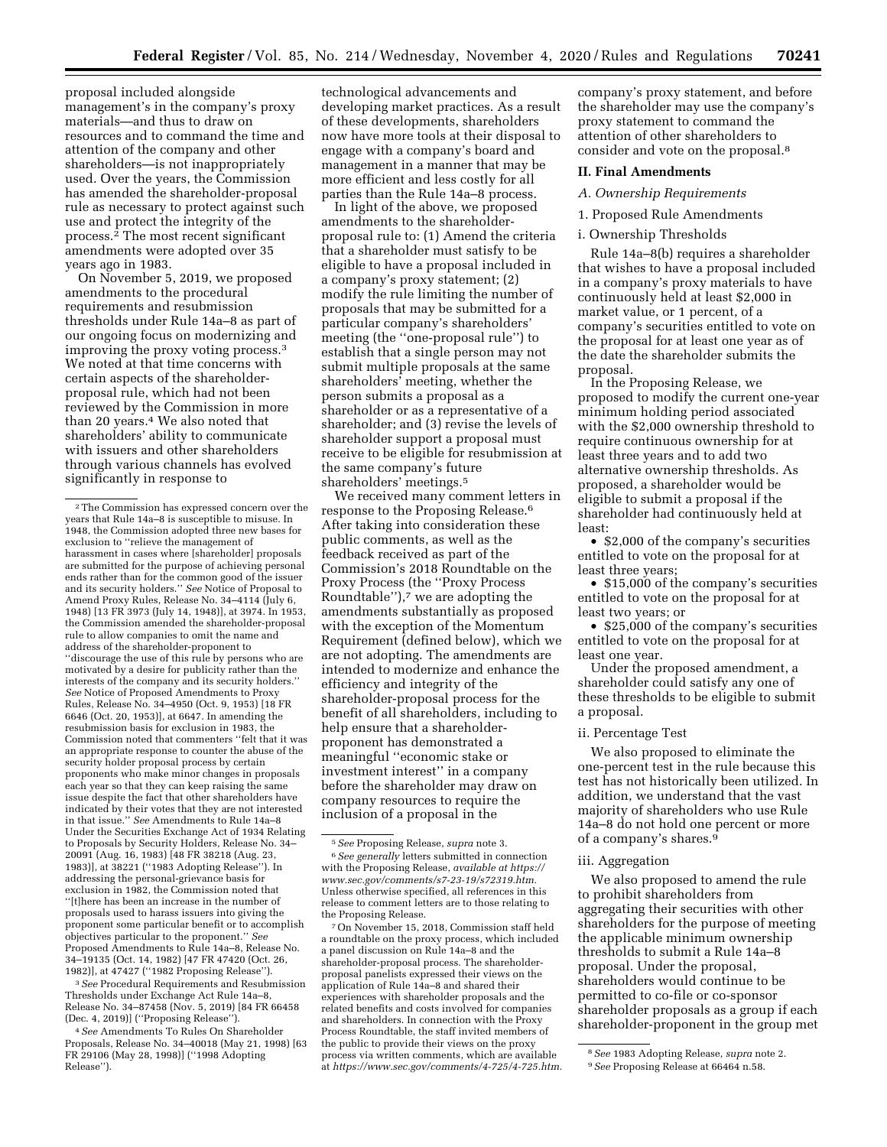proposal included alongside management's in the company's proxy materials—and thus to draw on resources and to command the time and attention of the company and other shareholders—is not inappropriately used. Over the years, the Commission has amended the shareholder-proposal rule as necessary to protect against such use and protect the integrity of the process.2 The most recent significant amendments were adopted over 35 years ago in 1983.

On November 5, 2019, we proposed amendments to the procedural requirements and resubmission thresholds under Rule 14a–8 as part of our ongoing focus on modernizing and improving the proxy voting process.3 We noted at that time concerns with certain aspects of the shareholderproposal rule, which had not been reviewed by the Commission in more than 20 years.4 We also noted that shareholders' ability to communicate with issuers and other shareholders through various channels has evolved significantly in response to

3*See* Procedural Requirements and Resubmission Thresholds under Exchange Act Rule 14a–8, Release No. 34–87458 (Nov. 5, 2019) [84 FR 66458 (Dec. 4, 2019)] (''Proposing Release'').

4*See* Amendments To Rules On Shareholder Proposals, Release No. 34–40018 (May 21, 1998) [63 FR 29106 (May 28, 1998)] (''1998 Adopting Release'').

technological advancements and developing market practices. As a result of these developments, shareholders now have more tools at their disposal to engage with a company's board and management in a manner that may be more efficient and less costly for all parties than the Rule 14a–8 process.

In light of the above, we proposed amendments to the shareholderproposal rule to: (1) Amend the criteria that a shareholder must satisfy to be eligible to have a proposal included in a company's proxy statement; (2) modify the rule limiting the number of proposals that may be submitted for a particular company's shareholders' meeting (the ''one-proposal rule'') to establish that a single person may not submit multiple proposals at the same shareholders' meeting, whether the person submits a proposal as a shareholder or as a representative of a shareholder; and (3) revise the levels of shareholder support a proposal must receive to be eligible for resubmission at the same company's future shareholders' meetings.5

We received many comment letters in response to the Proposing Release.6 After taking into consideration these public comments, as well as the feedback received as part of the Commission's 2018 Roundtable on the Proxy Process (the ''Proxy Process Roundtable''),7 we are adopting the amendments substantially as proposed with the exception of the Momentum Requirement (defined below), which we are not adopting. The amendments are intended to modernize and enhance the efficiency and integrity of the shareholder-proposal process for the benefit of all shareholders, including to help ensure that a shareholderproponent has demonstrated a meaningful ''economic stake or investment interest'' in a company before the shareholder may draw on company resources to require the inclusion of a proposal in the

7On November 15, 2018, Commission staff held a roundtable on the proxy process, which included a panel discussion on Rule 14a–8 and the shareholder-proposal process. The shareholderproposal panelists expressed their views on the application of Rule 14a–8 and shared their experiences with shareholder proposals and the related benefits and costs involved for companies and shareholders. In connection with the Proxy Process Roundtable, the staff invited members of the public to provide their views on the proxy process via written comments, which are available at *[https://www.sec.gov/comments/4-725/4-725.htm.](https://www.sec.gov/comments/4-725/4-725.htm)* 

company's proxy statement, and before the shareholder may use the company's proxy statement to command the attention of other shareholders to consider and vote on the proposal.8

### **II. Final Amendments**

#### *A. Ownership Requirements*

#### 1. Proposed Rule Amendments

#### i. Ownership Thresholds

Rule 14a–8(b) requires a shareholder that wishes to have a proposal included in a company's proxy materials to have continuously held at least \$2,000 in market value, or 1 percent, of a company's securities entitled to vote on the proposal for at least one year as of the date the shareholder submits the proposal.

In the Proposing Release, we proposed to modify the current one-year minimum holding period associated with the \$2,000 ownership threshold to require continuous ownership for at least three years and to add two alternative ownership thresholds. As proposed, a shareholder would be eligible to submit a proposal if the shareholder had continuously held at least:

• \$2,000 of the company's securities entitled to vote on the proposal for at least three years;

• \$15,000 of the company's securities entitled to vote on the proposal for at least two years; or

• \$25,000 of the company's securities entitled to vote on the proposal for at least one year.

Under the proposed amendment, a shareholder could satisfy any one of these thresholds to be eligible to submit a proposal.

#### ii. Percentage Test

We also proposed to eliminate the one-percent test in the rule because this test has not historically been utilized. In addition, we understand that the vast majority of shareholders who use Rule 14a–8 do not hold one percent or more of a company's shares.9

### iii. Aggregation

We also proposed to amend the rule to prohibit shareholders from aggregating their securities with other shareholders for the purpose of meeting the applicable minimum ownership thresholds to submit a Rule 14a–8 proposal. Under the proposal, shareholders would continue to be permitted to co-file or co-sponsor shareholder proposals as a group if each shareholder-proponent in the group met

<sup>2</sup>The Commission has expressed concern over the years that Rule 14a–8 is susceptible to misuse. In 1948, the Commission adopted three new bases for exclusion to ''relieve the management of harassment in cases where [shareholder] proposals are submitted for the purpose of achieving personal ends rather than for the common good of the issuer and its security holders.'' *See* Notice of Proposal to Amend Proxy Rules, Release No. 34-4114 (July 6, 1948) [13 FR 3973 (July 14, 1948)], at 3974. In 1953, the Commission amended the shareholder-proposal rule to allow companies to omit the name and address of the shareholder-proponent to ''discourage the use of this rule by persons who are motivated by a desire for publicity rather than the interests of the company and its security holders.'' *See* Notice of Proposed Amendments to Proxy Rules, Release No. 34–4950 (Oct. 9, 1953) [18 FR 6646 (Oct. 20, 1953)], at 6647. In amending the resubmission basis for exclusion in 1983, the Commission noted that commenters ''felt that it was an appropriate response to counter the abuse of the security holder proposal process by certain proponents who make minor changes in proposals each year so that they can keep raising the same issue despite the fact that other shareholders have indicated by their votes that they are not interested in that issue.'' *See* Amendments to Rule 14a–8 Under the Securities Exchange Act of 1934 Relating to Proposals by Security Holders, Release No. 34– 20091 (Aug. 16, 1983) [48 FR 38218 (Aug. 23, 1983)], at 38221 (''1983 Adopting Release''). In addressing the personal-grievance basis for exclusion in 1982, the Commission noted that ''[t]here has been an increase in the number of proposals used to harass issuers into giving the proponent some particular benefit or to accomplish objectives particular to the proponent.'' *See*  Proposed Amendments to Rule 14a–8, Release No. 34–19135 (Oct. 14, 1982) [47 FR 47420 (Oct. 26, 1982)], at 47427 (''1982 Proposing Release'').

<sup>5</sup>*See* Proposing Release, *supra* note 3. 6*See generally* letters submitted in connection with the Proposing Release, *available at [https://](https://www.sec.gov/comments/s7-23-19/s72319.htm) [www.sec.gov/comments/s7-23-19/s72319.htm.](https://www.sec.gov/comments/s7-23-19/s72319.htm)*  Unless otherwise specified, all references in this release to comment letters are to those relating to the Proposing Release.

<sup>8</sup>*See* 1983 Adopting Release, *supra* note 2. 9*See* Proposing Release at 66464 n.58.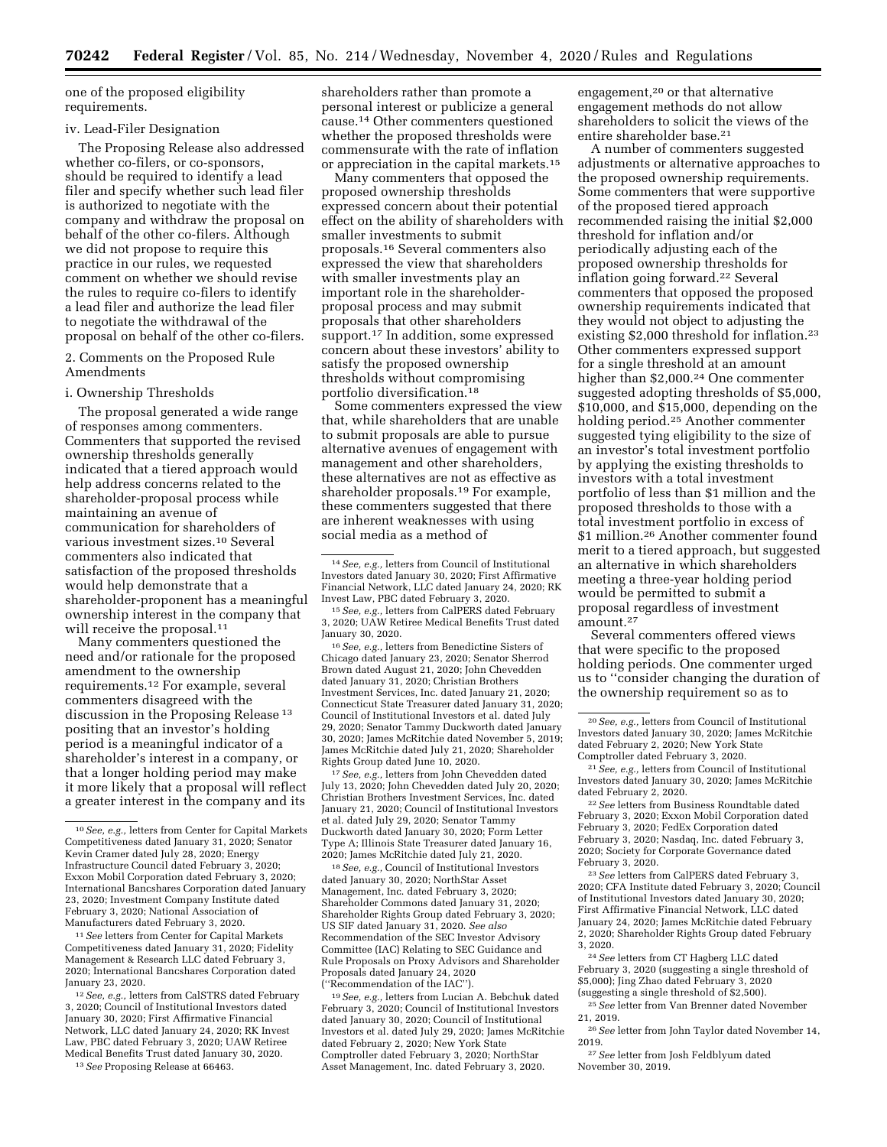one of the proposed eligibility requirements.

#### iv. Lead-Filer Designation

The Proposing Release also addressed whether co-filers, or co-sponsors, should be required to identify a lead filer and specify whether such lead filer is authorized to negotiate with the company and withdraw the proposal on behalf of the other co-filers. Although we did not propose to require this practice in our rules, we requested comment on whether we should revise the rules to require co-filers to identify a lead filer and authorize the lead filer to negotiate the withdrawal of the proposal on behalf of the other co-filers.

2. Comments on the Proposed Rule Amendments

#### i. Ownership Thresholds

The proposal generated a wide range of responses among commenters. Commenters that supported the revised ownership thresholds generally indicated that a tiered approach would help address concerns related to the shareholder-proposal process while maintaining an avenue of communication for shareholders of various investment sizes.10 Several commenters also indicated that satisfaction of the proposed thresholds would help demonstrate that a shareholder-proponent has a meaningful ownership interest in the company that will receive the proposal.<sup>11</sup>

Many commenters questioned the need and/or rationale for the proposed amendment to the ownership requirements.12 For example, several commenters disagreed with the discussion in the Proposing Release 13 positing that an investor's holding period is a meaningful indicator of a shareholder's interest in a company, or that a longer holding period may make it more likely that a proposal will reflect a greater interest in the company and its

11*See* letters from Center for Capital Markets Competitiveness dated January 31, 2020; Fidelity Management & Research LLC dated February 3, 2020; International Bancshares Corporation dated January 23, 2020.

12*See, e.g.,* letters from CalSTRS dated February 3, 2020; Council of Institutional Investors dated January 30, 2020; First Affirmative Financial Network, LLC dated January 24, 2020; RK Invest Law, PBC dated February 3, 2020; UAW Retiree Medical Benefits Trust dated January 30, 2020.

13*See* Proposing Release at 66463.

shareholders rather than promote a personal interest or publicize a general cause.14 Other commenters questioned whether the proposed thresholds were commensurate with the rate of inflation or appreciation in the capital markets.15

Many commenters that opposed the proposed ownership thresholds expressed concern about their potential effect on the ability of shareholders with smaller investments to submit proposals.16 Several commenters also expressed the view that shareholders with smaller investments play an important role in the shareholderproposal process and may submit proposals that other shareholders support.17 In addition, some expressed concern about these investors' ability to satisfy the proposed ownership thresholds without compromising portfolio diversification.18

Some commenters expressed the view that, while shareholders that are unable to submit proposals are able to pursue alternative avenues of engagement with management and other shareholders, these alternatives are not as effective as shareholder proposals.19 For example, these commenters suggested that there are inherent weaknesses with using social media as a method of

16*See, e.g.,* letters from Benedictine Sisters of Chicago dated January 23, 2020; Senator Sherrod Brown dated August 21, 2020; John Chevedden dated January 31, 2020; Christian Brothers Investment Services, Inc. dated January 21, 2020; Connecticut State Treasurer dated January 31, 2020; Council of Institutional Investors et al. dated July 29, 2020; Senator Tammy Duckworth dated January 30, 2020; James McRitchie dated November 5, 2019; James McRitchie dated July 21, 2020; Shareholder Rights Group dated June 10, 2020.

17*See, e.g.,* letters from John Chevedden dated July 13, 2020; John Chevedden dated July 20, 2020; Christian Brothers Investment Services, Inc. dated January 21, 2020; Council of Institutional Investors et al. dated July 29, 2020; Senator Tammy Duckworth dated January 30, 2020; Form Letter Type A; Illinois State Treasurer dated January 16, 2020; James McRitchie dated July 21, 2020.

18*See, e.g.,* Council of Institutional Investors dated January 30, 2020; NorthStar Asset Management, Inc. dated February 3, 2020; Shareholder Commons dated January 31, 2020; Shareholder Rights Group dated February 3, 2020; US SIF dated January 31, 2020. *See also*  Recommendation of the SEC Investor Advisory Committee (IAC) Relating to SEC Guidance and Rule Proposals on Proxy Advisors and Shareholder Proposals dated January 24, 2020 (''Recommendation of the IAC'').

19*See, e.g.,* letters from Lucian A. Bebchuk dated February 3, 2020; Council of Institutional Investors dated January 30, 2020; Council of Institutional Investors et al. dated July 29, 2020; James McRitchie dated February 2, 2020; New York State Comptroller dated February 3, 2020; NorthStar Asset Management, Inc. dated February 3, 2020.

engagement,20 or that alternative engagement methods do not allow shareholders to solicit the views of the entire shareholder base.21

A number of commenters suggested adjustments or alternative approaches to the proposed ownership requirements. Some commenters that were supportive of the proposed tiered approach recommended raising the initial \$2,000 threshold for inflation and/or periodically adjusting each of the proposed ownership thresholds for inflation going forward.22 Several commenters that opposed the proposed ownership requirements indicated that they would not object to adjusting the existing \$2,000 threshold for inflation.<sup>23</sup> Other commenters expressed support for a single threshold at an amount higher than \$2,000.<sup>24</sup> One commenter suggested adopting thresholds of \$5,000, \$10,000, and \$15,000, depending on the holding period.25 Another commenter suggested tying eligibility to the size of an investor's total investment portfolio by applying the existing thresholds to investors with a total investment portfolio of less than \$1 million and the proposed thresholds to those with a total investment portfolio in excess of \$1 million.26 Another commenter found merit to a tiered approach, but suggested an alternative in which shareholders meeting a three-year holding period would be permitted to submit a proposal regardless of investment amount.27

Several commenters offered views that were specific to the proposed holding periods. One commenter urged us to ''consider changing the duration of the ownership requirement so as to

21*See, e.g.,* letters from Council of Institutional Investors dated January 30, 2020; James McRitchie dated February 2, 2020.

22*See* letters from Business Roundtable dated February 3, 2020; Exxon Mobil Corporation dated February 3, 2020; FedEx Corporation dated February 3, 2020; Nasdaq, Inc. dated February 3, 2020; Society for Corporate Governance dated February 3, 2020.

23*See* letters from CalPERS dated February 3, 2020; CFA Institute dated February 3, 2020; Council of Institutional Investors dated January 30, 2020; First Affirmative Financial Network, LLC dated January 24, 2020; James McRitchie dated February 2, 2020; Shareholder Rights Group dated February 3, 2020.

24*See* letters from CT Hagberg LLC dated February 3, 2020 (suggesting a single threshold of \$5,000); Jing Zhao dated February 3, 2020 (suggesting a single threshold of \$2,500).

25*See* letter from Van Brenner dated November 21, 2019.

26*See* letter from John Taylor dated November 14, 2019.

27*See* letter from Josh Feldblyum dated November 30, 2019.

<sup>10</sup>*See, e.g.,* letters from Center for Capital Markets Competitiveness dated January 31, 2020; Senator Kevin Cramer dated July 28, 2020; Energy Infrastructure Council dated February 3, 2020; Exxon Mobil Corporation dated February 3, 2020; International Bancshares Corporation dated January 23, 2020; Investment Company Institute dated February 3, 2020; National Association of Manufacturers dated February 3, 2020.

<sup>14</sup>*See, e.g.,* letters from Council of Institutional Investors dated January 30, 2020; First Affirmative Financial Network, LLC dated January 24, 2020; RK Invest Law, PBC dated February 3, 2020.

<sup>15</sup>*See, e.g.,* letters from CalPERS dated February 3, 2020; UAW Retiree Medical Benefits Trust dated January 30, 2020.

<sup>20</sup>*See, e.g.,* letters from Council of Institutional Investors dated January 30, 2020; James McRitchie dated February 2, 2020; New York State Comptroller dated February 3, 2020.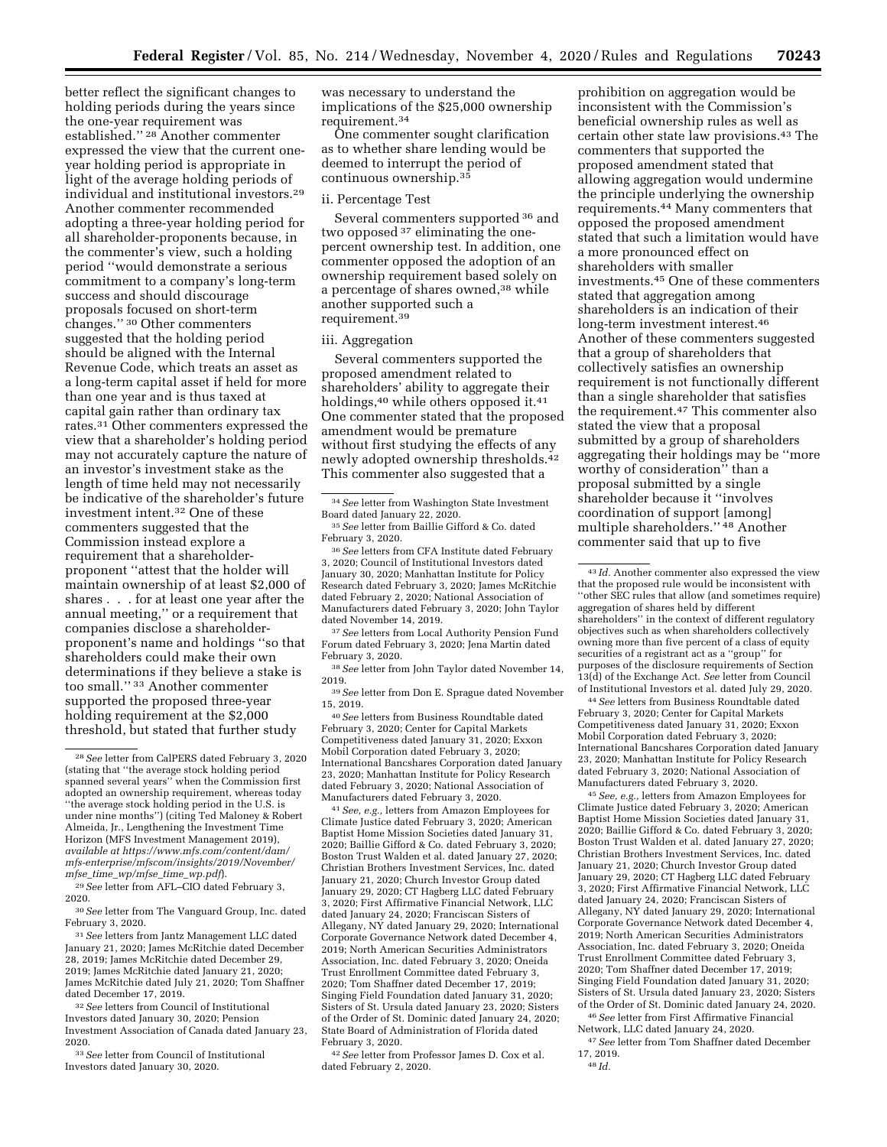better reflect the significant changes to holding periods during the years since the one-year requirement was established.'' 28 Another commenter expressed the view that the current oneyear holding period is appropriate in light of the average holding periods of individual and institutional investors.29 Another commenter recommended adopting a three-year holding period for all shareholder-proponents because, in the commenter's view, such a holding period ''would demonstrate a serious commitment to a company's long-term success and should discourage proposals focused on short-term changes.'' 30 Other commenters suggested that the holding period should be aligned with the Internal Revenue Code, which treats an asset as a long-term capital asset if held for more than one year and is thus taxed at capital gain rather than ordinary tax rates.31 Other commenters expressed the view that a shareholder's holding period may not accurately capture the nature of an investor's investment stake as the length of time held may not necessarily be indicative of the shareholder's future investment intent.32 One of these commenters suggested that the Commission instead explore a requirement that a shareholderproponent ''attest that the holder will maintain ownership of at least \$2,000 of shares . . . for at least one year after the annual meeting,'' or a requirement that companies disclose a shareholderproponent's name and holdings ''so that shareholders could make their own determinations if they believe a stake is too small.'' 33 Another commenter supported the proposed three-year holding requirement at the \$2,000 threshold, but stated that further study

29*See* letter from AFL–CIO dated February 3, 2020.

30*See* letter from The Vanguard Group, Inc. dated February 3, 2020.

31*See* letters from Jantz Management LLC dated January 21, 2020; James McRitchie dated December 28, 2019; James McRitchie dated December 29, 2019; James McRitchie dated January 21, 2020; James McRitchie dated July 21, 2020; Tom Shaffner dated December 17, 2019.

32*See* letters from Council of Institutional Investors dated January 30, 2020; Pension Investment Association of Canada dated January 23, 2020.

33*See* letter from Council of Institutional Investors dated January 30, 2020.

was necessary to understand the implications of the \$25,000 ownership requirement.34

One commenter sought clarification as to whether share lending would be deemed to interrupt the period of continuous ownership.35

#### ii. Percentage Test

Several commenters supported 36 and two opposed 37 eliminating the onepercent ownership test. In addition, one commenter opposed the adoption of an ownership requirement based solely on a percentage of shares owned,38 while another supported such a requirement.39

#### iii. Aggregation

Several commenters supported the proposed amendment related to shareholders' ability to aggregate their holdings,<sup>40</sup> while others opposed it.<sup>41</sup> One commenter stated that the proposed amendment would be premature without first studying the effects of any newly adopted ownership thresholds.42 This commenter also suggested that a

36*See* letters from CFA Institute dated February 3, 2020; Council of Institutional Investors dated January 30, 2020; Manhattan Institute for Policy Research dated February 3, 2020; James McRitchie dated February 2, 2020; National Association of Manufacturers dated February 3, 2020; John Taylor dated November 14, 2019.

37*See* letters from Local Authority Pension Fund Forum dated February 3, 2020; Jena Martin dated February 3, 2020.

38*See* letter from John Taylor dated November 14, 2019.

39*See* letter from Don E. Sprague dated November 15, 2019.

40*See* letters from Business Roundtable dated February 3, 2020; Center for Capital Markets Competitiveness dated January 31, 2020; Exxon Mobil Corporation dated February 3, 2020; International Bancshares Corporation dated January 23, 2020; Manhattan Institute for Policy Research dated February 3, 2020; National Association of Manufacturers dated February 3, 2020.

41*See, e.g.,* letters from Amazon Employees for Climate Justice dated February 3, 2020; American Baptist Home Mission Societies dated January 31, 2020; Baillie Gifford & Co. dated February 3, 2020; Boston Trust Walden et al. dated January 27, 2020; Christian Brothers Investment Services, Inc. dated January 21, 2020; Church Investor Group dated January 29, 2020; CT Hagberg LLC dated February 3, 2020; First Affirmative Financial Network, LLC dated January 24, 2020; Franciscan Sisters of Allegany, NY dated January 29, 2020; International Corporate Governance Network dated December 4, 2019; North American Securities Administrators Association, Inc. dated February 3, 2020; Oneida Trust Enrollment Committee dated February 3, 2020; Tom Shaffner dated December 17, 2019; Singing Field Foundation dated January 31, 2020; Sisters of St. Ursula dated January 23, 2020; Sisters of the Order of St. Dominic dated January 24, 2020; State Board of Administration of Florida dated February 3, 2020.

42*See* letter from Professor James D. Cox et al. dated February 2, 2020.

prohibition on aggregation would be inconsistent with the Commission's beneficial ownership rules as well as certain other state law provisions.43 The commenters that supported the proposed amendment stated that allowing aggregation would undermine the principle underlying the ownership requirements.44 Many commenters that opposed the proposed amendment stated that such a limitation would have a more pronounced effect on shareholders with smaller investments.45 One of these commenters stated that aggregation among shareholders is an indication of their long-term investment interest.46 Another of these commenters suggested that a group of shareholders that collectively satisfies an ownership requirement is not functionally different than a single shareholder that satisfies the requirement.47 This commenter also stated the view that a proposal submitted by a group of shareholders aggregating their holdings may be ''more worthy of consideration'' than a proposal submitted by a single shareholder because it ''involves coordination of support [among] multiple shareholders.'' 48 Another commenter said that up to five

44*See* letters from Business Roundtable dated February 3, 2020; Center for Capital Markets Competitiveness dated January 31, 2020; Exxon Mobil Corporation dated February 3, 2020; International Bancshares Corporation dated January 23, 2020; Manhattan Institute for Policy Research dated February 3, 2020; National Association of Manufacturers dated February 3, 2020.

45*See, e.g.,* letters from Amazon Employees for Climate Justice dated February 3, 2020; American Baptist Home Mission Societies dated January 31, 2020; Baillie Gifford & Co. dated February 3, 2020; Boston Trust Walden et al. dated January 27, 2020; Christian Brothers Investment Services, Inc. dated January 21, 2020; Church Investor Group dated January 29, 2020; CT Hagberg LLC dated February 3, 2020; First Affirmative Financial Network, LLC dated January 24, 2020; Franciscan Sisters of Allegany, NY dated January 29, 2020; International Corporate Governance Network dated December 4, 2019; North American Securities Administrators Association, Inc. dated February 3, 2020; Oneida Trust Enrollment Committee dated February 3, 2020; Tom Shaffner dated December 17, 2019; Singing Field Foundation dated January 31, 2020; Sisters of St. Ursula dated January 23, 2020; Sisters of the Order of St. Dominic dated January 24, 2020. 46*See* letter from First Affirmative Financial

Network, LLC dated January 24, 2020. 47*See* letter from Tom Shaffner dated December

48 *Id.* 

<sup>28</sup>*See* letter from CalPERS dated February 3, 2020 (stating that ''the average stock holding period spanned several years'' when the Commission first adopted an ownership requirement, whereas today ''the average stock holding period in the U.S. is under nine months'') (citing Ted Maloney & Robert Almeida, Jr., Lengthening the Investment Time Horizon (MFS Investment Management 2019), *available at [https://www.mfs.com/content/dam/](https://www.mfs.com/content/dam/mfs-enterprise/mfscom/insights/2019/November/mfse_time_wp/mfse_time_wp.pdf)  [mfs-enterprise/mfscom/insights/2019/November/](https://www.mfs.com/content/dam/mfs-enterprise/mfscom/insights/2019/November/mfse_time_wp/mfse_time_wp.pdf) mfse*\_*time*\_*[wp/mfse](https://www.mfs.com/content/dam/mfs-enterprise/mfscom/insights/2019/November/mfse_time_wp/mfse_time_wp.pdf)*\_*time*\_*wp.pdf*).

<sup>34</sup>*See* letter from Washington State Investment Board dated January 22, 2020.

<sup>35</sup>*See* letter from Baillie Gifford & Co. dated February 3, 2020.

<sup>43</sup> *Id.* Another commenter also expressed the view that the proposed rule would be inconsistent with ''other SEC rules that allow (and sometimes require) aggregation of shares held by different shareholders'' in the context of different regulatory objectives such as when shareholders collectively owning more than five percent of a class of equity securities of a registrant act as a ''group'' for purposes of the disclosure requirements of Section 13(d) of the Exchange Act. *See* letter from Council of Institutional Investors et al. dated July 29, 2020.

<sup>17, 2019.</sup>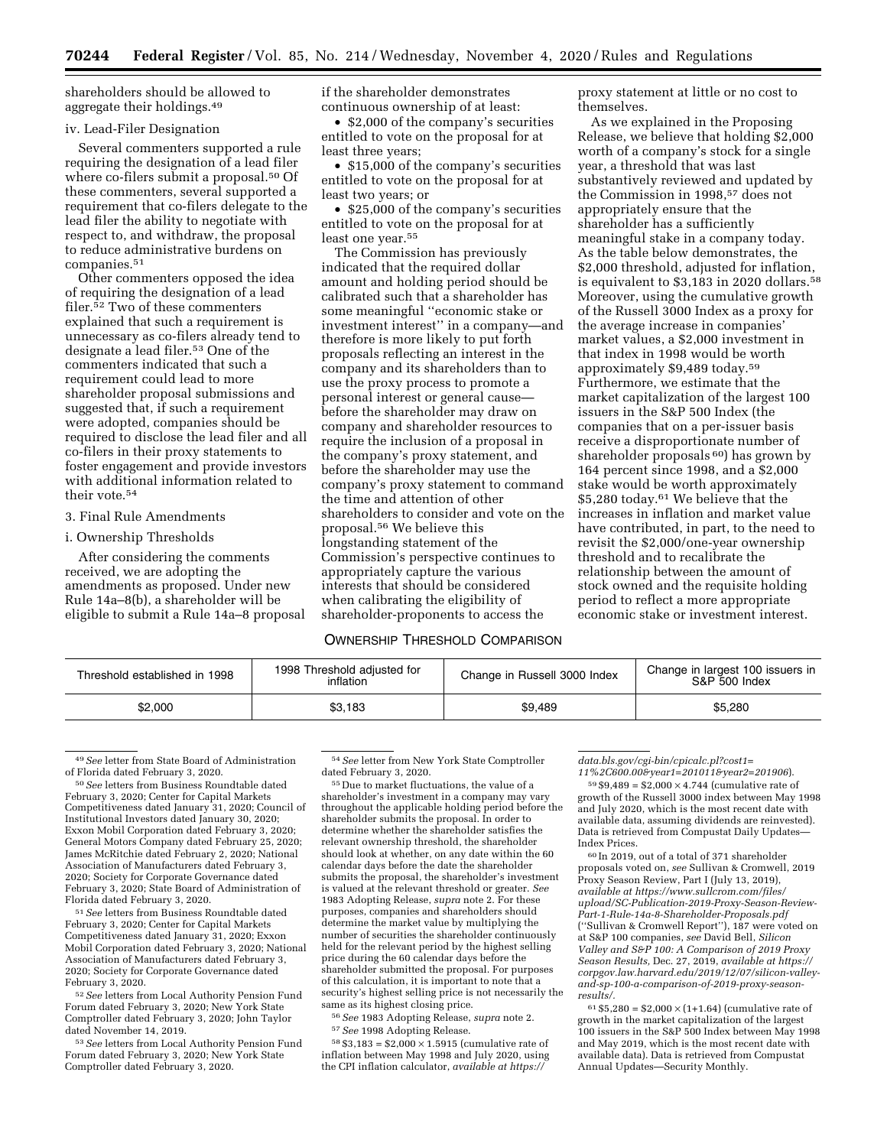shareholders should be allowed to aggregate their holdings.49

#### iv. Lead-Filer Designation

Several commenters supported a rule requiring the designation of a lead filer where co-filers submit a proposal.<sup>50</sup> Of these commenters, several supported a requirement that co-filers delegate to the lead filer the ability to negotiate with respect to, and withdraw, the proposal to reduce administrative burdens on companies.51

Other commenters opposed the idea of requiring the designation of a lead filer.52 Two of these commenters explained that such a requirement is unnecessary as co-filers already tend to designate a lead filer.53 One of the commenters indicated that such a requirement could lead to more shareholder proposal submissions and suggested that, if such a requirement were adopted, companies should be required to disclose the lead filer and all co-filers in their proxy statements to foster engagement and provide investors with additional information related to their vote.54

## 3. Final Rule Amendments

#### i. Ownership Thresholds

After considering the comments received, we are adopting the amendments as proposed. Under new Rule 14a–8(b), a shareholder will be eligible to submit a Rule 14a–8 proposal if the shareholder demonstrates continuous ownership of at least:

• \$2,000 of the company's securities entitled to vote on the proposal for at least three years;

• \$15,000 of the company's securities entitled to vote on the proposal for at least two years; or

• \$25,000 of the company's securities entitled to vote on the proposal for at least one year.<sup>55</sup>

The Commission has previously indicated that the required dollar amount and holding period should be calibrated such that a shareholder has some meaningful ''economic stake or investment interest'' in a company—and therefore is more likely to put forth proposals reflecting an interest in the company and its shareholders than to use the proxy process to promote a personal interest or general cause before the shareholder may draw on company and shareholder resources to require the inclusion of a proposal in the company's proxy statement, and before the shareholder may use the company's proxy statement to command the time and attention of other shareholders to consider and vote on the proposal.56 We believe this longstanding statement of the Commission's perspective continues to appropriately capture the various interests that should be considered when calibrating the eligibility of shareholder-proponents to access the

### OWNERSHIP THRESHOLD COMPARISON

proxy statement at little or no cost to themselves.

As we explained in the Proposing Release, we believe that holding \$2,000 worth of a company's stock for a single year, a threshold that was last substantively reviewed and updated by the Commission in 1998,57 does not appropriately ensure that the shareholder has a sufficiently meaningful stake in a company today. As the table below demonstrates, the \$2,000 threshold, adjusted for inflation, is equivalent to \$3,183 in 2020 dollars.58 Moreover, using the cumulative growth of the Russell 3000 Index as a proxy for the average increase in companies' market values, a \$2,000 investment in that index in 1998 would be worth approximately \$9,489 today.59 Furthermore, we estimate that the market capitalization of the largest 100 issuers in the S&P 500 Index (the companies that on a per-issuer basis receive a disproportionate number of shareholder proposals 60) has grown by 164 percent since 1998, and a \$2,000 stake would be worth approximately \$5,280 today.61 We believe that the increases in inflation and market value have contributed, in part, to the need to revisit the \$2,000/one-year ownership threshold and to recalibrate the relationship between the amount of stock owned and the requisite holding period to reflect a more appropriate economic stake or investment interest.

| 1998 Threshold adjusted for<br>Threshold established in 1998<br>inflation |         | Change in Russell 3000 Index | Change in largest 100 issuers in<br>S&P 500 Index |  |
|---------------------------------------------------------------------------|---------|------------------------------|---------------------------------------------------|--|
| \$2.000                                                                   | \$3,183 | \$9.489                      | \$5,280                                           |  |

49*See* letter from State Board of Administration of Florida dated February 3, 2020.

50*See* letters from Business Roundtable dated February 3, 2020; Center for Capital Markets Competitiveness dated January 31, 2020; Council of Institutional Investors dated January 30, 2020; Exxon Mobil Corporation dated February 3, 2020; General Motors Company dated February 25, 2020; James McRitchie dated February 2, 2020; National Association of Manufacturers dated February 3, 2020; Society for Corporate Governance dated February 3, 2020; State Board of Administration of Florida dated February 3, 2020.

51*See* letters from Business Roundtable dated February 3, 2020; Center for Capital Markets Competitiveness dated January 31, 2020; Exxon Mobil Corporation dated February 3, 2020; National Association of Manufacturers dated February 3, 2020; Society for Corporate Governance dated February 3, 2020.

52*See* letters from Local Authority Pension Fund Forum dated February 3, 2020; New York State Comptroller dated February 3, 2020; John Taylor dated November 14, 2019.

53*See* letters from Local Authority Pension Fund Forum dated February 3, 2020; New York State Comptroller dated February 3, 2020.

54*See* letter from New York State Comptroller dated February 3, 2020.

55 Due to market fluctuations, the value of a shareholder's investment in a company may vary throughout the applicable holding period before the shareholder submits the proposal. In order to determine whether the shareholder satisfies the relevant ownership threshold, the shareholder should look at whether, on any date within the 60 calendar days before the date the shareholder submits the proposal, the shareholder's investment is valued at the relevant threshold or greater. *See*  1983 Adopting Release, *supra* note 2. For these purposes, companies and shareholders should determine the market value by multiplying the number of securities the shareholder continuously held for the relevant period by the highest selling price during the 60 calendar days before the shareholder submitted the proposal. For purposes of this calculation, it is important to note that a security's highest selling price is not necessarily the same as its highest closing price.

56*See* 1983 Adopting Release, *supra* note 2. 57*See* 1998 Adopting Release.

 $58 $3,183 = $2,000 \times 1.5915$  (cumulative rate of inflation between May 1998 and July 2020, using the CPI inflation calculator, *available at [https://](https://data.bls.gov/cgi-bin/cpicalc.pl?cost1=11%2C600.00&year1=201011&year2=201906)*

*[data.bls.gov/cgi-bin/cpicalc.pl?cost1=](https://data.bls.gov/cgi-bin/cpicalc.pl?cost1=11%2C600.00&year1=201011&year2=201906)*

*[11%2C600.00&year1=201011&year2=201906](https://data.bls.gov/cgi-bin/cpicalc.pl?cost1=11%2C600.00&year1=201011&year2=201906)*).  $59,59,489 = $2,000 \times 4.744$  (cumulative rate of

growth of the Russell 3000 index between May 1998 and July 2020, which is the most recent date with available data, assuming dividends are reinvested). Data is retrieved from Compustat Daily Updates— Index Prices.

60 In 2019, out of a total of 371 shareholder proposals voted on, *see* Sullivan & Cromwell, 2019 Proxy Season Review, Part I (July 13, 2019), *available at [https://www.sullcrom.com/files/](https://www.sullcrom.com/files/upload/SC-Publication-2019-Proxy-Season-Review-Part-1-Rule-14a-8-Shareholder-Proposals.pdf)  [upload/SC-Publication-2019-Proxy-Season-Review-](https://www.sullcrom.com/files/upload/SC-Publication-2019-Proxy-Season-Review-Part-1-Rule-14a-8-Shareholder-Proposals.pdf)[Part-1-Rule-14a-8-Shareholder-Proposals.pdf](https://www.sullcrom.com/files/upload/SC-Publication-2019-Proxy-Season-Review-Part-1-Rule-14a-8-Shareholder-Proposals.pdf)*  (''Sullivan & Cromwell Report''), 187 were voted on at S&P 100 companies, *see* David Bell, *Silicon Valley and S&P 100: A Comparison of 2019 Proxy Season Results,* Dec. 27, 2019, *available at [https://](https://corpgov.law.harvard.edu/2019/12/07/silicon-valley-and-sp-100-a-comparison-of-2019-proxy-season-results/)  [corpgov.law.harvard.edu/2019/12/07/silicon-valley](https://corpgov.law.harvard.edu/2019/12/07/silicon-valley-and-sp-100-a-comparison-of-2019-proxy-season-results/)and-sp-100-a-comparison-of-2019-proxy-season[results/.](https://corpgov.law.harvard.edu/2019/12/07/silicon-valley-and-sp-100-a-comparison-of-2019-proxy-season-results/)* 

 $61 $5,280 = $2,000 \times (1+1.64)$  (cumulative rate of growth in the market capitalization of the largest 100 issuers in the S&P 500 Index between May 1998 and May 2019, which is the most recent date with available data). Data is retrieved from Compustat Annual Updates—Security Monthly.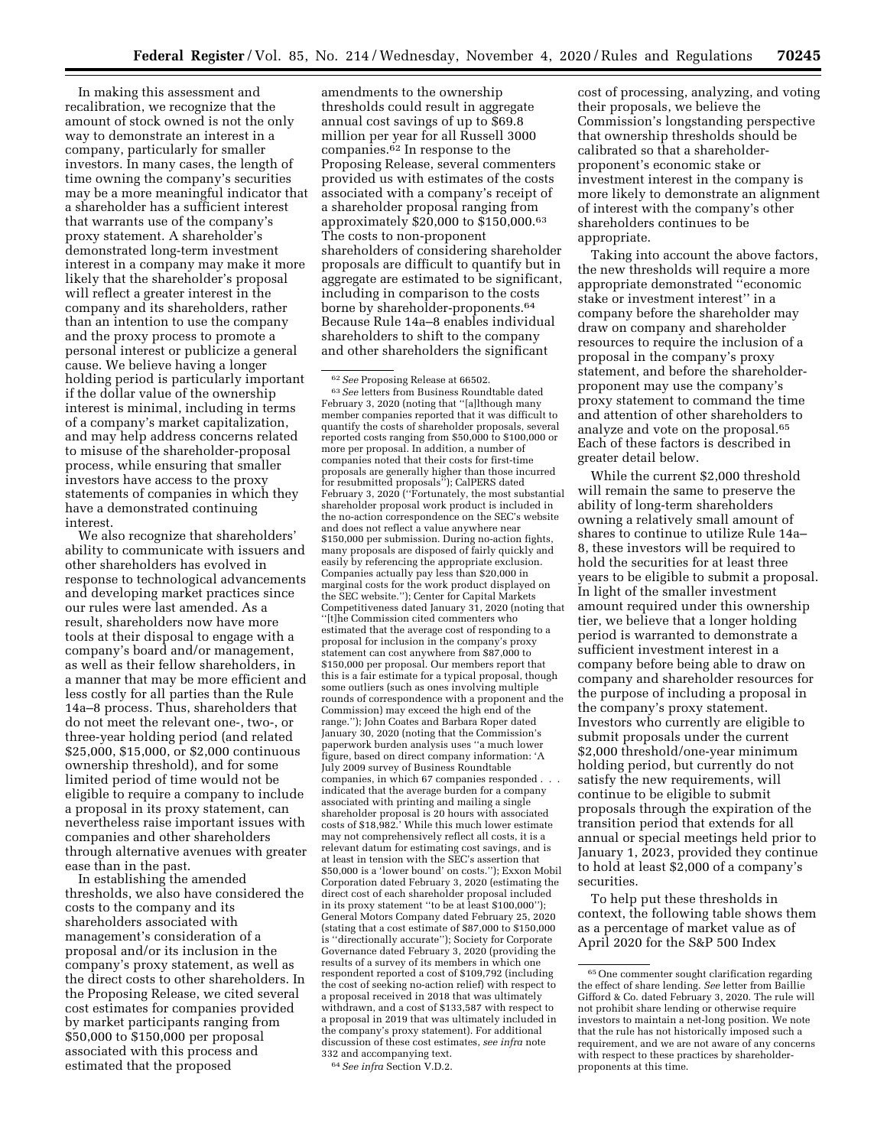In making this assessment and recalibration, we recognize that the amount of stock owned is not the only way to demonstrate an interest in a company, particularly for smaller investors. In many cases, the length of time owning the company's securities may be a more meaningful indicator that a shareholder has a sufficient interest that warrants use of the company's proxy statement. A shareholder's demonstrated long-term investment interest in a company may make it more likely that the shareholder's proposal will reflect a greater interest in the company and its shareholders, rather than an intention to use the company and the proxy process to promote a personal interest or publicize a general cause. We believe having a longer holding period is particularly important if the dollar value of the ownership interest is minimal, including in terms of a company's market capitalization, and may help address concerns related to misuse of the shareholder-proposal process, while ensuring that smaller investors have access to the proxy statements of companies in which they have a demonstrated continuing interest.

We also recognize that shareholders' ability to communicate with issuers and other shareholders has evolved in response to technological advancements and developing market practices since our rules were last amended. As a result, shareholders now have more tools at their disposal to engage with a company's board and/or management, as well as their fellow shareholders, in a manner that may be more efficient and less costly for all parties than the Rule 14a–8 process. Thus, shareholders that do not meet the relevant one-, two-, or three-year holding period (and related \$25,000, \$15,000, or \$2,000 continuous ownership threshold), and for some limited period of time would not be eligible to require a company to include a proposal in its proxy statement, can nevertheless raise important issues with companies and other shareholders through alternative avenues with greater ease than in the past.

In establishing the amended thresholds, we also have considered the costs to the company and its shareholders associated with management's consideration of a proposal and/or its inclusion in the company's proxy statement, as well as the direct costs to other shareholders. In the Proposing Release, we cited several cost estimates for companies provided by market participants ranging from \$50,000 to \$150,000 per proposal associated with this process and estimated that the proposed

amendments to the ownership thresholds could result in aggregate annual cost savings of up to \$69.8 million per year for all Russell 3000 companies.<sup>62</sup> In response to the Proposing Release, several commenters provided us with estimates of the costs associated with a company's receipt of a shareholder proposal ranging from approximately \$20,000 to \$150,000.63 The costs to non-proponent shareholders of considering shareholder proposals are difficult to quantify but in aggregate are estimated to be significant, including in comparison to the costs borne by shareholder-proponents.64 Because Rule 14a–8 enables individual shareholders to shift to the company and other shareholders the significant

<sup>62</sup>*See* Proposing Release at 66502. 63*See* letters from Business Roundtable dated February 3, 2020 (noting that ''[a]lthough many member companies reported that it was difficult to quantify the costs of shareholder proposals, several reported costs ranging from \$50,000 to \$100,000 or more per proposal. In addition, a number of companies noted that their costs for first-time proposals are generally higher than those incurred for resubmitted proposals''); CalPERS dated February 3, 2020 (''Fortunately, the most substantial shareholder proposal work product is included in the no-action correspondence on the SEC's website and does not reflect a value anywhere near \$150,000 per submission. During no-action fights, many proposals are disposed of fairly quickly and easily by referencing the appropriate exclusion. Companies actually pay less than \$20,000 in marginal costs for the work product displayed on the SEC website.''); Center for Capital Markets Competitiveness dated January 31, 2020 (noting that ''[t]he Commission cited commenters who estimated that the average cost of responding to a proposal for inclusion in the company's proxy statement can cost anywhere from \$87,000 to \$150,000 per proposal. Our members report that this is a fair estimate for a typical proposal, though some outliers (such as ones involving multiple rounds of correspondence with a proponent and the Commission) may exceed the high end of the range.''); John Coates and Barbara Roper dated January 30, 2020 (noting that the Commission's paperwork burden analysis uses ''a much lower figure, based on direct company information: 'A July 2009 survey of Business Roundtable companies, in which 67 companies responded . . . indicated that the average burden for a company associated with printing and mailing a single shareholder proposal is 20 hours with associated costs of \$18,982.' While this much lower estimate may not comprehensively reflect all costs, it is a relevant datum for estimating cost savings, and is at least in tension with the SEC's assertion that \$50,000 is a 'lower bound' on costs.''); Exxon Mobil Corporation dated February 3, 2020 (estimating the direct cost of each shareholder proposal included in its proxy statement ''to be at least \$100,000''); General Motors Company dated February 25, 2020 (stating that a cost estimate of \$87,000 to \$150,000 is ''directionally accurate''); Society for Corporate Governance dated February 3, 2020 (providing the results of a survey of its members in which one respondent reported a cost of \$109,792 (including the cost of seeking no-action relief) with respect to a proposal received in 2018 that was ultimately withdrawn, and a cost of \$133,587 with respect to a proposal in 2019 that was ultimately included in the company's proxy statement). For additional discussion of these cost estimates, *see infra* note

<sup>64</sup> See infra Section V.D.2.

cost of processing, analyzing, and voting their proposals, we believe the Commission's longstanding perspective that ownership thresholds should be calibrated so that a shareholderproponent's economic stake or investment interest in the company is more likely to demonstrate an alignment of interest with the company's other shareholders continues to be appropriate.

Taking into account the above factors, the new thresholds will require a more appropriate demonstrated ''economic stake or investment interest'' in a company before the shareholder may draw on company and shareholder resources to require the inclusion of a proposal in the company's proxy statement, and before the shareholderproponent may use the company's proxy statement to command the time and attention of other shareholders to analyze and vote on the proposal.65 Each of these factors is described in greater detail below.

While the current \$2,000 threshold will remain the same to preserve the ability of long-term shareholders owning a relatively small amount of shares to continue to utilize Rule 14a– 8, these investors will be required to hold the securities for at least three years to be eligible to submit a proposal. In light of the smaller investment amount required under this ownership tier, we believe that a longer holding period is warranted to demonstrate a sufficient investment interest in a company before being able to draw on company and shareholder resources for the purpose of including a proposal in the company's proxy statement. Investors who currently are eligible to submit proposals under the current \$2,000 threshold/one-year minimum holding period, but currently do not satisfy the new requirements, will continue to be eligible to submit proposals through the expiration of the transition period that extends for all annual or special meetings held prior to January 1, 2023, provided they continue to hold at least \$2,000 of a company's securities.

To help put these thresholds in context, the following table shows them as a percentage of market value as of April 2020 for the S&P 500 Index

<sup>65</sup>One commenter sought clarification regarding the effect of share lending. *See* letter from Baillie Gifford & Co. dated February 3, 2020. The rule will not prohibit share lending or otherwise require investors to maintain a net-long position. We note that the rule has not historically imposed such a requirement, and we are not aware of any concerns with respect to these practices by shareholderproponents at this time.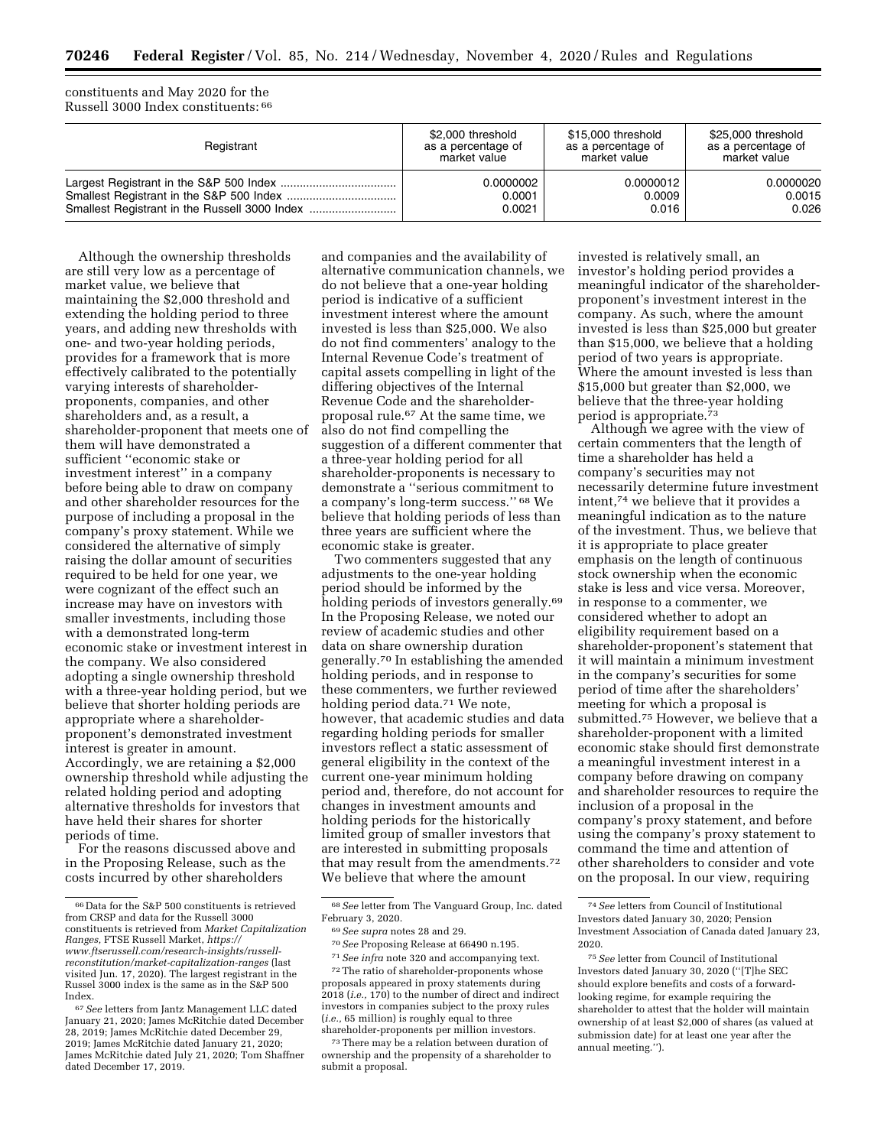constituents and May 2020 for the Russell 3000 Index constituents: 66

| Registrant | \$2,000 threshold  | \$15,000 threshold | \$25,000 threshold |
|------------|--------------------|--------------------|--------------------|
|            | as a percentage of | as a percentage of | as a percentage of |
|            | market value       | market value       | market value       |
|            | 0.0000002          | 0.0000012          | 0.0000020          |
|            | 0.0001             | 0.0009             | 0.0015             |
|            | 0.0021             | 0.016              | 0.026              |

Although the ownership thresholds are still very low as a percentage of market value, we believe that maintaining the \$2,000 threshold and extending the holding period to three years, and adding new thresholds with one- and two-year holding periods, provides for a framework that is more effectively calibrated to the potentially varying interests of shareholderproponents, companies, and other shareholders and, as a result, a shareholder-proponent that meets one of them will have demonstrated a sufficient ''economic stake or investment interest'' in a company before being able to draw on company and other shareholder resources for the purpose of including a proposal in the company's proxy statement. While we considered the alternative of simply raising the dollar amount of securities required to be held for one year, we were cognizant of the effect such an increase may have on investors with smaller investments, including those with a demonstrated long-term economic stake or investment interest in the company. We also considered adopting a single ownership threshold with a three-year holding period, but we believe that shorter holding periods are appropriate where a shareholderproponent's demonstrated investment interest is greater in amount. Accordingly, we are retaining a \$2,000 ownership threshold while adjusting the related holding period and adopting alternative thresholds for investors that have held their shares for shorter periods of time.

For the reasons discussed above and in the Proposing Release, such as the costs incurred by other shareholders

and companies and the availability of alternative communication channels, we do not believe that a one-year holding period is indicative of a sufficient investment interest where the amount invested is less than \$25,000. We also do not find commenters' analogy to the Internal Revenue Code's treatment of capital assets compelling in light of the differing objectives of the Internal Revenue Code and the shareholderproposal rule.67 At the same time, we also do not find compelling the suggestion of a different commenter that a three-year holding period for all shareholder-proponents is necessary to demonstrate a ''serious commitment to a company's long-term success.'' 68 We believe that holding periods of less than three years are sufficient where the economic stake is greater.

Two commenters suggested that any adjustments to the one-year holding period should be informed by the holding periods of investors generally.<sup>69</sup> In the Proposing Release, we noted our review of academic studies and other data on share ownership duration generally.70 In establishing the amended holding periods, and in response to these commenters, we further reviewed holding period data.<sup>71</sup> We note, however, that academic studies and data regarding holding periods for smaller investors reflect a static assessment of general eligibility in the context of the current one-year minimum holding period and, therefore, do not account for changes in investment amounts and holding periods for the historically limited group of smaller investors that are interested in submitting proposals that may result from the amendments.72 We believe that where the amount

69*See supra* notes 28 and 29.

72The ratio of shareholder-proponents whose proposals appeared in proxy statements during 2018 (*i.e.,* 170) to the number of direct and indirect investors in companies subject to the proxy rules (*i.e.,* 65 million) is roughly equal to three shareholder-proponents per million investors.

73There may be a relation between duration of ownership and the propensity of a shareholder to submit a proposal.

invested is relatively small, an investor's holding period provides a meaningful indicator of the shareholderproponent's investment interest in the company. As such, where the amount invested is less than \$25,000 but greater than \$15,000, we believe that a holding period of two years is appropriate. Where the amount invested is less than \$15,000 but greater than \$2,000, we believe that the three-year holding period is appropriate.73

Although we agree with the view of certain commenters that the length of time a shareholder has held a company's securities may not necessarily determine future investment intent,74 we believe that it provides a meaningful indication as to the nature of the investment. Thus, we believe that it is appropriate to place greater emphasis on the length of continuous stock ownership when the economic stake is less and vice versa. Moreover, in response to a commenter, we considered whether to adopt an eligibility requirement based on a shareholder-proponent's statement that it will maintain a minimum investment in the company's securities for some period of time after the shareholders' meeting for which a proposal is submitted.75 However, we believe that a shareholder-proponent with a limited economic stake should first demonstrate a meaningful investment interest in a company before drawing on company and shareholder resources to require the inclusion of a proposal in the company's proxy statement, and before using the company's proxy statement to command the time and attention of other shareholders to consider and vote on the proposal. In our view, requiring

<sup>66</sup> Data for the S&P 500 constituents is retrieved from CRSP and data for the Russell 3000 constituents is retrieved from *Market Capitalization Ranges,* FTSE Russell Market, *[https://](https://www.ftserussell.com/research-insights/russell-reconstitution/market-capitalization-ranges) [www.ftserussell.com/research-insights/russell](https://www.ftserussell.com/research-insights/russell-reconstitution/market-capitalization-ranges)[reconstitution/market-capitalization-ranges](https://www.ftserussell.com/research-insights/russell-reconstitution/market-capitalization-ranges)* (last visited Jun. 17, 2020). The largest registrant in the Russel 3000 index is the same as in the S&P 500 Index.

<sup>67</sup>*See* letters from Jantz Management LLC dated January 21, 2020; James McRitchie dated December 28, 2019; James McRitchie dated December 29, 2019; James McRitchie dated January 21, 2020; James McRitchie dated July 21, 2020; Tom Shaffner dated December 17, 2019.

<sup>68</sup>*See* letter from The Vanguard Group, Inc. dated February 3, 2020.

<sup>70</sup>*See* Proposing Release at 66490 n.195.

<sup>71</sup>*See infra* note 320 and accompanying text.

<sup>74</sup>*See* letters from Council of Institutional Investors dated January 30, 2020; Pension Investment Association of Canada dated January 23, 2020.

<sup>75</sup>*See* letter from Council of Institutional Investors dated January 30, 2020 (''[T]he SEC should explore benefits and costs of a forwardlooking regime, for example requiring the shareholder to attest that the holder will maintain ownership of at least \$2,000 of shares (as valued at submission date) for at least one year after the annual meeting.'').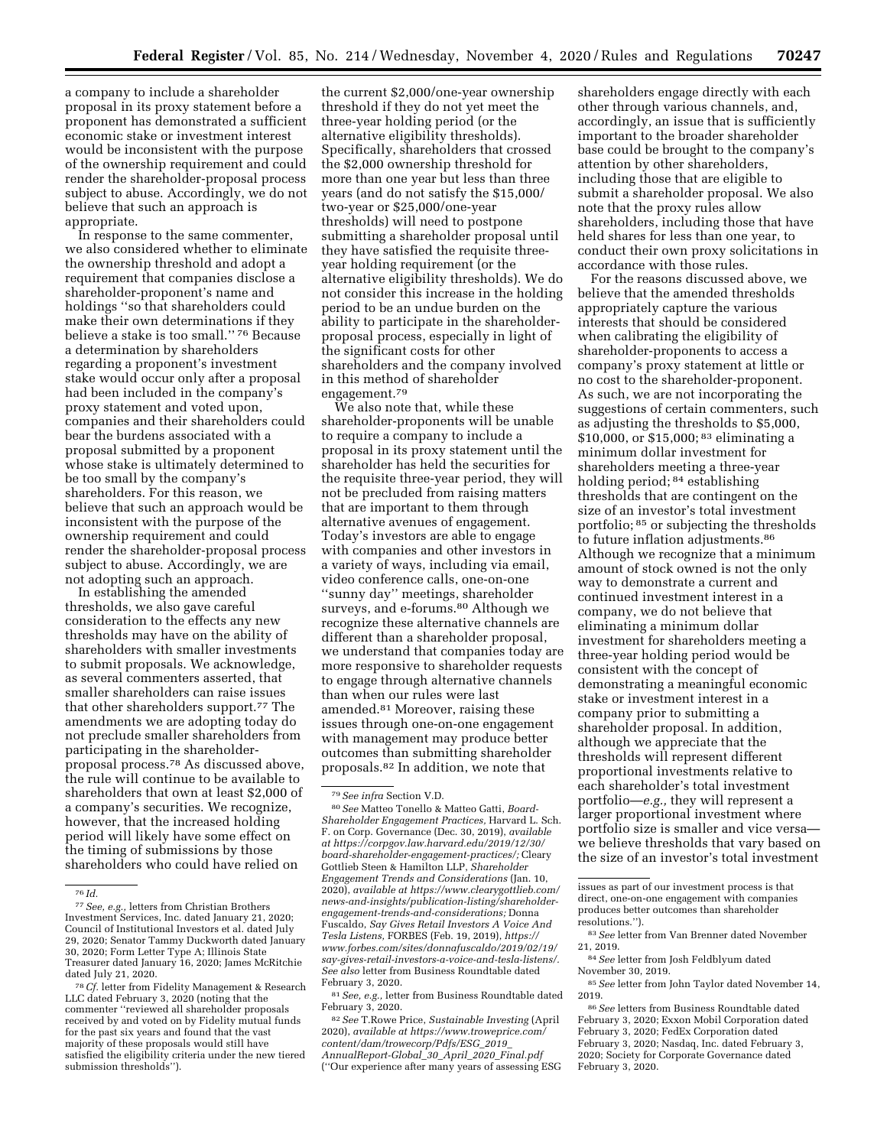a company to include a shareholder proposal in its proxy statement before a proponent has demonstrated a sufficient economic stake or investment interest would be inconsistent with the purpose of the ownership requirement and could render the shareholder-proposal process subject to abuse. Accordingly, we do not believe that such an approach is appropriate.

In response to the same commenter, we also considered whether to eliminate the ownership threshold and adopt a requirement that companies disclose a shareholder-proponent's name and holdings ''so that shareholders could make their own determinations if they believe a stake is too small.'' 76 Because a determination by shareholders regarding a proponent's investment stake would occur only after a proposal had been included in the company's proxy statement and voted upon, companies and their shareholders could bear the burdens associated with a proposal submitted by a proponent whose stake is ultimately determined to be too small by the company's shareholders. For this reason, we believe that such an approach would be inconsistent with the purpose of the ownership requirement and could render the shareholder-proposal process subject to abuse. Accordingly, we are not adopting such an approach.

In establishing the amended thresholds, we also gave careful consideration to the effects any new thresholds may have on the ability of shareholders with smaller investments to submit proposals. We acknowledge, as several commenters asserted, that smaller shareholders can raise issues that other shareholders support.77 The amendments we are adopting today do not preclude smaller shareholders from participating in the shareholderproposal process.78 As discussed above, the rule will continue to be available to shareholders that own at least \$2,000 of a company's securities. We recognize, however, that the increased holding period will likely have some effect on the timing of submissions by those shareholders who could have relied on

the current \$2,000/one-year ownership threshold if they do not yet meet the three-year holding period (or the alternative eligibility thresholds). Specifically, shareholders that crossed the \$2,000 ownership threshold for more than one year but less than three years (and do not satisfy the \$15,000/ two-year or \$25,000/one-year thresholds) will need to postpone submitting a shareholder proposal until they have satisfied the requisite threeyear holding requirement (or the alternative eligibility thresholds). We do not consider this increase in the holding period to be an undue burden on the ability to participate in the shareholderproposal process, especially in light of the significant costs for other shareholders and the company involved in this method of shareholder engagement.79

We also note that, while these shareholder-proponents will be unable to require a company to include a proposal in its proxy statement until the shareholder has held the securities for the requisite three-year period, they will not be precluded from raising matters that are important to them through alternative avenues of engagement. Today's investors are able to engage with companies and other investors in a variety of ways, including via email, video conference calls, one-on-one ''sunny day'' meetings, shareholder surveys, and e-forums.<sup>80</sup> Although we recognize these alternative channels are different than a shareholder proposal, we understand that companies today are more responsive to shareholder requests to engage through alternative channels than when our rules were last amended.81 Moreover, raising these issues through one-on-one engagement with management may produce better outcomes than submitting shareholder proposals.82 In addition, we note that

81*See, e.g.,* letter from Business Roundtable dated February 3, 2020.

82*See* T.Rowe Price, *Sustainable Investing* (April 2020), *available at [https://www.troweprice.com/](https://www.troweprice.com/content/dam/trowecorp/Pdfs/ESG_2019_AnnualReport-Global_30_April_2020_Final.pdf) [content/dam/trowecorp/Pdfs/ESG](https://www.troweprice.com/content/dam/trowecorp/Pdfs/ESG_2019_AnnualReport-Global_30_April_2020_Final.pdf)*\_*2019*\_ *[AnnualReport-Global](https://www.troweprice.com/content/dam/trowecorp/Pdfs/ESG_2019_AnnualReport-Global_30_April_2020_Final.pdf)*\_*30*\_*April*\_*2020*\_*Final.pdf*  (''Our experience after many years of assessing ESG

shareholders engage directly with each other through various channels, and, accordingly, an issue that is sufficiently important to the broader shareholder base could be brought to the company's attention by other shareholders, including those that are eligible to submit a shareholder proposal. We also note that the proxy rules allow shareholders, including those that have held shares for less than one year, to conduct their own proxy solicitations in accordance with those rules.

For the reasons discussed above, we believe that the amended thresholds appropriately capture the various interests that should be considered when calibrating the eligibility of shareholder-proponents to access a company's proxy statement at little or no cost to the shareholder-proponent. As such, we are not incorporating the suggestions of certain commenters, such as adjusting the thresholds to \$5,000, \$10,000, or \$15,000; 83 eliminating a minimum dollar investment for shareholders meeting a three-year holding period; 84 establishing thresholds that are contingent on the size of an investor's total investment portfolio; 85 or subjecting the thresholds to future inflation adjustments.86 Although we recognize that a minimum amount of stock owned is not the only way to demonstrate a current and continued investment interest in a company, we do not believe that eliminating a minimum dollar investment for shareholders meeting a three-year holding period would be consistent with the concept of demonstrating a meaningful economic stake or investment interest in a company prior to submitting a shareholder proposal. In addition, although we appreciate that the thresholds will represent different proportional investments relative to each shareholder's total investment portfolio—*e.g.,* they will represent a larger proportional investment where portfolio size is smaller and vice versa we believe thresholds that vary based on the size of an investor's total investment

issues as part of our investment process is that direct, one-on-one engagement with companies produces better outcomes than shareholder resolutions.'').

83*See* letter from Van Brenner dated November 21, 2019.

- 84*See* letter from Josh Feldblyum dated November 30, 2019.
- 85*See* letter from John Taylor dated November 14, 2019.

<sup>76</sup> *Id.* 

<sup>77</sup>*See, e.g.,* letters from Christian Brothers Investment Services, Inc. dated January 21, 2020; Council of Institutional Investors et al. dated July 29, 2020; Senator Tammy Duckworth dated January 30, 2020; Form Letter Type A; Illinois State Treasurer dated January 16, 2020; James McRitchie

<sup>&</sup>lt;sup>78</sup> Cf. letter from Fidelity Management & Research LLC dated February 3, 2020 (noting that the commenter ''reviewed all shareholder proposals received by and voted on by Fidelity mutual funds for the past six years and found that the vast majority of these proposals would still have satisfied the eligibility criteria under the new tiered submission thresholds'').

<sup>79</sup>*See infra* Section V.D.

<sup>80</sup>*See* Matteo Tonello & Matteo Gatti, *Board-Shareholder Engagement Practices,* Harvard L. Sch. F. on Corp. Governance (Dec. 30, 2019), *available at [https://corpgov.law.harvard.edu/2019/12/30/](https://corpgov.law.harvard.edu/2019/12/30/board-shareholder-engagement-practices/) [board-shareholder-engagement-practices/;](https://corpgov.law.harvard.edu/2019/12/30/board-shareholder-engagement-practices/)* Cleary Gottlieb Steen & Hamilton LLP, *Shareholder Engagement Trends and Considerations* (Jan. 10, 2020), *available at [https://www.clearygottlieb.com/](https://www.clearygottlieb.com/news-and-insights/publication-listing/shareholder-engagement-trends-and-considerations) [news-and-insights/publication-listing/shareholder](https://www.clearygottlieb.com/news-and-insights/publication-listing/shareholder-engagement-trends-and-considerations)[engagement-trends-and-considerations;](https://www.clearygottlieb.com/news-and-insights/publication-listing/shareholder-engagement-trends-and-considerations)* Donna Fuscaldo, *Say Gives Retail Investors A Voice And Tesla Listens,* FORBES (Feb. 19, 2019), *[https://](https://www.forbes.com/sites/donnafuscaldo/2019/02/19/say-gives-retail-investors-a-voice-and-tesla-listens/) [www.forbes.com/sites/donnafuscaldo/2019/02/19/](https://www.forbes.com/sites/donnafuscaldo/2019/02/19/say-gives-retail-investors-a-voice-and-tesla-listens/)  [say-gives-retail-investors-a-voice-and-tesla-listens/.](https://www.forbes.com/sites/donnafuscaldo/2019/02/19/say-gives-retail-investors-a-voice-and-tesla-listens/) See also* letter from Business Roundtable dated February 3, 2020.

<sup>86</sup>*See* letters from Business Roundtable dated February 3, 2020; Exxon Mobil Corporation dated February 3, 2020; FedEx Corporation dated February 3, 2020; Nasdaq, Inc. dated February 3, 2020; Society for Corporate Governance dated February 3, 2020.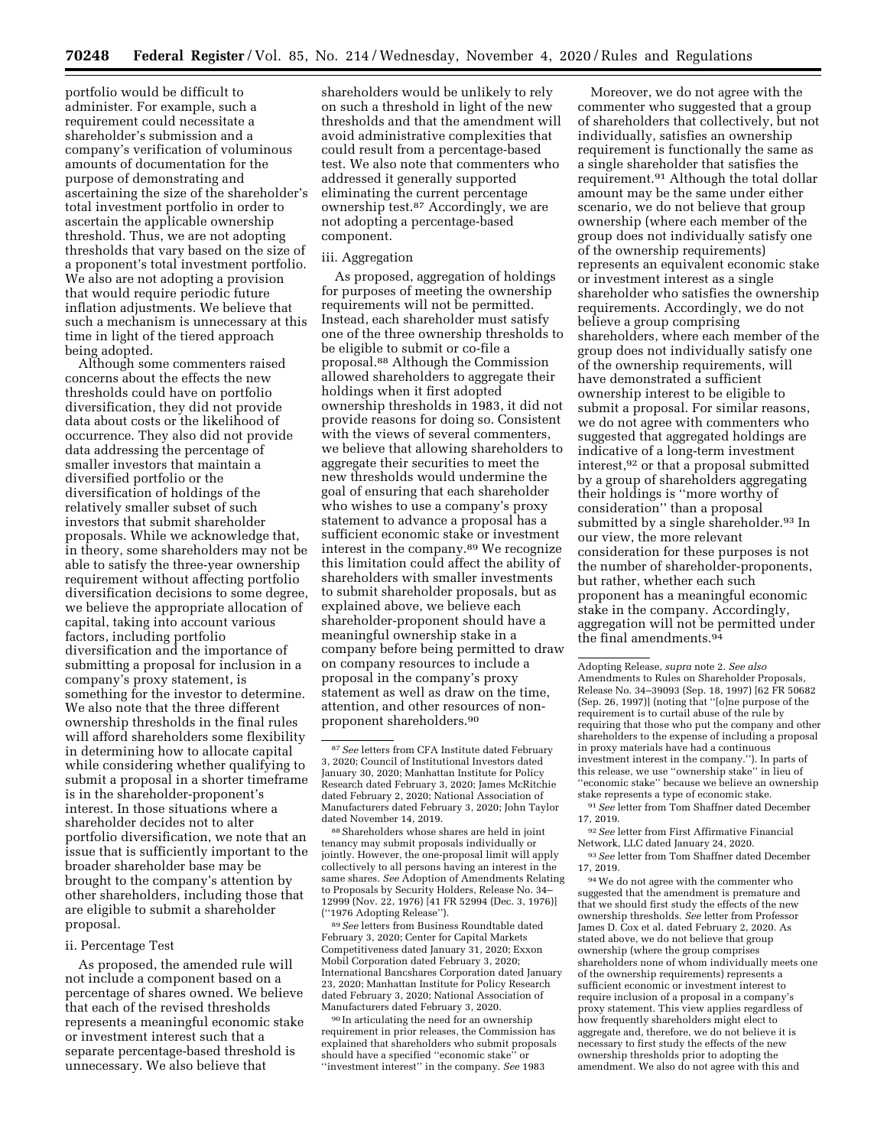portfolio would be difficult to administer. For example, such a requirement could necessitate a shareholder's submission and a company's verification of voluminous amounts of documentation for the purpose of demonstrating and ascertaining the size of the shareholder's total investment portfolio in order to ascertain the applicable ownership threshold. Thus, we are not adopting thresholds that vary based on the size of a proponent's total investment portfolio. We also are not adopting a provision that would require periodic future inflation adjustments. We believe that such a mechanism is unnecessary at this time in light of the tiered approach being adopted.

Although some commenters raised concerns about the effects the new thresholds could have on portfolio diversification, they did not provide data about costs or the likelihood of occurrence. They also did not provide data addressing the percentage of smaller investors that maintain a diversified portfolio or the diversification of holdings of the relatively smaller subset of such investors that submit shareholder proposals. While we acknowledge that, in theory, some shareholders may not be able to satisfy the three-year ownership requirement without affecting portfolio diversification decisions to some degree, we believe the appropriate allocation of capital, taking into account various factors, including portfolio diversification and the importance of submitting a proposal for inclusion in a company's proxy statement, is something for the investor to determine. We also note that the three different ownership thresholds in the final rules will afford shareholders some flexibility in determining how to allocate capital while considering whether qualifying to submit a proposal in a shorter timeframe is in the shareholder-proponent's interest. In those situations where a shareholder decides not to alter portfolio diversification, we note that an issue that is sufficiently important to the broader shareholder base may be brought to the company's attention by other shareholders, including those that are eligible to submit a shareholder proposal.

#### ii. Percentage Test

As proposed, the amended rule will not include a component based on a percentage of shares owned. We believe that each of the revised thresholds represents a meaningful economic stake or investment interest such that a separate percentage-based threshold is unnecessary. We also believe that

shareholders would be unlikely to rely on such a threshold in light of the new thresholds and that the amendment will avoid administrative complexities that could result from a percentage-based test. We also note that commenters who addressed it generally supported eliminating the current percentage ownership test.87 Accordingly, we are not adopting a percentage-based component.

#### iii. Aggregation

As proposed, aggregation of holdings for purposes of meeting the ownership requirements will not be permitted. Instead, each shareholder must satisfy one of the three ownership thresholds to be eligible to submit or co-file a proposal.88 Although the Commission allowed shareholders to aggregate their holdings when it first adopted ownership thresholds in 1983, it did not provide reasons for doing so. Consistent with the views of several commenters, we believe that allowing shareholders to aggregate their securities to meet the new thresholds would undermine the goal of ensuring that each shareholder who wishes to use a company's proxy statement to advance a proposal has a sufficient economic stake or investment interest in the company.89 We recognize this limitation could affect the ability of shareholders with smaller investments to submit shareholder proposals, but as explained above, we believe each shareholder-proponent should have a meaningful ownership stake in a company before being permitted to draw on company resources to include a proposal in the company's proxy statement as well as draw on the time, attention, and other resources of nonproponent shareholders.90

88Shareholders whose shares are held in joint tenancy may submit proposals individually or jointly. However, the one-proposal limit will apply collectively to all persons having an interest in the same shares. *See* Adoption of Amendments Relating to Proposals by Security Holders, Release No. 34– 12999 (Nov. 22, 1976) [41 FR 52994 (Dec. 3, 1976)] (''1976 Adopting Release'').

89*See* letters from Business Roundtable dated February 3, 2020; Center for Capital Markets Competitiveness dated January 31, 2020; Exxon Mobil Corporation dated February 3, 2020; International Bancshares Corporation dated January 23, 2020; Manhattan Institute for Policy Research dated February 3, 2020; National Association of Manufacturers dated February 3, 2020.

90 In articulating the need for an ownership requirement in prior releases, the Commission has explained that shareholders who submit proposals should have a specified ''economic stake'' or ''investment interest'' in the company. *See* 1983

Moreover, we do not agree with the commenter who suggested that a group of shareholders that collectively, but not individually, satisfies an ownership requirement is functionally the same as a single shareholder that satisfies the requirement.91 Although the total dollar amount may be the same under either scenario, we do not believe that group ownership (where each member of the group does not individually satisfy one of the ownership requirements) represents an equivalent economic stake or investment interest as a single shareholder who satisfies the ownership requirements. Accordingly, we do not believe a group comprising shareholders, where each member of the group does not individually satisfy one of the ownership requirements, will have demonstrated a sufficient ownership interest to be eligible to submit a proposal. For similar reasons, we do not agree with commenters who suggested that aggregated holdings are indicative of a long-term investment interest,92 or that a proposal submitted by a group of shareholders aggregating their holdings is ''more worthy of consideration'' than a proposal submitted by a single shareholder.<sup>93</sup> In our view, the more relevant consideration for these purposes is not the number of shareholder-proponents, but rather, whether each such proponent has a meaningful economic stake in the company. Accordingly, aggregation will not be permitted under the final amendments.94

92*See* letter from First Affirmative Financial Network, LLC dated January 24, 2020.

93*See* letter from Tom Shaffner dated December 17, 2019*.* 

94We do not agree with the commenter who suggested that the amendment is premature and that we should first study the effects of the new ownership thresholds. *See* letter from Professor James D. Cox et al. dated February 2, 2020. As stated above, we do not believe that group ownership (where the group comprises shareholders none of whom individually meets one of the ownership requirements) represents a sufficient economic or investment interest to require inclusion of a proposal in a company's proxy statement. This view applies regardless of how frequently shareholders might elect to aggregate and, therefore, we do not believe it is necessary to first study the effects of the new ownership thresholds prior to adopting the amendment. We also do not agree with this and

<sup>87</sup>*See* letters from CFA Institute dated February 3, 2020; Council of Institutional Investors dated January 30, 2020; Manhattan Institute for Policy Research dated February 3, 2020; James McRitchie dated February 2, 2020; National Association of Manufacturers dated February 3, 2020; John Taylor dated November 14, 2019.

Adopting Release, *supra* note 2. *See also*  Amendments to Rules on Shareholder Proposals, Release No. 34–39093 (Sep. 18, 1997) [62 FR 50682 (Sep. 26, 1997)] (noting that ''[o]ne purpose of the requirement is to curtail abuse of the rule by requiring that those who put the company and other shareholders to the expense of including a proposal in proxy materials have had a continuous investment interest in the company.''). In parts of this release, we use ''ownership stake'' in lieu of ''economic stake'' because we believe an ownership stake represents a type of economic stake.

<sup>91</sup>*See* letter from Tom Shaffner dated December 17, 2019.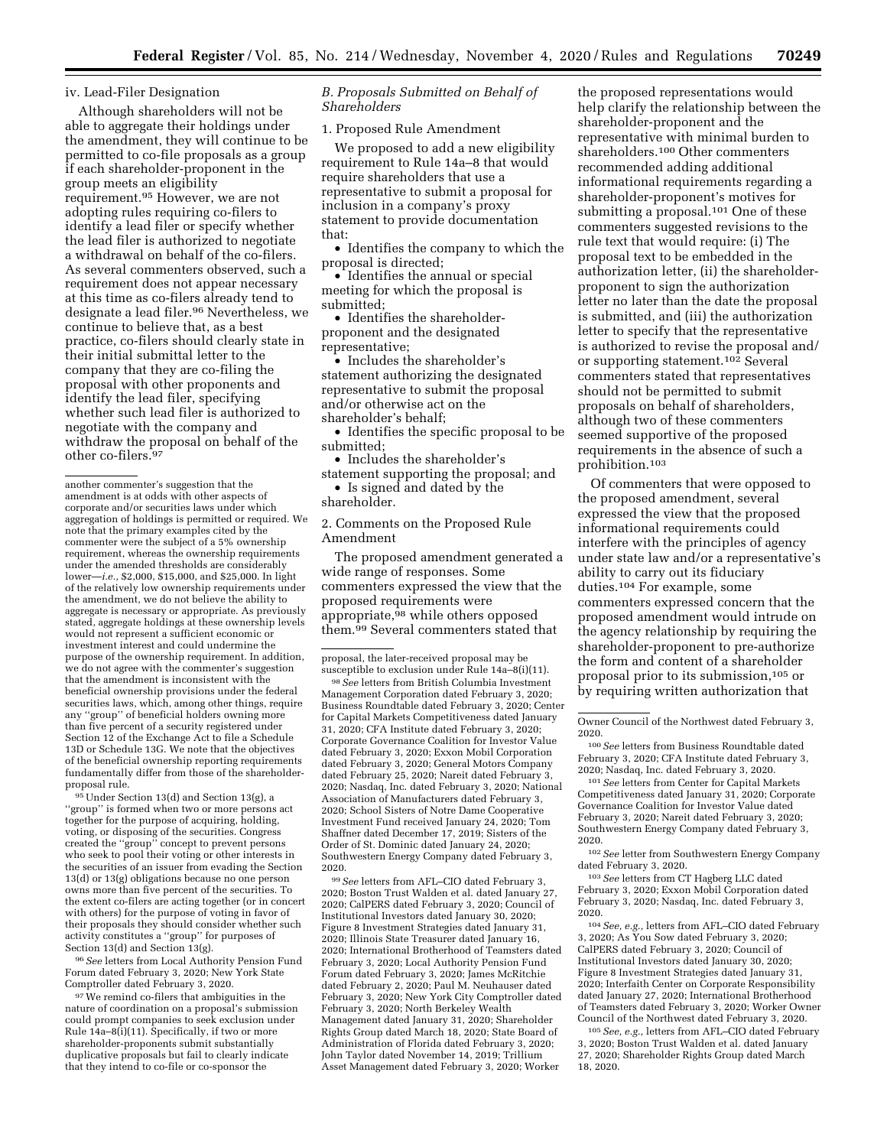### iv. Lead-Filer Designation

Although shareholders will not be able to aggregate their holdings under the amendment, they will continue to be permitted to co-file proposals as a group if each shareholder-proponent in the group meets an eligibility requirement.95 However, we are not adopting rules requiring co-filers to identify a lead filer or specify whether the lead filer is authorized to negotiate a withdrawal on behalf of the co-filers. As several commenters observed, such a requirement does not appear necessary at this time as co-filers already tend to designate a lead filer.96 Nevertheless, we continue to believe that, as a best practice, co-filers should clearly state in their initial submittal letter to the company that they are co-filing the proposal with other proponents and identify the lead filer, specifying whether such lead filer is authorized to negotiate with the company and withdraw the proposal on behalf of the other co-filers.97

95Under Section 13(d) and Section 13(g), a ''group'' is formed when two or more persons act together for the purpose of acquiring, holding, voting, or disposing of the securities. Congress created the ''group'' concept to prevent persons who seek to pool their voting or other interests in the securities of an issuer from evading the Section 13(d) or 13(g) obligations because no one person owns more than five percent of the securities. To the extent co-filers are acting together (or in concert with others) for the purpose of voting in favor of their proposals they should consider whether such activity constitutes a ''group'' for purposes of Section 13(d) and Section 13(g).

96*See* letters from Local Authority Pension Fund Forum dated February 3, 2020; New York State Comptroller dated February 3, 2020.

97We remind co-filers that ambiguities in the nature of coordination on a proposal's submission could prompt companies to seek exclusion under Rule 14a–8(i)(11). Specifically, if two or more shareholder-proponents submit substantially duplicative proposals but fail to clearly indicate that they intend to co-file or co-sponsor the

## *B. Proposals Submitted on Behalf of Shareholders*

1. Proposed Rule Amendment

We proposed to add a new eligibility requirement to Rule 14a–8 that would require shareholders that use a representative to submit a proposal for inclusion in a company's proxy statement to provide documentation that:

• Identifies the company to which the proposal is directed;

• Identifies the annual or special meeting for which the proposal is submitted;

• Identifies the shareholderproponent and the designated representative;

• Includes the shareholder's statement authorizing the designated representative to submit the proposal and/or otherwise act on the shareholder's behalf;

• Identifies the specific proposal to be submitted;

• Includes the shareholder's statement supporting the proposal; and

• Is signed and dated by the shareholder.

2. Comments on the Proposed Rule Amendment

The proposed amendment generated a wide range of responses. Some commenters expressed the view that the proposed requirements were appropriate,<sup>98</sup> while others opposed them.99 Several commenters stated that

proposal, the later-received proposal may be susceptible to exclusion under Rule 14a–8(i)(11).

98*See* letters from British Columbia Investment Management Corporation dated February 3, 2020; Business Roundtable dated February 3, 2020; Center for Capital Markets Competitiveness dated January 31, 2020; CFA Institute dated February 3, 2020; Corporate Governance Coalition for Investor Value dated February 3, 2020; Exxon Mobil Corporation dated February 3, 2020; General Motors Company dated February 25, 2020; Nareit dated February 3, 2020; Nasdaq, Inc. dated February 3, 2020; National Association of Manufacturers dated February 3, 2020; School Sisters of Notre Dame Cooperative Investment Fund received January 24, 2020; Tom Shaffner dated December 17, 2019; Sisters of the Order of St. Dominic dated January 24, 2020; Southwestern Energy Company dated February 3, 2020.

99*See* letters from AFL–CIO dated February 3, 2020; Boston Trust Walden et al. dated January 27, 2020; CalPERS dated February 3, 2020; Council of Institutional Investors dated January 30, 2020; Figure 8 Investment Strategies dated January 31, 2020; Illinois State Treasurer dated January 16, 2020; International Brotherhood of Teamsters dated February 3, 2020; Local Authority Pension Fund Forum dated February 3, 2020; James McRitchie dated February 2, 2020; Paul M. Neuhauser dated February 3, 2020; New York City Comptroller dated February 3, 2020; North Berkeley Wealth Management dated January 31, 2020; Shareholder Rights Group dated March 18, 2020; State Board of Administration of Florida dated February 3, 2020; John Taylor dated November 14, 2019; Trillium Asset Management dated February 3, 2020; Worker

the proposed representations would help clarify the relationship between the shareholder-proponent and the representative with minimal burden to shareholders.100 Other commenters recommended adding additional informational requirements regarding a shareholder-proponent's motives for submitting a proposal.101 One of these commenters suggested revisions to the rule text that would require: (i) The proposal text to be embedded in the authorization letter, (ii) the shareholderproponent to sign the authorization letter no later than the date the proposal is submitted, and (iii) the authorization letter to specify that the representative is authorized to revise the proposal and/ or supporting statement.<sup>102</sup> Several commenters stated that representatives should not be permitted to submit proposals on behalf of shareholders, although two of these commenters seemed supportive of the proposed requirements in the absence of such a prohibition.103

Of commenters that were opposed to the proposed amendment, several expressed the view that the proposed informational requirements could interfere with the principles of agency under state law and/or a representative's ability to carry out its fiduciary duties.104 For example, some commenters expressed concern that the proposed amendment would intrude on the agency relationship by requiring the shareholder-proponent to pre-authorize the form and content of a shareholder proposal prior to its submission,105 or by requiring written authorization that

100*See* letters from Business Roundtable dated February 3, 2020; CFA Institute dated February 3, 2020; Nasdaq, Inc. dated February 3, 2020.

101*See* letters from Center for Capital Markets Competitiveness dated January 31, 2020; Corporate Governance Coalition for Investor Value dated February 3, 2020; Nareit dated February 3, 2020; Southwestern Energy Company dated February 3, 2020.

102*See* letter from Southwestern Energy Company dated February 3, 2020.

103*See* letters from CT Hagberg LLC dated February 3, 2020; Exxon Mobil Corporation dated February 3, 2020; Nasdaq, Inc. dated February 3, 2020.

104*See, e.g.,* letters from AFL–CIO dated February 3, 2020; As You Sow dated February 3, 2020; CalPERS dated February 3, 2020; Council of Institutional Investors dated January 30, 2020; Figure 8 Investment Strategies dated January 31, 2020; Interfaith Center on Corporate Responsibility dated January 27, 2020; International Brotherhood of Teamsters dated February 3, 2020; Worker Owner Council of the Northwest dated February 3, 2020.

105*See, e.g.,* letters from AFL–CIO dated February 3, 2020; Boston Trust Walden et al. dated January 27, 2020; Shareholder Rights Group dated March 18, 2020.

another commenter's suggestion that the amendment is at odds with other aspects of corporate and/or securities laws under which aggregation of holdings is permitted or required. We note that the primary examples cited by the commenter were the subject of a 5% ownership requirement, whereas the ownership requirements under the amended thresholds are considerably lower—*i.e.,* \$2,000, \$15,000, and \$25,000. In light of the relatively low ownership requirements under the amendment, we do not believe the ability to aggregate is necessary or appropriate. As previously stated, aggregate holdings at these ownership levels would not represent a sufficient economic or investment interest and could undermine the purpose of the ownership requirement. In addition, we do not agree with the commenter's suggestion that the amendment is inconsistent with the beneficial ownership provisions under the federal securities laws, which, among other things, require any ''group'' of beneficial holders owning more than five percent of a security registered under Section 12 of the Exchange Act to file a Schedule 13D or Schedule 13G. We note that the objectives of the beneficial ownership reporting requirements fundamentally differ from those of the shareholderproposal rule.

Owner Council of the Northwest dated February 3, 2020.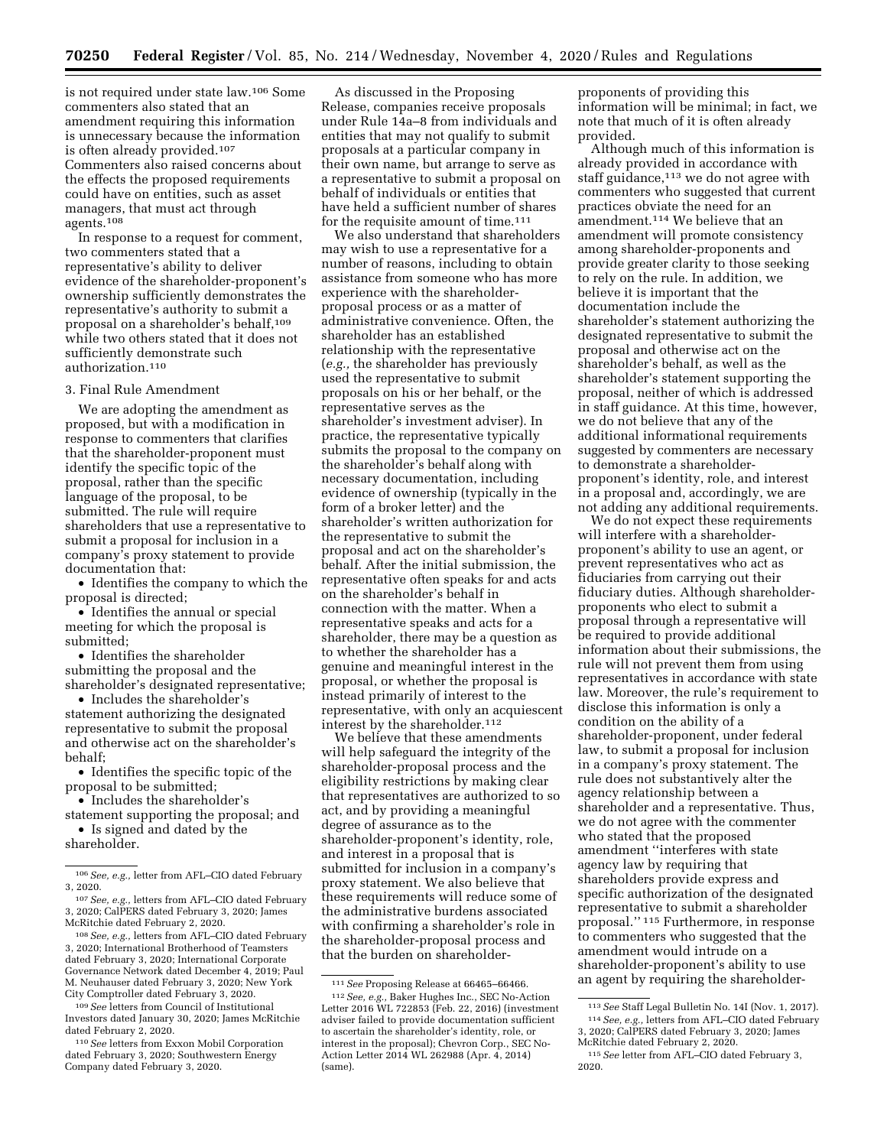is not required under state law.106 Some commenters also stated that an amendment requiring this information is unnecessary because the information is often already provided.107 Commenters also raised concerns about the effects the proposed requirements could have on entities, such as asset managers, that must act through agents.108

In response to a request for comment, two commenters stated that a representative's ability to deliver evidence of the shareholder-proponent's ownership sufficiently demonstrates the representative's authority to submit a proposal on a shareholder's behalf,109 while two others stated that it does not sufficiently demonstrate such authorization.110

#### 3. Final Rule Amendment

We are adopting the amendment as proposed, but with a modification in response to commenters that clarifies that the shareholder-proponent must identify the specific topic of the proposal, rather than the specific language of the proposal, to be submitted. The rule will require shareholders that use a representative to submit a proposal for inclusion in a company's proxy statement to provide documentation that:

• Identifies the company to which the proposal is directed;

• Identifies the annual or special meeting for which the proposal is submitted;

• Identifies the shareholder submitting the proposal and the shareholder's designated representative;

• Includes the shareholder's statement authorizing the designated representative to submit the proposal and otherwise act on the shareholder's behalf;

• Identifies the specific topic of the proposal to be submitted;

• Includes the shareholder's

statement supporting the proposal; and • Is signed and dated by the shareholder.

As discussed in the Proposing Release, companies receive proposals under Rule 14a–8 from individuals and entities that may not qualify to submit proposals at a particular company in their own name, but arrange to serve as a representative to submit a proposal on behalf of individuals or entities that have held a sufficient number of shares for the requisite amount of time.<sup>111</sup>

We also understand that shareholders may wish to use a representative for a number of reasons, including to obtain assistance from someone who has more experience with the shareholderproposal process or as a matter of administrative convenience. Often, the shareholder has an established relationship with the representative (*e.g.,* the shareholder has previously used the representative to submit proposals on his or her behalf, or the representative serves as the shareholder's investment adviser). In practice, the representative typically submits the proposal to the company on the shareholder's behalf along with necessary documentation, including evidence of ownership (typically in the form of a broker letter) and the shareholder's written authorization for the representative to submit the proposal and act on the shareholder's behalf. After the initial submission, the representative often speaks for and acts on the shareholder's behalf in connection with the matter. When a representative speaks and acts for a shareholder, there may be a question as to whether the shareholder has a genuine and meaningful interest in the proposal, or whether the proposal is instead primarily of interest to the representative, with only an acquiescent interest by the shareholder.112

We believe that these amendments will help safeguard the integrity of the shareholder-proposal process and the eligibility restrictions by making clear that representatives are authorized to so act, and by providing a meaningful degree of assurance as to the shareholder-proponent's identity, role, and interest in a proposal that is submitted for inclusion in a company's proxy statement. We also believe that these requirements will reduce some of the administrative burdens associated with confirming a shareholder's role in the shareholder-proposal process and that the burden on shareholder-

proponents of providing this information will be minimal; in fact, we note that much of it is often already provided.

Although much of this information is already provided in accordance with staff guidance, $113$  we do not agree with commenters who suggested that current practices obviate the need for an amendment.114 We believe that an amendment will promote consistency among shareholder-proponents and provide greater clarity to those seeking to rely on the rule. In addition, we believe it is important that the documentation include the shareholder's statement authorizing the designated representative to submit the proposal and otherwise act on the shareholder's behalf, as well as the shareholder's statement supporting the proposal, neither of which is addressed in staff guidance. At this time, however, we do not believe that any of the additional informational requirements suggested by commenters are necessary to demonstrate a shareholderproponent's identity, role, and interest in a proposal and, accordingly, we are not adding any additional requirements.

We do not expect these requirements will interfere with a shareholderproponent's ability to use an agent, or prevent representatives who act as fiduciaries from carrying out their fiduciary duties. Although shareholderproponents who elect to submit a proposal through a representative will be required to provide additional information about their submissions, the rule will not prevent them from using representatives in accordance with state law. Moreover, the rule's requirement to disclose this information is only a condition on the ability of a shareholder-proponent, under federal law, to submit a proposal for inclusion in a company's proxy statement. The rule does not substantively alter the agency relationship between a shareholder and a representative. Thus, we do not agree with the commenter who stated that the proposed amendment ''interferes with state agency law by requiring that shareholders provide express and specific authorization of the designated representative to submit a shareholder proposal.'' 115 Furthermore, in response to commenters who suggested that the amendment would intrude on a shareholder-proponent's ability to use an agent by requiring the shareholder-

<sup>106</sup>*See, e.g.,* letter from AFL–CIO dated February

<sup>3, 2020.</sup> 

<sup>107</sup>*See, e.g.,* letters from AFL–CIO dated February 3, 2020; CalPERS dated February 3, 2020; James McRitchie dated February 2, 2020.

<sup>108</sup>*See, e.g.,* letters from AFL–CIO dated February 3, 2020; International Brotherhood of Teamsters dated February 3, 2020; International Corporate Governance Network dated December 4, 2019; Paul M. Neuhauser dated February 3, 2020; New York City Comptroller dated February 3, 2020.

<sup>109</sup>*See* letters from Council of Institutional Investors dated January 30, 2020; James McRitchie dated February 2, 2020.

<sup>110</sup>*See* letters from Exxon Mobil Corporation dated February 3, 2020; Southwestern Energy Company dated February 3, 2020.

<sup>111</sup>*See* Proposing Release at 66465–66466.

<sup>112</sup>*See, e.g.,* Baker Hughes Inc., SEC No-Action Letter 2016 WL 722853 (Feb. 22, 2016) (investment adviser failed to provide documentation sufficient to ascertain the shareholder's identity, role, or interest in the proposal); Chevron Corp., SEC No-Action Letter 2014 WL 262988 (Apr. 4, 2014) (same).

<sup>113</sup>*See* Staff Legal Bulletin No. 14I (Nov. 1, 2017). 114*See, e.g.,* letters from AFL–CIO dated February 3, 2020; CalPERS dated February 3, 2020; James

<sup>&</sup>lt;sup>115</sup> See letter from AFL–CIO dated February 3, 2020.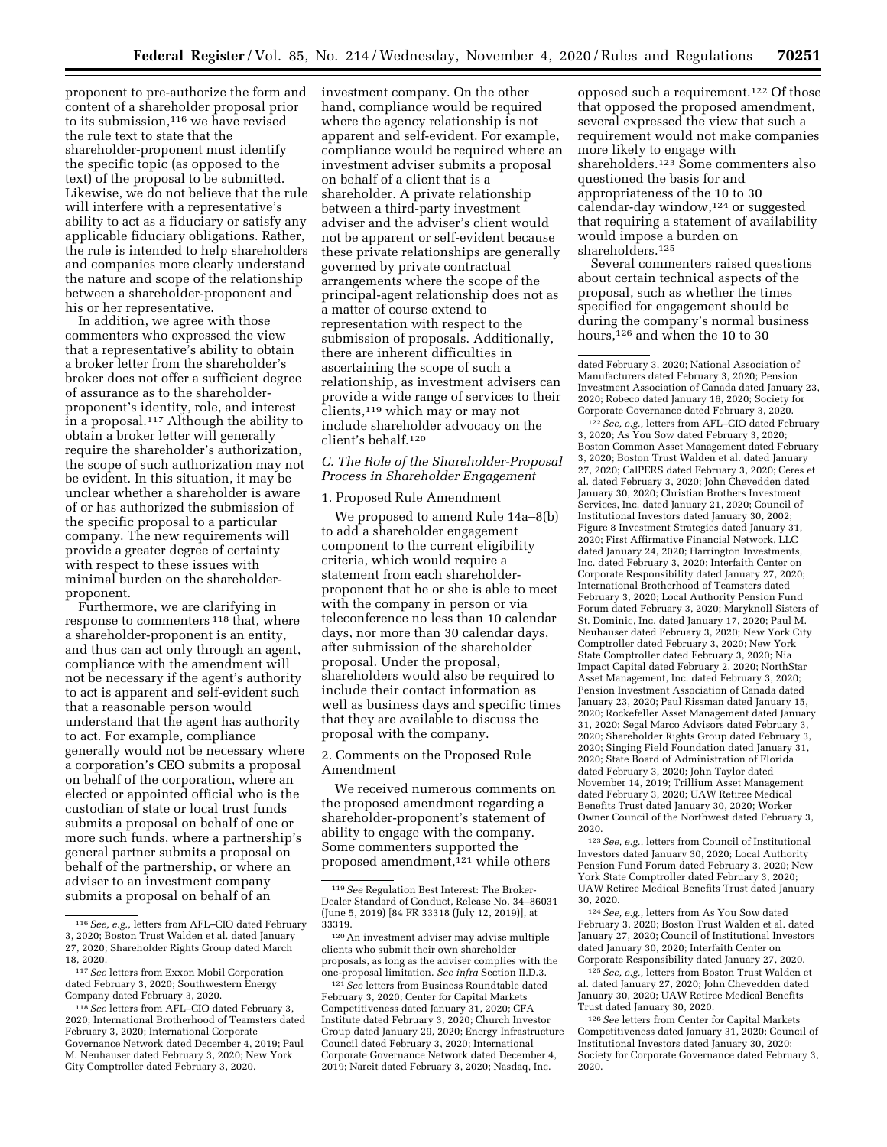proponent to pre-authorize the form and content of a shareholder proposal prior to its submission,<sup>116</sup> we have revised the rule text to state that the shareholder-proponent must identify the specific topic (as opposed to the text) of the proposal to be submitted. Likewise, we do not believe that the rule will interfere with a representative's ability to act as a fiduciary or satisfy any applicable fiduciary obligations. Rather, the rule is intended to help shareholders and companies more clearly understand the nature and scope of the relationship between a shareholder-proponent and his or her representative.

In addition, we agree with those commenters who expressed the view that a representative's ability to obtain a broker letter from the shareholder's broker does not offer a sufficient degree of assurance as to the shareholderproponent's identity, role, and interest in a proposal.117 Although the ability to obtain a broker letter will generally require the shareholder's authorization, the scope of such authorization may not be evident. In this situation, it may be unclear whether a shareholder is aware of or has authorized the submission of the specific proposal to a particular company. The new requirements will provide a greater degree of certainty with respect to these issues with minimal burden on the shareholderproponent.

Furthermore, we are clarifying in response to commenters 118 that, where a shareholder-proponent is an entity, and thus can act only through an agent, compliance with the amendment will not be necessary if the agent's authority to act is apparent and self-evident such that a reasonable person would understand that the agent has authority to act. For example, compliance generally would not be necessary where a corporation's CEO submits a proposal on behalf of the corporation, where an elected or appointed official who is the custodian of state or local trust funds submits a proposal on behalf of one or more such funds, where a partnership's general partner submits a proposal on behalf of the partnership, or where an adviser to an investment company submits a proposal on behalf of an

investment company. On the other hand, compliance would be required where the agency relationship is not apparent and self-evident. For example, compliance would be required where an investment adviser submits a proposal on behalf of a client that is a shareholder. A private relationship between a third-party investment adviser and the adviser's client would not be apparent or self-evident because these private relationships are generally governed by private contractual arrangements where the scope of the principal-agent relationship does not as a matter of course extend to representation with respect to the submission of proposals. Additionally, there are inherent difficulties in ascertaining the scope of such a relationship, as investment advisers can provide a wide range of services to their clients,119 which may or may not include shareholder advocacy on the client's behalf.120

### *C. The Role of the Shareholder-Proposal Process in Shareholder Engagement*

#### 1. Proposed Rule Amendment

We proposed to amend Rule 14a–8(b) to add a shareholder engagement component to the current eligibility criteria, which would require a statement from each shareholderproponent that he or she is able to meet with the company in person or via teleconference no less than 10 calendar days, nor more than 30 calendar days, after submission of the shareholder proposal. Under the proposal, shareholders would also be required to include their contact information as well as business days and specific times that they are available to discuss the proposal with the company.

### 2. Comments on the Proposed Rule Amendment

We received numerous comments on the proposed amendment regarding a shareholder-proponent's statement of ability to engage with the company. Some commenters supported the proposed amendment, $121$  while others

opposed such a requirement.122 Of those that opposed the proposed amendment, several expressed the view that such a requirement would not make companies more likely to engage with shareholders.123 Some commenters also questioned the basis for and appropriateness of the 10 to 30 calendar-day window,124 or suggested that requiring a statement of availability would impose a burden on shareholders.125

Several commenters raised questions about certain technical aspects of the proposal, such as whether the times specified for engagement should be during the company's normal business hours,<sup>126</sup> and when the 10 to 30

122*See, e.g.,* letters from AFL–CIO dated February 3, 2020; As You Sow dated February 3, 2020; Boston Common Asset Management dated February 3, 2020; Boston Trust Walden et al. dated January 27, 2020; CalPERS dated February 3, 2020; Ceres et al. dated February 3, 2020; John Chevedden dated January 30, 2020; Christian Brothers Investment Services, Inc. dated January 21, 2020; Council of Institutional Investors dated January 30, 2002; Figure 8 Investment Strategies dated January 31, 2020; First Affirmative Financial Network, LLC dated January 24, 2020; Harrington Investments, Inc. dated February 3, 2020; Interfaith Center on Corporate Responsibility dated January 27, 2020; International Brotherhood of Teamsters dated February 3, 2020; Local Authority Pension Fund Forum dated February 3, 2020; Maryknoll Sisters of St. Dominic, Inc. dated January 17, 2020; Paul M. Neuhauser dated February 3, 2020; New York City Comptroller dated February 3, 2020; New York State Comptroller dated February 3, 2020; Nia Impact Capital dated February 2, 2020; NorthStar Asset Management, Inc. dated February 3, 2020; Pension Investment Association of Canada dated January 23, 2020; Paul Rissman dated January 15, 2020; Rockefeller Asset Management dated January 31, 2020; Segal Marco Advisors dated February 3, 2020; Shareholder Rights Group dated February 3, 2020; Singing Field Foundation dated January 31, 2020; State Board of Administration of Florida dated February 3, 2020; John Taylor dated November 14, 2019; Trillium Asset Management dated February 3, 2020; UAW Retiree Medical Benefits Trust dated January 30, 2020; Worker Owner Council of the Northwest dated February 3, 2020.

123*See, e.g.,* letters from Council of Institutional Investors dated January 30, 2020; Local Authority Pension Fund Forum dated February 3, 2020; New York State Comptroller dated February 3, 2020; UAW Retiree Medical Benefits Trust dated January 30, 2020.

124*See, e.g.,* letters from As You Sow dated February 3, 2020; Boston Trust Walden et al. dated January 27, 2020; Council of Institutional Investors dated January 30, 2020; Interfaith Center on Corporate Responsibility dated January 27, 2020.

125*See, e.g.,* letters from Boston Trust Walden et al. dated January 27, 2020; John Chevedden dated January 30, 2020; UAW Retiree Medical Benefits Trust dated January 30, 2020.

126*See* letters from Center for Capital Markets Competitiveness dated January 31, 2020; Council of Institutional Investors dated January 30, 2020; Society for Corporate Governance dated February 3, 2020.

<sup>116</sup>*See, e.g.,* letters from AFL–CIO dated February 3, 2020; Boston Trust Walden et al. dated January 27, 2020; Shareholder Rights Group dated March 18, 2020.

<sup>117</sup>*See* letters from Exxon Mobil Corporation dated February 3, 2020; Southwestern Energy Company dated February 3, 2020.

<sup>118</sup>*See* letters from AFL–CIO dated February 3, 2020; International Brotherhood of Teamsters dated February 3, 2020; International Corporate Governance Network dated December 4, 2019; Paul M. Neuhauser dated February 3, 2020; New York City Comptroller dated February 3, 2020.

<sup>119</sup>*See* Regulation Best Interest: The Broker-Dealer Standard of Conduct, Release No. 34–86031 (June 5, 2019) [84 FR 33318 (July 12, 2019)], at 33319.

<sup>120</sup>An investment adviser may advise multiple clients who submit their own shareholder proposals, as long as the adviser complies with the one-proposal limitation. *See infra* Section II.D.3.

<sup>121</sup>*See* letters from Business Roundtable dated February 3, 2020; Center for Capital Markets Competitiveness dated January 31, 2020; CFA Institute dated February 3, 2020; Church Investor Group dated January 29, 2020; Energy Infrastructure Council dated February 3, 2020; International Corporate Governance Network dated December 4, 2019; Nareit dated February 3, 2020; Nasdaq, Inc.

dated February 3, 2020; National Association of Manufacturers dated February 3, 2020; Pension Investment Association of Canada dated January 23, 2020; Robeco dated January 16, 2020; Society for Corporate Governance dated February 3, 2020.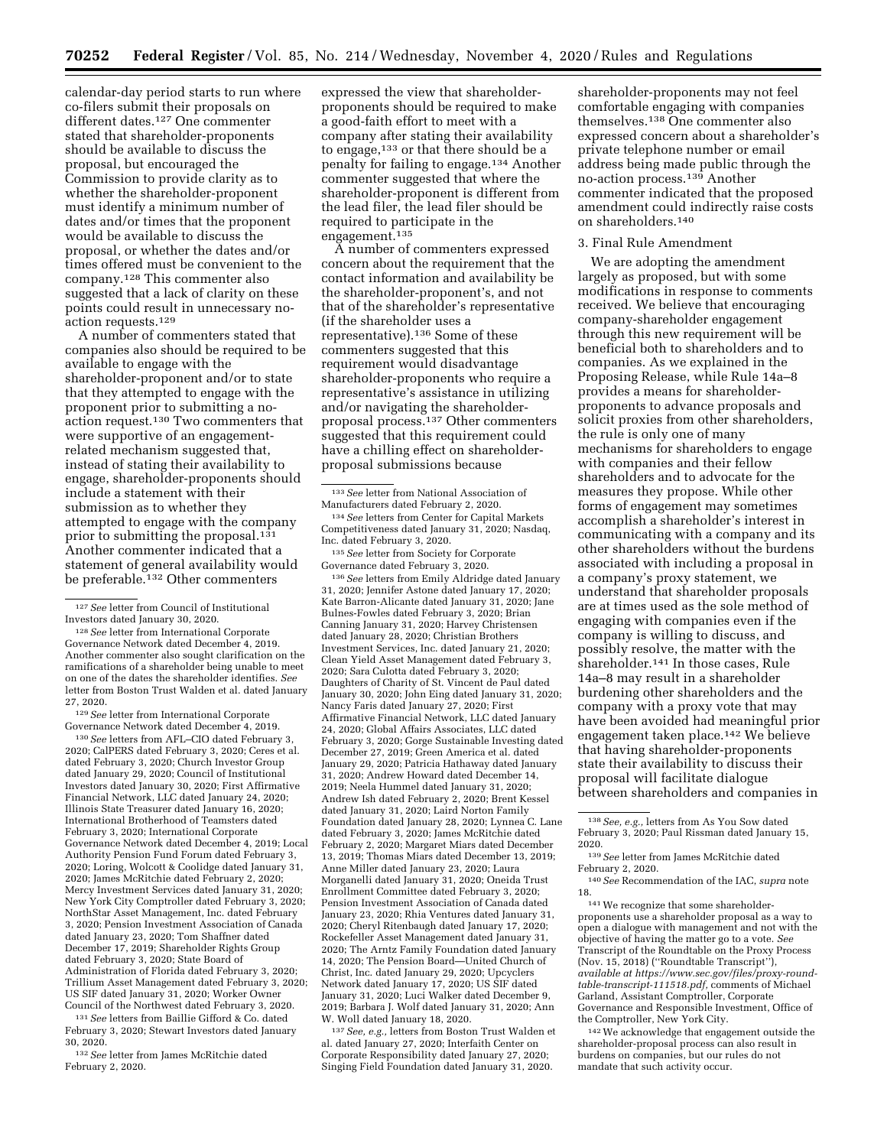calendar-day period starts to run where co-filers submit their proposals on different dates.127 One commenter stated that shareholder-proponents should be available to discuss the proposal, but encouraged the Commission to provide clarity as to whether the shareholder-proponent must identify a minimum number of dates and/or times that the proponent would be available to discuss the proposal, or whether the dates and/or times offered must be convenient to the company.128 This commenter also suggested that a lack of clarity on these points could result in unnecessary noaction requests.129

A number of commenters stated that companies also should be required to be available to engage with the shareholder-proponent and/or to state that they attempted to engage with the proponent prior to submitting a noaction request.130 Two commenters that were supportive of an engagementrelated mechanism suggested that, instead of stating their availability to engage, shareholder-proponents should include a statement with their submission as to whether they attempted to engage with the company prior to submitting the proposal.<sup>131</sup> Another commenter indicated that a statement of general availability would be preferable.132 Other commenters

128*See* letter from International Corporate Governance Network dated December 4, 2019. Another commenter also sought clarification on the ramifications of a shareholder being unable to meet on one of the dates the shareholder identifies. *See*  letter from Boston Trust Walden et al. dated January 27, 2020.

129*See* letter from International Corporate Governance Network dated December 4, 2019.

130*See* letters from AFL–CIO dated February 3, 2020; CalPERS dated February 3, 2020; Ceres et al. dated February 3, 2020; Church Investor Group dated January 29, 2020; Council of Institutional Investors dated January 30, 2020; First Affirmative Financial Network, LLC dated January 24, 2020; Illinois State Treasurer dated January 16, 2020; International Brotherhood of Teamsters dated February 3, 2020; International Corporate Governance Network dated December 4, 2019; Local Authority Pension Fund Forum dated February 3, 2020; Loring, Wolcott & Coolidge dated January 31, 2020; James McRitchie dated February 2, 2020; Mercy Investment Services dated January 31, 2020; New York City Comptroller dated February 3, 2020; NorthStar Asset Management, Inc. dated February 3, 2020; Pension Investment Association of Canada dated January 23, 2020; Tom Shaffner dated December 17, 2019; Shareholder Rights Group dated February 3, 2020; State Board of Administration of Florida dated February 3, 2020; Trillium Asset Management dated February 3, 2020; US SIF dated January 31, 2020; Worker Owner Council of the Northwest dated February 3, 2020.

131*See* letters from Baillie Gifford & Co. dated February 3, 2020; Stewart Investors dated January 30, 2020.

132*See* letter from James McRitchie dated February 2, 2020.

expressed the view that shareholderproponents should be required to make a good-faith effort to meet with a company after stating their availability to engage,<sup>133</sup> or that there should be a penalty for failing to engage.134 Another commenter suggested that where the shareholder-proponent is different from the lead filer, the lead filer should be required to participate in the engagement.135

A number of commenters expressed concern about the requirement that the contact information and availability be the shareholder-proponent's, and not that of the shareholder's representative (if the shareholder uses a representative).136 Some of these commenters suggested that this requirement would disadvantage shareholder-proponents who require a representative's assistance in utilizing and/or navigating the shareholderproposal process.137 Other commenters suggested that this requirement could have a chilling effect on shareholderproposal submissions because

136*See* letters from Emily Aldridge dated January 31, 2020; Jennifer Astone dated January 17, 2020; Kate Barron-Alicante dated January 31, 2020; Jane Bulnes-Fowles dated February 3, 2020; Brian Canning January 31, 2020; Harvey Christensen dated January 28, 2020; Christian Brothers Investment Services, Inc. dated January 21, 2020; Clean Yield Asset Management dated February 3, 2020; Sara Culotta dated February 3, 2020; Daughters of Charity of St. Vincent de Paul dated January 30, 2020; John Eing dated January 31, 2020; Nancy Faris dated January 27, 2020; First Affirmative Financial Network, LLC dated January 24, 2020; Global Affairs Associates, LLC dated February 3, 2020; Gorge Sustainable Investing dated December 27, 2019; Green America et al. dated January 29, 2020; Patricia Hathaway dated January 31, 2020; Andrew Howard dated December 14, 2019; Neela Hummel dated January 31, 2020; Andrew Ish dated February 2, 2020; Brent Kessel dated January 31, 2020; Laird Norton Family Foundation dated January 28, 2020; Lynnea C. Lane dated February 3, 2020; James McRitchie dated February 2, 2020; Margaret Miars dated December 13, 2019; Thomas Miars dated December 13, 2019; Anne Miller dated January 23, 2020; Laura Morganelli dated January 31, 2020; Oneida Trust Enrollment Committee dated February 3, 2020; Pension Investment Association of Canada dated January 23, 2020; Rhia Ventures dated January 31, 2020; Cheryl Ritenbaugh dated January 17, 2020; Rockefeller Asset Management dated January 31, 2020; The Arntz Family Foundation dated January 14, 2020; The Pension Board—United Church of Christ, Inc. dated January 29, 2020; Upcyclers Network dated January 17, 2020; US SIF dated January 31, 2020; Luci Walker dated December 9, 2019; Barbara J. Wolf dated January 31, 2020; Ann W. Woll dated January 18, 2020.

137*See, e.g.,* letters from Boston Trust Walden et al. dated January 27, 2020; Interfaith Center on Corporate Responsibility dated January 27, 2020; Singing Field Foundation dated January 31, 2020.

shareholder-proponents may not feel comfortable engaging with companies themselves.138 One commenter also expressed concern about a shareholder's private telephone number or email address being made public through the no-action process.139 Another commenter indicated that the proposed amendment could indirectly raise costs on shareholders.140

#### 3. Final Rule Amendment

We are adopting the amendment largely as proposed, but with some modifications in response to comments received. We believe that encouraging company-shareholder engagement through this new requirement will be beneficial both to shareholders and to companies. As we explained in the Proposing Release, while Rule 14a–8 provides a means for shareholderproponents to advance proposals and solicit proxies from other shareholders, the rule is only one of many mechanisms for shareholders to engage with companies and their fellow shareholders and to advocate for the measures they propose. While other forms of engagement may sometimes accomplish a shareholder's interest in communicating with a company and its other shareholders without the burdens associated with including a proposal in a company's proxy statement, we understand that shareholder proposals are at times used as the sole method of engaging with companies even if the company is willing to discuss, and possibly resolve, the matter with the shareholder.141 In those cases, Rule 14a–8 may result in a shareholder burdening other shareholders and the company with a proxy vote that may have been avoided had meaningful prior engagement taken place.142 We believe that having shareholder-proponents state their availability to discuss their proposal will facilitate dialogue between shareholders and companies in

proponents use a shareholder proposal as a way to open a dialogue with management and not with the objective of having the matter go to a vote. *See*  Transcript of the Roundtable on the Proxy Process (Nov. 15, 2018) (''Roundtable Transcript''), *available at [https://www.sec.gov/files/proxy-round](https://www.sec.gov/files/proxy-round-table-transcript-111518.pdf)[table-transcript-111518.pdf,](https://www.sec.gov/files/proxy-round-table-transcript-111518.pdf)* comments of Michael Garland, Assistant Comptroller, Corporate Governance and Responsible Investment, Office of the Comptroller, New York City.

142We acknowledge that engagement outside the shareholder-proposal process can also result in burdens on companies, but our rules do not mandate that such activity occur.

<sup>127</sup>*See* letter from Council of Institutional Investors dated January 30, 2020.

<sup>133</sup>*See* letter from National Association of Manufacturers dated February 2, 2020.

<sup>134</sup>*See* letters from Center for Capital Markets Competitiveness dated January 31, 2020; Nasdaq, Inc. dated February 3, 2020.

<sup>135</sup>*See* letter from Society for Corporate Governance dated February 3, 2020.

<sup>138</sup>*See, e.g.,* letters from As You Sow dated February 3, 2020; Paul Rissman dated January 15,

<sup>&</sup>lt;sup>139</sup> See letter from James McRitchie dated<br>February 2, 2020.

<sup>&</sup>lt;sup>140</sup> See Recommendation of the IAC, *supra* note 18. 141We recognize that some shareholder-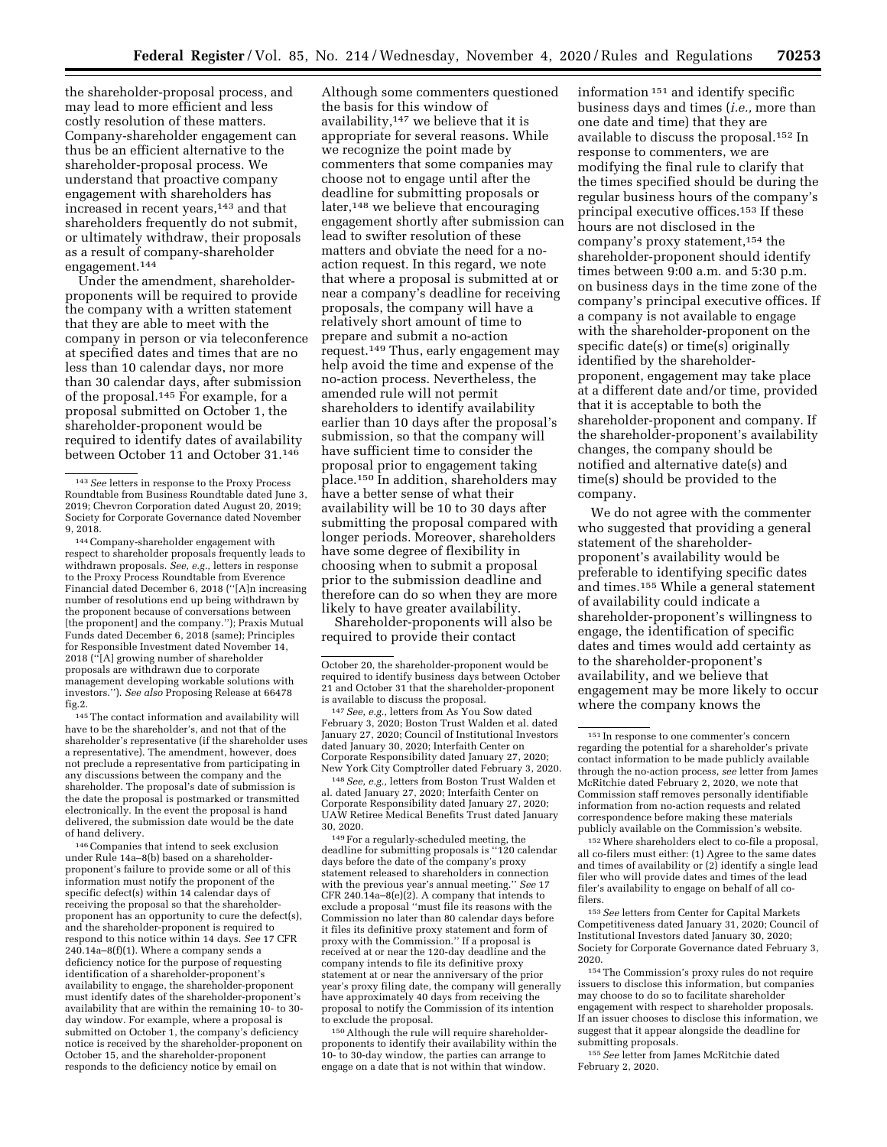the shareholder-proposal process, and may lead to more efficient and less costly resolution of these matters. Company-shareholder engagement can thus be an efficient alternative to the shareholder-proposal process. We understand that proactive company engagement with shareholders has increased in recent years,<sup>143</sup> and that shareholders frequently do not submit, or ultimately withdraw, their proposals as a result of company-shareholder engagement.144

Under the amendment, shareholderproponents will be required to provide the company with a written statement that they are able to meet with the company in person or via teleconference at specified dates and times that are no less than 10 calendar days, nor more than 30 calendar days, after submission of the proposal.145 For example, for a proposal submitted on October 1, the shareholder-proponent would be required to identify dates of availability between October 11 and October 31.146

144Company-shareholder engagement with respect to shareholder proposals frequently leads to withdrawn proposals. *See, e.g.,* letters in response to the Proxy Process Roundtable from Everence Financial dated December 6, 2018 (''[A]n increasing number of resolutions end up being withdrawn by the proponent because of conversations between [the proponent] and the company.''); Praxis Mutual Funds dated December 6, 2018 (same); Principles for Responsible Investment dated November 14, 2018 (''[A] growing number of shareholder proposals are withdrawn due to corporate management developing workable solutions with investors.''). *See also* Proposing Release at 66478 fig.2.

145The contact information and availability will have to be the shareholder's, and not that of the shareholder's representative (if the shareholder uses a representative). The amendment, however, does not preclude a representative from participating in any discussions between the company and the shareholder. The proposal's date of submission is the date the proposal is postmarked or transmitted electronically. In the event the proposal is hand delivered, the submission date would be the date of hand delivery.

146Companies that intend to seek exclusion under Rule 14a–8(b) based on a shareholderproponent's failure to provide some or all of this information must notify the proponent of the specific defect(s) within 14 calendar days of receiving the proposal so that the shareholderproponent has an opportunity to cure the defect(s), and the shareholder-proponent is required to respond to this notice within 14 days. *See* 17 CFR 240.14a–8(f)(1). Where a company sends a deficiency notice for the purpose of requesting identification of a shareholder-proponent's availability to engage, the shareholder-proponent must identify dates of the shareholder-proponent's availability that are within the remaining 10- to 30 day window. For example, where a proposal is submitted on October 1, the company's deficiency notice is received by the shareholder-proponent on October 15, and the shareholder-proponent responds to the deficiency notice by email on

Although some commenters questioned the basis for this window of availability,147 we believe that it is appropriate for several reasons. While we recognize the point made by commenters that some companies may choose not to engage until after the deadline for submitting proposals or later,<sup>148</sup> we believe that encouraging engagement shortly after submission can lead to swifter resolution of these matters and obviate the need for a noaction request. In this regard, we note that where a proposal is submitted at or near a company's deadline for receiving proposals, the company will have a relatively short amount of time to prepare and submit a no-action request.149 Thus, early engagement may help avoid the time and expense of the no-action process. Nevertheless, the amended rule will not permit shareholders to identify availability earlier than 10 days after the proposal's submission, so that the company will have sufficient time to consider the proposal prior to engagement taking place.150 In addition, shareholders may have a better sense of what their availability will be 10 to 30 days after submitting the proposal compared with longer periods. Moreover, shareholders have some degree of flexibility in choosing when to submit a proposal prior to the submission deadline and therefore can do so when they are more likely to have greater availability.

Shareholder-proponents will also be required to provide their contact

is available to discuss the proposal.<br><sup>147</sup>*See, e.g.,* letters from As You Sow dated<br>February 3, 2020; Boston Trust Walden et al. dated January 27, 2020; Council of Institutional Investors dated January 30, 2020; Interfaith Center on Corporate Responsibility dated January 27, 2020;

New York City Comptroller dated February 3, 2020. 148*See, e.g.,* letters from Boston Trust Walden et al. dated January 27, 2020; Interfaith Center on Corporate Responsibility dated January 27, 2020; UAW Retiree Medical Benefits Trust dated January

 $^{\rm 149}$  For a regularly-scheduled meeting, the deadline for submitting proposals is ''120 calendar days before the date of the company's proxy statement released to shareholders in connection with the previous year's annual meeting.'' *See* 17 CFR 240.14a–8(e)(2). A company that intends to exclude a proposal ''must file its reasons with the Commission no later than 80 calendar days before it files its definitive proxy statement and form of proxy with the Commission.'' If a proposal is received at or near the 120-day deadline and the company intends to file its definitive proxy statement at or near the anniversary of the prior year's proxy filing date, the company will generally have approximately 40 days from receiving the proposal to notify the Commission of its intention to exclude the proposal.

150Although the rule will require shareholderproponents to identify their availability within the 10- to 30-day window, the parties can arrange to engage on a date that is not within that window.

information 151 and identify specific business days and times (*i.e.,* more than one date and time) that they are available to discuss the proposal.152 In response to commenters, we are modifying the final rule to clarify that the times specified should be during the regular business hours of the company's principal executive offices.153 If these hours are not disclosed in the company's proxy statement,154 the shareholder-proponent should identify times between 9:00 a.m. and 5:30 p.m. on business days in the time zone of the company's principal executive offices. If a company is not available to engage with the shareholder-proponent on the specific date(s) or time(s) originally identified by the shareholderproponent, engagement may take place at a different date and/or time, provided that it is acceptable to both the shareholder-proponent and company. If the shareholder-proponent's availability changes, the company should be notified and alternative date(s) and time(s) should be provided to the company.

We do not agree with the commenter who suggested that providing a general statement of the shareholderproponent's availability would be preferable to identifying specific dates and times.155 While a general statement of availability could indicate a shareholder-proponent's willingness to engage, the identification of specific dates and times would add certainty as to the shareholder-proponent's availability, and we believe that engagement may be more likely to occur where the company knows the

152Where shareholders elect to co-file a proposal, all co-filers must either: (1) Agree to the same dates and times of availability or (2) identify a single lead filer who will provide dates and times of the lead filer's availability to engage on behalf of all cofilers.

153*See* letters from Center for Capital Markets Competitiveness dated January 31, 2020; Council of Institutional Investors dated January 30, 2020; Society for Corporate Governance dated February 3, 2020.

154The Commission's proxy rules do not require issuers to disclose this information, but companies may choose to do so to facilitate shareholder engagement with respect to shareholder proposals. If an issuer chooses to disclose this information, we suggest that it appear alongside the deadline for submitting proposals.

155*See* letter from James McRitchie dated February 2, 2020.

<sup>143</sup>*See* letters in response to the Proxy Process Roundtable from Business Roundtable dated June 3, 2019; Chevron Corporation dated August 20, 2019; Society for Corporate Governance dated November 9, 2018.

October 20, the shareholder-proponent would be required to identify business days between October 21 and October 31 that the shareholder-proponent<br>is available to discuss the proposal.

<sup>151</sup> In response to one commenter's concern regarding the potential for a shareholder's private contact information to be made publicly available through the no-action process, *see* letter from James McRitchie dated February 2, 2020, we note that Commission staff removes personally identifiable information from no-action requests and related correspondence before making these materials publicly available on the Commission's website.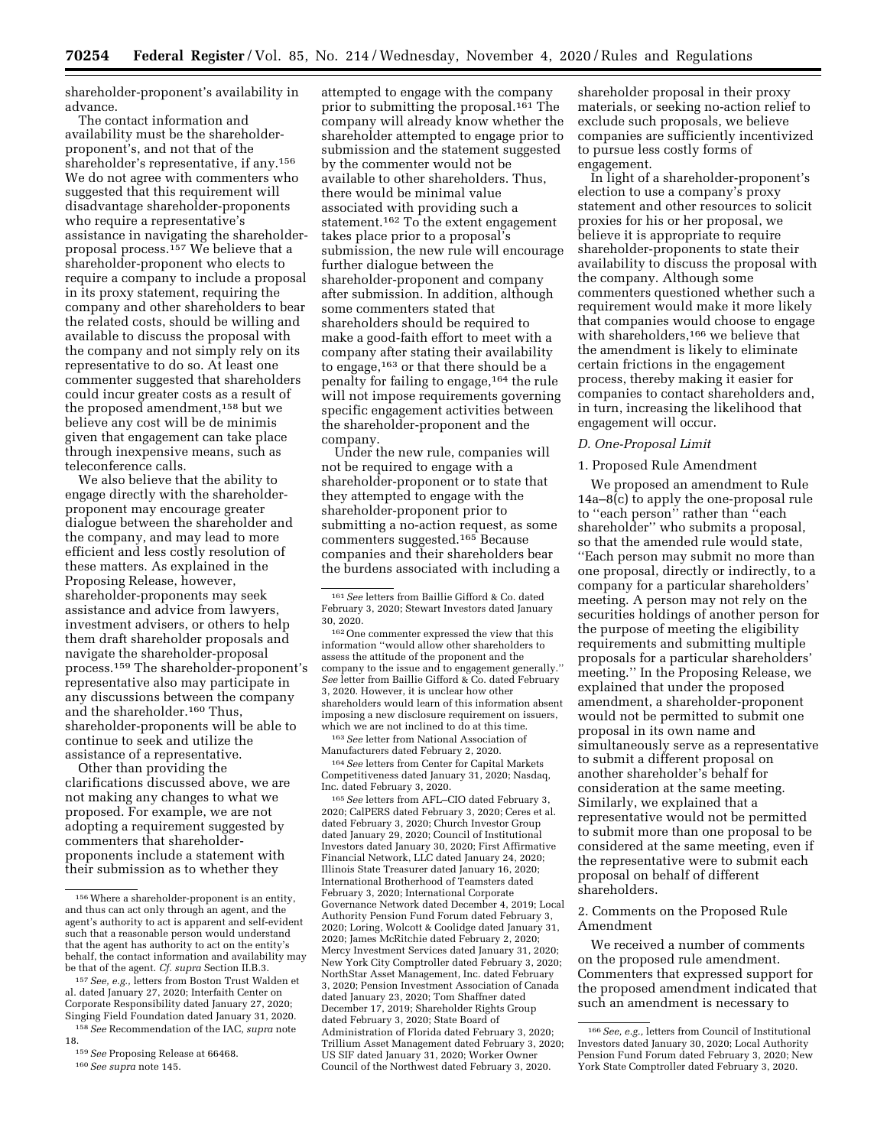shareholder-proponent's availability in advance.

The contact information and availability must be the shareholderproponent's, and not that of the shareholder's representative, if any.156 We do not agree with commenters who suggested that this requirement will disadvantage shareholder-proponents who require a representative's assistance in navigating the shareholderproposal process.<sup>157</sup> We believe that a shareholder-proponent who elects to require a company to include a proposal in its proxy statement, requiring the company and other shareholders to bear the related costs, should be willing and available to discuss the proposal with the company and not simply rely on its representative to do so. At least one commenter suggested that shareholders could incur greater costs as a result of the proposed amendment,158 but we believe any cost will be de minimis given that engagement can take place through inexpensive means, such as teleconference calls.

We also believe that the ability to engage directly with the shareholderproponent may encourage greater dialogue between the shareholder and the company, and may lead to more efficient and less costly resolution of these matters. As explained in the Proposing Release, however, shareholder-proponents may seek assistance and advice from lawyers, investment advisers, or others to help them draft shareholder proposals and navigate the shareholder-proposal process.159 The shareholder-proponent's representative also may participate in any discussions between the company and the shareholder.160 Thus, shareholder-proponents will be able to continue to seek and utilize the assistance of a representative.

Other than providing the clarifications discussed above, we are not making any changes to what we proposed. For example, we are not adopting a requirement suggested by commenters that shareholderproponents include a statement with their submission as to whether they

attempted to engage with the company prior to submitting the proposal.161 The company will already know whether the shareholder attempted to engage prior to submission and the statement suggested by the commenter would not be available to other shareholders. Thus, there would be minimal value associated with providing such a statement.162 To the extent engagement takes place prior to a proposal's submission, the new rule will encourage further dialogue between the shareholder-proponent and company after submission. In addition, although some commenters stated that shareholders should be required to make a good-faith effort to meet with a company after stating their availability to engage,163 or that there should be a penalty for failing to engage,164 the rule will not impose requirements governing specific engagement activities between the shareholder-proponent and the company.

Under the new rule, companies will not be required to engage with a shareholder-proponent or to state that they attempted to engage with the shareholder-proponent prior to submitting a no-action request, as some commenters suggested.165 Because companies and their shareholders bear the burdens associated with including a

163*See* letter from National Association of Manufacturers dated February 2, 2020.

164*See* letters from Center for Capital Markets Competitiveness dated January 31, 2020; Nasdaq, Inc. dated February 3, 2020.

165*See* letters from AFL–CIO dated February 3, 2020; CalPERS dated February 3, 2020; Ceres et al. dated February 3, 2020; Church Investor Group dated January 29, 2020; Council of Institutional Investors dated January 30, 2020; First Affirmative Financial Network, LLC dated January 24, 2020; Illinois State Treasurer dated January 16, 2020; International Brotherhood of Teamsters dated February 3, 2020; International Corporate Governance Network dated December 4, 2019; Local Authority Pension Fund Forum dated February 3, 2020; Loring, Wolcott & Coolidge dated January 31, 2020; James McRitchie dated February 2, 2020; Mercy Investment Services dated January 31, 2020; New York City Comptroller dated February 3, 2020; NorthStar Asset Management, Inc. dated February 3, 2020; Pension Investment Association of Canada dated January 23, 2020; Tom Shaffner dated December 17, 2019; Shareholder Rights Group dated February 3, 2020; State Board of Administration of Florida dated February 3, 2020; Trillium Asset Management dated February 3, 2020; US SIF dated January 31, 2020; Worker Owner Council of the Northwest dated February 3, 2020.

shareholder proposal in their proxy materials, or seeking no-action relief to exclude such proposals, we believe companies are sufficiently incentivized to pursue less costly forms of engagement.

In light of a shareholder-proponent's election to use a company's proxy statement and other resources to solicit proxies for his or her proposal, we believe it is appropriate to require shareholder-proponents to state their availability to discuss the proposal with the company. Although some commenters questioned whether such a requirement would make it more likely that companies would choose to engage with shareholders,<sup>166</sup> we believe that the amendment is likely to eliminate certain frictions in the engagement process, thereby making it easier for companies to contact shareholders and, in turn, increasing the likelihood that engagement will occur.

### *D. One-Proposal Limit*

#### 1. Proposed Rule Amendment

We proposed an amendment to Rule 14a–8(c) to apply the one-proposal rule to ''each person'' rather than ''each shareholder'' who submits a proposal, so that the amended rule would state, ''Each person may submit no more than one proposal, directly or indirectly, to a company for a particular shareholders' meeting. A person may not rely on the securities holdings of another person for the purpose of meeting the eligibility requirements and submitting multiple proposals for a particular shareholders' meeting.'' In the Proposing Release, we explained that under the proposed amendment, a shareholder-proponent would not be permitted to submit one proposal in its own name and simultaneously serve as a representative to submit a different proposal on another shareholder's behalf for consideration at the same meeting. Similarly, we explained that a representative would not be permitted to submit more than one proposal to be considered at the same meeting, even if the representative were to submit each proposal on behalf of different shareholders.

### 2. Comments on the Proposed Rule Amendment

We received a number of comments on the proposed rule amendment. Commenters that expressed support for the proposed amendment indicated that such an amendment is necessary to

<sup>156</sup>Where a shareholder-proponent is an entity, and thus can act only through an agent, and the agent's authority to act is apparent and self-evident such that a reasonable person would understand that the agent has authority to act on the entity's behalf, the contact information and availability may be that of the agent. *Cf. supra* Section II.B.3.

<sup>157</sup>*See, e.g.,* letters from Boston Trust Walden et al. dated January 27, 2020; Interfaith Center on Corporate Responsibility dated January 27, 2020; Singing Field Foundation dated January 31, 2020.

<sup>158</sup>*See* Recommendation of the IAC, *supra* note 18. 159*See* Proposing Release at 66468.

<sup>160</sup>*See supra* note 145.

<sup>161</sup>*See* letters from Baillie Gifford & Co. dated February 3, 2020; Stewart Investors dated January 30, 2020.

<sup>162</sup>One commenter expressed the view that this information ''would allow other shareholders to assess the attitude of the proponent and the company to the issue and to engagement generally.'' *See* letter from Baillie Gifford & Co. dated February 3, 2020. However, it is unclear how other shareholders would learn of this information absent imposing a new disclosure requirement on issuers, which we are not inclined to do at this time.

<sup>166</sup>*See, e.g.,* letters from Council of Institutional Investors dated January 30, 2020; Local Authority Pension Fund Forum dated February 3, 2020; New York State Comptroller dated February 3, 2020.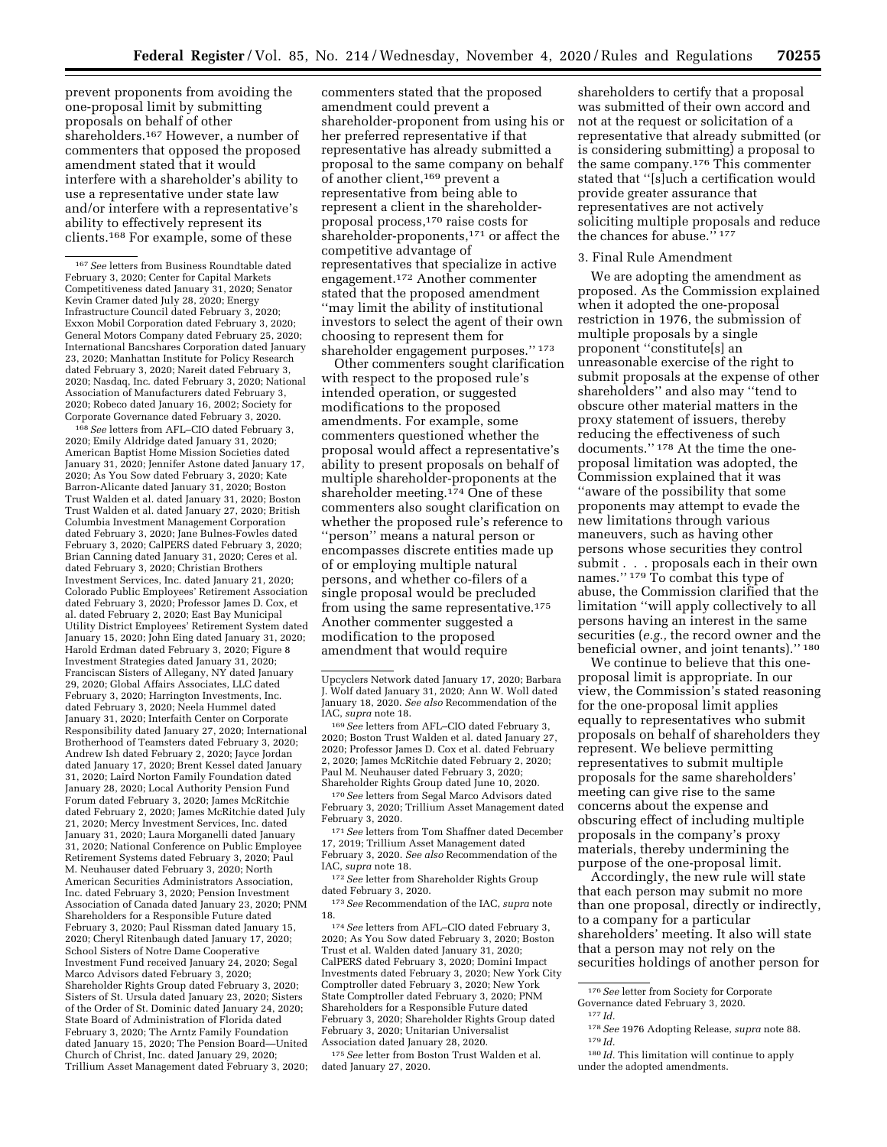prevent proponents from avoiding the one-proposal limit by submitting proposals on behalf of other shareholders.167 However, a number of commenters that opposed the proposed amendment stated that it would interfere with a shareholder's ability to use a representative under state law and/or interfere with a representative's ability to effectively represent its clients.168 For example, some of these

168*See* letters from AFL–CIO dated February 3, 2020; Emily Aldridge dated January 31, 2020; American Baptist Home Mission Societies dated January 31, 2020; Jennifer Astone dated January 17, 2020; As You Sow dated February 3, 2020; Kate Barron-Alicante dated January 31, 2020; Boston Trust Walden et al. dated January 31, 2020; Boston Trust Walden et al. dated January 27, 2020; British Columbia Investment Management Corporation dated February 3, 2020; Jane Bulnes-Fowles dated February 3, 2020; CalPERS dated February 3, 2020; Brian Canning dated January 31, 2020; Ceres et al. dated February 3, 2020; Christian Brothers Investment Services, Inc. dated January 21, 2020; Colorado Public Employees' Retirement Association dated February 3, 2020; Professor James D. Cox, et al. dated February 2, 2020; East Bay Municipal Utility District Employees' Retirement System dated January 15, 2020; John Eing dated January 31, 2020; Harold Erdman dated February 3, 2020; Figure 8 Investment Strategies dated January 31, 2020; Franciscan Sisters of Allegany, NY dated January 29, 2020; Global Affairs Associates, LLC dated February 3, 2020; Harrington Investments, Inc. dated February 3, 2020; Neela Hummel dated January 31, 2020; Interfaith Center on Corporate Responsibility dated January 27, 2020; International Brotherhood of Teamsters dated February 3, 2020; Andrew Ish dated February 2, 2020; Jayce Jordan dated January 17, 2020; Brent Kessel dated January 31, 2020; Laird Norton Family Foundation dated January 28, 2020; Local Authority Pension Fund Forum dated February 3, 2020; James McRitchie dated February 2, 2020; James McRitchie dated July 21, 2020; Mercy Investment Services, Inc. dated January 31, 2020; Laura Morganelli dated January 31, 2020; National Conference on Public Employee Retirement Systems dated February 3, 2020; Paul M. Neuhauser dated February 3, 2020; North American Securities Administrators Association, Inc. dated February 3, 2020; Pension Investment Association of Canada dated January 23, 2020; PNM Shareholders for a Responsible Future dated February 3, 2020; Paul Rissman dated January 15, 2020; Cheryl Ritenbaugh dated January 17, 2020; School Sisters of Notre Dame Cooperative Investment Fund received January 24, 2020; Segal Marco Advisors dated February 3, 2020; Shareholder Rights Group dated February 3, 2020; Sisters of St. Ursula dated January 23, 2020; Sisters of the Order of St. Dominic dated January 24, 2020; State Board of Administration of Florida dated February 3, 2020; The Arntz Family Foundation dated January 15, 2020; The Pension Board—United Church of Christ, Inc. dated January 29, 2020; Trillium Asset Management dated February 3, 2020;

commenters stated that the proposed amendment could prevent a shareholder-proponent from using his or her preferred representative if that representative has already submitted a proposal to the same company on behalf of another client,169 prevent a representative from being able to represent a client in the shareholderproposal process,170 raise costs for shareholder-proponents,171 or affect the competitive advantage of representatives that specialize in active engagement.172 Another commenter stated that the proposed amendment ''may limit the ability of institutional investors to select the agent of their own choosing to represent them for shareholder engagement purposes.'' 173

Other commenters sought clarification with respect to the proposed rule's intended operation, or suggested modifications to the proposed amendments. For example, some commenters questioned whether the proposal would affect a representative's ability to present proposals on behalf of multiple shareholder-proponents at the shareholder meeting.174 One of these commenters also sought clarification on whether the proposed rule's reference to ''person'' means a natural person or encompasses discrete entities made up of or employing multiple natural persons, and whether co-filers of a single proposal would be precluded from using the same representative.175 Another commenter suggested a modification to the proposed amendment that would require

<sup>169</sup> See letters from AFL–CIO dated February 3, 2020; Boston Trust Walden et al. dated January 27, 2020; Professor James D. Cox et al. dated February 2, 2020; James McRitchie dated February 2, 2020; Paul M. Neuhauser dated February 3, 2020; Shareholder Rights Group dated June 10, 2020.

170*See* letters from Segal Marco Advisors dated February 3, 2020; Trillium Asset Management dated February 3, 2020.

171*See* letters from Tom Shaffner dated December 17, 2019; Trillium Asset Management dated February 3, 2020. *See also* Recommendation of the

IAC, *supra* note 18. 172*See* letter from Shareholder Rights Group dated February 3, 2020.

173*See* Recommendation of the IAC, *supra* note 18.

174*See* letters from AFL–CIO dated February 3, 2020; As You Sow dated February 3, 2020; Boston Trust et al. Walden dated January 31, 2020; CalPERS dated February 3, 2020; Domini Impact Investments dated February 3, 2020; New York City Comptroller dated February 3, 2020; New York State Comptroller dated February 3, 2020; PNM Shareholders for a Responsible Future dated February 3, 2020; Shareholder Rights Group dated February 3, 2020; Unitarian Universalist Association dated January 28, 2020.

175*See* letter from Boston Trust Walden et al. dated January 27, 2020.

shareholders to certify that a proposal was submitted of their own accord and not at the request or solicitation of a representative that already submitted (or is considering submitting) a proposal to the same company.176 This commenter stated that ''[s]uch a certification would provide greater assurance that representatives are not actively soliciting multiple proposals and reduce the chances for abuse."<sup>177</sup>

### 3. Final Rule Amendment

We are adopting the amendment as proposed. As the Commission explained when it adopted the one-proposal restriction in 1976, the submission of multiple proposals by a single proponent ''constitute[s] an unreasonable exercise of the right to submit proposals at the expense of other shareholders'' and also may ''tend to obscure other material matters in the proxy statement of issuers, thereby reducing the effectiveness of such documents."<sup>178</sup> At the time the oneproposal limitation was adopted, the Commission explained that it was ''aware of the possibility that some proponents may attempt to evade the new limitations through various maneuvers, such as having other persons whose securities they control submit . . . proposals each in their own names.'' 179 To combat this type of abuse, the Commission clarified that the limitation ''will apply collectively to all persons having an interest in the same securities (*e.g.,* the record owner and the beneficial owner, and joint tenants).'' 180

We continue to believe that this oneproposal limit is appropriate. In our view, the Commission's stated reasoning for the one-proposal limit applies equally to representatives who submit proposals on behalf of shareholders they represent. We believe permitting representatives to submit multiple proposals for the same shareholders' meeting can give rise to the same concerns about the expense and obscuring effect of including multiple proposals in the company's proxy materials, thereby undermining the purpose of the one-proposal limit.

Accordingly, the new rule will state that each person may submit no more than one proposal, directly or indirectly, to a company for a particular shareholders' meeting. It also will state that a person may not rely on the securities holdings of another person for

178*See* 1976 Adopting Release, *supra* note 88. 179 *Id.* 

<sup>167</sup>*See* letters from Business Roundtable dated February 3, 2020; Center for Capital Markets Competitiveness dated January 31, 2020; Senator Kevin Cramer dated July 28, 2020; Energy Infrastructure Council dated February 3, 2020; Exxon Mobil Corporation dated February 3, 2020; General Motors Company dated February 25, 2020; International Bancshares Corporation dated January 23, 2020; Manhattan Institute for Policy Research dated February 3, 2020; Nareit dated February 3, 2020; Nasdaq, Inc. dated February 3, 2020; National Association of Manufacturers dated February 3, 2020; Robeco dated January 16, 2002; Society for Corporate Governance dated February 3, 2020.

Upcyclers Network dated January 17, 2020; Barbara J. Wolf dated January 31, 2020; Ann W. Woll dated January 18, 2020. *See also* Recommendation of the

<sup>176</sup>*See* letter from Society for Corporate Governance dated February 3, 2020.

 $177$  *Id.* 

<sup>180</sup> *Id.* This limitation will continue to apply under the adopted amendments.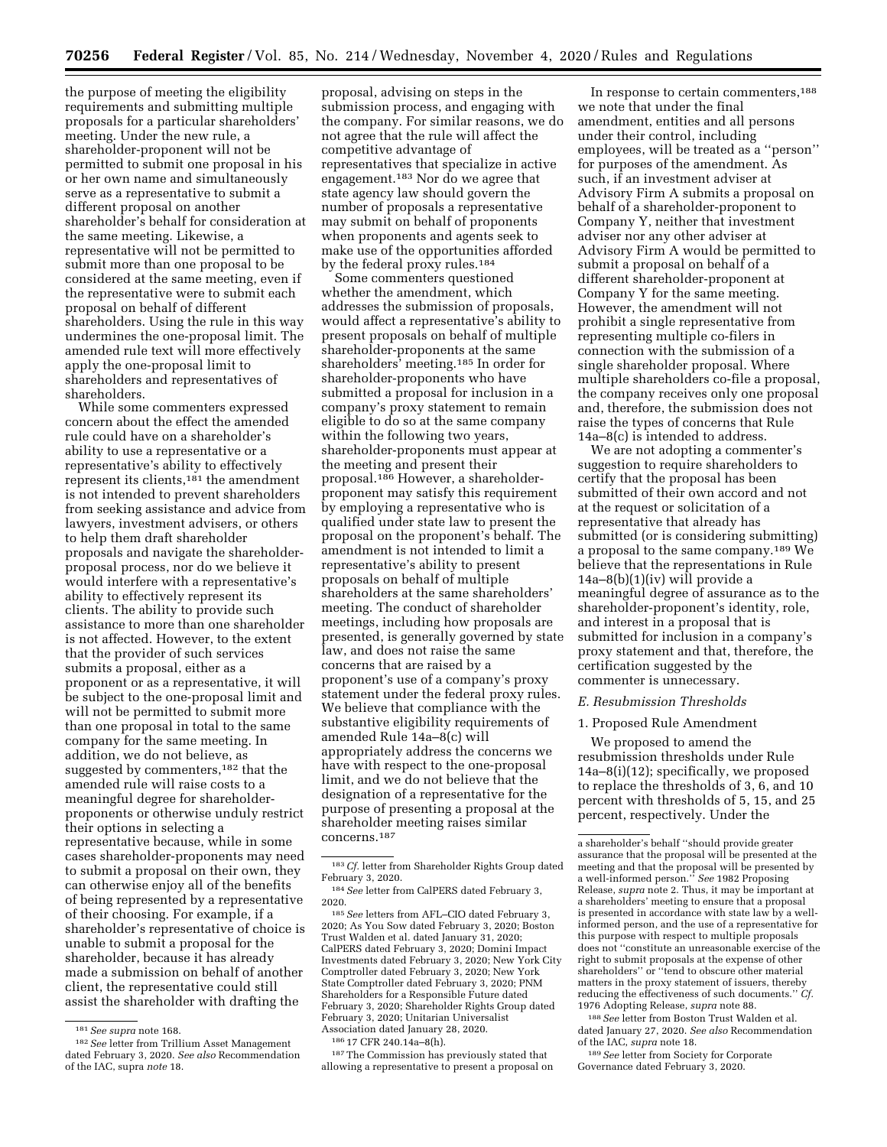the purpose of meeting the eligibility requirements and submitting multiple proposals for a particular shareholders' meeting. Under the new rule, a shareholder-proponent will not be permitted to submit one proposal in his or her own name and simultaneously serve as a representative to submit a different proposal on another shareholder's behalf for consideration at the same meeting. Likewise, a representative will not be permitted to submit more than one proposal to be considered at the same meeting, even if the representative were to submit each proposal on behalf of different shareholders. Using the rule in this way undermines the one-proposal limit. The amended rule text will more effectively apply the one-proposal limit to shareholders and representatives of shareholders.

While some commenters expressed concern about the effect the amended rule could have on a shareholder's ability to use a representative or a representative's ability to effectively represent its clients,181 the amendment is not intended to prevent shareholders from seeking assistance and advice from lawyers, investment advisers, or others to help them draft shareholder proposals and navigate the shareholderproposal process, nor do we believe it would interfere with a representative's ability to effectively represent its clients. The ability to provide such assistance to more than one shareholder is not affected. However, to the extent that the provider of such services submits a proposal, either as a proponent or as a representative, it will be subject to the one-proposal limit and will not be permitted to submit more than one proposal in total to the same company for the same meeting. In addition, we do not believe, as suggested by commenters,182 that the amended rule will raise costs to a meaningful degree for shareholderproponents or otherwise unduly restrict their options in selecting a representative because, while in some cases shareholder-proponents may need to submit a proposal on their own, they can otherwise enjoy all of the benefits of being represented by a representative of their choosing. For example, if a shareholder's representative of choice is unable to submit a proposal for the shareholder, because it has already made a submission on behalf of another client, the representative could still assist the shareholder with drafting the

proposal, advising on steps in the submission process, and engaging with the company. For similar reasons, we do not agree that the rule will affect the competitive advantage of representatives that specialize in active engagement.183 Nor do we agree that state agency law should govern the number of proposals a representative may submit on behalf of proponents when proponents and agents seek to make use of the opportunities afforded by the federal proxy rules.184

Some commenters questioned whether the amendment, which addresses the submission of proposals, would affect a representative's ability to present proposals on behalf of multiple shareholder-proponents at the same shareholders' meeting.185 In order for shareholder-proponents who have submitted a proposal for inclusion in a company's proxy statement to remain eligible to do so at the same company within the following two years, shareholder-proponents must appear at the meeting and present their proposal.186 However, a shareholderproponent may satisfy this requirement by employing a representative who is qualified under state law to present the proposal on the proponent's behalf. The amendment is not intended to limit a representative's ability to present proposals on behalf of multiple shareholders at the same shareholders' meeting. The conduct of shareholder meetings, including how proposals are presented, is generally governed by state law, and does not raise the same concerns that are raised by a proponent's use of a company's proxy statement under the federal proxy rules. We believe that compliance with the substantive eligibility requirements of amended Rule 14a–8(c) will appropriately address the concerns we have with respect to the one-proposal limit, and we do not believe that the designation of a representative for the purpose of presenting a proposal at the shareholder meeting raises similar concerns.187

185*See* letters from AFL–CIO dated February 3, 2020; As You Sow dated February 3, 2020; Boston Trust Walden et al. dated January 31, 2020; CalPERS dated February 3, 2020; Domini Impact Investments dated February 3, 2020; New York City Comptroller dated February 3, 2020; New York State Comptroller dated February 3, 2020; PNM Shareholders for a Responsible Future dated February 3, 2020; Shareholder Rights Group dated February 3, 2020; Unitarian Universalist Association dated January 28, 2020.

186 17 CFR 240.14a–8(h).

187The Commission has previously stated that allowing a representative to present a proposal on

In response to certain commenters,188 we note that under the final amendment, entities and all persons under their control, including employees, will be treated as a ''person'' for purposes of the amendment. As such, if an investment adviser at Advisory Firm A submits a proposal on behalf of a shareholder-proponent to Company Y, neither that investment adviser nor any other adviser at Advisory Firm A would be permitted to submit a proposal on behalf of a different shareholder-proponent at Company Y for the same meeting. However, the amendment will not prohibit a single representative from representing multiple co-filers in connection with the submission of a single shareholder proposal. Where multiple shareholders co-file a proposal, the company receives only one proposal and, therefore, the submission does not raise the types of concerns that Rule 14a–8(c) is intended to address.

We are not adopting a commenter's suggestion to require shareholders to certify that the proposal has been submitted of their own accord and not at the request or solicitation of a representative that already has submitted (or is considering submitting) a proposal to the same company.189 We believe that the representations in Rule  $14a-8(b)(1)(iv)$  will provide a meaningful degree of assurance as to the shareholder-proponent's identity, role, and interest in a proposal that is submitted for inclusion in a company's proxy statement and that, therefore, the certification suggested by the commenter is unnecessary.

#### *E. Resubmission Thresholds*

#### 1. Proposed Rule Amendment

We proposed to amend the resubmission thresholds under Rule 14a–8(i)(12); specifically, we proposed to replace the thresholds of 3, 6, and 10 percent with thresholds of 5, 15, and 25 percent, respectively. Under the

188*See* letter from Boston Trust Walden et al. dated January 27, 2020. *See also* Recommendation of the IAC, *supra* note 18.

189*See* letter from Society for Corporate Governance dated February 3, 2020.

<sup>181</sup>*See supra* note 168.

<sup>182</sup>*See* letter from Trillium Asset Management dated February 3, 2020. *See also* Recommendation of the IAC, supra *note* 18.

<sup>183</sup>*Cf.* letter from Shareholder Rights Group dated February 3, 2020.

<sup>184</sup>*See* letter from CalPERS dated February 3, 2020.

a shareholder's behalf ''should provide greater assurance that the proposal will be presented at the meeting and that the proposal will be presented by a well-informed person.'' *See* 1982 Proposing Release, *supra* note 2. Thus, it may be important at a shareholders' meeting to ensure that a proposal is presented in accordance with state law by a wellinformed person, and the use of a representative for this purpose with respect to multiple proposals does not ''constitute an unreasonable exercise of the right to submit proposals at the expense of other shareholders" or "tend to obscure other material matters in the proxy statement of issuers, thereby reducing the effectiveness of such documents.'' *Cf.*  1976 Adopting Release, *supra* note 88.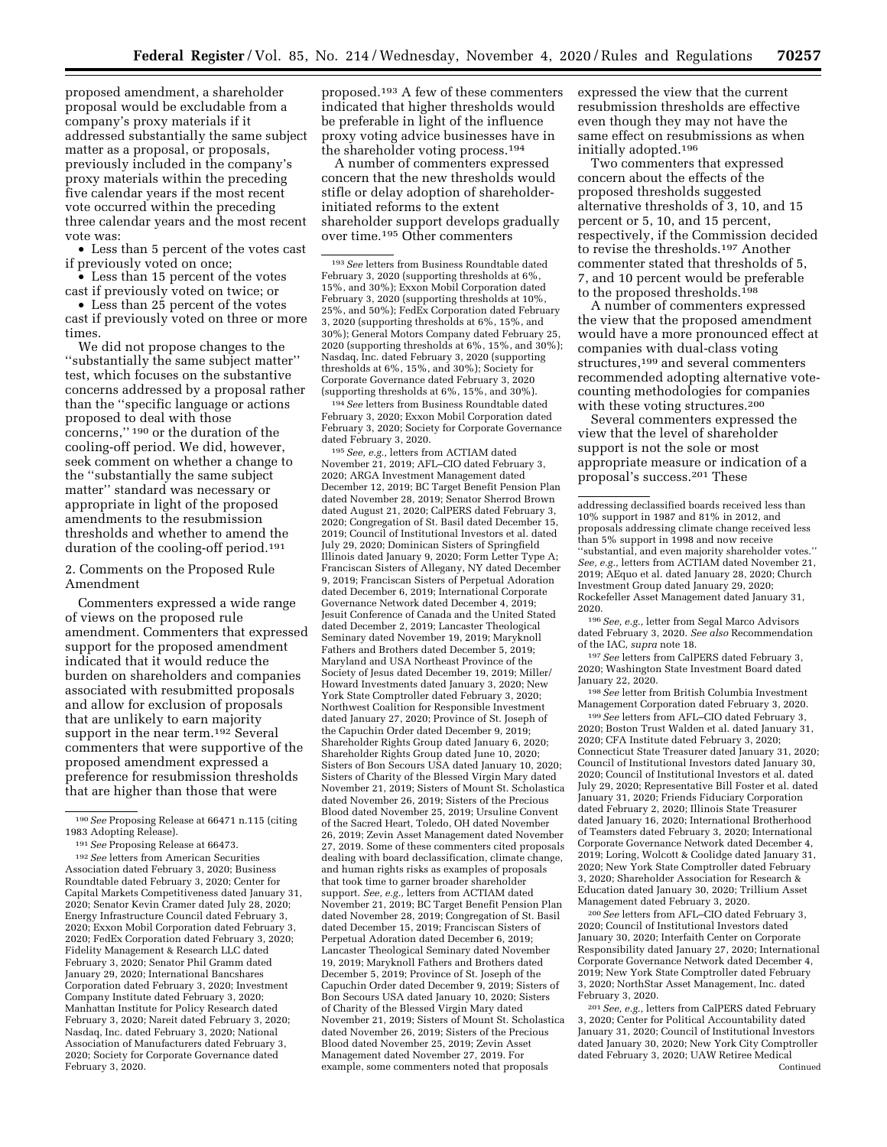proposed amendment, a shareholder proposal would be excludable from a company's proxy materials if it addressed substantially the same subject matter as a proposal, or proposals, previously included in the company's proxy materials within the preceding five calendar years if the most recent vote occurred within the preceding three calendar years and the most recent vote was:

• Less than 5 percent of the votes cast if previously voted on once;

• Less than 15 percent of the votes cast if previously voted on twice; or

• Less than 25 percent of the votes cast if previously voted on three or more times.

We did not propose changes to the ''substantially the same subject matter'' test, which focuses on the substantive concerns addressed by a proposal rather than the ''specific language or actions proposed to deal with those concerns,'' 190 or the duration of the cooling-off period. We did, however, seek comment on whether a change to the ''substantially the same subject matter'' standard was necessary or appropriate in light of the proposed amendments to the resubmission thresholds and whether to amend the duration of the cooling-off period.191

2. Comments on the Proposed Rule Amendment

Commenters expressed a wide range of views on the proposed rule amendment. Commenters that expressed support for the proposed amendment indicated that it would reduce the burden on shareholders and companies associated with resubmitted proposals and allow for exclusion of proposals that are unlikely to earn majority support in the near term.<sup>192</sup> Several commenters that were supportive of the proposed amendment expressed a preference for resubmission thresholds that are higher than those that were

192*See* letters from American Securities Association dated February 3, 2020; Business Roundtable dated February 3, 2020; Center for Capital Markets Competitiveness dated January 31, 2020; Senator Kevin Cramer dated July 28, 2020; Energy Infrastructure Council dated February 3, 2020; Exxon Mobil Corporation dated February 3, 2020; FedEx Corporation dated February 3, 2020; Fidelity Management & Research LLC dated February 3, 2020; Senator Phil Gramm dated January 29, 2020; International Bancshares Corporation dated February 3, 2020; Investment Company Institute dated February 3, 2020; Manhattan Institute for Policy Research dated February 3, 2020; Nareit dated February 3, 2020; Nasdaq, Inc. dated February 3, 2020; National Association of Manufacturers dated February 3, 2020; Society for Corporate Governance dated February 3, 2020.

proposed.193 A few of these commenters indicated that higher thresholds would be preferable in light of the influence proxy voting advice businesses have in the shareholder voting process.194

A number of commenters expressed concern that the new thresholds would stifle or delay adoption of shareholderinitiated reforms to the extent shareholder support develops gradually over time.195 Other commenters

193*See* letters from Business Roundtable dated February 3, 2020 (supporting thresholds at 6%, 15%, and 30%); Exxon Mobil Corporation dated February 3, 2020 (supporting thresholds at 10%, 25%, and 50%); FedEx Corporation dated February 3, 2020 (supporting thresholds at 6%, 15%, and 30%); General Motors Company dated February 25, 2020 (supporting thresholds at 6%, 15%, and 30%); Nasdaq, Inc. dated February 3, 2020 (supporting thresholds at 6%, 15%, and 30%); Society for Corporate Governance dated February 3, 2020 (supporting thresholds at 6%, 15%, and 30%).

194*See* letters from Business Roundtable dated February 3, 2020; Exxon Mobil Corporation dated February 3, 2020; Society for Corporate Governance dated February 3, 2020.

195*See, e.g.,* letters from ACTIAM dated November 21, 2019; AFL–CIO dated February 3, 2020; ARGA Investment Management dated December 12, 2019; BC Target Benefit Pension Plan dated November 28, 2019; Senator Sherrod Brown dated August 21, 2020; CalPERS dated February 3, 2020; Congregation of St. Basil dated December 15, 2019; Council of Institutional Investors et al. dated July 29, 2020; Dominican Sisters of Springfield Illinois dated January 9, 2020; Form Letter Type A; Franciscan Sisters of Allegany, NY dated December 9, 2019; Franciscan Sisters of Perpetual Adoration dated December 6, 2019; International Corporate Governance Network dated December 4, 2019; Jesuit Conference of Canada and the United Stated dated December 2, 2019; Lancaster Theological Seminary dated November 19, 2019; Maryknoll Fathers and Brothers dated December 5, 2019; Maryland and USA Northeast Province of the Society of Jesus dated December 19, 2019; Miller/ Howard Investments dated January 3, 2020; New York State Comptroller dated February 3, 2020; Northwest Coalition for Responsible Investment dated January 27, 2020; Province of St. Joseph of the Capuchin Order dated December 9, 2019; Shareholder Rights Group dated January 6, 2020; Shareholder Rights Group dated June 10, 2020; Sisters of Bon Secours USA dated January 10, 2020; Sisters of Charity of the Blessed Virgin Mary dated November 21, 2019; Sisters of Mount St. Scholastica dated November 26, 2019; Sisters of the Precious Blood dated November 25, 2019; Ursuline Convent of the Sacred Heart, Toledo, OH dated November 26, 2019; Zevin Asset Management dated November 27, 2019. Some of these commenters cited proposals dealing with board declassification, climate change, and human rights risks as examples of proposals that took time to garner broader shareholder support. *See, e.g.,* letters from ACTIAM dated November 21, 2019; BC Target Benefit Pension Plan dated November 28, 2019; Congregation of St. Basil dated December 15, 2019; Franciscan Sisters of Perpetual Adoration dated December 6, 2019; Lancaster Theological Seminary dated November 19, 2019; Maryknoll Fathers and Brothers dated December 5, 2019; Province of St. Joseph of the Capuchin Order dated December 9, 2019; Sisters of Bon Secours USA dated January 10, 2020; Sisters of Charity of the Blessed Virgin Mary dated November 21, 2019; Sisters of Mount St. Scholastica dated November 26, 2019; Sisters of the Precious Blood dated November 25, 2019; Zevin Asset Management dated November 27, 2019. For example, some commenters noted that proposals

expressed the view that the current resubmission thresholds are effective even though they may not have the same effect on resubmissions as when initially adopted.196

Two commenters that expressed concern about the effects of the proposed thresholds suggested alternative thresholds of 3, 10, and 15 percent or 5, 10, and 15 percent, respectively, if the Commission decided to revise the thresholds.197 Another commenter stated that thresholds of 5, 7, and 10 percent would be preferable to the proposed thresholds.198

A number of commenters expressed the view that the proposed amendment would have a more pronounced effect at companies with dual-class voting structures,<sup>199</sup> and several commenters recommended adopting alternative votecounting methodologies for companies with these voting structures.200

Several commenters expressed the view that the level of shareholder support is not the sole or most appropriate measure or indication of a proposal's success.201 These

addressing declassified boards received less than 10% support in 1987 and 81% in 2012, and proposals addressing climate change received less than 5% support in 1998 and now receive ''substantial, and even majority shareholder votes.'' *See, e.g.,* letters from ACTIAM dated November 21, 2019; AEquo et al. dated January 28, 2020; Church Investment Group dated January 29, 2020; Rockefeller Asset Management dated January 31, 2020.

196*See, e.g.,* letter from Segal Marco Advisors dated February 3, 2020. *See also* Recommendation of the IAC, *supra* note 18.

197*See* letters from CalPERS dated February 3, 2020; Washington State Investment Board dated January 22, 2020.

198*See* letter from British Columbia Investment Management Corporation dated February 3, 2020.

199*See* letters from AFL–CIO dated February 3, 2020; Boston Trust Walden et al. dated January 31, 2020; CFA Institute dated February 3, 2020; Connecticut State Treasurer dated January 31, 2020; Council of Institutional Investors dated January 30, 2020; Council of Institutional Investors et al. dated July 29, 2020; Representative Bill Foster et al. dated January 31, 2020; Friends Fiduciary Corporation dated February 2, 2020; Illinois State Treasurer dated January 16, 2020; International Brotherhood of Teamsters dated February 3, 2020; International Corporate Governance Network dated December 4, 2019; Loring, Wolcott & Coolidge dated January 31, 2020; New York State Comptroller dated February 3, 2020; Shareholder Association for Research & Education dated January 30, 2020; Trillium Asset Management dated February 3, 2020.

200*See* letters from AFL–CIO dated February 3, 2020; Council of Institutional Investors dated January 30, 2020; Interfaith Center on Corporate Responsibility dated January 27, 2020; International Corporate Governance Network dated December 4, 2019; New York State Comptroller dated February 3, 2020; NorthStar Asset Management, Inc. dated February 3, 2020.

201*See, e.g.,* letters from CalPERS dated February 3, 2020; Center for Political Accountability dated January 31, 2020; Council of Institutional Investors dated January 30, 2020; New York City Comptroller dated February 3, 2020; UAW Retiree Medical Continued

<sup>190</sup>*See* Proposing Release at 66471 n.115 (citing 1983 Adopting Release).

<sup>191</sup>*See* Proposing Release at 66473.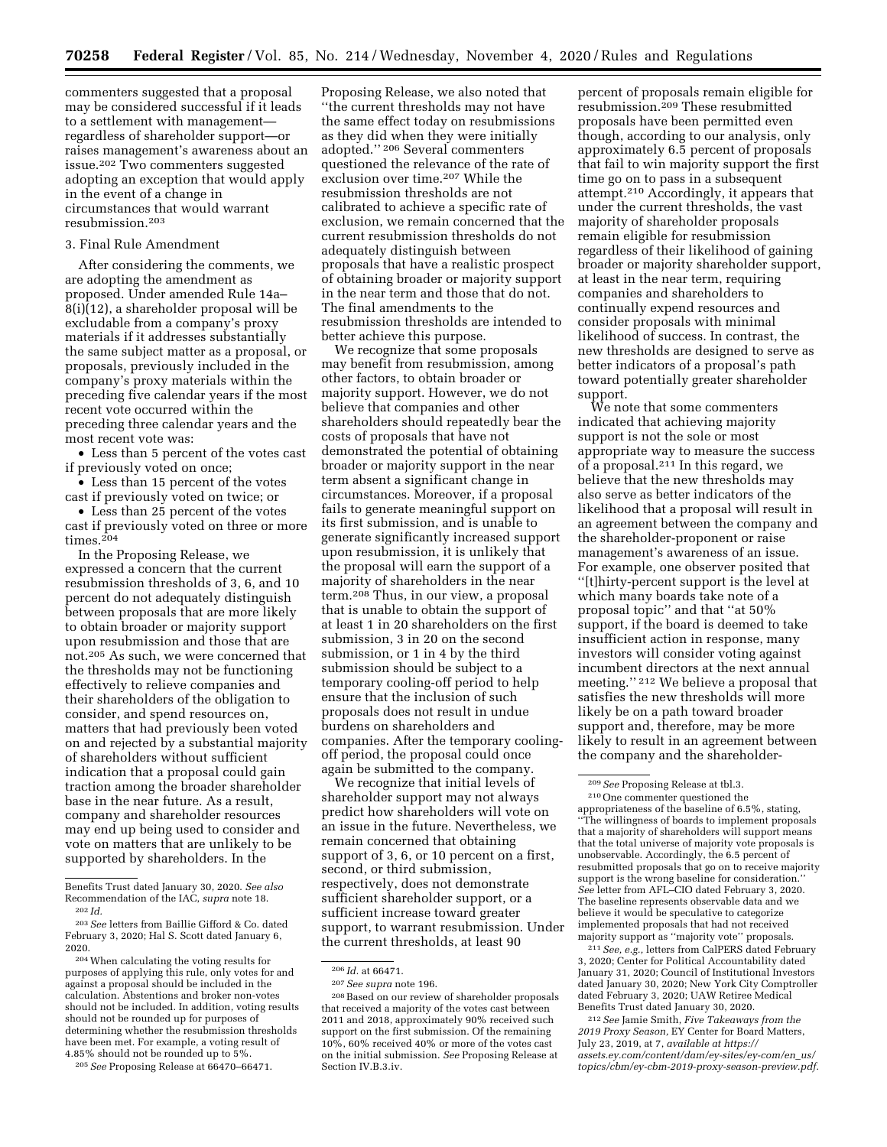commenters suggested that a proposal may be considered successful if it leads to a settlement with management regardless of shareholder support—or raises management's awareness about an issue.202 Two commenters suggested adopting an exception that would apply in the event of a change in circumstances that would warrant resubmission.203

### 3. Final Rule Amendment

After considering the comments, we are adopting the amendment as proposed. Under amended Rule 14a– 8(i)(12), a shareholder proposal will be excludable from a company's proxy materials if it addresses substantially the same subject matter as a proposal, or proposals, previously included in the company's proxy materials within the preceding five calendar years if the most recent vote occurred within the preceding three calendar years and the most recent vote was:

• Less than 5 percent of the votes cast if previously voted on once;

• Less than 15 percent of the votes cast if previously voted on twice; or

• Less than 25 percent of the votes cast if previously voted on three or more  $times<sup>204</sup>$ 

In the Proposing Release, we expressed a concern that the current resubmission thresholds of 3, 6, and 10 percent do not adequately distinguish between proposals that are more likely to obtain broader or majority support upon resubmission and those that are not.205 As such, we were concerned that the thresholds may not be functioning effectively to relieve companies and their shareholders of the obligation to consider, and spend resources on, matters that had previously been voted on and rejected by a substantial majority of shareholders without sufficient indication that a proposal could gain traction among the broader shareholder base in the near future. As a result, company and shareholder resources may end up being used to consider and vote on matters that are unlikely to be supported by shareholders. In the

205*See* Proposing Release at 66470–66471.

Proposing Release, we also noted that ''the current thresholds may not have the same effect today on resubmissions as they did when they were initially adopted.'' 206 Several commenters questioned the relevance of the rate of exclusion over time.207 While the resubmission thresholds are not calibrated to achieve a specific rate of exclusion, we remain concerned that the current resubmission thresholds do not adequately distinguish between proposals that have a realistic prospect of obtaining broader or majority support in the near term and those that do not. The final amendments to the resubmission thresholds are intended to better achieve this purpose.

We recognize that some proposals may benefit from resubmission, among other factors, to obtain broader or majority support. However, we do not believe that companies and other shareholders should repeatedly bear the costs of proposals that have not demonstrated the potential of obtaining broader or majority support in the near term absent a significant change in circumstances. Moreover, if a proposal fails to generate meaningful support on its first submission, and is unable to generate significantly increased support upon resubmission, it is unlikely that the proposal will earn the support of a majority of shareholders in the near term.208 Thus, in our view, a proposal that is unable to obtain the support of at least 1 in 20 shareholders on the first submission, 3 in 20 on the second submission, or 1 in 4 by the third submission should be subject to a temporary cooling-off period to help ensure that the inclusion of such proposals does not result in undue burdens on shareholders and companies. After the temporary coolingoff period, the proposal could once again be submitted to the company.

We recognize that initial levels of shareholder support may not always predict how shareholders will vote on an issue in the future. Nevertheless, we remain concerned that obtaining support of 3, 6, or 10 percent on a first, second, or third submission, respectively, does not demonstrate sufficient shareholder support, or a sufficient increase toward greater support, to warrant resubmission. Under the current thresholds, at least 90

percent of proposals remain eligible for resubmission.209 These resubmitted proposals have been permitted even though, according to our analysis, only approximately 6.5 percent of proposals that fail to win majority support the first time go on to pass in a subsequent attempt.210 Accordingly, it appears that under the current thresholds, the vast majority of shareholder proposals remain eligible for resubmission regardless of their likelihood of gaining broader or majority shareholder support, at least in the near term, requiring companies and shareholders to continually expend resources and consider proposals with minimal likelihood of success. In contrast, the new thresholds are designed to serve as better indicators of a proposal's path toward potentially greater shareholder support.

We note that some commenters indicated that achieving majority support is not the sole or most appropriate way to measure the success of a proposal.211 In this regard, we believe that the new thresholds may also serve as better indicators of the likelihood that a proposal will result in an agreement between the company and the shareholder-proponent or raise management's awareness of an issue. For example, one observer posited that ''[t]hirty-percent support is the level at which many boards take note of a proposal topic'' and that ''at 50% support, if the board is deemed to take insufficient action in response, many investors will consider voting against incumbent directors at the next annual meeting.'' 212 We believe a proposal that satisfies the new thresholds will more likely be on a path toward broader support and, therefore, may be more likely to result in an agreement between the company and the shareholder-

211*See, e.g.,* letters from CalPERS dated February 3, 2020; Center for Political Accountability dated January 31, 2020; Council of Institutional Investors dated January 30, 2020; New York City Comptroller dated February 3, 2020; UAW Retiree Medical Benefits Trust dated January 30, 2020.

212*See* Jamie Smith, *Five Takeaways from the 2019 Proxy Season,* EY Center for Board Matters, July 23, 2019, at 7, *available at [https://](https://assets.ey.com/content/dam/ey-sites/ey-com/en_us/topics/cbm/ey-cbm-2019-proxy-season-preview.pdf) [assets.ey.com/content/dam/ey-sites/ey-com/en](https://assets.ey.com/content/dam/ey-sites/ey-com/en_us/topics/cbm/ey-cbm-2019-proxy-season-preview.pdf)*\_*us/ [topics/cbm/ey-cbm-2019-proxy-season-preview.pdf.](https://assets.ey.com/content/dam/ey-sites/ey-com/en_us/topics/cbm/ey-cbm-2019-proxy-season-preview.pdf)* 

Benefits Trust dated January 30, 2020. *See also*  Recommendation of the IAC, *supra* note 18. 202 *Id.* 

<sup>203</sup>*See* letters from Baillie Gifford & Co. dated February 3, 2020; Hal S. Scott dated January 6, 2020.

<sup>204</sup>When calculating the voting results for purposes of applying this rule, only votes for and against a proposal should be included in the calculation. Abstentions and broker non-votes should not be included. In addition, voting results should not be rounded up for purposes of determining whether the resubmission thresholds have been met. For example, a voting result of 4.85% should not be rounded up to 5%.

<sup>206</sup> *Id.* at 66471.

<sup>207</sup>*See supra* note 196.

<sup>208</sup>Based on our review of shareholder proposals that received a majority of the votes cast between 2011 and 2018, approximately 90% received such support on the first submission. Of the remaining 10%, 60% received 40% or more of the votes cast on the initial submission. *See* Proposing Release at Section IV.B.3.iv.

<sup>209</sup>*See* Proposing Release at tbl.3.

<sup>210</sup>One commenter questioned the appropriateness of the baseline of 6.5%, stating, ''The willingness of boards to implement proposals that a majority of shareholders will support means that the total universe of majority vote proposals is unobservable. Accordingly, the 6.5 percent of resubmitted proposals that go on to receive majority support is the wrong baseline for consideration. *See* letter from AFL–CIO dated February 3, 2020. The baseline represents observable data and we believe it would be speculative to categorize implemented proposals that had not received majority support as ''majority vote'' proposals.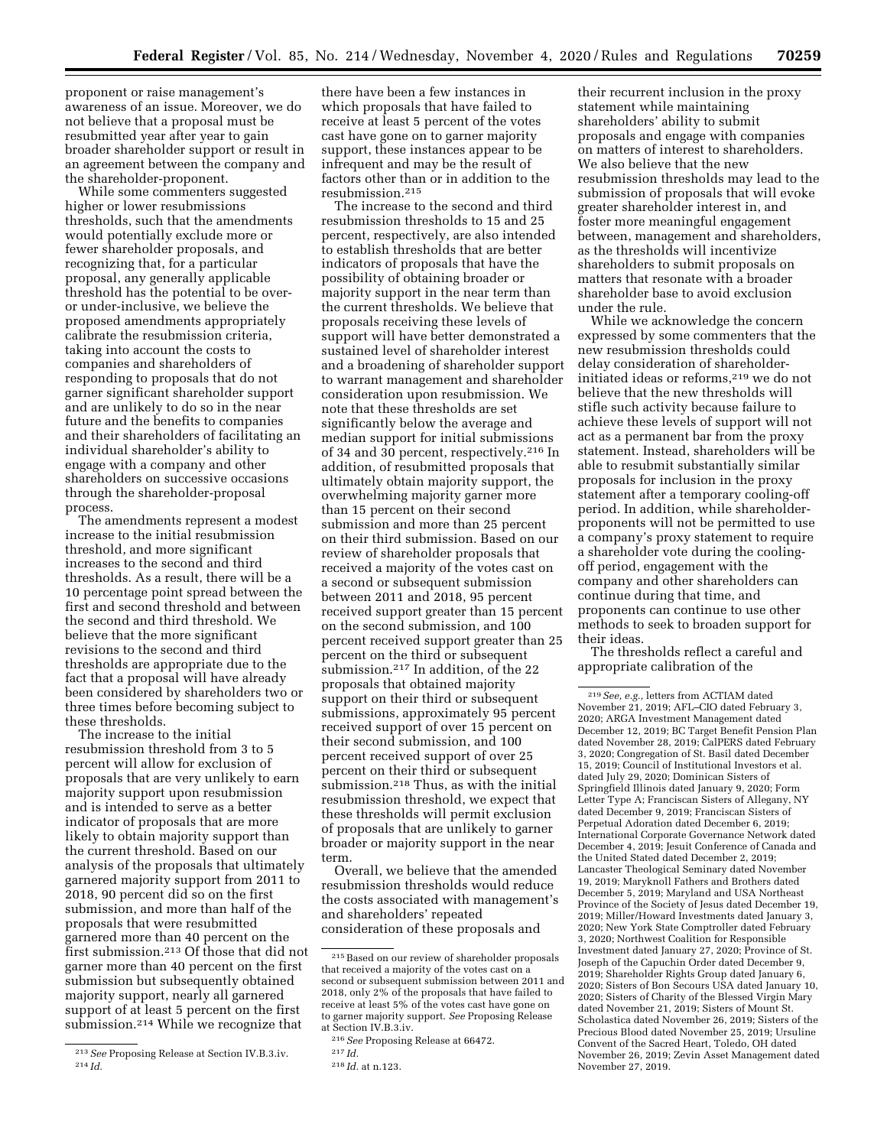proponent or raise management's awareness of an issue. Moreover, we do not believe that a proposal must be resubmitted year after year to gain broader shareholder support or result in an agreement between the company and the shareholder-proponent.

While some commenters suggested higher or lower resubmissions thresholds, such that the amendments would potentially exclude more or fewer shareholder proposals, and recognizing that, for a particular proposal, any generally applicable threshold has the potential to be overor under-inclusive, we believe the proposed amendments appropriately calibrate the resubmission criteria, taking into account the costs to companies and shareholders of responding to proposals that do not garner significant shareholder support and are unlikely to do so in the near future and the benefits to companies and their shareholders of facilitating an individual shareholder's ability to engage with a company and other shareholders on successive occasions through the shareholder-proposal process.

The amendments represent a modest increase to the initial resubmission threshold, and more significant increases to the second and third thresholds. As a result, there will be a 10 percentage point spread between the first and second threshold and between the second and third threshold. We believe that the more significant revisions to the second and third thresholds are appropriate due to the fact that a proposal will have already been considered by shareholders two or three times before becoming subject to these thresholds.

The increase to the initial resubmission threshold from 3 to 5 percent will allow for exclusion of proposals that are very unlikely to earn majority support upon resubmission and is intended to serve as a better indicator of proposals that are more likely to obtain majority support than the current threshold. Based on our analysis of the proposals that ultimately garnered majority support from 2011 to 2018, 90 percent did so on the first submission, and more than half of the proposals that were resubmitted garnered more than 40 percent on the first submission.<sup>213</sup> Of those that did not garner more than 40 percent on the first submission but subsequently obtained majority support, nearly all garnered support of at least 5 percent on the first submission.214 While we recognize that

there have been a few instances in which proposals that have failed to receive at least 5 percent of the votes cast have gone on to garner majority support, these instances appear to be infrequent and may be the result of factors other than or in addition to the resubmission.215

The increase to the second and third resubmission thresholds to 15 and 25 percent, respectively, are also intended to establish thresholds that are better indicators of proposals that have the possibility of obtaining broader or majority support in the near term than the current thresholds. We believe that proposals receiving these levels of support will have better demonstrated a sustained level of shareholder interest and a broadening of shareholder support to warrant management and shareholder consideration upon resubmission. We note that these thresholds are set significantly below the average and median support for initial submissions of 34 and 30 percent, respectively.216 In addition, of resubmitted proposals that ultimately obtain majority support, the overwhelming majority garner more than 15 percent on their second submission and more than 25 percent on their third submission. Based on our review of shareholder proposals that received a majority of the votes cast on a second or subsequent submission between 2011 and 2018, 95 percent received support greater than 15 percent on the second submission, and 100 percent received support greater than 25 percent on the third or subsequent submission.217 In addition, of the 22 proposals that obtained majority support on their third or subsequent submissions, approximately 95 percent received support of over 15 percent on their second submission, and 100 percent received support of over 25 percent on their third or subsequent submission.218 Thus, as with the initial resubmission threshold, we expect that these thresholds will permit exclusion of proposals that are unlikely to garner broader or majority support in the near term.

Overall, we believe that the amended resubmission thresholds would reduce the costs associated with management's and shareholders' repeated consideration of these proposals and

their recurrent inclusion in the proxy statement while maintaining shareholders' ability to submit proposals and engage with companies on matters of interest to shareholders. We also believe that the new resubmission thresholds may lead to the submission of proposals that will evoke greater shareholder interest in, and foster more meaningful engagement between, management and shareholders, as the thresholds will incentivize shareholders to submit proposals on matters that resonate with a broader shareholder base to avoid exclusion under the rule.

While we acknowledge the concern expressed by some commenters that the new resubmission thresholds could delay consideration of shareholderinitiated ideas or reforms,<sup>219</sup> we do not believe that the new thresholds will stifle such activity because failure to achieve these levels of support will not act as a permanent bar from the proxy statement. Instead, shareholders will be able to resubmit substantially similar proposals for inclusion in the proxy statement after a temporary cooling-off period. In addition, while shareholderproponents will not be permitted to use a company's proxy statement to require a shareholder vote during the coolingoff period, engagement with the company and other shareholders can continue during that time, and proponents can continue to use other methods to seek to broaden support for their ideas.

The thresholds reflect a careful and appropriate calibration of the

<sup>213</sup>*See* Proposing Release at Section IV.B.3.iv. 214 *Id.* 

<sup>215</sup>Based on our review of shareholder proposals that received a majority of the votes cast on a second or subsequent submission between 2011 and 2018, only 2% of the proposals that have failed to receive at least 5% of the votes cast have gone on to garner majority support. *See* Proposing Release at Section IV.B.3.iv.

<sup>216</sup>*See* Proposing Release at 66472.

<sup>217</sup> *Id.* 

<sup>218</sup> *Id.* at n.123.

<sup>219</sup>*See, e.g.,* letters from ACTIAM dated November 21, 2019; AFL–CIO dated February 3, 2020; ARGA Investment Management dated December 12, 2019; BC Target Benefit Pension Plan dated November 28, 2019; CalPERS dated February 3, 2020; Congregation of St. Basil dated December 15, 2019; Council of Institutional Investors et al. dated July 29, 2020; Dominican Sisters of Springfield Illinois dated January 9, 2020; Form Letter Type A; Franciscan Sisters of Allegany, NY dated December 9, 2019; Franciscan Sisters of Perpetual Adoration dated December 6, 2019; International Corporate Governance Network dated December 4, 2019; Jesuit Conference of Canada and the United Stated dated December 2, 2019; Lancaster Theological Seminary dated November 19, 2019; Maryknoll Fathers and Brothers dated December 5, 2019; Maryland and USA Northeast Province of the Society of Jesus dated December 19, 2019; Miller/Howard Investments dated January 3, 2020; New York State Comptroller dated February 3, 2020; Northwest Coalition for Responsible Investment dated January 27, 2020; Province of St. Joseph of the Capuchin Order dated December 9, 2019; Shareholder Rights Group dated January 6, 2020; Sisters of Bon Secours USA dated January 10, 2020; Sisters of Charity of the Blessed Virgin Mary dated November 21, 2019; Sisters of Mount St. Scholastica dated November 26, 2019; Sisters of the Precious Blood dated November 25, 2019; Ursuline Convent of the Sacred Heart, Toledo, OH dated November 26, 2019; Zevin Asset Management dated November 27, 2019.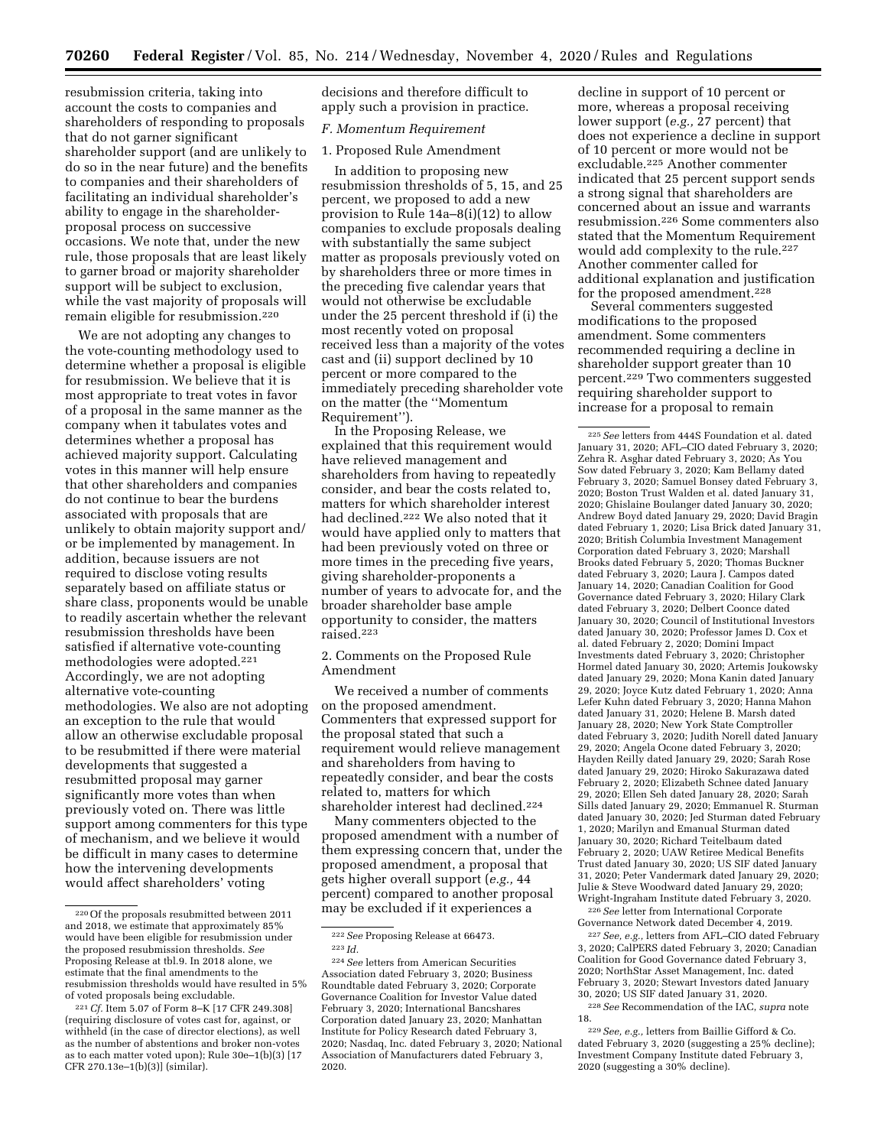resubmission criteria, taking into account the costs to companies and shareholders of responding to proposals that do not garner significant shareholder support (and are unlikely to do so in the near future) and the benefits to companies and their shareholders of facilitating an individual shareholder's ability to engage in the shareholderproposal process on successive occasions. We note that, under the new rule, those proposals that are least likely to garner broad or majority shareholder support will be subject to exclusion, while the vast majority of proposals will remain eligible for resubmission.220

We are not adopting any changes to the vote-counting methodology used to determine whether a proposal is eligible for resubmission. We believe that it is most appropriate to treat votes in favor of a proposal in the same manner as the company when it tabulates votes and determines whether a proposal has achieved majority support. Calculating votes in this manner will help ensure that other shareholders and companies do not continue to bear the burdens associated with proposals that are unlikely to obtain majority support and/ or be implemented by management. In addition, because issuers are not required to disclose voting results separately based on affiliate status or share class, proponents would be unable to readily ascertain whether the relevant resubmission thresholds have been satisfied if alternative vote-counting methodologies were adopted.221 Accordingly, we are not adopting alternative vote-counting methodologies. We also are not adopting an exception to the rule that would allow an otherwise excludable proposal to be resubmitted if there were material developments that suggested a resubmitted proposal may garner significantly more votes than when previously voted on. There was little support among commenters for this type of mechanism, and we believe it would be difficult in many cases to determine how the intervening developments would affect shareholders' voting

decisions and therefore difficult to apply such a provision in practice.

## *F. Momentum Requirement*

### 1. Proposed Rule Amendment

In addition to proposing new resubmission thresholds of 5, 15, and 25 percent, we proposed to add a new provision to Rule 14a–8(i)(12) to allow companies to exclude proposals dealing with substantially the same subject matter as proposals previously voted on by shareholders three or more times in the preceding five calendar years that would not otherwise be excludable under the 25 percent threshold if (i) the most recently voted on proposal received less than a majority of the votes cast and (ii) support declined by 10 percent or more compared to the immediately preceding shareholder vote on the matter (the ''Momentum Requirement'').

In the Proposing Release, we explained that this requirement would have relieved management and shareholders from having to repeatedly consider, and bear the costs related to, matters for which shareholder interest had declined.222 We also noted that it would have applied only to matters that had been previously voted on three or more times in the preceding five years, giving shareholder-proponents a number of years to advocate for, and the broader shareholder base ample opportunity to consider, the matters raised.223

2. Comments on the Proposed Rule Amendment

We received a number of comments on the proposed amendment. Commenters that expressed support for the proposal stated that such a requirement would relieve management and shareholders from having to repeatedly consider, and bear the costs related to, matters for which shareholder interest had declined.224

Many commenters objected to the proposed amendment with a number of them expressing concern that, under the proposed amendment, a proposal that gets higher overall support (*e.g.,* 44 percent) compared to another proposal may be excluded if it experiences a

decline in support of 10 percent or more, whereas a proposal receiving lower support (*e.g.,* 27 percent) that does not experience a decline in support of 10 percent or more would not be excludable.225 Another commenter indicated that 25 percent support sends a strong signal that shareholders are concerned about an issue and warrants resubmission.226 Some commenters also stated that the Momentum Requirement would add complexity to the rule.227 Another commenter called for additional explanation and justification for the proposed amendment.<sup>228</sup>

Several commenters suggested modifications to the proposed amendment. Some commenters recommended requiring a decline in shareholder support greater than 10 percent.229 Two commenters suggested requiring shareholder support to increase for a proposal to remain

226*See* letter from International Corporate Governance Network dated December 4, 2019.

227*See, e.g.,* letters from AFL–CIO dated February 3, 2020; CalPERS dated February 3, 2020; Canadian Coalition for Good Governance dated February 3, 2020; NorthStar Asset Management, Inc. dated February 3, 2020; Stewart Investors dated January 30, 2020; US SIF dated January 31, 2020.

<sup>220</sup>Of the proposals resubmitted between 2011 and 2018, we estimate that approximately 85% would have been eligible for resubmission under the proposed resubmission thresholds. *See*  Proposing Release at tbl.9. In 2018 alone, we estimate that the final amendments to the resubmission thresholds would have resulted in 5% of voted proposals being excludable.

<sup>221</sup>*Cf.* Item 5.07 of Form 8–K [17 CFR 249.308] (requiring disclosure of votes cast for, against, or withheld (in the case of director elections), as well as the number of abstentions and broker non-votes as to each matter voted upon); Rule 30e–1(b)(3) [17 CFR 270.13e–1(b)(3)] (similar).

<sup>222</sup>*See* Proposing Release at 66473. 223 *Id.* 

<sup>224</sup>*See* letters from American Securities Association dated February 3, 2020; Business Roundtable dated February 3, 2020; Corporate Governance Coalition for Investor Value dated February 3, 2020; International Bancshares Corporation dated January 23, 2020; Manhattan Institute for Policy Research dated February 3, 2020; Nasdaq, Inc. dated February 3, 2020; National Association of Manufacturers dated February 3, 2020.

<sup>225</sup>*See* letters from 444S Foundation et al. dated January 31, 2020; AFL–CIO dated February 3, 2020; Zehra R. Asghar dated February 3, 2020; As You Sow dated February 3, 2020; Kam Bellamy dated February 3, 2020; Samuel Bonsey dated February 3, 2020; Boston Trust Walden et al. dated January 31, 2020; Ghislaine Boulanger dated January 30, 2020; Andrew Boyd dated January 29, 2020; David Bragin dated February 1, 2020; Lisa Brick dated January 31, 2020; British Columbia Investment Management Corporation dated February 3, 2020; Marshall Brooks dated February 5, 2020; Thomas Buckner dated February 3, 2020; Laura J. Campos dated January 14, 2020; Canadian Coalition for Good Governance dated February 3, 2020; Hilary Clark dated February 3, 2020; Delbert Coonce dated January 30, 2020; Council of Institutional Investors dated January 30, 2020; Professor James D. Cox et al. dated February 2, 2020; Domini Impact Investments dated February 3, 2020; Christopher Hormel dated January 30, 2020; Artemis Joukowsky dated January 29, 2020; Mona Kanin dated January 29, 2020; Joyce Kutz dated February 1, 2020; Anna Lefer Kuhn dated February 3, 2020; Hanna Mahon dated January 31, 2020; Helene B. Marsh dated January 28, 2020; New York State Comptroller dated February 3, 2020; Judith Norell dated January 29, 2020; Angela Ocone dated February 3, 2020; Hayden Reilly dated January 29, 2020; Sarah Rose dated January 29, 2020; Hiroko Sakurazawa dated February 2, 2020; Elizabeth Schnee dated January 29, 2020; Ellen Seh dated January 28, 2020; Sarah Sills dated January 29, 2020; Emmanuel R. Sturman dated January 30, 2020; Jed Sturman dated February 1, 2020; Marilyn and Emanual Sturman dated January 30, 2020; Richard Teitelbaum dated February 2, 2020; UAW Retiree Medical Benefits Trust dated January 30, 2020; US SIF dated January 31, 2020; Peter Vandermark dated January 29, 2020; Julie & Steve Woodward dated January 29, 2020; Wright-Ingraham Institute dated February 3, 2020.

<sup>228</sup>*See* Recommendation of the IAC, *supra* note 18.

<sup>229</sup>*See, e.g.,* letters from Baillie Gifford & Co. dated February 3, 2020 (suggesting a 25% decline); Investment Company Institute dated February 3, 2020 (suggesting a 30% decline).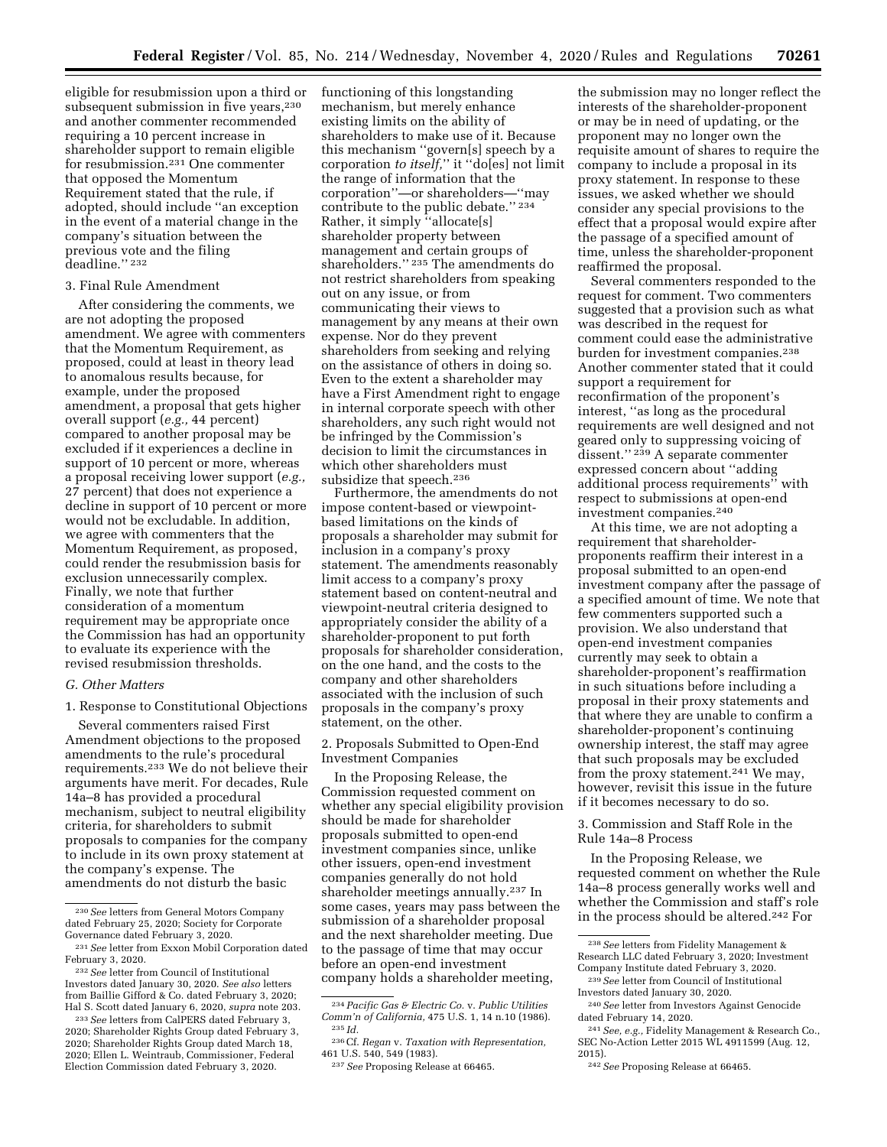eligible for resubmission upon a third or subsequent submission in five years,<sup>230</sup> and another commenter recommended requiring a 10 percent increase in shareholder support to remain eligible for resubmission.231 One commenter that opposed the Momentum Requirement stated that the rule, if adopted, should include ''an exception in the event of a material change in the company's situation between the previous vote and the filing deadline.'' 232

### 3. Final Rule Amendment

After considering the comments, we are not adopting the proposed amendment. We agree with commenters that the Momentum Requirement, as proposed, could at least in theory lead to anomalous results because, for example, under the proposed amendment, a proposal that gets higher overall support (*e.g.,* 44 percent) compared to another proposal may be excluded if it experiences a decline in support of 10 percent or more, whereas a proposal receiving lower support (*e.g.,*  27 percent) that does not experience a decline in support of 10 percent or more would not be excludable. In addition, we agree with commenters that the Momentum Requirement, as proposed, could render the resubmission basis for exclusion unnecessarily complex. Finally, we note that further consideration of a momentum requirement may be appropriate once the Commission has had an opportunity to evaluate its experience with the revised resubmission thresholds.

### *G. Other Matters*

1. Response to Constitutional Objections

Several commenters raised First Amendment objections to the proposed amendments to the rule's procedural requirements.233 We do not believe their arguments have merit. For decades, Rule 14a–8 has provided a procedural mechanism, subject to neutral eligibility criteria, for shareholders to submit proposals to companies for the company to include in its own proxy statement at the company's expense. The amendments do not disturb the basic

functioning of this longstanding mechanism, but merely enhance existing limits on the ability of shareholders to make use of it. Because this mechanism ''govern[s] speech by a corporation *to itself,*'' it ''do[es] not limit the range of information that the corporation''—or shareholders—''may contribute to the public debate.'' 234 Rather, it simply "allocate[s] shareholder property between management and certain groups of shareholders.'' 235 The amendments do not restrict shareholders from speaking out on any issue, or from communicating their views to management by any means at their own expense. Nor do they prevent shareholders from seeking and relying on the assistance of others in doing so. Even to the extent a shareholder may have a First Amendment right to engage in internal corporate speech with other shareholders, any such right would not be infringed by the Commission's decision to limit the circumstances in which other shareholders must subsidize that speech.<sup>236</sup>

Furthermore, the amendments do not impose content-based or viewpointbased limitations on the kinds of proposals a shareholder may submit for inclusion in a company's proxy statement. The amendments reasonably limit access to a company's proxy statement based on content-neutral and viewpoint-neutral criteria designed to appropriately consider the ability of a shareholder-proponent to put forth proposals for shareholder consideration, on the one hand, and the costs to the company and other shareholders associated with the inclusion of such proposals in the company's proxy statement, on the other.

2. Proposals Submitted to Open-End Investment Companies

In the Proposing Release, the Commission requested comment on whether any special eligibility provision should be made for shareholder proposals submitted to open-end investment companies since, unlike other issuers, open-end investment companies generally do not hold shareholder meetings annually.237 In some cases, years may pass between the submission of a shareholder proposal and the next shareholder meeting. Due to the passage of time that may occur before an open-end investment company holds a shareholder meeting,

the submission may no longer reflect the interests of the shareholder-proponent or may be in need of updating, or the proponent may no longer own the requisite amount of shares to require the company to include a proposal in its proxy statement. In response to these issues, we asked whether we should consider any special provisions to the effect that a proposal would expire after the passage of a specified amount of time, unless the shareholder-proponent reaffirmed the proposal.

Several commenters responded to the request for comment. Two commenters suggested that a provision such as what was described in the request for comment could ease the administrative burden for investment companies.<sup>238</sup> Another commenter stated that it could support a requirement for reconfirmation of the proponent's interest, ''as long as the procedural requirements are well designed and not geared only to suppressing voicing of dissent.'' 239 A separate commenter expressed concern about ''adding additional process requirements" with respect to submissions at open-end investment companies.240

At this time, we are not adopting a requirement that shareholderproponents reaffirm their interest in a proposal submitted to an open-end investment company after the passage of a specified amount of time. We note that few commenters supported such a provision. We also understand that open-end investment companies currently may seek to obtain a shareholder-proponent's reaffirmation in such situations before including a proposal in their proxy statements and that where they are unable to confirm a shareholder-proponent's continuing ownership interest, the staff may agree that such proposals may be excluded from the proxy statement.241 We may, however, revisit this issue in the future if it becomes necessary to do so.

3. Commission and Staff Role in the Rule 14a–8 Process

In the Proposing Release, we requested comment on whether the Rule 14a–8 process generally works well and whether the Commission and staff's role in the process should be altered.242 For

<sup>230</sup>*See* letters from General Motors Company dated February 25, 2020; Society for Corporate Governance dated February 3, 2020.

<sup>231</sup>*See* letter from Exxon Mobil Corporation dated February 3, 2020.

<sup>232</sup>*See* letter from Council of Institutional Investors dated January 30, 2020. *See also* letters from Baillie Gifford & Co. dated February 3, 2020; Hal S. Scott dated January 6, 2020, *supra* note 203.

<sup>233</sup>*See* letters from CalPERS dated February 3, 2020; Shareholder Rights Group dated February 3, 2020; Shareholder Rights Group dated March 18, 2020; Ellen L. Weintraub, Commissioner, Federal Election Commission dated February 3, 2020.

<sup>234</sup>*Pacific Gas & Electric Co.* v. *Public Utilities Comm'n of California,* 475 U.S. 1, 14 n.10 (1986). 235 *Id.* 

<sup>236</sup>Cf. *Regan* v. *Taxation with Representation,* 

<sup>&</sup>lt;sup>237</sup> See Proposing Release at 66465.

<sup>238</sup>*See* letters from Fidelity Management & Research LLC dated February 3, 2020; Investment Company Institute dated February 3, 2020.

<sup>239</sup>*See* letter from Council of Institutional Investors dated January 30, 2020.

<sup>240</sup>*See* letter from Investors Against Genocide dated February 14, 2020.

<sup>241</sup>*See, e.g.,* Fidelity Management & Research Co., SEC No-Action Letter 2015 WL 4911599 (Aug. 12, 2015).

<sup>242</sup>*See* Proposing Release at 66465.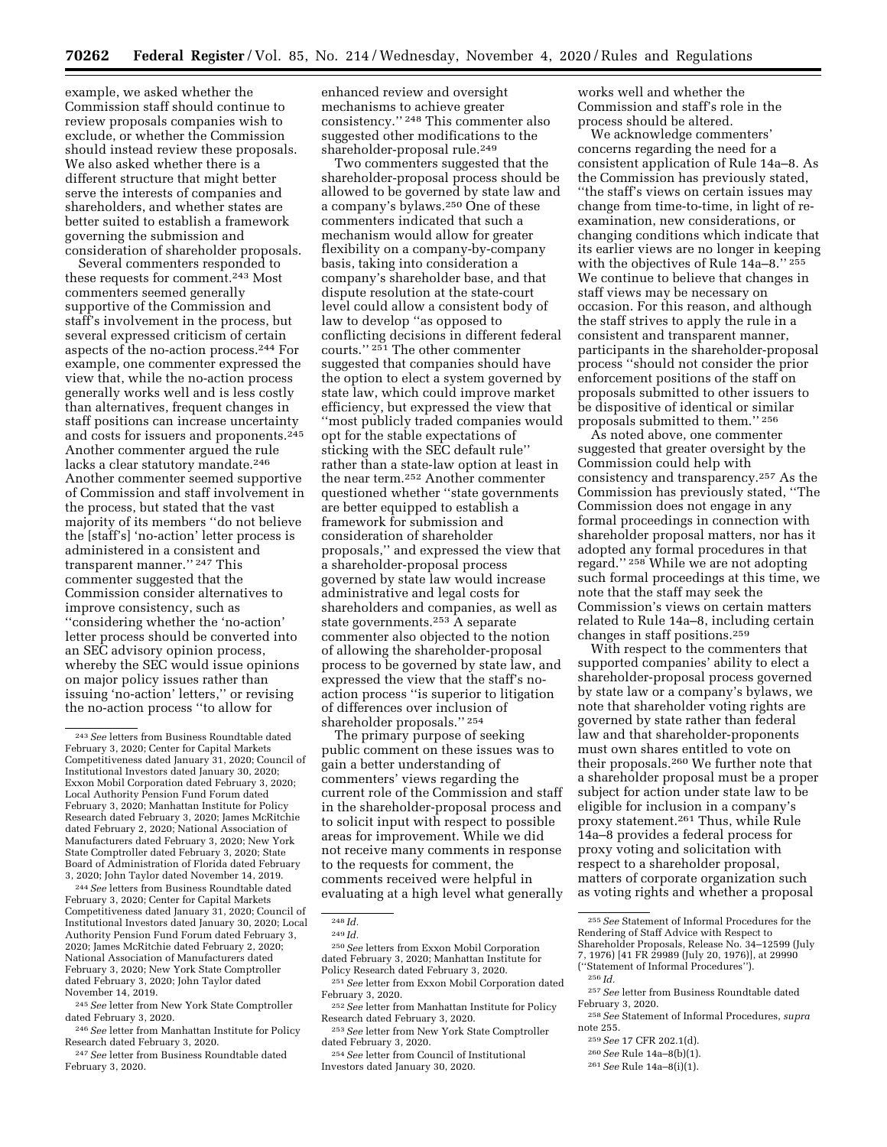example, we asked whether the Commission staff should continue to review proposals companies wish to exclude, or whether the Commission should instead review these proposals. We also asked whether there is a different structure that might better serve the interests of companies and shareholders, and whether states are better suited to establish a framework governing the submission and consideration of shareholder proposals.

Several commenters responded to these requests for comment.243 Most commenters seemed generally supportive of the Commission and staff's involvement in the process, but several expressed criticism of certain aspects of the no-action process.244 For example, one commenter expressed the view that, while the no-action process generally works well and is less costly than alternatives, frequent changes in staff positions can increase uncertainty and costs for issuers and proponents.245 Another commenter argued the rule lacks a clear statutory mandate.246 Another commenter seemed supportive of Commission and staff involvement in the process, but stated that the vast majority of its members ''do not believe the [staff's] 'no-action' letter process is administered in a consistent and transparent manner.'' 247 This commenter suggested that the Commission consider alternatives to improve consistency, such as ''considering whether the 'no-action' letter process should be converted into an SEC advisory opinion process, whereby the SEC would issue opinions on major policy issues rather than issuing 'no-action' letters,'' or revising the no-action process ''to allow for

244*See* letters from Business Roundtable dated February 3, 2020; Center for Capital Markets Competitiveness dated January 31, 2020; Council of Institutional Investors dated January 30, 2020; Local Authority Pension Fund Forum dated February 3, 2020; James McRitchie dated February 2, 2020; National Association of Manufacturers dated February 3, 2020; New York State Comptroller dated February 3, 2020; John Taylor dated November 14, 2019.

245*See* letter from New York State Comptroller dated February 3, 2020.

246*See* letter from Manhattan Institute for Policy Research dated February 3, 2020.

247*See* letter from Business Roundtable dated February 3, 2020.

enhanced review and oversight mechanisms to achieve greater consistency.'' 248 This commenter also suggested other modifications to the shareholder-proposal rule.<sup>249</sup>

Two commenters suggested that the shareholder-proposal process should be allowed to be governed by state law and a company's bylaws.250 One of these commenters indicated that such a mechanism would allow for greater flexibility on a company-by-company basis, taking into consideration a company's shareholder base, and that dispute resolution at the state-court level could allow a consistent body of law to develop ''as opposed to conflicting decisions in different federal courts.'' 251 The other commenter suggested that companies should have the option to elect a system governed by state law, which could improve market efficiency, but expressed the view that ''most publicly traded companies would opt for the stable expectations of sticking with the SEC default rule'' rather than a state-law option at least in the near term.252 Another commenter questioned whether ''state governments are better equipped to establish a framework for submission and consideration of shareholder proposals,'' and expressed the view that a shareholder-proposal process governed by state law would increase administrative and legal costs for shareholders and companies, as well as state governments.253 A separate commenter also objected to the notion of allowing the shareholder-proposal process to be governed by state law, and expressed the view that the staff's noaction process ''is superior to litigation of differences over inclusion of shareholder proposals.'' 254

The primary purpose of seeking public comment on these issues was to gain a better understanding of commenters' views regarding the current role of the Commission and staff in the shareholder-proposal process and to solicit input with respect to possible areas for improvement. While we did not receive many comments in response to the requests for comment, the comments received were helpful in evaluating at a high level what generally

<sup>253</sup> See letter from New York State Comptroller dated February 3, 2020.

works well and whether the Commission and staff's role in the process should be altered.

We acknowledge commenters' concerns regarding the need for a consistent application of Rule 14a–8. As the Commission has previously stated, ''the staff's views on certain issues may change from time-to-time, in light of reexamination, new considerations, or changing conditions which indicate that its earlier views are no longer in keeping with the objectives of Rule 14a–8.'' 255 We continue to believe that changes in staff views may be necessary on occasion. For this reason, and although the staff strives to apply the rule in a consistent and transparent manner, participants in the shareholder-proposal process ''should not consider the prior enforcement positions of the staff on proposals submitted to other issuers to be dispositive of identical or similar proposals submitted to them.'' 256

As noted above, one commenter suggested that greater oversight by the Commission could help with consistency and transparency.257 As the Commission has previously stated, ''The Commission does not engage in any formal proceedings in connection with shareholder proposal matters, nor has it adopted any formal procedures in that regard.'' 258 While we are not adopting such formal proceedings at this time, we note that the staff may seek the Commission's views on certain matters related to Rule 14a–8, including certain changes in staff positions.259

With respect to the commenters that supported companies' ability to elect a shareholder-proposal process governed by state law or a company's bylaws, we note that shareholder voting rights are governed by state rather than federal law and that shareholder-proponents must own shares entitled to vote on their proposals.260 We further note that a shareholder proposal must be a proper subject for action under state law to be eligible for inclusion in a company's proxy statement.261 Thus, while Rule 14a–8 provides a federal process for proxy voting and solicitation with respect to a shareholder proposal, matters of corporate organization such as voting rights and whether a proposal

- 257*See* letter from Business Roundtable dated February 3, 2020.
- 258*See* Statement of Informal Procedures, *supra*  note 255.
- 259*See* 17 CFR 202.1(d).
- 260*See* Rule 14a–8(b)(1).

<sup>243</sup>*See* letters from Business Roundtable dated February 3, 2020; Center for Capital Markets Competitiveness dated January 31, 2020; Council of Institutional Investors dated January 30, 2020; Exxon Mobil Corporation dated February 3, 2020; Local Authority Pension Fund Forum dated February 3, 2020; Manhattan Institute for Policy Research dated February 3, 2020; James McRitchie dated February 2, 2020; National Association of Manufacturers dated February 3, 2020; New York State Comptroller dated February 3, 2020; State Board of Administration of Florida dated February 3, 2020; John Taylor dated November 14, 2019.

<sup>248</sup> *Id.* 

<sup>249</sup> *Id.* 

<sup>250</sup>*See* letters from Exxon Mobil Corporation dated February 3, 2020; Manhattan Institute for<br>Policy Research dated February 3, 2020.

<sup>&</sup>lt;sup>251</sup> See letter from Exxon Mobil Corporation dated February 3, 2020.

<sup>&</sup>lt;sup>252</sup> See letter from Manhattan Institute for Policy<br>Research dated February 3, 2020.

<sup>&</sup>lt;sup>254</sup> See letter from Council of Institutional Investors dated January 30, 2020.

<sup>255</sup>*See* Statement of Informal Procedures for the Rendering of Staff Advice with Respect to Shareholder Proposals, Release No. 34–12599 (July 7, 1976) [41 FR 29989 (July 20, 1976)], at 29990 (''Statement of Informal Procedures''). 256 *Id.* 

<sup>261</sup>*See* Rule 14a–8(i)(1).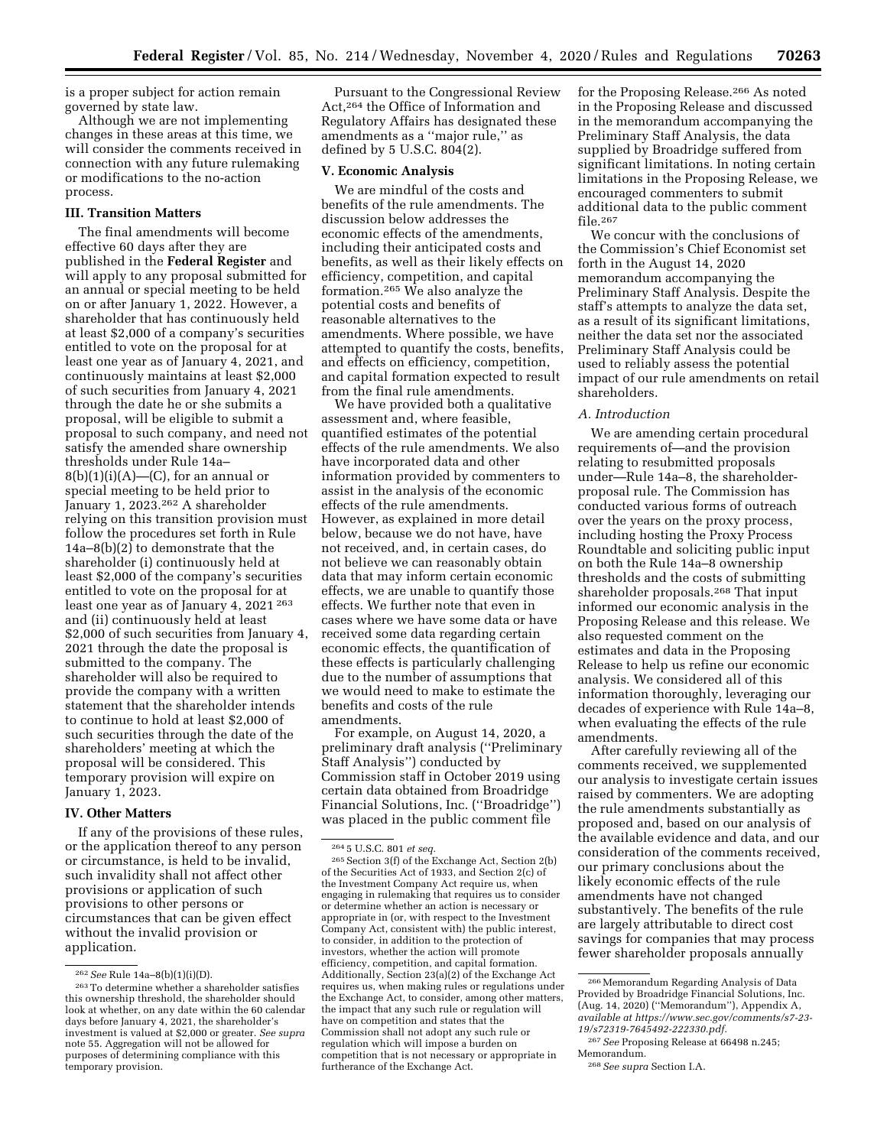is a proper subject for action remain governed by state law.

Although we are not implementing changes in these areas at this time, we will consider the comments received in connection with any future rulemaking or modifications to the no-action process.

### **III. Transition Matters**

The final amendments will become effective 60 days after they are published in the **Federal Register** and will apply to any proposal submitted for an annual or special meeting to be held on or after January 1, 2022. However, a shareholder that has continuously held at least \$2,000 of a company's securities entitled to vote on the proposal for at least one year as of January 4, 2021, and continuously maintains at least \$2,000 of such securities from January 4, 2021 through the date he or she submits a proposal, will be eligible to submit a proposal to such company, and need not satisfy the amended share ownership thresholds under Rule 14a–  $8(b)(1)(i)(A)$ —(C), for an annual or special meeting to be held prior to January 1, 2023.262 A shareholder relying on this transition provision must follow the procedures set forth in Rule 14a–8(b)(2) to demonstrate that the shareholder (i) continuously held at least \$2,000 of the company's securities entitled to vote on the proposal for at least one year as of January 4, 2021 263 and (ii) continuously held at least \$2,000 of such securities from January 4, 2021 through the date the proposal is submitted to the company. The shareholder will also be required to provide the company with a written statement that the shareholder intends to continue to hold at least \$2,000 of such securities through the date of the shareholders' meeting at which the proposal will be considered. This temporary provision will expire on January 1, 2023.

### **IV. Other Matters**

If any of the provisions of these rules, or the application thereof to any person or circumstance, is held to be invalid, such invalidity shall not affect other provisions or application of such provisions to other persons or circumstances that can be given effect without the invalid provision or application.

Pursuant to the Congressional Review Act,264 the Office of Information and Regulatory Affairs has designated these amendments as a ''major rule,'' as defined by 5 U.S.C. 804(2).

### **V. Economic Analysis**

We are mindful of the costs and benefits of the rule amendments. The discussion below addresses the economic effects of the amendments, including their anticipated costs and benefits, as well as their likely effects on efficiency, competition, and capital formation.265 We also analyze the potential costs and benefits of reasonable alternatives to the amendments. Where possible, we have attempted to quantify the costs, benefits, and effects on efficiency, competition, and capital formation expected to result from the final rule amendments.

We have provided both a qualitative assessment and, where feasible, quantified estimates of the potential effects of the rule amendments. We also have incorporated data and other information provided by commenters to assist in the analysis of the economic effects of the rule amendments. However, as explained in more detail below, because we do not have, have not received, and, in certain cases, do not believe we can reasonably obtain data that may inform certain economic effects, we are unable to quantify those effects. We further note that even in cases where we have some data or have received some data regarding certain economic effects, the quantification of these effects is particularly challenging due to the number of assumptions that we would need to make to estimate the benefits and costs of the rule amendments.

For example, on August 14, 2020, a preliminary draft analysis (''Preliminary Staff Analysis'') conducted by Commission staff in October 2019 using certain data obtained from Broadridge Financial Solutions, Inc. (''Broadridge'') was placed in the public comment file

for the Proposing Release.266 As noted in the Proposing Release and discussed in the memorandum accompanying the Preliminary Staff Analysis, the data supplied by Broadridge suffered from significant limitations. In noting certain limitations in the Proposing Release, we encouraged commenters to submit additional data to the public comment file.267

We concur with the conclusions of the Commission's Chief Economist set forth in the August 14, 2020 memorandum accompanying the Preliminary Staff Analysis. Despite the staff's attempts to analyze the data set, as a result of its significant limitations, neither the data set nor the associated Preliminary Staff Analysis could be used to reliably assess the potential impact of our rule amendments on retail shareholders.

### *A. Introduction*

We are amending certain procedural requirements of—and the provision relating to resubmitted proposals under—Rule 14a–8, the shareholderproposal rule. The Commission has conducted various forms of outreach over the years on the proxy process, including hosting the Proxy Process Roundtable and soliciting public input on both the Rule 14a–8 ownership thresholds and the costs of submitting shareholder proposals.268 That input informed our economic analysis in the Proposing Release and this release. We also requested comment on the estimates and data in the Proposing Release to help us refine our economic analysis. We considered all of this information thoroughly, leveraging our decades of experience with Rule 14a–8, when evaluating the effects of the rule amendments.

After carefully reviewing all of the comments received, we supplemented our analysis to investigate certain issues raised by commenters. We are adopting the rule amendments substantially as proposed and, based on our analysis of the available evidence and data, and our consideration of the comments received, our primary conclusions about the likely economic effects of the rule amendments have not changed substantively. The benefits of the rule are largely attributable to direct cost savings for companies that may process fewer shareholder proposals annually

<sup>262</sup>*See* Rule 14a–8(b)(1)(i)(D). 263To determine whether a shareholder satisfies this ownership threshold, the shareholder should look at whether, on any date within the 60 calendar days before January 4, 2021, the shareholder's investment is valued at \$2,000 or greater. *See supra*  note 55. Aggregation will not be allowed for purposes of determining compliance with this temporary provision.

<sup>264</sup> 5 U.S.C. 801 *et seq.* 

<sup>265</sup>Section 3(f) of the Exchange Act, Section 2(b) of the Securities Act of 1933, and Section 2(c) of the Investment Company Act require us, when engaging in rulemaking that requires us to consider or determine whether an action is necessary or appropriate in (or, with respect to the Investment Company Act, consistent with) the public interest, to consider, in addition to the protection of investors, whether the action will promote efficiency, competition, and capital formation. Additionally, Section 23(a)(2) of the Exchange Act requires us, when making rules or regulations under the Exchange Act, to consider, among other matters, the impact that any such rule or regulation will have on competition and states that the Commission shall not adopt any such rule or regulation which will impose a burden on competition that is not necessary or appropriate in furtherance of the Exchange Act.

<sup>&</sup>lt;sup>266</sup> Memorandum Regarding Analysis of Data Provided by Broadridge Financial Solutions, Inc. (Aug. 14, 2020) (''Memorandum''), Appendix A, *available at [https://www.sec.gov/comments/s7-23-](https://www.sec.gov/comments/s7-23-19/s72319-7645492-222330.pdf) [19/s72319-7645492-222330.pdf.](https://www.sec.gov/comments/s7-23-19/s72319-7645492-222330.pdf)* 

<sup>267</sup>*See* Proposing Release at 66498 n.245; Memorandum.

<sup>268</sup>*See supra* Section I.A.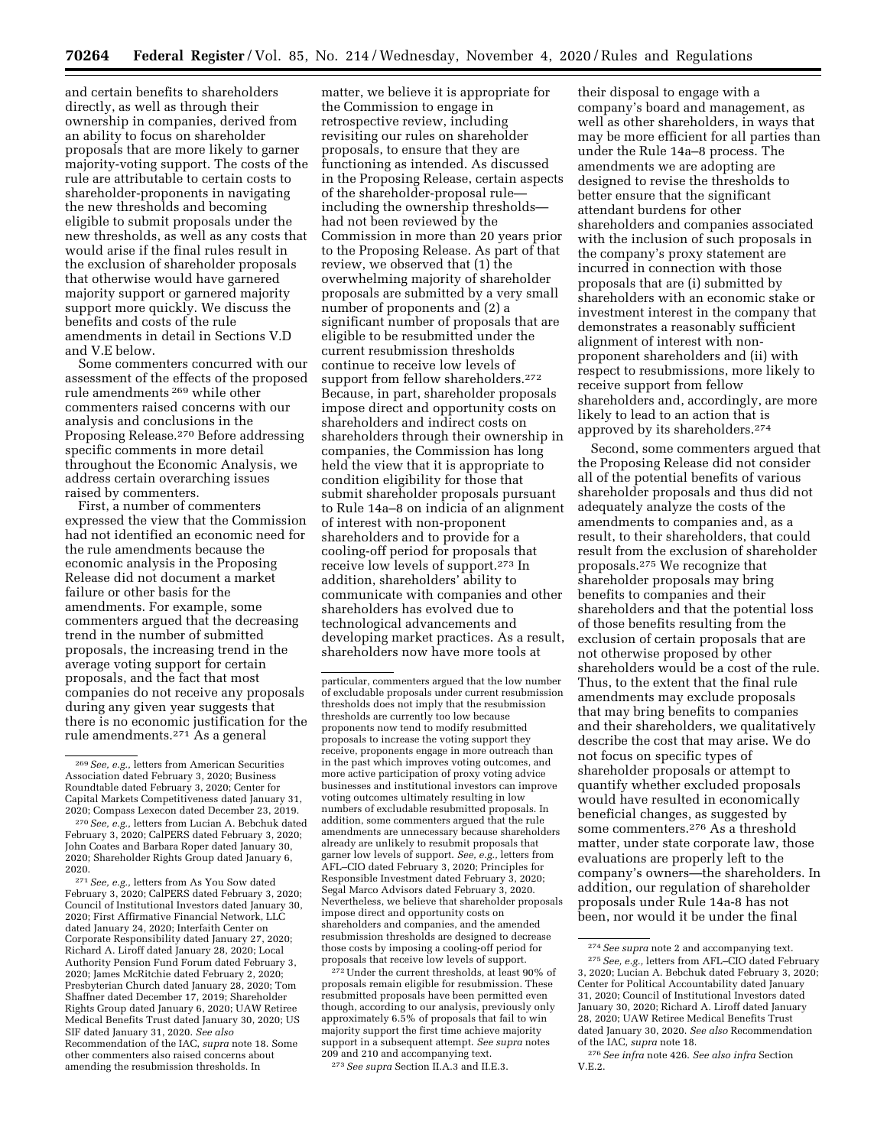and certain benefits to shareholders directly, as well as through their ownership in companies, derived from an ability to focus on shareholder proposals that are more likely to garner majority-voting support. The costs of the rule are attributable to certain costs to shareholder-proponents in navigating the new thresholds and becoming eligible to submit proposals under the new thresholds, as well as any costs that would arise if the final rules result in the exclusion of shareholder proposals that otherwise would have garnered majority support or garnered majority support more quickly. We discuss the benefits and costs of the rule amendments in detail in Sections V.D and V.E below.

Some commenters concurred with our assessment of the effects of the proposed rule amendments 269 while other commenters raised concerns with our analysis and conclusions in the Proposing Release.270 Before addressing specific comments in more detail throughout the Economic Analysis, we address certain overarching issues raised by commenters.

First, a number of commenters expressed the view that the Commission had not identified an economic need for the rule amendments because the economic analysis in the Proposing Release did not document a market failure or other basis for the amendments. For example, some commenters argued that the decreasing trend in the number of submitted proposals, the increasing trend in the average voting support for certain proposals, and the fact that most companies do not receive any proposals during any given year suggests that there is no economic justification for the rule amendments.271 As a general

271*See, e.g.,* letters from As You Sow dated February 3, 2020; CalPERS dated February 3, 2020; Council of Institutional Investors dated January 30, 2020; First Affirmative Financial Network, LLC dated January 24, 2020; Interfaith Center on Corporate Responsibility dated January 27, 2020; Richard A. Liroff dated January 28, 2020; Local Authority Pension Fund Forum dated February 3, 2020; James McRitchie dated February 2, 2020; Presbyterian Church dated January 28, 2020; Tom Shaffner dated December 17, 2019; Shareholder Rights Group dated January 6, 2020; UAW Retiree Medical Benefits Trust dated January 30, 2020; US SIF dated January 31, 2020. *See also* 

Recommendation of the IAC, *supra* note 18. Some other commenters also raised concerns about amending the resubmission thresholds. In

matter, we believe it is appropriate for the Commission to engage in retrospective review, including revisiting our rules on shareholder proposals, to ensure that they are functioning as intended. As discussed in the Proposing Release, certain aspects of the shareholder-proposal rule including the ownership thresholds had not been reviewed by the Commission in more than 20 years prior to the Proposing Release. As part of that review, we observed that (1) the overwhelming majority of shareholder proposals are submitted by a very small number of proponents and (2) a significant number of proposals that are eligible to be resubmitted under the current resubmission thresholds continue to receive low levels of support from fellow shareholders.<sup>272</sup> Because, in part, shareholder proposals impose direct and opportunity costs on shareholders and indirect costs on shareholders through their ownership in companies, the Commission has long held the view that it is appropriate to condition eligibility for those that submit shareholder proposals pursuant to Rule 14a–8 on indicia of an alignment of interest with non-proponent shareholders and to provide for a cooling-off period for proposals that receive low levels of support.273 In addition, shareholders' ability to communicate with companies and other shareholders has evolved due to technological advancements and developing market practices. As a result, shareholders now have more tools at

272Under the current thresholds, at least 90% of proposals remain eligible for resubmission. These resubmitted proposals have been permitted even though, according to our analysis, previously only approximately 6.5% of proposals that fail to win majority support the first time achieve majority support in a subsequent attempt. *See supra* notes 209 and 210 and accompanying text. 273*See supra* Section II.A.3 and II.E.3.

their disposal to engage with a company's board and management, as well as other shareholders, in ways that may be more efficient for all parties than under the Rule 14a–8 process. The amendments we are adopting are designed to revise the thresholds to better ensure that the significant attendant burdens for other shareholders and companies associated with the inclusion of such proposals in the company's proxy statement are incurred in connection with those proposals that are (i) submitted by shareholders with an economic stake or investment interest in the company that demonstrates a reasonably sufficient alignment of interest with nonproponent shareholders and (ii) with respect to resubmissions, more likely to receive support from fellow shareholders and, accordingly, are more likely to lead to an action that is approved by its shareholders.274

Second, some commenters argued that the Proposing Release did not consider all of the potential benefits of various shareholder proposals and thus did not adequately analyze the costs of the amendments to companies and, as a result, to their shareholders, that could result from the exclusion of shareholder proposals.275 We recognize that shareholder proposals may bring benefits to companies and their shareholders and that the potential loss of those benefits resulting from the exclusion of certain proposals that are not otherwise proposed by other shareholders would be a cost of the rule. Thus, to the extent that the final rule amendments may exclude proposals that may bring benefits to companies and their shareholders, we qualitatively describe the cost that may arise. We do not focus on specific types of shareholder proposals or attempt to quantify whether excluded proposals would have resulted in economically beneficial changes, as suggested by some commenters.276 As a threshold matter, under state corporate law, those evaluations are properly left to the company's owners—the shareholders. In addition, our regulation of shareholder proposals under Rule 14a-8 has not been, nor would it be under the final

<sup>269</sup>*See, e.g.,* letters from American Securities Association dated February 3, 2020; Business Roundtable dated February 3, 2020; Center for Capital Markets Competitiveness dated January 31, 2020; Compass Lexecon dated December 23, 2019.

<sup>270</sup>*See, e.g.,* letters from Lucian A. Bebchuk dated February 3, 2020; CalPERS dated February 3, 2020; John Coates and Barbara Roper dated January 30, 2020; Shareholder Rights Group dated January 6, 2020.

particular, commenters argued that the low number of excludable proposals under current resubmission thresholds does not imply that the resubmission thresholds are currently too low because proponents now tend to modify resubmitted proposals to increase the voting support they receive, proponents engage in more outreach than in the past which improves voting outcomes, and more active participation of proxy voting advice businesses and institutional investors can improve voting outcomes ultimately resulting in low numbers of excludable resubmitted proposals. In addition, some commenters argued that the rule amendments are unnecessary because shareholders already are unlikely to resubmit proposals that garner low levels of support. *See, e.g.,* letters from AFL–CIO dated February 3, 2020; Principles for Responsible Investment dated February 3, 2020; Segal Marco Advisors dated February 3, 2020. Nevertheless, we believe that shareholder proposals impose direct and opportunity costs on shareholders and companies, and the amended resubmission thresholds are designed to decrease those costs by imposing a cooling-off period for proposals that receive low levels of support.

<sup>274</sup>*See supra* note 2 and accompanying text. 275*See, e.g.,* letters from AFL–CIO dated February 3, 2020; Lucian A. Bebchuk dated February 3, 2020; Center for Political Accountability dated January 31, 2020; Council of Institutional Investors dated January 30, 2020; Richard A. Liroff dated January 28, 2020; UAW Retiree Medical Benefits Trust dated January 30, 2020. *See also* Recommendation of the IAC, *supra* note 18.

<sup>276</sup>*See infra* note 426. *See also infra* Section V.E.2.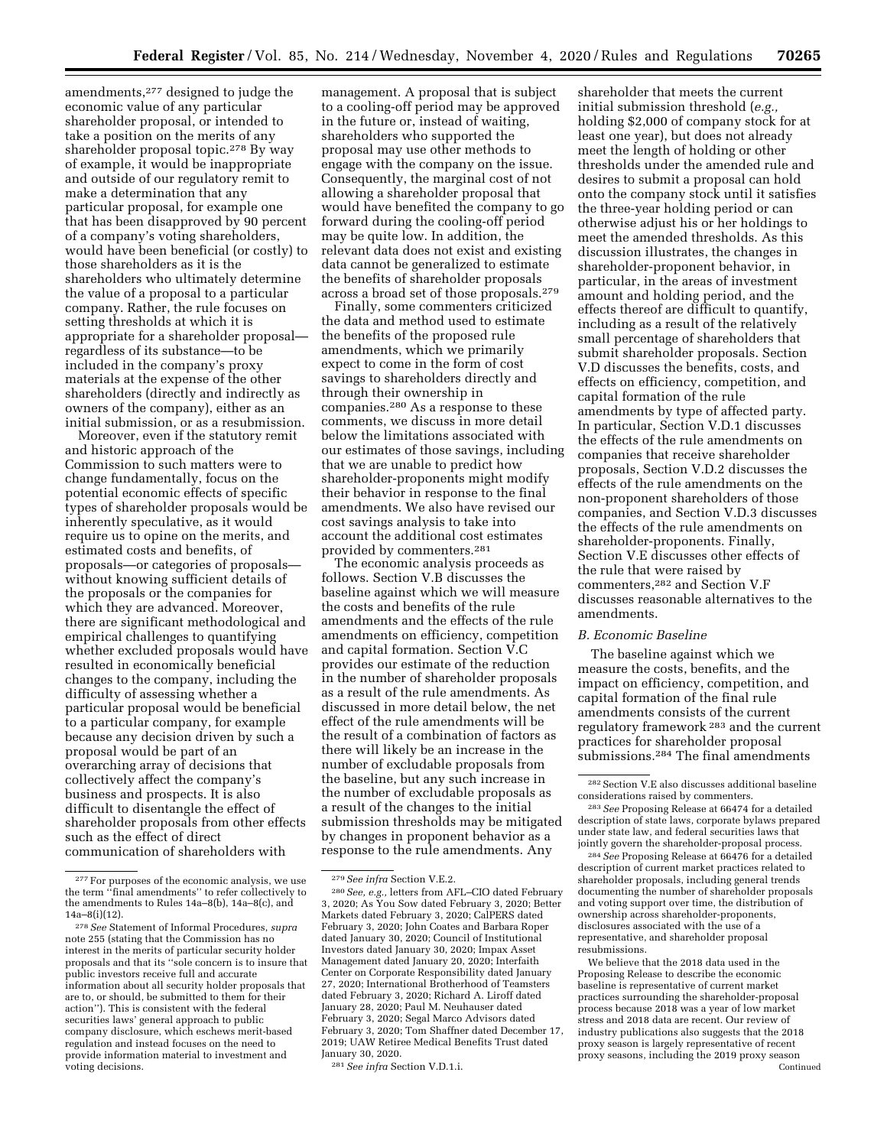amendments,277 designed to judge the economic value of any particular shareholder proposal, or intended to take a position on the merits of any shareholder proposal topic.278 By way of example, it would be inappropriate and outside of our regulatory remit to make a determination that any particular proposal, for example one that has been disapproved by 90 percent of a company's voting shareholders, would have been beneficial (or costly) to those shareholders as it is the shareholders who ultimately determine the value of a proposal to a particular company. Rather, the rule focuses on setting thresholds at which it is appropriate for a shareholder proposal regardless of its substance—to be included in the company's proxy materials at the expense of the other shareholders (directly and indirectly as owners of the company), either as an initial submission, or as a resubmission.

Moreover, even if the statutory remit and historic approach of the Commission to such matters were to change fundamentally, focus on the potential economic effects of specific types of shareholder proposals would be inherently speculative, as it would require us to opine on the merits, and estimated costs and benefits, of proposals—or categories of proposals without knowing sufficient details of the proposals or the companies for which they are advanced. Moreover, there are significant methodological and empirical challenges to quantifying whether excluded proposals would have resulted in economically beneficial changes to the company, including the difficulty of assessing whether a particular proposal would be beneficial to a particular company, for example because any decision driven by such a proposal would be part of an overarching array of decisions that collectively affect the company's business and prospects. It is also difficult to disentangle the effect of shareholder proposals from other effects such as the effect of direct communication of shareholders with

management. A proposal that is subject to a cooling-off period may be approved in the future or, instead of waiting, shareholders who supported the proposal may use other methods to engage with the company on the issue. Consequently, the marginal cost of not allowing a shareholder proposal that would have benefited the company to go forward during the cooling-off period may be quite low. In addition, the relevant data does not exist and existing data cannot be generalized to estimate the benefits of shareholder proposals across a broad set of those proposals.279

Finally, some commenters criticized the data and method used to estimate the benefits of the proposed rule amendments, which we primarily expect to come in the form of cost savings to shareholders directly and through their ownership in companies.280 As a response to these comments, we discuss in more detail below the limitations associated with our estimates of those savings, including that we are unable to predict how shareholder-proponents might modify their behavior in response to the final amendments. We also have revised our cost savings analysis to take into account the additional cost estimates provided by commenters.281

The economic analysis proceeds as follows. Section V.B discusses the baseline against which we will measure the costs and benefits of the rule amendments and the effects of the rule amendments on efficiency, competition and capital formation. Section V.C provides our estimate of the reduction in the number of shareholder proposals as a result of the rule amendments. As discussed in more detail below, the net effect of the rule amendments will be the result of a combination of factors as there will likely be an increase in the number of excludable proposals from the baseline, but any such increase in the number of excludable proposals as a result of the changes to the initial submission thresholds may be mitigated by changes in proponent behavior as a response to the rule amendments. Any

shareholder that meets the current initial submission threshold (*e.g.,*  holding \$2,000 of company stock for at least one year), but does not already meet the length of holding or other thresholds under the amended rule and desires to submit a proposal can hold onto the company stock until it satisfies the three-year holding period or can otherwise adjust his or her holdings to meet the amended thresholds. As this discussion illustrates, the changes in shareholder-proponent behavior, in particular, in the areas of investment amount and holding period, and the effects thereof are difficult to quantify, including as a result of the relatively small percentage of shareholders that submit shareholder proposals. Section V.D discusses the benefits, costs, and effects on efficiency, competition, and capital formation of the rule amendments by type of affected party. In particular, Section V.D.1 discusses the effects of the rule amendments on companies that receive shareholder proposals, Section V.D.2 discusses the effects of the rule amendments on the non-proponent shareholders of those companies, and Section V.D.3 discusses the effects of the rule amendments on shareholder-proponents. Finally, Section V.E discusses other effects of the rule that were raised by commenters,282 and Section V.F discusses reasonable alternatives to the amendments.

## *B. Economic Baseline*

The baseline against which we measure the costs, benefits, and the impact on efficiency, competition, and capital formation of the final rule amendments consists of the current regulatory framework 283 and the current practices for shareholder proposal submissions.284 The final amendments

We believe that the 2018 data used in the Proposing Release to describe the economic baseline is representative of current market practices surrounding the shareholder-proposal process because 2018 was a year of low market stress and 2018 data are recent. Our review of industry publications also suggests that the 2018 proxy season is largely representative of recent proxy seasons, including the 2019 proxy season Continued

<sup>277</sup>For purposes of the economic analysis, we use the term ''final amendments'' to refer collectively to the amendments to Rules 14a–8(b), 14a–8(c), and 14a–8(i)(12).

<sup>278</sup>*See* Statement of Informal Procedures, *supra*  note 255 (stating that the Commission has no interest in the merits of particular security holder proposals and that its ''sole concern is to insure that public investors receive full and accurate information about all security holder proposals that are to, or should, be submitted to them for their action''). This is consistent with the federal securities laws' general approach to public company disclosure, which eschews merit-based regulation and instead focuses on the need to provide information material to investment and voting decisions.

<sup>279</sup>*See infra* Section V.E.2.

<sup>280</sup>*See, e.g.,* letters from AFL–CIO dated February 3, 2020; As You Sow dated February 3, 2020; Better Markets dated February 3, 2020; CalPERS dated February 3, 2020; John Coates and Barbara Roper dated January 30, 2020; Council of Institutional Investors dated January 30, 2020; Impax Asset Management dated January 20, 2020; Interfaith Center on Corporate Responsibility dated January 27, 2020; International Brotherhood of Teamsters dated February 3, 2020; Richard A. Liroff dated January 28, 2020; Paul M. Neuhauser dated February 3, 2020; Segal Marco Advisors dated February 3, 2020; Tom Shaffner dated December 17, 2019; UAW Retiree Medical Benefits Trust dated January 30, 2020.

<sup>281</sup>*See infra* Section V.D.1.i.

<sup>282</sup>Section V.E also discusses additional baseline considerations raised by commenters.

<sup>283</sup>*See* Proposing Release at 66474 for a detailed description of state laws, corporate bylaws prepared under state law, and federal securities laws that jointly govern the shareholder-proposal process.

<sup>284</sup>*See* Proposing Release at 66476 for a detailed description of current market practices related to shareholder proposals, including general trends documenting the number of shareholder proposals and voting support over time, the distribution of ownership across shareholder-proponents, disclosures associated with the use of a representative, and shareholder proposal resubmissions.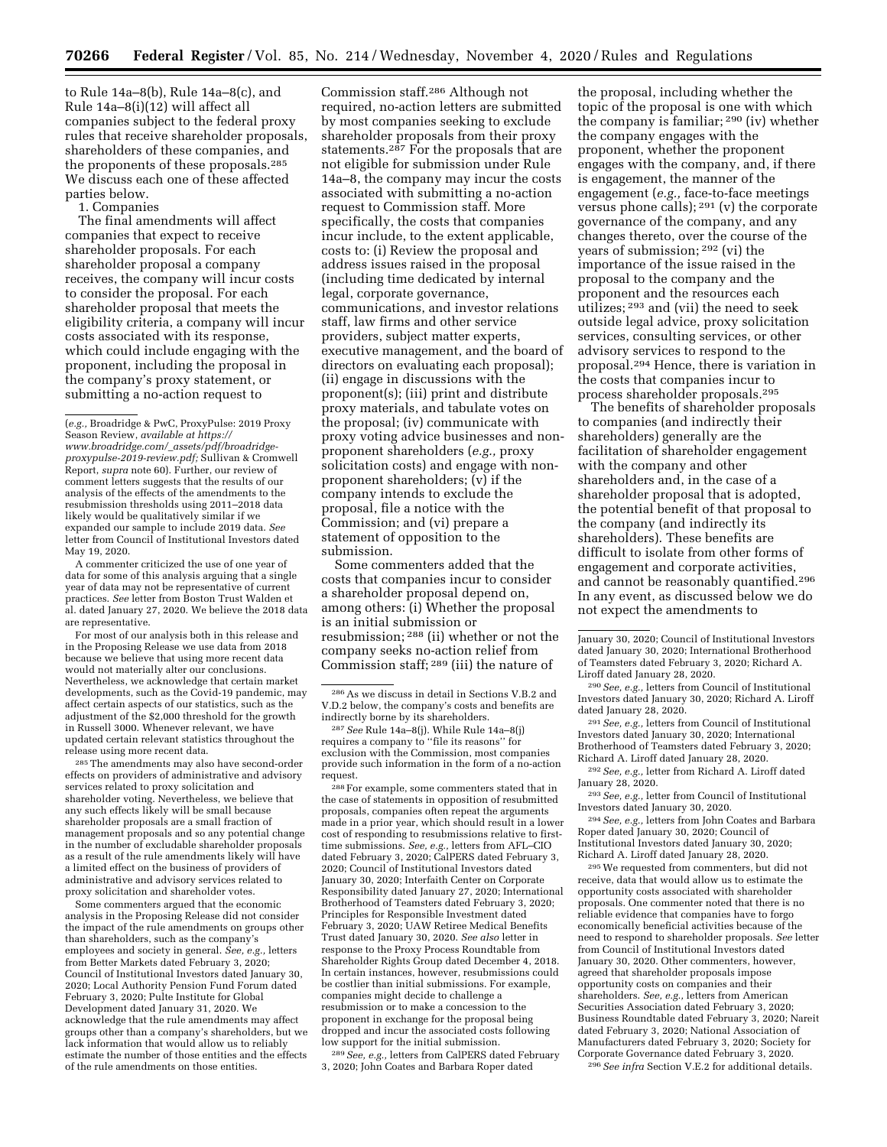to Rule 14a–8(b), Rule 14a–8(c), and Rule 14a–8(i)(12) will affect all companies subject to the federal proxy rules that receive shareholder proposals, shareholders of these companies, and the proponents of these proposals.285 We discuss each one of these affected parties below.

1. Companies

The final amendments will affect companies that expect to receive shareholder proposals. For each shareholder proposal a company receives, the company will incur costs to consider the proposal. For each shareholder proposal that meets the eligibility criteria, a company will incur costs associated with its response, which could include engaging with the proponent, including the proposal in the company's proxy statement, or submitting a no-action request to

A commenter criticized the use of one year of data for some of this analysis arguing that a single year of data may not be representative of current practices. *See* letter from Boston Trust Walden et al. dated January 27, 2020. We believe the 2018 data are representative.

For most of our analysis both in this release and in the Proposing Release we use data from 2018 because we believe that using more recent data would not materially alter our conclusions. Nevertheless, we acknowledge that certain market developments, such as the Covid-19 pandemic, may affect certain aspects of our statistics, such as the adjustment of the \$2,000 threshold for the growth in Russell 3000. Whenever relevant, we have updated certain relevant statistics throughout the release using more recent data.

285The amendments may also have second-order effects on providers of administrative and advisory services related to proxy solicitation and shareholder voting. Nevertheless, we believe that any such effects likely will be small because shareholder proposals are a small fraction of management proposals and so any potential change in the number of excludable shareholder proposals as a result of the rule amendments likely will have a limited effect on the business of providers of administrative and advisory services related to proxy solicitation and shareholder votes.

Some commenters argued that the economic analysis in the Proposing Release did not consider the impact of the rule amendments on groups other than shareholders, such as the company's employees and society in general. *See, e.g.,* letters from Better Markets dated February 3, 2020; Council of Institutional Investors dated January 30, 2020; Local Authority Pension Fund Forum dated February 3, 2020; Pulte Institute for Global Development dated January 31, 2020. We acknowledge that the rule amendments may affect groups other than a company's shareholders, but we lack information that would allow us to reliably estimate the number of those entities and the effects of the rule amendments on those entities.

Commission staff.286 Although not required, no-action letters are submitted by most companies seeking to exclude shareholder proposals from their proxy statements.<sup>287</sup> For the proposals that are not eligible for submission under Rule 14a–8, the company may incur the costs associated with submitting a no-action request to Commission staff. More specifically, the costs that companies incur include, to the extent applicable, costs to: (i) Review the proposal and address issues raised in the proposal (including time dedicated by internal legal, corporate governance, communications, and investor relations staff, law firms and other service providers, subject matter experts, executive management, and the board of directors on evaluating each proposal); (ii) engage in discussions with the proponent(s); (iii) print and distribute proxy materials, and tabulate votes on the proposal; (iv) communicate with proxy voting advice businesses and nonproponent shareholders (*e.g.,* proxy solicitation costs) and engage with nonproponent shareholders; (v) if the company intends to exclude the proposal, file a notice with the Commission; and (vi) prepare a statement of opposition to the submission.

Some commenters added that the costs that companies incur to consider a shareholder proposal depend on, among others: (i) Whether the proposal is an initial submission or resubmission; 288 (ii) whether or not the company seeks no-action relief from Commission staff; 289 (iii) the nature of

288For example, some commenters stated that in the case of statements in opposition of resubmitted proposals, companies often repeat the arguments made in a prior year, which should result in a lower cost of responding to resubmissions relative to firsttime submissions. *See, e.g.,* letters from AFL–CIO dated February 3, 2020; CalPERS dated February 3, 2020; Council of Institutional Investors dated January 30, 2020; Interfaith Center on Corporate Responsibility dated January 27, 2020; International Brotherhood of Teamsters dated February 3, 2020; Principles for Responsible Investment dated February 3, 2020; UAW Retiree Medical Benefits Trust dated January 30, 2020. *See also* letter in response to the Proxy Process Roundtable from Shareholder Rights Group dated December 4, 2018. In certain instances, however, resubmissions could be costlier than initial submissions. For example, companies might decide to challenge a resubmission or to make a concession to the proponent in exchange for the proposal being dropped and incur the associated costs following low support for the initial submission.

289*See, e.g.,* letters from CalPERS dated February 3, 2020; John Coates and Barbara Roper dated

the proposal, including whether the topic of the proposal is one with which the company is familiar; 290 (iv) whether the company engages with the proponent, whether the proponent engages with the company, and, if there is engagement, the manner of the engagement (*e.g.,* face-to-face meetings versus phone calls); 291 (v) the corporate governance of the company, and any changes thereto, over the course of the years of submission; 292 (vi) the importance of the issue raised in the proposal to the company and the proponent and the resources each utilizes; 293 and (vii) the need to seek outside legal advice, proxy solicitation services, consulting services, or other advisory services to respond to the proposal.294 Hence, there is variation in the costs that companies incur to process shareholder proposals.295

The benefits of shareholder proposals to companies (and indirectly their shareholders) generally are the facilitation of shareholder engagement with the company and other shareholders and, in the case of a shareholder proposal that is adopted, the potential benefit of that proposal to the company (and indirectly its shareholders). These benefits are difficult to isolate from other forms of engagement and corporate activities, and cannot be reasonably quantified.296 In any event, as discussed below we do not expect the amendments to

290*See, e.g.,* letters from Council of Institutional Investors dated January 30, 2020; Richard A. Liroff dated January 28, 2020.

291*See, e.g.,* letters from Council of Institutional Investors dated January 30, 2020; International Brotherhood of Teamsters dated February 3, 2020; Richard A. Liroff dated January 28, 2020.

292*See, e.g.,* letter from Richard A. Liroff dated January 28, 2020.

293*See, e.g.,* letter from Council of Institutional Investors dated January 30, 2020.

294*See, e.g.,* letters from John Coates and Barbara Roper dated January 30, 2020; Council of Institutional Investors dated January 30, 2020; Richard A. Liroff dated January 28, 2020.

295We requested from commenters, but did not receive, data that would allow us to estimate the opportunity costs associated with shareholder proposals. One commenter noted that there is no reliable evidence that companies have to forgo economically beneficial activities because of the need to respond to shareholder proposals. *See* letter from Council of Institutional Investors dated January 30, 2020. Other commenters, however, agreed that shareholder proposals impose opportunity costs on companies and their shareholders. *See, e.g.,* letters from American Securities Association dated February 3, 2020; Business Roundtable dated February 3, 2020; Nareit dated February 3, 2020; National Association of Manufacturers dated February 3, 2020; Society for Corporate Governance dated February 3, 2020.

296*See infra* Section V.E.2 for additional details.

<sup>(</sup>*e.g.,* Broadridge & PwC, ProxyPulse: 2019 Proxy Season Review, *available at [https://](https://www.broadridge.com/_assets/pdf/broadridge-proxypulse-2019-review.pdf) www.broadridge.com/*\_*[assets/pdf/broadridge](https://www.broadridge.com/_assets/pdf/broadridge-proxypulse-2019-review.pdf)[proxypulse-2019-review.pdf;](https://www.broadridge.com/_assets/pdf/broadridge-proxypulse-2019-review.pdf)* Sullivan & Cromwell Report, *supra* note 60). Further, our review of comment letters suggests that the results of our analysis of the effects of the amendments to the resubmission thresholds using 2011–2018 data likely would be qualitatively similar if we expanded our sample to include 2019 data. *See*  letter from Council of Institutional Investors dated May 19, 2020.

<sup>286</sup>As we discuss in detail in Sections V.B.2 and V.D.2 below, the company's costs and benefits are indirectly borne by its shareholders.

<sup>287</sup>*See* Rule 14a–8(j). While Rule 14a–8(j) requires a company to ''file its reasons'' for exclusion with the Commission, most companies provide such information in the form of a no-action request.

January 30, 2020; Council of Institutional Investors dated January 30, 2020; International Brotherhood of Teamsters dated February 3, 2020; Richard A. Liroff dated January 28, 2020.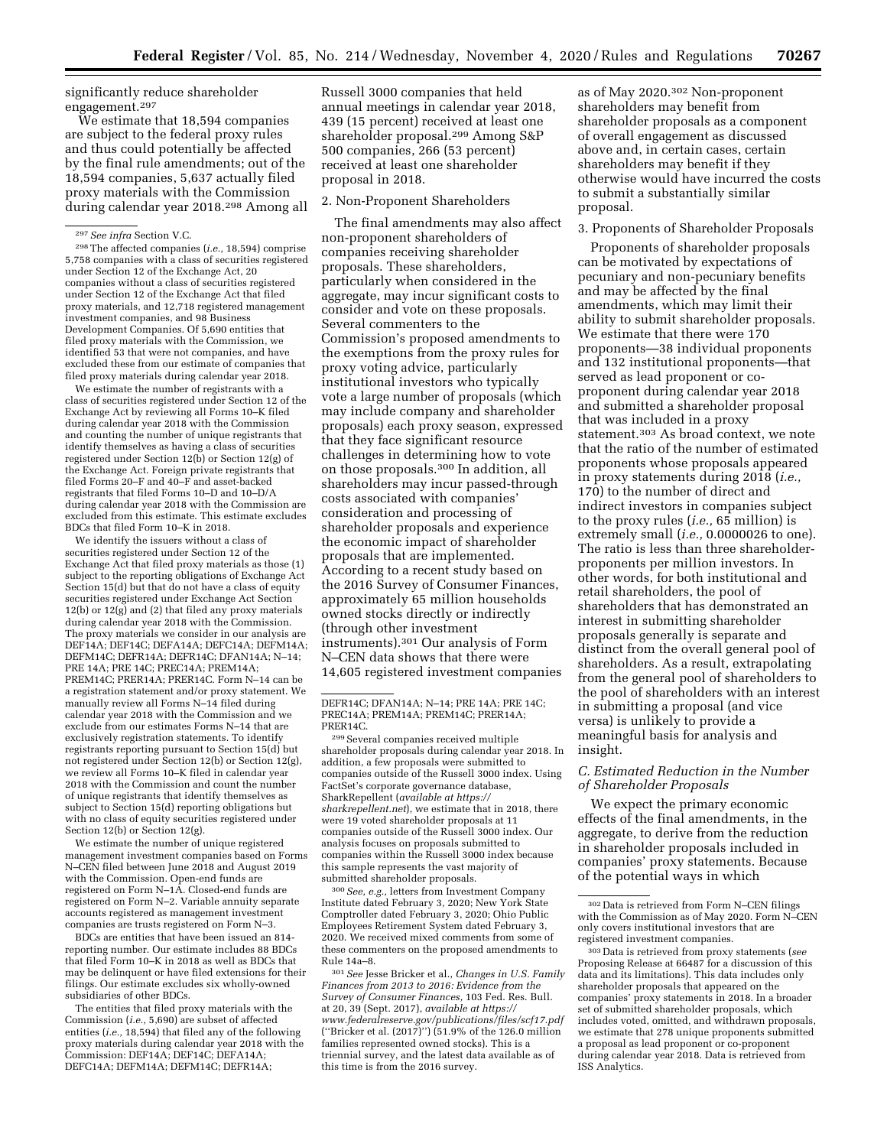significantly reduce shareholder engagement.297

We estimate that 18,594 companies are subject to the federal proxy rules and thus could potentially be affected by the final rule amendments; out of the 18,594 companies, 5,637 actually filed proxy materials with the Commission during calendar year 2018.298 Among all

297*See infra* Section V.C.

298The affected companies (*i.e.,* 18,594) comprise 5,758 companies with a class of securities registered under Section 12 of the Exchange Act, 20 companies without a class of securities registered under Section 12 of the Exchange Act that filed proxy materials, and 12,718 registered management investment companies, and 98 Business Development Companies. Of 5,690 entities that filed proxy materials with the Commission, we identified 53 that were not companies, and have excluded these from our estimate of companies that filed proxy materials during calendar year 2018.

We estimate the number of registrants with a class of securities registered under Section 12 of the Exchange Act by reviewing all Forms 10–K filed during calendar year 2018 with the Commission and counting the number of unique registrants that identify themselves as having a class of securities registered under Section 12(b) or Section 12(g) of the Exchange Act. Foreign private registrants that filed Forms 20–F and 40–F and asset-backed registrants that filed Forms 10–D and 10–D/A during calendar year 2018 with the Commission are excluded from this estimate. This estimate excludes BDCs that filed Form 10–K in 2018.

We identify the issuers without a class of securities registered under Section 12 of the Exchange Act that filed proxy materials as those (1) subject to the reporting obligations of Exchange Act Section 15(d) but that do not have a class of equity securities registered under Exchange Act Section 12(b) or 12(g) and (2) that filed any proxy materials during calendar year 2018 with the Commission. The proxy materials we consider in our analysis are DEF14A; DEF14C; DEFA14A; DEFC14A; DEFM14A; DEFM14C; DEFR14A; DEFR14C; DFAN14A; N–14; PRE 14A; PRE 14C; PREC14A; PREM14A; PREM14C; PRER14A; PRER14C. Form N–14 can be a registration statement and/or proxy statement. We manually review all Forms N–14 filed during calendar year 2018 with the Commission and we exclude from our estimates Forms N–14 that are exclusively registration statements. To identify registrants reporting pursuant to Section 15(d) but not registered under Section 12(b) or Section 12(g), we review all Forms 10–K filed in calendar year 2018 with the Commission and count the number of unique registrants that identify themselves as subject to Section 15(d) reporting obligations but with no class of equity securities registered under Section 12(b) or Section 12(g).

We estimate the number of unique registered management investment companies based on Forms N–CEN filed between June 2018 and August 2019 with the Commission. Open-end funds are registered on Form N–1A. Closed-end funds are registered on Form N–2. Variable annuity separate accounts registered as management investment companies are trusts registered on Form N–3.

BDCs are entities that have been issued an 814 reporting number. Our estimate includes 88 BDCs that filed Form 10–K in 2018 as well as BDCs that may be delinquent or have filed extensions for their filings. Our estimate excludes six wholly-owned subsidiaries of other BDCs.

The entities that filed proxy materials with the Commission (*i.e.,* 5,690) are subset of affected entities (*i.e.,* 18,594) that filed any of the following proxy materials during calendar year 2018 with the Commission: DEF14A; DEF14C; DEFA14A; DEFC14A; DEFM14A; DEFM14C; DEFR14A;

Russell 3000 companies that held annual meetings in calendar year 2018, 439 (15 percent) received at least one shareholder proposal.299 Among S&P 500 companies, 266 (53 percent) received at least one shareholder proposal in 2018.

#### 2. Non-Proponent Shareholders

The final amendments may also affect non-proponent shareholders of companies receiving shareholder proposals. These shareholders, particularly when considered in the aggregate, may incur significant costs to consider and vote on these proposals. Several commenters to the Commission's proposed amendments to the exemptions from the proxy rules for proxy voting advice, particularly institutional investors who typically vote a large number of proposals (which may include company and shareholder proposals) each proxy season, expressed that they face significant resource challenges in determining how to vote on those proposals.300 In addition, all shareholders may incur passed-through costs associated with companies' consideration and processing of shareholder proposals and experience the economic impact of shareholder proposals that are implemented. According to a recent study based on the 2016 Survey of Consumer Finances, approximately 65 million households owned stocks directly or indirectly (through other investment instruments).301 Our analysis of Form N–CEN data shows that there were 14,605 registered investment companies

299Several companies received multiple shareholder proposals during calendar year 2018. In addition, a few proposals were submitted to companies outside of the Russell 3000 index. Using FactSet's corporate governance database, SharkRepellent (*available at [https://](https://sharkrepellent.net) [sharkrepellent.net](https://sharkrepellent.net)*), we estimate that in 2018, there were 19 voted shareholder proposals at 11 companies outside of the Russell 3000 index. Our analysis focuses on proposals submitted to companies within the Russell 3000 index because this sample represents the vast majority of submitted shareholder proposals.

300*See, e.g.,* letters from Investment Company Institute dated February 3, 2020; New York State Comptroller dated February 3, 2020; Ohio Public Employees Retirement System dated February 3, 2020. We received mixed comments from some of these commenters on the proposed amendments to Rule 14a–8.

301*See* Jesse Bricker et al., *Changes in U.S. Family Finances from 2013 to 2016: Evidence from the Survey of Consumer Finances,* 103 Fed. Res. Bull. at 20, 39 (Sept. 2017), *available at [https://](https://www.federalreserve.gov/publications/files/scf17.pdf) [www.federalreserve.gov/publications/files/scf17.pdf](https://www.federalreserve.gov/publications/files/scf17.pdf)*  (''Bricker et al. (2017)'') (51.9% of the 126.0 million families represented owned stocks). This is a triennial survey, and the latest data available as of this time is from the 2016 survey.

as of May 2020.302 Non-proponent shareholders may benefit from shareholder proposals as a component of overall engagement as discussed above and, in certain cases, certain shareholders may benefit if they otherwise would have incurred the costs to submit a substantially similar proposal.

## 3. Proponents of Shareholder Proposals

Proponents of shareholder proposals can be motivated by expectations of pecuniary and non-pecuniary benefits and may be affected by the final amendments, which may limit their ability to submit shareholder proposals. We estimate that there were 170 proponents—38 individual proponents and 132 institutional proponents—that served as lead proponent or coproponent during calendar year 2018 and submitted a shareholder proposal that was included in a proxy statement.303 As broad context, we note that the ratio of the number of estimated proponents whose proposals appeared in proxy statements during 2018 (*i.e.,*  170) to the number of direct and indirect investors in companies subject to the proxy rules (*i.e.,* 65 million) is extremely small (*i.e.,* 0.0000026 to one). The ratio is less than three shareholderproponents per million investors. In other words, for both institutional and retail shareholders, the pool of shareholders that has demonstrated an interest in submitting shareholder proposals generally is separate and distinct from the overall general pool of shareholders. As a result, extrapolating from the general pool of shareholders to the pool of shareholders with an interest in submitting a proposal (and vice versa) is unlikely to provide a meaningful basis for analysis and insight.

### *C. Estimated Reduction in the Number of Shareholder Proposals*

We expect the primary economic effects of the final amendments, in the aggregate, to derive from the reduction in shareholder proposals included in companies' proxy statements. Because of the potential ways in which

DEFR14C; DFAN14A; N–14; PRE 14A; PRE 14C; PREC14A; PREM14A; PREM14C; PRER14A; PRER14C.

<sup>302</sup> Data is retrieved from Form N–CEN filings with the Commission as of May 2020. Form N–CEN only covers institutional investors that are registered investment companies.

<sup>303</sup> Data is retrieved from proxy statements (*see*  Proposing Release at 66487 for a discussion of this data and its limitations). This data includes only shareholder proposals that appeared on the companies' proxy statements in 2018. In a broader set of submitted shareholder proposals, which includes voted, omitted, and withdrawn proposals, we estimate that 278 unique proponents submitted a proposal as lead proponent or co-proponent during calendar year 2018. Data is retrieved from ISS Analytics.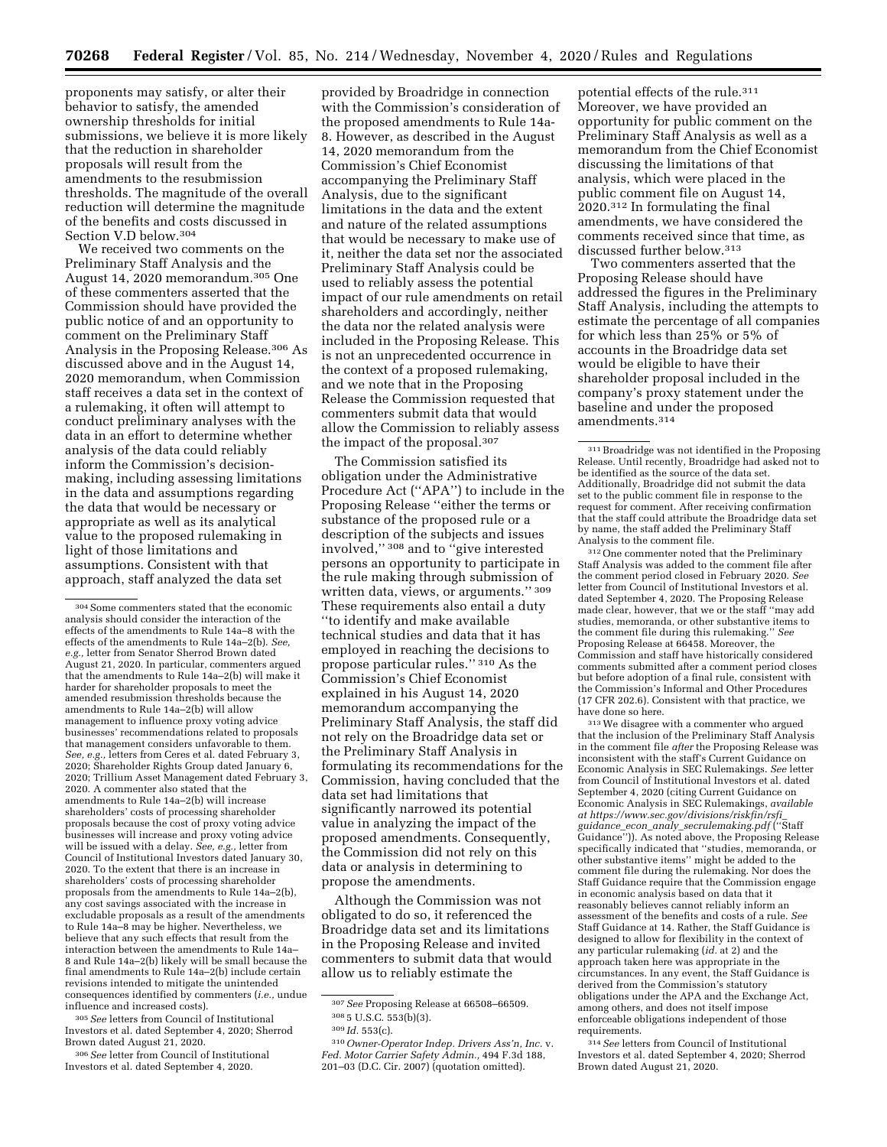proponents may satisfy, or alter their behavior to satisfy, the amended ownership thresholds for initial submissions, we believe it is more likely that the reduction in shareholder proposals will result from the amendments to the resubmission thresholds. The magnitude of the overall reduction will determine the magnitude of the benefits and costs discussed in Section V.D below.304

We received two comments on the Preliminary Staff Analysis and the August 14, 2020 memorandum.305 One of these commenters asserted that the Commission should have provided the public notice of and an opportunity to comment on the Preliminary Staff Analysis in the Proposing Release.306 As discussed above and in the August 14, 2020 memorandum, when Commission staff receives a data set in the context of a rulemaking, it often will attempt to conduct preliminary analyses with the data in an effort to determine whether analysis of the data could reliably inform the Commission's decisionmaking, including assessing limitations in the data and assumptions regarding the data that would be necessary or appropriate as well as its analytical value to the proposed rulemaking in light of those limitations and assumptions. Consistent with that approach, staff analyzed the data set

305*See* letters from Council of Institutional Investors et al. dated September 4, 2020; Sherrod Brown dated August 21, 2020.

306*See* letter from Council of Institutional Investors et al. dated September 4, 2020.

provided by Broadridge in connection with the Commission's consideration of the proposed amendments to Rule 14a-8. However, as described in the August 14, 2020 memorandum from the Commission's Chief Economist accompanying the Preliminary Staff Analysis, due to the significant limitations in the data and the extent and nature of the related assumptions that would be necessary to make use of it, neither the data set nor the associated Preliminary Staff Analysis could be used to reliably assess the potential impact of our rule amendments on retail shareholders and accordingly, neither the data nor the related analysis were included in the Proposing Release. This is not an unprecedented occurrence in the context of a proposed rulemaking, and we note that in the Proposing Release the Commission requested that commenters submit data that would allow the Commission to reliably assess the impact of the proposal.307

The Commission satisfied its obligation under the Administrative Procedure Act (''APA'') to include in the Proposing Release ''either the terms or substance of the proposed rule or a description of the subjects and issues involved,'' 308 and to ''give interested persons an opportunity to participate in the rule making through submission of written data, views, or arguments.'' 309 These requirements also entail a duty ''to identify and make available technical studies and data that it has employed in reaching the decisions to propose particular rules.'' 310 As the Commission's Chief Economist explained in his August 14, 2020 memorandum accompanying the Preliminary Staff Analysis, the staff did not rely on the Broadridge data set or the Preliminary Staff Analysis in formulating its recommendations for the Commission, having concluded that the data set had limitations that significantly narrowed its potential value in analyzing the impact of the proposed amendments. Consequently, the Commission did not rely on this data or analysis in determining to propose the amendments.

Although the Commission was not obligated to do so, it referenced the Broadridge data set and its limitations in the Proposing Release and invited commenters to submit data that would allow us to reliably estimate the

potential effects of the rule.<sup>311</sup> Moreover, we have provided an opportunity for public comment on the Preliminary Staff Analysis as well as a memorandum from the Chief Economist discussing the limitations of that analysis, which were placed in the public comment file on August 14, 2020.312 In formulating the final amendments, we have considered the comments received since that time, as discussed further below.313

Two commenters asserted that the Proposing Release should have addressed the figures in the Preliminary Staff Analysis, including the attempts to estimate the percentage of all companies for which less than 25% or 5% of accounts in the Broadridge data set would be eligible to have their shareholder proposal included in the company's proxy statement under the baseline and under the proposed amendments.314

312One commenter noted that the Preliminary Staff Analysis was added to the comment file after the comment period closed in February 2020. *See*  letter from Council of Institutional Investors et al. dated September 4, 2020. The Proposing Release made clear, however, that we or the staff ''may add studies, memoranda, or other substantive items to the comment file during this rulemaking.'' *See*  Proposing Release at 66458. Moreover, the Commission and staff have historically considered comments submitted after a comment period closes but before adoption of a final rule, consistent with the Commission's Informal and Other Procedures (17 CFR 202.6). Consistent with that practice, we have done so here.

313We disagree with a commenter who argued that the inclusion of the Preliminary Staff Analysis in the comment file *after* the Proposing Release was inconsistent with the staff's Current Guidance on Economic Analysis in SEC Rulemakings. *See* letter from Council of Institutional Investors et al. dated September 4, 2020 (citing Current Guidance on Economic Analysis in SEC Rulemakings, *available at [https://www.sec.gov/divisions/riskfin/rsfi](https://www.sec.gov/divisions/riskfin/rsfi_guidance_econ_analy_secrulemaking.pdf)*\_ *guidance*\_*econ*\_*analy*\_*[secrulemaking.pdf](https://www.sec.gov/divisions/riskfin/rsfi_guidance_econ_analy_secrulemaking.pdf)* (''Staff Guidance'')). As noted above, the Proposing Release specifically indicated that ''studies, memoranda, or other substantive items'' might be added to the comment file during the rulemaking. Nor does the Staff Guidance require that the Commission engage in economic analysis based on data that it reasonably believes cannot reliably inform an assessment of the benefits and costs of a rule. *See*  Staff Guidance at 14. Rather, the Staff Guidance is designed to allow for flexibility in the context of any particular rulemaking (*id.* at 2) and the approach taken here was appropriate in the circumstances. In any event, the Staff Guidance is derived from the Commission's statutory obligations under the APA and the Exchange Act, among others, and does not itself impose enforceable obligations independent of those requirements.

314*See* letters from Council of Institutional Investors et al. dated September 4, 2020; Sherrod Brown dated August 21, 2020.

<sup>304</sup>Some commenters stated that the economic analysis should consider the interaction of the effects of the amendments to Rule 14a–8 with the effects of the amendments to Rule 14a–2(b). *See, e.g.,* letter from Senator Sherrod Brown dated August 21, 2020. In particular, commenters argued that the amendments to Rule 14a–2(b) will make it harder for shareholder proposals to meet the amended resubmission thresholds because the amendments to Rule 14a–2(b) will allow management to influence proxy voting advice businesses' recommendations related to proposals that management considers unfavorable to them. *See, e.g.,* letters from Ceres et al. dated February 3, 2020; Shareholder Rights Group dated January 6, 2020; Trillium Asset Management dated February 3, 2020. A commenter also stated that the amendments to Rule 14a–2(b) will increase shareholders' costs of processing shareholder proposals because the cost of proxy voting advice businesses will increase and proxy voting advice will be issued with a delay. *See, e.g.,* letter from Council of Institutional Investors dated January 30, 2020. To the extent that there is an increase in shareholders' costs of processing shareholder proposals from the amendments to Rule 14a–2(b), any cost savings associated with the increase in excludable proposals as a result of the amendments to Rule 14a–8 may be higher. Nevertheless, we believe that any such effects that result from the interaction between the amendments to Rule 14a– 8 and Rule 14a–2(b) likely will be small because the final amendments to Rule 14a–2(b) include certain revisions intended to mitigate the unintended consequences identified by commenters (*i.e.,* undue influence and increased costs).

<sup>307</sup>*See* Proposing Release at 66508–66509.

<sup>308</sup> 5 U.S.C. 553(b)(3).

<sup>309</sup> *Id.* 553(c).

<sup>310</sup>*Owner-Operator Indep. Drivers Ass'n, Inc.* v. *Fed. Motor Carrier Safety Admin.,* 494 F.3d 188, 201–03 (D.C. Cir. 2007) (quotation omitted).

<sup>311</sup>Broadridge was not identified in the Proposing Release. Until recently, Broadridge had asked not to be identified as the source of the data set. Additionally, Broadridge did not submit the data set to the public comment file in response to the request for comment. After receiving confirmation that the staff could attribute the Broadridge data set by name, the staff added the Preliminary Staff Analysis to the comment file.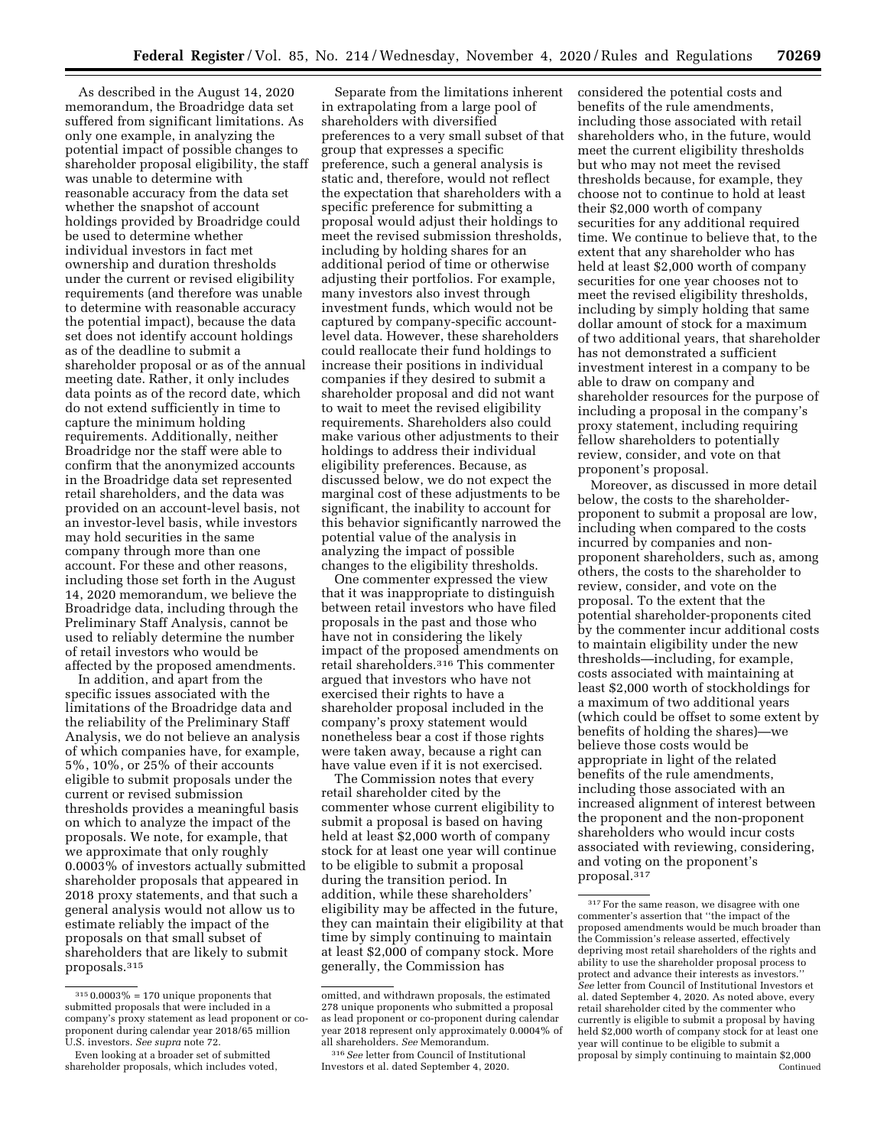As described in the August 14, 2020 memorandum, the Broadridge data set suffered from significant limitations. As only one example, in analyzing the potential impact of possible changes to shareholder proposal eligibility, the staff was unable to determine with reasonable accuracy from the data set whether the snapshot of account holdings provided by Broadridge could be used to determine whether individual investors in fact met ownership and duration thresholds under the current or revised eligibility requirements (and therefore was unable to determine with reasonable accuracy the potential impact), because the data set does not identify account holdings as of the deadline to submit a shareholder proposal or as of the annual meeting date. Rather, it only includes data points as of the record date, which do not extend sufficiently in time to capture the minimum holding requirements. Additionally, neither Broadridge nor the staff were able to confirm that the anonymized accounts in the Broadridge data set represented retail shareholders, and the data was provided on an account-level basis, not an investor-level basis, while investors may hold securities in the same company through more than one account. For these and other reasons, including those set forth in the August 14, 2020 memorandum, we believe the Broadridge data, including through the Preliminary Staff Analysis, cannot be used to reliably determine the number of retail investors who would be affected by the proposed amendments.

In addition, and apart from the specific issues associated with the limitations of the Broadridge data and the reliability of the Preliminary Staff Analysis, we do not believe an analysis of which companies have, for example, 5%, 10%, or 25% of their accounts eligible to submit proposals under the current or revised submission thresholds provides a meaningful basis on which to analyze the impact of the proposals. We note, for example, that we approximate that only roughly 0.0003% of investors actually submitted shareholder proposals that appeared in 2018 proxy statements, and that such a general analysis would not allow us to estimate reliably the impact of the proposals on that small subset of shareholders that are likely to submit proposals.315

Separate from the limitations inherent in extrapolating from a large pool of shareholders with diversified preferences to a very small subset of that group that expresses a specific preference, such a general analysis is static and, therefore, would not reflect the expectation that shareholders with a specific preference for submitting a proposal would adjust their holdings to meet the revised submission thresholds, including by holding shares for an additional period of time or otherwise adjusting their portfolios. For example, many investors also invest through investment funds, which would not be captured by company-specific accountlevel data. However, these shareholders could reallocate their fund holdings to increase their positions in individual companies if they desired to submit a shareholder proposal and did not want to wait to meet the revised eligibility requirements. Shareholders also could make various other adjustments to their holdings to address their individual eligibility preferences. Because, as discussed below, we do not expect the marginal cost of these adjustments to be significant, the inability to account for this behavior significantly narrowed the potential value of the analysis in analyzing the impact of possible changes to the eligibility thresholds.

One commenter expressed the view that it was inappropriate to distinguish between retail investors who have filed proposals in the past and those who have not in considering the likely impact of the proposed amendments on retail shareholders.316 This commenter argued that investors who have not exercised their rights to have a shareholder proposal included in the company's proxy statement would nonetheless bear a cost if those rights were taken away, because a right can have value even if it is not exercised.

The Commission notes that every retail shareholder cited by the commenter whose current eligibility to submit a proposal is based on having held at least \$2,000 worth of company stock for at least one year will continue to be eligible to submit a proposal during the transition period. In addition, while these shareholders' eligibility may be affected in the future, they can maintain their eligibility at that time by simply continuing to maintain at least \$2,000 of company stock. More generally, the Commission has

considered the potential costs and benefits of the rule amendments, including those associated with retail shareholders who, in the future, would meet the current eligibility thresholds but who may not meet the revised thresholds because, for example, they choose not to continue to hold at least their \$2,000 worth of company securities for any additional required time. We continue to believe that, to the extent that any shareholder who has held at least \$2,000 worth of company securities for one year chooses not to meet the revised eligibility thresholds, including by simply holding that same dollar amount of stock for a maximum of two additional years, that shareholder has not demonstrated a sufficient investment interest in a company to be able to draw on company and shareholder resources for the purpose of including a proposal in the company's proxy statement, including requiring fellow shareholders to potentially review, consider, and vote on that proponent's proposal.

Moreover, as discussed in more detail below, the costs to the shareholderproponent to submit a proposal are low, including when compared to the costs incurred by companies and nonproponent shareholders, such as, among others, the costs to the shareholder to review, consider, and vote on the proposal. To the extent that the potential shareholder-proponents cited by the commenter incur additional costs to maintain eligibility under the new thresholds—including, for example, costs associated with maintaining at least \$2,000 worth of stockholdings for a maximum of two additional years (which could be offset to some extent by benefits of holding the shares)—we believe those costs would be appropriate in light of the related benefits of the rule amendments, including those associated with an increased alignment of interest between the proponent and the non-proponent shareholders who would incur costs associated with reviewing, considering, and voting on the proponent's proposal.317

 $^{315}$  0.0003% = 170 unique proponents that submitted proposals that were included in a company's proxy statement as lead proponent or coproponent during calendar year 2018/65 million U.S. investors. *See supra* note 72.

Even looking at a broader set of submitted shareholder proposals, which includes voted,

omitted, and withdrawn proposals, the estimated 278 unique proponents who submitted a proposal as lead proponent or co-proponent during calendar year 2018 represent only approximately 0.0004% of all shareholders. *See* Memorandum.

<sup>316</sup>*See* letter from Council of Institutional Investors et al. dated September 4, 2020.

<sup>317</sup>For the same reason, we disagree with one commenter's assertion that ''the impact of the proposed amendments would be much broader than the Commission's release asserted, effectively depriving most retail shareholders of the rights and ability to use the shareholder proposal process to protect and advance their interests as investors.'' *See* letter from Council of Institutional Investors et al. dated September 4, 2020. As noted above, every retail shareholder cited by the commenter who currently is eligible to submit a proposal by having held \$2,000 worth of company stock for at least one year will continue to be eligible to submit a proposal by simply continuing to maintain \$2,000 Continued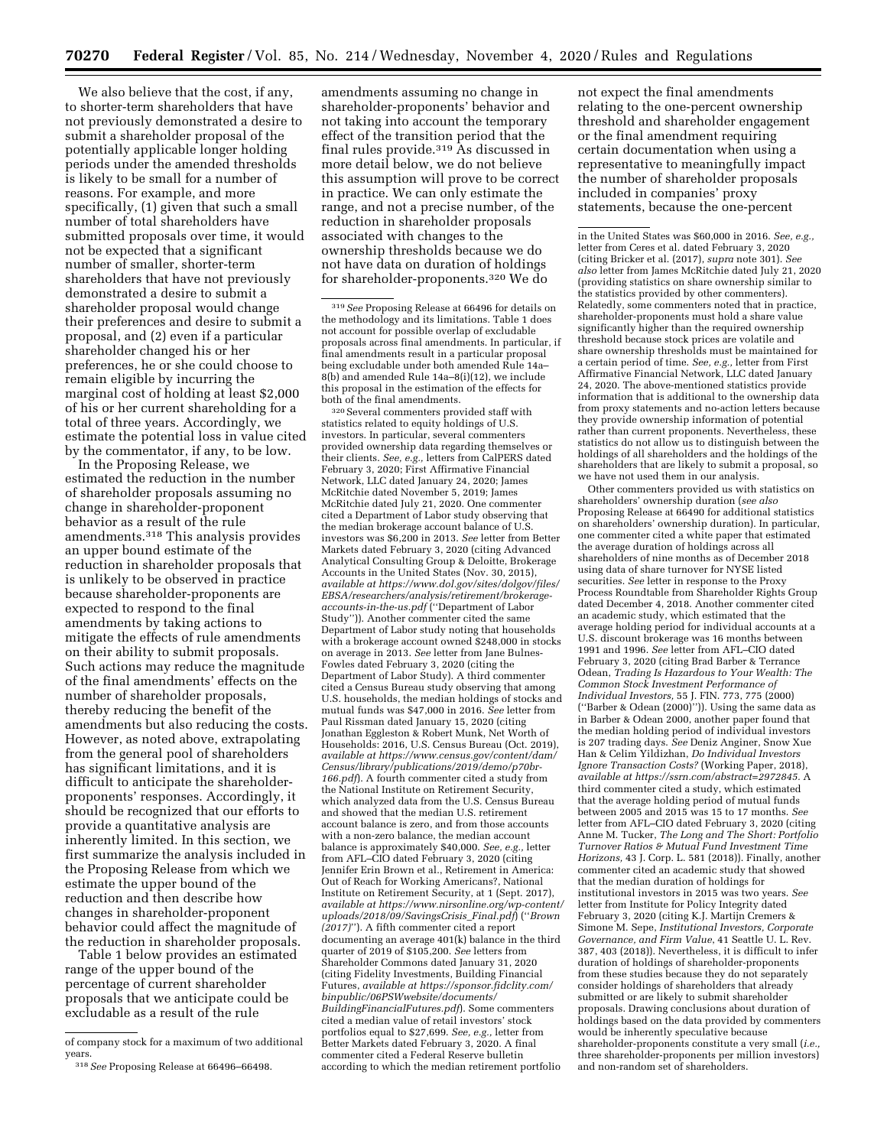We also believe that the cost, if any to shorter-term shareholders that have not previously demonstrated a desire to submit a shareholder proposal of the potentially applicable longer holding periods under the amended thresholds is likely to be small for a number of reasons. For example, and more specifically, (1) given that such a small number of total shareholders have submitted proposals over time, it would not be expected that a significant number of smaller, shorter-term shareholders that have not previously demonstrated a desire to submit a shareholder proposal would change their preferences and desire to submit a proposal, and (2) even if a particular shareholder changed his or her preferences, he or she could choose to remain eligible by incurring the marginal cost of holding at least \$2,000 of his or her current shareholding for a total of three years. Accordingly, we estimate the potential loss in value cited by the commentator, if any, to be low.

In the Proposing Release, we estimated the reduction in the number of shareholder proposals assuming no change in shareholder-proponent behavior as a result of the rule amendments.318 This analysis provides an upper bound estimate of the reduction in shareholder proposals that is unlikely to be observed in practice because shareholder-proponents are expected to respond to the final amendments by taking actions to mitigate the effects of rule amendments on their ability to submit proposals. Such actions may reduce the magnitude of the final amendments' effects on the number of shareholder proposals, thereby reducing the benefit of the amendments but also reducing the costs. However, as noted above, extrapolating from the general pool of shareholders has significant limitations, and it is difficult to anticipate the shareholderproponents' responses. Accordingly, it should be recognized that our efforts to provide a quantitative analysis are inherently limited. In this section, we first summarize the analysis included in the Proposing Release from which we estimate the upper bound of the reduction and then describe how changes in shareholder-proponent behavior could affect the magnitude of the reduction in shareholder proposals.

Table 1 below provides an estimated range of the upper bound of the percentage of current shareholder proposals that we anticipate could be excludable as a result of the rule

amendments assuming no change in shareholder-proponents' behavior and not taking into account the temporary effect of the transition period that the final rules provide.319 As discussed in more detail below, we do not believe this assumption will prove to be correct in practice. We can only estimate the range, and not a precise number, of the reduction in shareholder proposals associated with changes to the ownership thresholds because we do not have data on duration of holdings for shareholder-proponents.320 We do

320Several commenters provided staff with statistics related to equity holdings of U.S. investors. In particular, several commenters provided ownership data regarding themselves or their clients. *See, e.g.,* letters from CalPERS dated February 3, 2020; First Affirmative Financial Network, LLC dated January 24, 2020; James McRitchie dated November 5, 2019; James McRitchie dated July 21, 2020. One commenter cited a Department of Labor study observing that the median brokerage account balance of U.S. investors was \$6,200 in 2013. *See* letter from Better Markets dated February 3, 2020 (citing Advanced Analytical Consulting Group & Deloitte, Brokerage Accounts in the United States (Nov. 30, 2015), *available at [https://www.dol.gov/sites/dolgov/files/](https://www.dol.gov/sites/dolgov/files/EBSA/researchers/analysis/retirement/brokerage-accounts-in-the-us.pdf) [EBSA/researchers/analysis/retirement/brokerage](https://www.dol.gov/sites/dolgov/files/EBSA/researchers/analysis/retirement/brokerage-accounts-in-the-us.pdf)[accounts-in-the-us.pdf](https://www.dol.gov/sites/dolgov/files/EBSA/researchers/analysis/retirement/brokerage-accounts-in-the-us.pdf)* (''Department of Labor Study'')). Another commenter cited the same Department of Labor study noting that households with a brokerage account owned \$248,000 in stocks on average in 2013. *See* letter from Jane Bulnes-Fowles dated February 3, 2020 (citing the Department of Labor Study). A third commenter cited a Census Bureau study observing that among U.S. households, the median holdings of stocks and mutual funds was \$47,000 in 2016. *See* letter from Paul Rissman dated January 15, 2020 (citing Jonathan Eggleston & Robert Munk, Net Worth of Households: 2016, U.S. Census Bureau (Oct. 2019), *available at [https://www.census.gov/content/dam/](https://www.census.gov/content/dam/Census/library/publications/2019/demo/p70br-166.pdf) [Census/library/publications/2019/demo/p70br-](https://www.census.gov/content/dam/Census/library/publications/2019/demo/p70br-166.pdf)[166.pdf](https://www.census.gov/content/dam/Census/library/publications/2019/demo/p70br-166.pdf)*). A fourth commenter cited a study from the National Institute on Retirement Security, which analyzed data from the U.S. Census Bureau and showed that the median U.S. retirement account balance is zero, and from those accounts with a non-zero balance, the median account balance is approximately \$40,000. *See, e.g.,* letter from AFL–CIO dated February 3, 2020 (citing Jennifer Erin Brown et al., Retirement in America: Out of Reach for Working Americans?, National Institute on Retirement Security, at 1 (Sept. 2017), *available at [https://www.nirsonline.org/wp-content/](https://www.nirsonline.org/wp-content/uploads/2018/09/SavingsCrisis_Final.pdf) [uploads/2018/09/SavingsCrisis](https://www.nirsonline.org/wp-content/uploads/2018/09/SavingsCrisis_Final.pdf)*\_*Final.pdf*) (''*Brown (2017)*''). A fifth commenter cited a report documenting an average 401(k) balance in the third quarter of 2019 of \$105,200. *See* letters from Shareholder Commons dated January 31, 2020 (citing Fidelity Investments, Building Financial Futures, *available at [https://sponsor.fidclity.com/](https://sponsor.fidclity.com/binpublic/06PSWwebsite/documents/BuildingFinancialFutures.pdf)  [binpublic/06PSWwebsite/documents/](https://sponsor.fidclity.com/binpublic/06PSWwebsite/documents/BuildingFinancialFutures.pdf) [BuildingFinancialFutures.pdf](https://sponsor.fidclity.com/binpublic/06PSWwebsite/documents/BuildingFinancialFutures.pdf)*). Some commenters cited a median value of retail investors' stock portfolios equal to \$27,699. *See, e.g.,* letter from Better Markets dated February 3, 2020. A final commenter cited a Federal Reserve bulletin according to which the median retirement portfolio

not expect the final amendments relating to the one-percent ownership threshold and shareholder engagement or the final amendment requiring certain documentation when using a representative to meaningfully impact the number of shareholder proposals included in companies' proxy statements, because the one-percent

in the United States was \$60,000 in 2016. *See, e.g.,*  letter from Ceres et al. dated February 3, 2020 (citing Bricker et al. (2017), *supra* note 301). *See also* letter from James McRitchie dated July 21, 2020 (providing statistics on share ownership similar to the statistics provided by other commenters). Relatedly, some commenters noted that in practice, shareholder-proponents must hold a share value significantly higher than the required ownership threshold because stock prices are volatile and share ownership thresholds must be maintained for a certain period of time. *See, e.g.,* letter from First Affirmative Financial Network, LLC dated January 24, 2020. The above-mentioned statistics provide information that is additional to the ownership data from proxy statements and no-action letters because they provide ownership information of potential rather than current proponents. Nevertheless, these statistics do not allow us to distinguish between the holdings of all shareholders and the holdings of the shareholders that are likely to submit a proposal, so we have not used them in our analysis.

Other commenters provided us with statistics on shareholders' ownership duration (*see also*  Proposing Release at 66490 for additional statistics on shareholders' ownership duration). In particular, one commenter cited a white paper that estimated the average duration of holdings across all shareholders of nine months as of December 2018 using data of share turnover for NYSE listed securities. *See* letter in response to the Proxy Process Roundtable from Shareholder Rights Group dated December 4, 2018. Another commenter cited an academic study, which estimated that the average holding period for individual accounts at a U.S. discount brokerage was 16 months between 1991 and 1996. *See* letter from AFL–CIO dated February 3, 2020 (citing Brad Barber & Terrance Odean, *Trading Is Hazardous to Your Wealth: The Common Stock Investment Performance of Individual Investors,* 55 J. FIN. 773, 775 (2000) (''Barber & Odean (2000)'')). Using the same data as in Barber & Odean 2000, another paper found that the median holding period of individual investors is 207 trading days. *See* Deniz Anginer, Snow Xue Han & Celim Yildizhan, *Do Individual Investors Ignore Transaction Costs?* (Working Paper, 2018), *available at [https://ssrn.com/abstract=2972845.](https://ssrn.com/abstract=2972845)* A third commenter cited a study, which estimated that the average holding period of mutual funds between 2005 and 2015 was 15 to 17 months. *See*  letter from AFL–CIO dated February 3, 2020 (citing Anne M. Tucker, *The Long and The Short: Portfolio Turnover Ratios & Mutual Fund Investment Time Horizons,* 43 J. Corp. L. 581 (2018)). Finally, another commenter cited an academic study that showed that the median duration of holdings for institutional investors in 2015 was two years. *See*  letter from Institute for Policy Integrity dated February 3, 2020 (citing K.J. Martijn Cremers & Simone M. Sepe, *Institutional Investors, Corporate Governance, and Firm Value*, 41 Seattle U. L. Rev. 387, 403 (2018)). Nevertheless, it is difficult to infer duration of holdings of shareholder-proponents from these studies because they do not separately consider holdings of shareholders that already submitted or are likely to submit shareholder proposals. Drawing conclusions about duration of holdings based on the data provided by commenters would be inherently speculative because shareholder-proponents constitute a very small (*i.e.,*  three shareholder-proponents per million investors) and non-random set of shareholders.

of company stock for a maximum of two additional years.

<sup>318</sup>*See* Proposing Release at 66496–66498.

<sup>319</sup>*See* Proposing Release at 66496 for details on the methodology and its limitations. Table 1 does not account for possible overlap of excludable proposals across final amendments. In particular, if final amendments result in a particular proposal being excludable under both amended Rule 14a– 8(b) and amended Rule 14a–8(i)(12), we include this proposal in the estimation of the effects for both of the final amendments.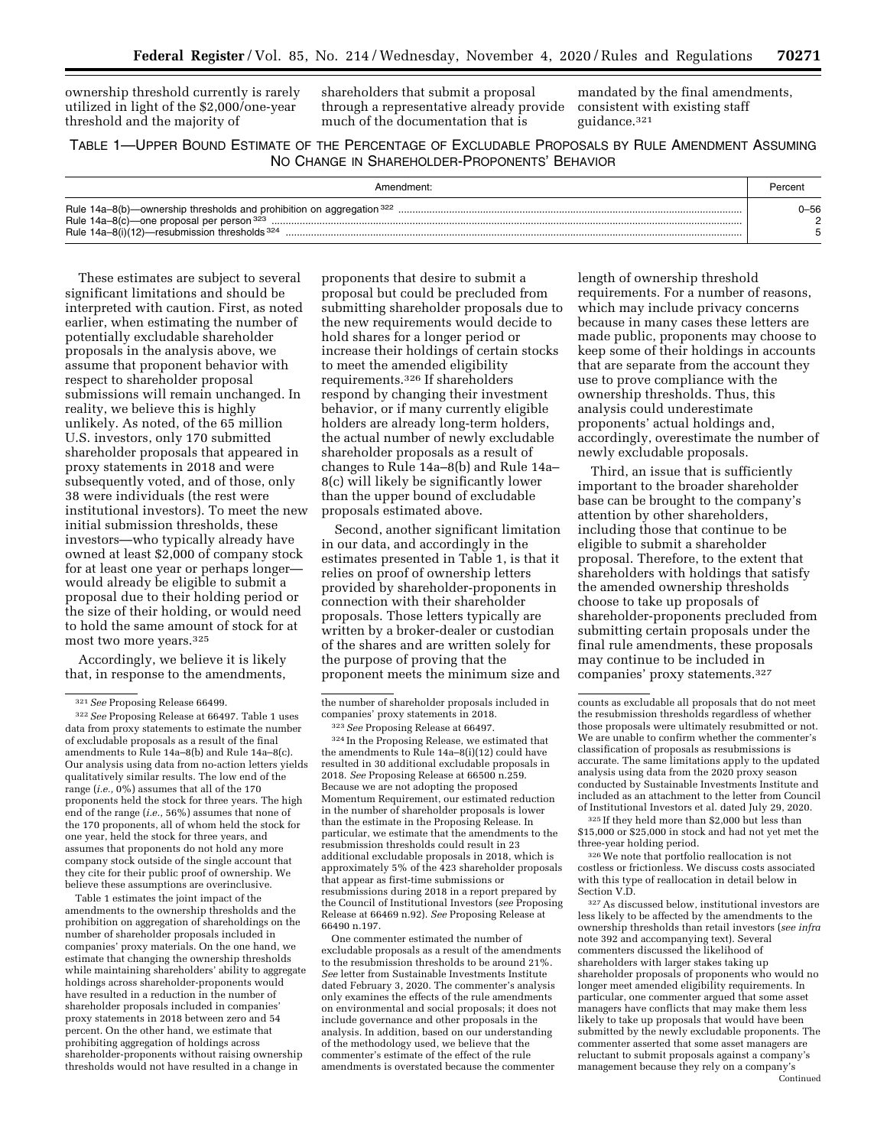ownership threshold currently is rarely utilized in light of the \$2,000/one-year threshold and the majority of

shareholders that submit a proposal through a representative already provide much of the documentation that is

mandated by the final amendments, consistent with existing staff guidance.321

# TABLE 1—UPPER BOUND ESTIMATE OF THE PERCENTAGE OF EXCLUDABLE PROPOSALS BY RULE AMENDMENT ASSUMING NO CHANGE IN SHAREHOLDER-PROPONENTS' BEHAVIOR

| Rule $14a-8(b)$ —ownership thresholds and prohibition on aggregation $322$<br>Rule 14a-8(c) one proposal per person 323<br>Rule 14a-8(i)(12)-resubmission thresholds 324 | -56 |  |  |
|--------------------------------------------------------------------------------------------------------------------------------------------------------------------------|-----|--|--|

These estimates are subject to several significant limitations and should be interpreted with caution. First, as noted earlier, when estimating the number of potentially excludable shareholder proposals in the analysis above, we assume that proponent behavior with respect to shareholder proposal submissions will remain unchanged. In reality, we believe this is highly unlikely. As noted, of the 65 million U.S. investors, only 170 submitted shareholder proposals that appeared in proxy statements in 2018 and were subsequently voted, and of those, only 38 were individuals (the rest were institutional investors). To meet the new initial submission thresholds, these investors—who typically already have owned at least \$2,000 of company stock for at least one year or perhaps longer would already be eligible to submit a proposal due to their holding period or the size of their holding, or would need to hold the same amount of stock for at most two more years.325

Accordingly, we believe it is likely that, in response to the amendments,

Table 1 estimates the joint impact of the amendments to the ownership thresholds and the prohibition on aggregation of shareholdings on the number of shareholder proposals included in companies' proxy materials. On the one hand, we estimate that changing the ownership thresholds while maintaining shareholders' ability to aggregate holdings across shareholder-proponents would have resulted in a reduction in the number of shareholder proposals included in companies' proxy statements in 2018 between zero and 54 percent. On the other hand, we estimate that prohibiting aggregation of holdings across shareholder-proponents without raising ownership thresholds would not have resulted in a change in

proponents that desire to submit a proposal but could be precluded from submitting shareholder proposals due to the new requirements would decide to hold shares for a longer period or increase their holdings of certain stocks to meet the amended eligibility requirements.326 If shareholders respond by changing their investment behavior, or if many currently eligible holders are already long-term holders, the actual number of newly excludable shareholder proposals as a result of changes to Rule 14a–8(b) and Rule 14a– 8(c) will likely be significantly lower than the upper bound of excludable proposals estimated above.

Second, another significant limitation in our data, and accordingly in the estimates presented in Table 1, is that it relies on proof of ownership letters provided by shareholder-proponents in connection with their shareholder proposals. Those letters typically are written by a broker-dealer or custodian of the shares and are written solely for the purpose of proving that the proponent meets the minimum size and

324 In the Proposing Release, we estimated that the amendments to Rule 14a–8(i)(12) could have resulted in 30 additional excludable proposals in 2018. *See* Proposing Release at 66500 n.259. Because we are not adopting the proposed Momentum Requirement, our estimated reduction in the number of shareholder proposals is lower than the estimate in the Proposing Release. In particular, we estimate that the amendments to the resubmission thresholds could result in 23 additional excludable proposals in 2018, which is approximately 5% of the 423 shareholder proposals that appear as first-time submissions or resubmissions during 2018 in a report prepared by the Council of Institutional Investors (*see* Proposing Release at 66469 n.92). *See* Proposing Release at 66490 n.197.

One commenter estimated the number of excludable proposals as a result of the amendments to the resubmission thresholds to be around 21%. *See* letter from Sustainable Investments Institute dated February 3, 2020. The commenter's analysis only examines the effects of the rule amendments on environmental and social proposals; it does not include governance and other proposals in the analysis. In addition, based on our understanding of the methodology used, we believe that the commenter's estimate of the effect of the rule amendments is overstated because the commenter

length of ownership threshold requirements. For a number of reasons, which may include privacy concerns because in many cases these letters are made public, proponents may choose to keep some of their holdings in accounts that are separate from the account they use to prove compliance with the ownership thresholds. Thus, this analysis could underestimate proponents' actual holdings and, accordingly, overestimate the number of newly excludable proposals.

Third, an issue that is sufficiently important to the broader shareholder base can be brought to the company's attention by other shareholders, including those that continue to be eligible to submit a shareholder proposal. Therefore, to the extent that shareholders with holdings that satisfy the amended ownership thresholds choose to take up proposals of shareholder-proponents precluded from submitting certain proposals under the final rule amendments, these proposals may continue to be included in companies' proxy statements.327

325 If they held more than \$2,000 but less than \$15,000 or \$25,000 in stock and had not yet met the three-year holding period.

326We note that portfolio reallocation is not costless or frictionless. We discuss costs associated with this type of reallocation in detail below in Section V.D.

 $^\mathrm{327}\mathrm{As}$  discussed below, institutional investors are less likely to be affected by the amendments to the ownership thresholds than retail investors (*see infra*  note 392 and accompanying text). Several commenters discussed the likelihood of shareholders with larger stakes taking up shareholder proposals of proponents who would no longer meet amended eligibility requirements. In particular, one commenter argued that some asset managers have conflicts that may make them less likely to take up proposals that would have been submitted by the newly excludable proponents. The commenter asserted that some asset managers are reluctant to submit proposals against a company's management because they rely on a company's

<sup>321</sup>*See* Proposing Release 66499.

<sup>322</sup>*See* Proposing Release at 66497. Table 1 uses data from proxy statements to estimate the number of excludable proposals as a result of the final amendments to Rule 14a–8(b) and Rule 14a–8(c). Our analysis using data from no-action letters yields qualitatively similar results. The low end of the range (*i.e.,* 0%) assumes that all of the 170 proponents held the stock for three years. The high end of the range (*i.e.,* 56%) assumes that none of the 170 proponents, all of whom held the stock for one year, held the stock for three years, and assumes that proponents do not hold any more company stock outside of the single account that they cite for their public proof of ownership. We believe these assumptions are overinclusive.

the number of shareholder proposals included in companies' proxy statements in 2018.

<sup>323</sup>*See* Proposing Release at 66497.

counts as excludable all proposals that do not meet the resubmission thresholds regardless of whether those proposals were ultimately resubmitted or not. We are unable to confirm whether the commenter's classification of proposals as resubmissions is accurate. The same limitations apply to the updated analysis using data from the 2020 proxy season conducted by Sustainable Investments Institute and included as an attachment to the letter from Council of Institutional Investors et al. dated July 29, 2020.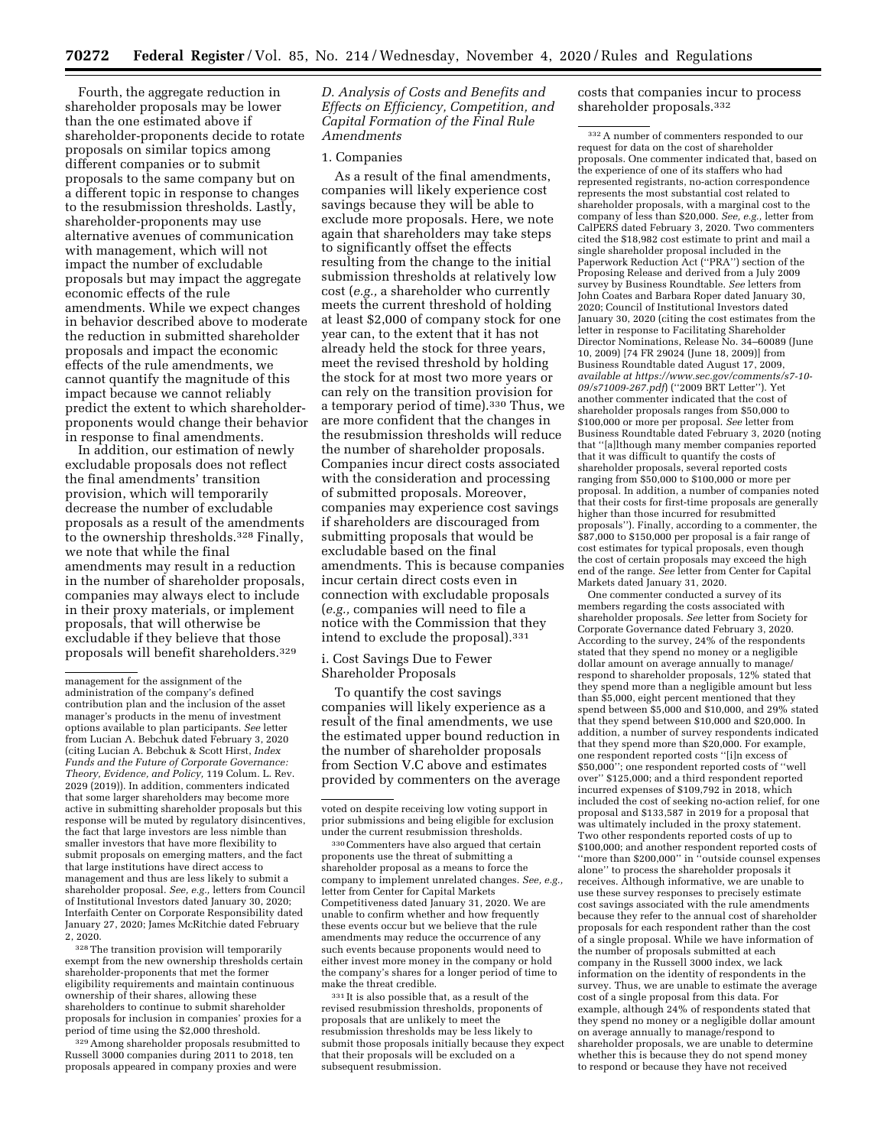Fourth, the aggregate reduction in shareholder proposals may be lower than the one estimated above if shareholder-proponents decide to rotate proposals on similar topics among different companies or to submit proposals to the same company but on a different topic in response to changes to the resubmission thresholds. Lastly, shareholder-proponents may use alternative avenues of communication with management, which will not impact the number of excludable proposals but may impact the aggregate economic effects of the rule amendments. While we expect changes in behavior described above to moderate the reduction in submitted shareholder proposals and impact the economic effects of the rule amendments, we cannot quantify the magnitude of this impact because we cannot reliably predict the extent to which shareholderproponents would change their behavior in response to final amendments.

In addition, our estimation of newly excludable proposals does not reflect the final amendments' transition provision, which will temporarily decrease the number of excludable proposals as a result of the amendments to the ownership thresholds.328 Finally, we note that while the final amendments may result in a reduction in the number of shareholder proposals, companies may always elect to include in their proxy materials, or implement proposals, that will otherwise be excludable if they believe that those proposals will benefit shareholders.329

328The transition provision will temporarily exempt from the new ownership thresholds certain shareholder-proponents that met the former eligibility requirements and maintain continuous ownership of their shares, allowing these shareholders to continue to submit shareholder proposals for inclusion in companies' proxies for a period of time using the \$2,000 threshold.

329Among shareholder proposals resubmitted to Russell 3000 companies during 2011 to 2018, ten proposals appeared in company proxies and were

*D. Analysis of Costs and Benefits and Effects on Efficiency, Competition, and Capital Formation of the Final Rule Amendments* 

## 1. Companies

As a result of the final amendments, companies will likely experience cost savings because they will be able to exclude more proposals. Here, we note again that shareholders may take steps to significantly offset the effects resulting from the change to the initial submission thresholds at relatively low cost (*e.g.,* a shareholder who currently meets the current threshold of holding at least \$2,000 of company stock for one year can, to the extent that it has not already held the stock for three years, meet the revised threshold by holding the stock for at most two more years or can rely on the transition provision for a temporary period of time).330 Thus, we are more confident that the changes in the resubmission thresholds will reduce the number of shareholder proposals. Companies incur direct costs associated with the consideration and processing of submitted proposals. Moreover, companies may experience cost savings if shareholders are discouraged from submitting proposals that would be excludable based on the final amendments. This is because companies incur certain direct costs even in connection with excludable proposals (*e.g.,* companies will need to file a notice with the Commission that they intend to exclude the proposal).331

i. Cost Savings Due to Fewer Shareholder Proposals

To quantify the cost savings companies will likely experience as a result of the final amendments, we use the estimated upper bound reduction in the number of shareholder proposals from Section V.C above and estimates provided by commenters on the average

330Commenters have also argued that certain proponents use the threat of submitting a shareholder proposal as a means to force the company to implement unrelated changes. *See, e.g.,*  letter from Center for Capital Markets Competitiveness dated January 31, 2020. We are unable to confirm whether and how frequently these events occur but we believe that the rule amendments may reduce the occurrence of any such events because proponents would need to either invest more money in the company or hold the company's shares for a longer period of time to make the threat credible.

331 It is also possible that, as a result of the revised resubmission thresholds, proponents of proposals that are unlikely to meet the resubmission thresholds may be less likely to submit those proposals initially because they expect that their proposals will be excluded on a subsequent resubmission.

costs that companies incur to process shareholder proposals.332

332A number of commenters responded to our request for data on the cost of shareholder proposals. One commenter indicated that, based on the experience of one of its staffers who had represented registrants, no-action correspondence represents the most substantial cost related to shareholder proposals, with a marginal cost to the company of less than \$20,000. *See, e.g.,* letter from CalPERS dated February 3, 2020. Two commenters cited the \$18,982 cost estimate to print and mail a single shareholder proposal included in the Paperwork Reduction Act (''PRA'') section of the Proposing Release and derived from a July 2009 survey by Business Roundtable. *See* letters from John Coates and Barbara Roper dated January 30, 2020; Council of Institutional Investors dated January 30, 2020 (citing the cost estimates from the letter in response to Facilitating Shareholder Director Nominations, Release No. 34–60089 (June 10, 2009) [74 FR 29024 (June 18, 2009)] from Business Roundtable dated August 17, 2009, *available at [https://www.sec.gov/comments/s7-10-](https://www.sec.gov/comments/s7-10-09/s71009-267.pdf) [09/s71009-267.pdf](https://www.sec.gov/comments/s7-10-09/s71009-267.pdf)*) (''2009 BRT Letter''). Yet another commenter indicated that the cost of shareholder proposals ranges from \$50,000 to \$100,000 or more per proposal. *See* letter from Business Roundtable dated February 3, 2020 (noting that ''[a]lthough many member companies reported that it was difficult to quantify the costs of shareholder proposals, several reported costs ranging from \$50,000 to \$100,000 or more per proposal. In addition, a number of companies noted that their costs for first-time proposals are generally higher than those incurred for resubmitted proposals''). Finally, according to a commenter, the \$87,000 to \$150,000 per proposal is a fair range of cost estimates for typical proposals, even though the cost of certain proposals may exceed the high end of the range. *See* letter from Center for Capital Markets dated January 31, 2020.

One commenter conducted a survey of its members regarding the costs associated with shareholder proposals. *See* letter from Society for Corporate Governance dated February 3, 2020. According to the survey, 24% of the respondents stated that they spend no money or a negligible dollar amount on average annually to manage/ respond to shareholder proposals, 12% stated that they spend more than a negligible amount but less than \$5,000, eight percent mentioned that they spend between \$5,000 and \$10,000, and 29% stated that they spend between \$10,000 and \$20,000. In addition, a number of survey respondents indicated that they spend more than \$20,000. For example, one respondent reported costs ''[i]n excess of \$50,000''; one respondent reported costs of ''well over'' \$125,000; and a third respondent reported incurred expenses of \$109,792 in 2018, which included the cost of seeking no-action relief, for one proposal and \$133,587 in 2019 for a proposal that was ultimately included in the proxy statement. Two other respondents reported costs of up to \$100,000; and another respondent reported costs of ''more than \$200,000'' in ''outside counsel expenses alone'' to process the shareholder proposals it receives. Although informative, we are unable to use these survey responses to precisely estimate cost savings associated with the rule amendments because they refer to the annual cost of shareholder proposals for each respondent rather than the cost of a single proposal. While we have information of the number of proposals submitted at each company in the Russell 3000 index, we lack information on the identity of respondents in the survey. Thus, we are unable to estimate the average cost of a single proposal from this data. For example, although 24% of respondents stated that they spend no money or a negligible dollar amount on average annually to manage/respond to shareholder proposals, we are unable to determine whether this is because they do not spend money to respond or because they have not received

management for the assignment of the administration of the company's defined contribution plan and the inclusion of the asset manager's products in the menu of investment options available to plan participants. *See* letter from Lucian A. Bebchuk dated February 3, 2020 (citing Lucian A. Bebchuk & Scott Hirst, *Index Funds and the Future of Corporate Governance: Theory, Evidence, and Policy,* 119 Colum. L. Rev. 2029 (2019)). In addition, commenters indicated that some larger shareholders may become more active in submitting shareholder proposals but this response will be muted by regulatory disincentives, the fact that large investors are less nimble than smaller investors that have more flexibility to submit proposals on emerging matters, and the fact that large institutions have direct access to management and thus are less likely to submit a shareholder proposal. *See, e.g.,* letters from Council of Institutional Investors dated January 30, 2020; Interfaith Center on Corporate Responsibility dated January 27, 2020; James McRitchie dated February 2, 2020.

voted on despite receiving low voting support in prior submissions and being eligible for exclusion under the current resubmission thresholds.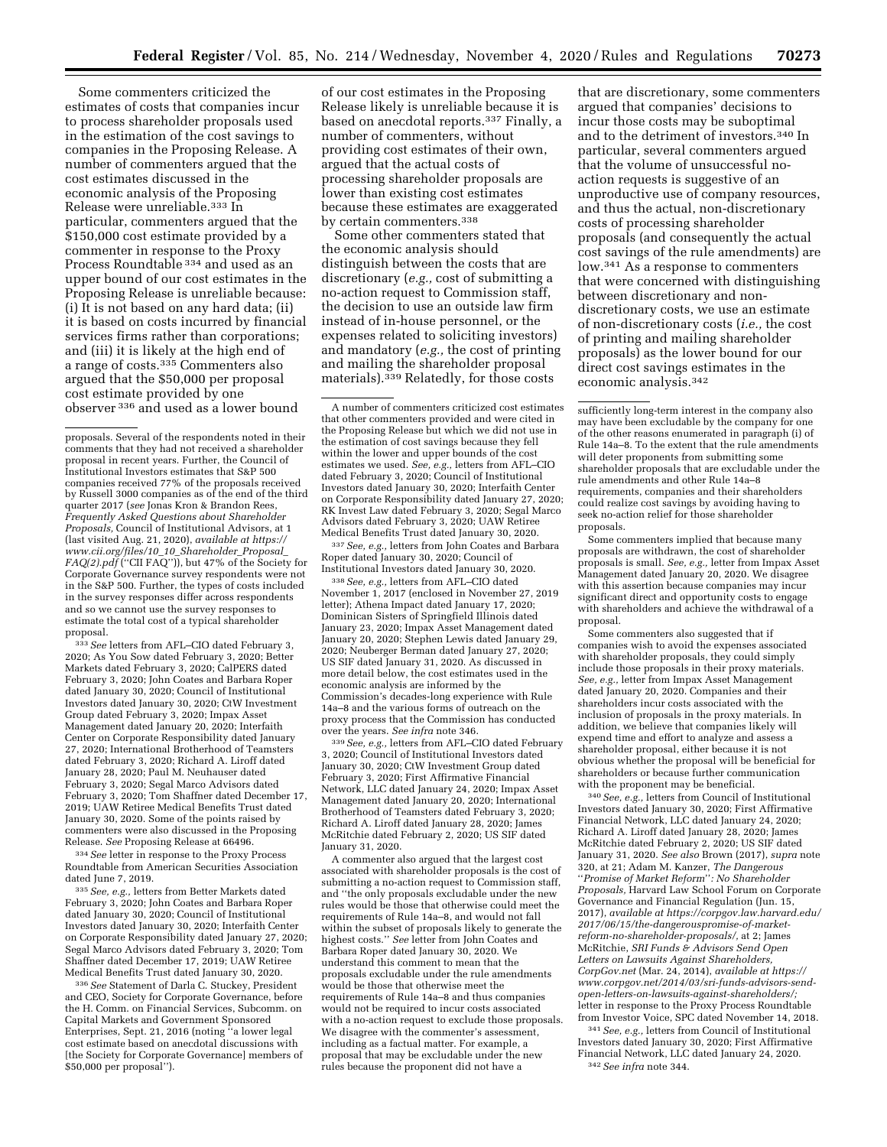Some commenters criticized the estimates of costs that companies incur to process shareholder proposals used in the estimation of the cost savings to companies in the Proposing Release. A number of commenters argued that the cost estimates discussed in the economic analysis of the Proposing Release were unreliable.333 In particular, commenters argued that the \$150,000 cost estimate provided by a commenter in response to the Proxy Process Roundtable 334 and used as an upper bound of our cost estimates in the Proposing Release is unreliable because: (i) It is not based on any hard data; (ii) it is based on costs incurred by financial services firms rather than corporations; and (iii) it is likely at the high end of a range of costs.<sup>335</sup> Commenters also argued that the \$50,000 per proposal cost estimate provided by one observer 336 and used as a lower bound

333*See* letters from AFL–CIO dated February 3, 2020; As You Sow dated February 3, 2020; Better Markets dated February 3, 2020; CalPERS dated February 3, 2020; John Coates and Barbara Roper dated January 30, 2020; Council of Institutional Investors dated January 30, 2020; CtW Investment Group dated February 3, 2020; Impax Asset Management dated January 20, 2020; Interfaith Center on Corporate Responsibility dated January 27, 2020; International Brotherhood of Teamsters dated February 3, 2020; Richard A. Liroff dated January 28, 2020; Paul M. Neuhauser dated February 3, 2020; Segal Marco Advisors dated February 3, 2020; Tom Shaffner dated December 17, 2019; UAW Retiree Medical Benefits Trust dated January 30, 2020. Some of the points raised by commenters were also discussed in the Proposing Release. *See* Proposing Release at 66496.

334*See* letter in response to the Proxy Process Roundtable from American Securities Association dated June 7, 2019.

335*See, e.g.,* letters from Better Markets dated February 3, 2020; John Coates and Barbara Roper dated January 30, 2020; Council of Institutional Investors dated January 30, 2020; Interfaith Center on Corporate Responsibility dated January 27, 2020; Segal Marco Advisors dated February 3, 2020; Tom Shaffner dated December 17, 2019; UAW Retiree Medical Benefits Trust dated January 30, 2020.

336*See* Statement of Darla C. Stuckey, President and CEO, Society for Corporate Governance, before the H. Comm. on Financial Services, Subcomm. on Capital Markets and Government Sponsored Enterprises, Sept. 21, 2016 (noting ''a lower legal cost estimate based on anecdotal discussions with [the Society for Corporate Governance] members of \$50,000 per proposal'').

of our cost estimates in the Proposing Release likely is unreliable because it is based on anecdotal reports.337 Finally, a number of commenters, without providing cost estimates of their own, argued that the actual costs of processing shareholder proposals are lower than existing cost estimates because these estimates are exaggerated by certain commenters.<sup>338</sup>

Some other commenters stated that the economic analysis should distinguish between the costs that are discretionary (*e.g.,* cost of submitting a no-action request to Commission staff, the decision to use an outside law firm instead of in-house personnel, or the expenses related to soliciting investors) and mandatory (*e.g.,* the cost of printing and mailing the shareholder proposal materials).339 Relatedly, for those costs

337*See, e.g.,* letters from John Coates and Barbara Roper dated January 30, 2020; Council of Institutional Investors dated January 30, 2020.

338*See, e.g.,* letters from AFL–CIO dated November 1, 2017 (enclosed in November 27, 2019 letter); Athena Impact dated January 17, 2020; Dominican Sisters of Springfield Illinois dated January 23, 2020; Impax Asset Management dated January 20, 2020; Stephen Lewis dated January 29, 2020; Neuberger Berman dated January 27, 2020; US SIF dated January 31, 2020. As discussed in more detail below, the cost estimates used in the economic analysis are informed by the Commission's decades-long experience with Rule 14a–8 and the various forms of outreach on the proxy process that the Commission has conducted over the years. *See infra* note 346.

339*See, e.g.,* letters from AFL–CIO dated February 3, 2020; Council of Institutional Investors dated January 30, 2020; CtW Investment Group dated February 3, 2020; First Affirmative Financial Network, LLC dated January 24, 2020; Impax Asset Management dated January 20, 2020; International Brotherhood of Teamsters dated February 3, 2020; Richard A. Liroff dated January 28, 2020; James McRitchie dated February 2, 2020; US SIF dated January 31, 2020.

A commenter also argued that the largest cost associated with shareholder proposals is the cost of submitting a no-action request to Commission staff, and ''the only proposals excludable under the new rules would be those that otherwise could meet the requirements of Rule 14a–8, and would not fall within the subset of proposals likely to generate the highest costs.'' *See* letter from John Coates and Barbara Roper dated January 30, 2020. We understand this comment to mean that the proposals excludable under the rule amendments would be those that otherwise meet the requirements of Rule 14a–8 and thus companies would not be required to incur costs associated with a no-action request to exclude those proposals. We disagree with the commenter's assessment, including as a factual matter. For example, a proposal that may be excludable under the new rules because the proponent did not have a

that are discretionary, some commenters argued that companies' decisions to incur those costs may be suboptimal and to the detriment of investors.340 In particular, several commenters argued that the volume of unsuccessful noaction requests is suggestive of an unproductive use of company resources, and thus the actual, non-discretionary costs of processing shareholder proposals (and consequently the actual cost savings of the rule amendments) are low.<sup>341</sup> As a response to commenters that were concerned with distinguishing between discretionary and nondiscretionary costs, we use an estimate of non-discretionary costs (*i.e.,* the cost of printing and mailing shareholder proposals) as the lower bound for our direct cost savings estimates in the economic analysis.342

sufficiently long-term interest in the company also may have been excludable by the company for one of the other reasons enumerated in paragraph (i) of Rule 14a–8. To the extent that the rule amendments will deter proponents from submitting some shareholder proposals that are excludable under the rule amendments and other Rule 14a–8 requirements, companies and their shareholders could realize cost savings by avoiding having to seek no-action relief for those shareholder proposals.

Some commenters implied that because many proposals are withdrawn, the cost of shareholder proposals is small. *See, e.g.,* letter from Impax Asset Management dated January 20, 2020. We disagree with this assertion because companies may incur significant direct and opportunity costs to engage with shareholders and achieve the withdrawal of a proposal.

Some commenters also suggested that if companies wish to avoid the expenses associated with shareholder proposals, they could simply include those proposals in their proxy materials. *See, e.g.,* letter from Impax Asset Management dated January 20, 2020. Companies and their shareholders incur costs associated with the inclusion of proposals in the proxy materials. In addition, we believe that companies likely will expend time and effort to analyze and assess a shareholder proposal, either because it is not obvious whether the proposal will be beneficial for shareholders or because further communication with the proponent may be beneficial.

340*See, e.g.,* letters from Council of Institutional Investors dated January 30, 2020; First Affirmative Financial Network, LLC dated January 24, 2020; Richard A. Liroff dated January 28, 2020; James McRitchie dated February 2, 2020; US SIF dated January 31, 2020. *See also* Brown (2017), *supra* note 320, at 21; Adam M. Kanzer, *The Dangerous*  ''*Promise of Market Reform*''*: No Shareholder Proposals,* Harvard Law School Forum on Corporate Governance and Financial Regulation (Jun. 15, 2017), *available at [https://corpgov.law.harvard.edu/](https://corpgov.law.harvard.edu/2017/06/15/the-dangerouspromise-of-market-reform-no-shareholder-proposals/)  [2017/06/15/the-dangerouspromise-of-market](https://corpgov.law.harvard.edu/2017/06/15/the-dangerouspromise-of-market-reform-no-shareholder-proposals/)[reform-no-shareholder-proposals/,](https://corpgov.law.harvard.edu/2017/06/15/the-dangerouspromise-of-market-reform-no-shareholder-proposals/)* at 2; James McRitchie, *SRI Funds & Advisors Send Open Letters on Lawsuits Against Shareholders, CorpGov.net* (Mar. 24, 2014), *available at [https://](https://www.corpgov.net/2014/03/sri-funds-advisors-send-open-letters-on-lawsuits-against-shareholders/) [www.corpgov.net/2014/03/sri-funds-advisors-send](https://www.corpgov.net/2014/03/sri-funds-advisors-send-open-letters-on-lawsuits-against-shareholders/)[open-letters-on-lawsuits-against-shareholders/;](https://www.corpgov.net/2014/03/sri-funds-advisors-send-open-letters-on-lawsuits-against-shareholders/)*  letter in response to the Proxy Process Roundtable from Investor Voice, SPC dated November 14, 2018.

341*See, e.g.,* letters from Council of Institutional Investors dated January 30, 2020; First Affirmative Financial Network, LLC dated January 24, 2020. 342*See infra* note 344.

proposals. Several of the respondents noted in their comments that they had not received a shareholder proposal in recent years. Further, the Council of Institutional Investors estimates that S&P 500 companies received 77% of the proposals received by Russell 3000 companies as of the end of the third quarter 2017 (*see* Jonas Kron & Brandon Rees, *Frequently Asked Questions about Shareholder Proposals,* Council of Institutional Advisors, at 1 (last visited Aug. 21, 2020), *available at [https://](https://www.cii.org/files/10_10_Shareholder_Proposal_FAQ(2).pdf) [www.cii.org/files/10](https://www.cii.org/files/10_10_Shareholder_Proposal_FAQ(2).pdf)*\_*10*\_*Shareholder*\_*Proposal*\_ *[FAQ\(2\).pdf](https://www.cii.org/files/10_10_Shareholder_Proposal_FAQ(2).pdf)* (''CII FAQ'')), but 47% of the Society for Corporate Governance survey respondents were not in the S&P 500. Further, the types of costs included in the survey responses differ across respondents and so we cannot use the survey responses to estimate the total cost of a typical shareholder proposal.

A number of commenters criticized cost estimates that other commenters provided and were cited in the Proposing Release but which we did not use in the estimation of cost savings because they fell within the lower and upper bounds of the cost estimates we used. *See, e.g.,* letters from AFL–CIO dated February 3, 2020; Council of Institutional Investors dated January 30, 2020; Interfaith Center on Corporate Responsibility dated January 27, 2020; RK Invest Law dated February 3, 2020; Segal Marco Advisors dated February 3, 2020; UAW Retiree Medical Benefits Trust dated January 30, 2020.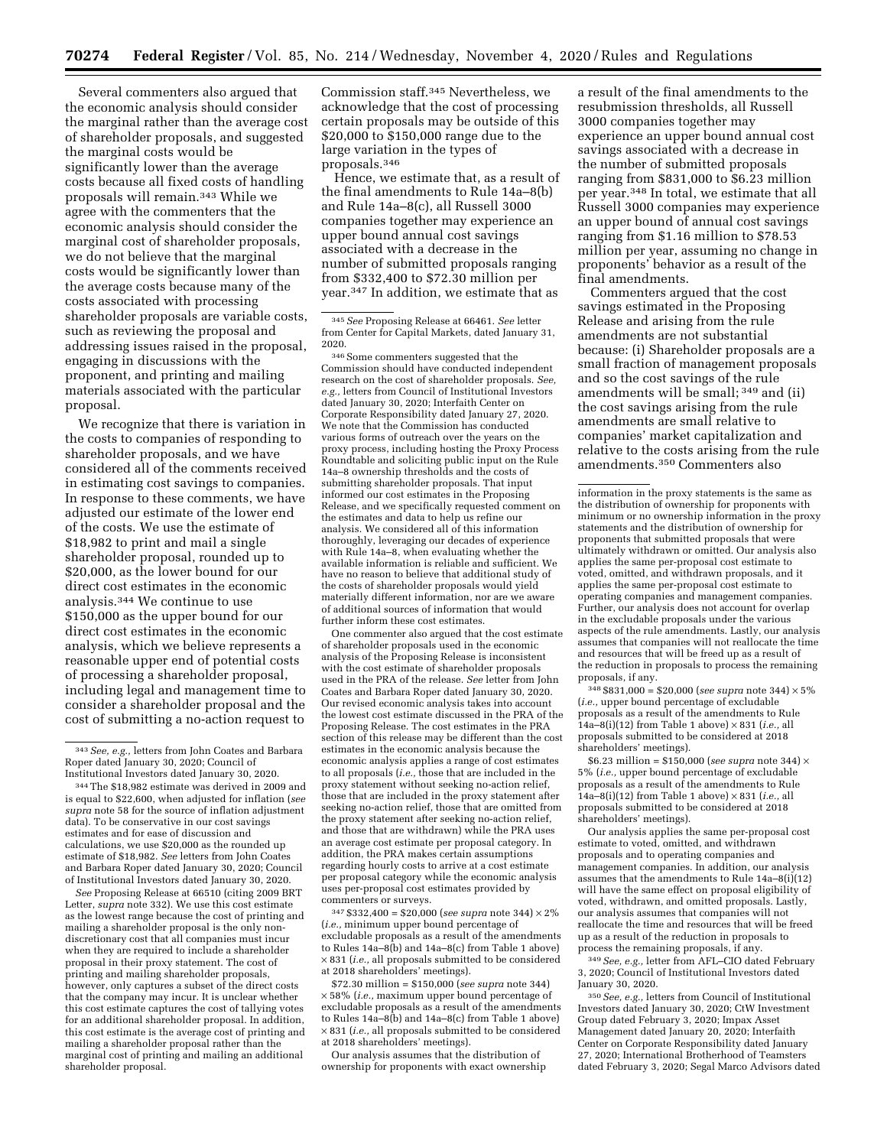Several commenters also argued that the economic analysis should consider the marginal rather than the average cost of shareholder proposals, and suggested the marginal costs would be significantly lower than the average costs because all fixed costs of handling proposals will remain.343 While we agree with the commenters that the economic analysis should consider the marginal cost of shareholder proposals, we do not believe that the marginal costs would be significantly lower than the average costs because many of the costs associated with processing shareholder proposals are variable costs, such as reviewing the proposal and addressing issues raised in the proposal, engaging in discussions with the proponent, and printing and mailing materials associated with the particular proposal.

We recognize that there is variation in the costs to companies of responding to shareholder proposals, and we have considered all of the comments received in estimating cost savings to companies. In response to these comments, we have adjusted our estimate of the lower end of the costs. We use the estimate of \$18,982 to print and mail a single shareholder proposal, rounded up to \$20,000, as the lower bound for our direct cost estimates in the economic analysis.344 We continue to use \$150,000 as the upper bound for our direct cost estimates in the economic analysis, which we believe represents a reasonable upper end of potential costs of processing a shareholder proposal, including legal and management time to consider a shareholder proposal and the cost of submitting a no-action request to

*See* Proposing Release at 66510 (citing 2009 BRT Letter, *supra* note 332). We use this cost estimate as the lowest range because the cost of printing and mailing a shareholder proposal is the only nondiscretionary cost that all companies must incur when they are required to include a shareholder proposal in their proxy statement. The cost of printing and mailing shareholder proposals, however, only captures a subset of the direct costs that the company may incur. It is unclear whether this cost estimate captures the cost of tallying votes for an additional shareholder proposal. In addition, this cost estimate is the average cost of printing and mailing a shareholder proposal rather than the marginal cost of printing and mailing an additional shareholder proposal.

Commission staff.345 Nevertheless, we acknowledge that the cost of processing certain proposals may be outside of this \$20,000 to \$150,000 range due to the large variation in the types of proposals.346

Hence, we estimate that, as a result of the final amendments to Rule 14a–8(b) and Rule 14a–8(c), all Russell 3000 companies together may experience an upper bound annual cost savings associated with a decrease in the number of submitted proposals ranging from \$332,400 to \$72.30 million per year.347 In addition, we estimate that as

 $^{\rm 346}$  Some commenters suggested that the Commission should have conducted independent research on the cost of shareholder proposals. *See, e.g.,* letters from Council of Institutional Investors dated January 30, 2020; Interfaith Center on Corporate Responsibility dated January 27, 2020. We note that the Commission has conducted various forms of outreach over the years on the proxy process, including hosting the Proxy Process Roundtable and soliciting public input on the Rule 14a–8 ownership thresholds and the costs of submitting shareholder proposals. That input informed our cost estimates in the Proposing Release, and we specifically requested comment on the estimates and data to help us refine our analysis. We considered all of this information thoroughly, leveraging our decades of experience with Rule 14a–8, when evaluating whether the available information is reliable and sufficient. We have no reason to believe that additional study of the costs of shareholder proposals would yield materially different information, nor are we aware of additional sources of information that would further inform these cost estimates.

One commenter also argued that the cost estimate of shareholder proposals used in the economic analysis of the Proposing Release is inconsistent with the cost estimate of shareholder proposals used in the PRA of the release. *See* letter from John Coates and Barbara Roper dated January 30, 2020. Our revised economic analysis takes into account the lowest cost estimate discussed in the PRA of the Proposing Release. The cost estimates in the PRA section of this release may be different than the cost estimates in the economic analysis because the economic analysis applies a range of cost estimates to all proposals (*i.e.,* those that are included in the proxy statement without seeking no-action relief, those that are included in the proxy statement after seeking no-action relief, those that are omitted from the proxy statement after seeking no-action relief, and those that are withdrawn) while the PRA uses an average cost estimate per proposal category. In addition, the PRA makes certain assumptions regarding hourly costs to arrive at a cost estimate per proposal category while the economic analysis uses per-proposal cost estimates provided by commenters or surveys.

347 \$332,400 = \$20,000 (*see supra* note 344) × 2% (*i.e.,* minimum upper bound percentage of excludable proposals as a result of the amendments to Rules 14a–8(b) and 14a–8(c) from Table 1 above) × 831 (*i.e.,* all proposals submitted to be considered at 2018 shareholders' meetings).

\$72.30 million = \$150,000 (*see supra* note 344) × 58% (*i.e.,* maximum upper bound percentage of excludable proposals as a result of the amendments to Rules 14a–8(b) and 14a–8(c) from Table 1 above) × 831 (*i.e.,* all proposals submitted to be considered at 2018 shareholders' meetings).

Our analysis assumes that the distribution of ownership for proponents with exact ownership

a result of the final amendments to the resubmission thresholds, all Russell 3000 companies together may experience an upper bound annual cost savings associated with a decrease in the number of submitted proposals ranging from \$831,000 to \$6.23 million per year.348 In total, we estimate that all Russell 3000 companies may experience an upper bound of annual cost savings ranging from \$1.16 million to \$78.53 million per year, assuming no change in proponents' behavior as a result of the final amendments.

Commenters argued that the cost savings estimated in the Proposing Release and arising from the rule amendments are not substantial because: (i) Shareholder proposals are a small fraction of management proposals and so the cost savings of the rule amendments will be small; 349 and (ii) the cost savings arising from the rule amendments are small relative to companies' market capitalization and relative to the costs arising from the rule amendments.350 Commenters also

348 \$831,000 = \$20,000 (*see supra* note 344) × 5% (*i.e.,* upper bound percentage of excludable proposals as a result of the amendments to Rule 14a–8(i)(12) from Table 1 above) × 831 (*i.e.,* all proposals submitted to be considered at 2018 shareholders' meetings).

\$6.23 million = \$150,000 (*see supra* note 344) × 5% (*i.e.,* upper bound percentage of excludable proposals as a result of the amendments to Rule 14a–8(i)(12) from Table 1 above) × 831 (*i.e.,* all proposals submitted to be considered at 2018 shareholders' meetings).

Our analysis applies the same per-proposal cost estimate to voted, omitted, and withdrawn proposals and to operating companies and management companies. In addition, our analysis assumes that the amendments to Rule 14a–8(i)(12) will have the same effect on proposal eligibility of voted, withdrawn, and omitted proposals. Lastly, our analysis assumes that companies will not reallocate the time and resources that will be freed up as a result of the reduction in proposals to process the remaining proposals, if any.

349*See, e.g.,* letter from AFL–CIO dated February 3, 2020; Council of Institutional Investors dated January 30, 2020.

350*See, e.g.,* letters from Council of Institutional Investors dated January 30, 2020; CtW Investment Group dated February 3, 2020; Impax Asset Management dated January 20, 2020; Interfaith Center on Corporate Responsibility dated January 27, 2020; International Brotherhood of Teamsters dated February 3, 2020; Segal Marco Advisors dated

<sup>343</sup>*See, e.g.,* letters from John Coates and Barbara Roper dated January 30, 2020; Council of Institutional Investors dated January 30, 2020.

<sup>344</sup>The \$18,982 estimate was derived in 2009 and is equal to \$22,600, when adjusted for inflation (*see supra* note 58 for the source of inflation adjustment data). To be conservative in our cost savings estimates and for ease of discussion and calculations, we use \$20,000 as the rounded up estimate of \$18,982. *See* letters from John Coates and Barbara Roper dated January 30, 2020; Council of Institutional Investors dated January 30, 2020.

<sup>345</sup>*See* Proposing Release at 66461. *See* letter from Center for Capital Markets, dated January 31, 2020.

information in the proxy statements is the same as the distribution of ownership for proponents with minimum or no ownership information in the proxy statements and the distribution of ownership for proponents that submitted proposals that were ultimately withdrawn or omitted. Our analysis also applies the same per-proposal cost estimate to voted, omitted, and withdrawn proposals, and it applies the same per-proposal cost estimate to operating companies and management companies. Further, our analysis does not account for overlap in the excludable proposals under the various aspects of the rule amendments. Lastly, our analysis assumes that companies will not reallocate the time and resources that will be freed up as a result of the reduction in proposals to process the remaining proposals, if any.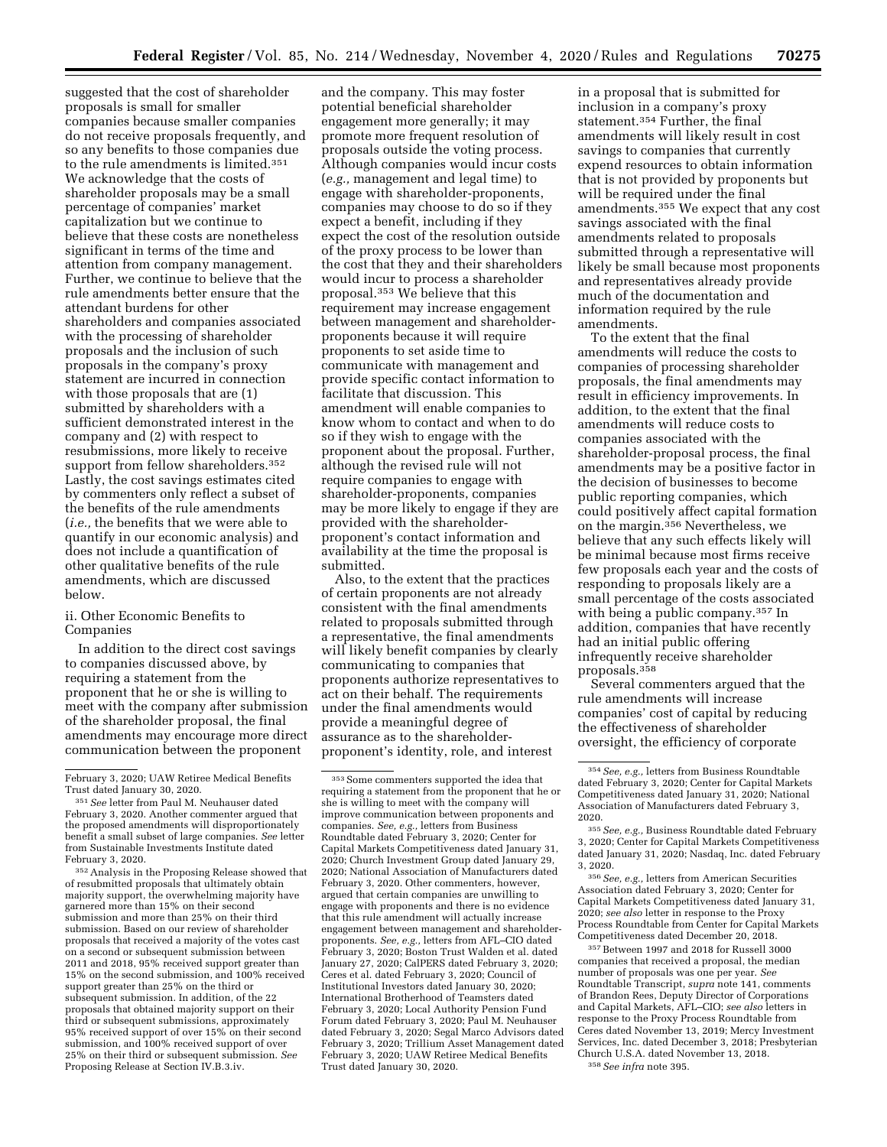suggested that the cost of shareholder proposals is small for smaller companies because smaller companies do not receive proposals frequently, and so any benefits to those companies due to the rule amendments is limited.351 We acknowledge that the costs of shareholder proposals may be a small percentage of companies' market capitalization but we continue to believe that these costs are nonetheless significant in terms of the time and attention from company management. Further, we continue to believe that the rule amendments better ensure that the attendant burdens for other shareholders and companies associated with the processing of shareholder proposals and the inclusion of such proposals in the company's proxy statement are incurred in connection with those proposals that are (1) submitted by shareholders with a sufficient demonstrated interest in the company and (2) with respect to resubmissions, more likely to receive support from fellow shareholders.<sup>352</sup> Lastly, the cost savings estimates cited by commenters only reflect a subset of the benefits of the rule amendments (*i.e.,* the benefits that we were able to quantify in our economic analysis) and does not include a quantification of other qualitative benefits of the rule amendments, which are discussed below.

## ii. Other Economic Benefits to Companies

In addition to the direct cost savings to companies discussed above, by requiring a statement from the proponent that he or she is willing to meet with the company after submission of the shareholder proposal, the final amendments may encourage more direct communication between the proponent

352Analysis in the Proposing Release showed that of resubmitted proposals that ultimately obtain majority support, the overwhelming majority have garnered more than 15% on their second submission and more than 25% on their third submission. Based on our review of shareholder proposals that received a majority of the votes cast on a second or subsequent submission between 2011 and 2018, 95% received support greater than 15% on the second submission, and 100% received support greater than 25% on the third or subsequent submission. In addition, of the 22 proposals that obtained majority support on their third or subsequent submissions, approximately 95% received support of over 15% on their second submission, and 100% received support of over 25% on their third or subsequent submission. *See*  Proposing Release at Section IV.B.3.iv.

and the company. This may foster potential beneficial shareholder engagement more generally; it may promote more frequent resolution of proposals outside the voting process. Although companies would incur costs (*e.g.,* management and legal time) to engage with shareholder-proponents, companies may choose to do so if they expect a benefit, including if they expect the cost of the resolution outside of the proxy process to be lower than the cost that they and their shareholders would incur to process a shareholder proposal.353 We believe that this requirement may increase engagement between management and shareholderproponents because it will require proponents to set aside time to communicate with management and provide specific contact information to facilitate that discussion. This amendment will enable companies to know whom to contact and when to do so if they wish to engage with the proponent about the proposal. Further, although the revised rule will not require companies to engage with shareholder-proponents, companies may be more likely to engage if they are provided with the shareholderproponent's contact information and availability at the time the proposal is submitted.

Also, to the extent that the practices of certain proponents are not already consistent with the final amendments related to proposals submitted through a representative, the final amendments will likely benefit companies by clearly communicating to companies that proponents authorize representatives to act on their behalf. The requirements under the final amendments would provide a meaningful degree of assurance as to the shareholderproponent's identity, role, and interest

in a proposal that is submitted for inclusion in a company's proxy statement.354 Further, the final amendments will likely result in cost savings to companies that currently expend resources to obtain information that is not provided by proponents but will be required under the final amendments.355 We expect that any cost savings associated with the final amendments related to proposals submitted through a representative will likely be small because most proponents and representatives already provide much of the documentation and information required by the rule amendments.

To the extent that the final amendments will reduce the costs to companies of processing shareholder proposals, the final amendments may result in efficiency improvements. In addition, to the extent that the final amendments will reduce costs to companies associated with the shareholder-proposal process, the final amendments may be a positive factor in the decision of businesses to become public reporting companies, which could positively affect capital formation on the margin.<sup>356</sup> Nevertheless, we believe that any such effects likely will be minimal because most firms receive few proposals each year and the costs of responding to proposals likely are a small percentage of the costs associated with being a public company.357 In addition, companies that have recently had an initial public offering infrequently receive shareholder proposals.358

Several commenters argued that the rule amendments will increase companies' cost of capital by reducing the effectiveness of shareholder oversight, the efficiency of corporate

356*See, e.g.,* letters from American Securities Association dated February 3, 2020; Center for Capital Markets Competitiveness dated January 31, 2020; *see also* letter in response to the Proxy Process Roundtable from Center for Capital Markets Competitiveness dated December 20, 2018.

357Between 1997 and 2018 for Russell 3000 companies that received a proposal, the median number of proposals was one per year. *See*  Roundtable Transcript, *supra* note 141, comments of Brandon Rees, Deputy Director of Corporations and Capital Markets, AFL–CIO; *see also* letters in response to the Proxy Process Roundtable from Ceres dated November 13, 2019; Mercy Investment Services, Inc. dated December 3, 2018; Presbyterian Church U.S.A. dated November 13, 2018. 358*See infra* note 395.

February 3, 2020; UAW Retiree Medical Benefits

<sup>&</sup>lt;sup>351</sup> See letter from Paul M. Neuhauser dated February 3, 2020. Another commenter argued that the proposed amendments will disproportionately benefit a small subset of large companies. *See* letter from Sustainable Investments Institute dated February 3, 2020.

<sup>353</sup>Some commenters supported the idea that requiring a statement from the proponent that he or she is willing to meet with the company will improve communication between proponents and companies. *See, e.g.,* letters from Business Roundtable dated February 3, 2020; Center for Capital Markets Competitiveness dated January 31, 2020; Church Investment Group dated January 29, 2020; National Association of Manufacturers dated February 3, 2020. Other commenters, however, argued that certain companies are unwilling to engage with proponents and there is no evidence that this rule amendment will actually increase engagement between management and shareholderproponents. *See, e.g.,* letters from AFL–CIO dated February 3, 2020; Boston Trust Walden et al. dated January 27, 2020; CalPERS dated February 3, 2020; Ceres et al. dated February 3, 2020; Council of Institutional Investors dated January 30, 2020; International Brotherhood of Teamsters dated February 3, 2020; Local Authority Pension Fund Forum dated February 3, 2020; Paul M. Neuhauser dated February 3, 2020; Segal Marco Advisors dated February 3, 2020; Trillium Asset Management dated February 3, 2020; UAW Retiree Medical Benefits Trust dated January 30, 2020.

<sup>354</sup>*See, e.g.,* letters from Business Roundtable dated February 3, 2020; Center for Capital Markets Competitiveness dated January 31, 2020; National Association of Manufacturers dated February 3, 2020.

<sup>355</sup>*See, e.g.,* Business Roundtable dated February 3, 2020; Center for Capital Markets Competitiveness dated January 31, 2020; Nasdaq, Inc. dated February 3, 2020.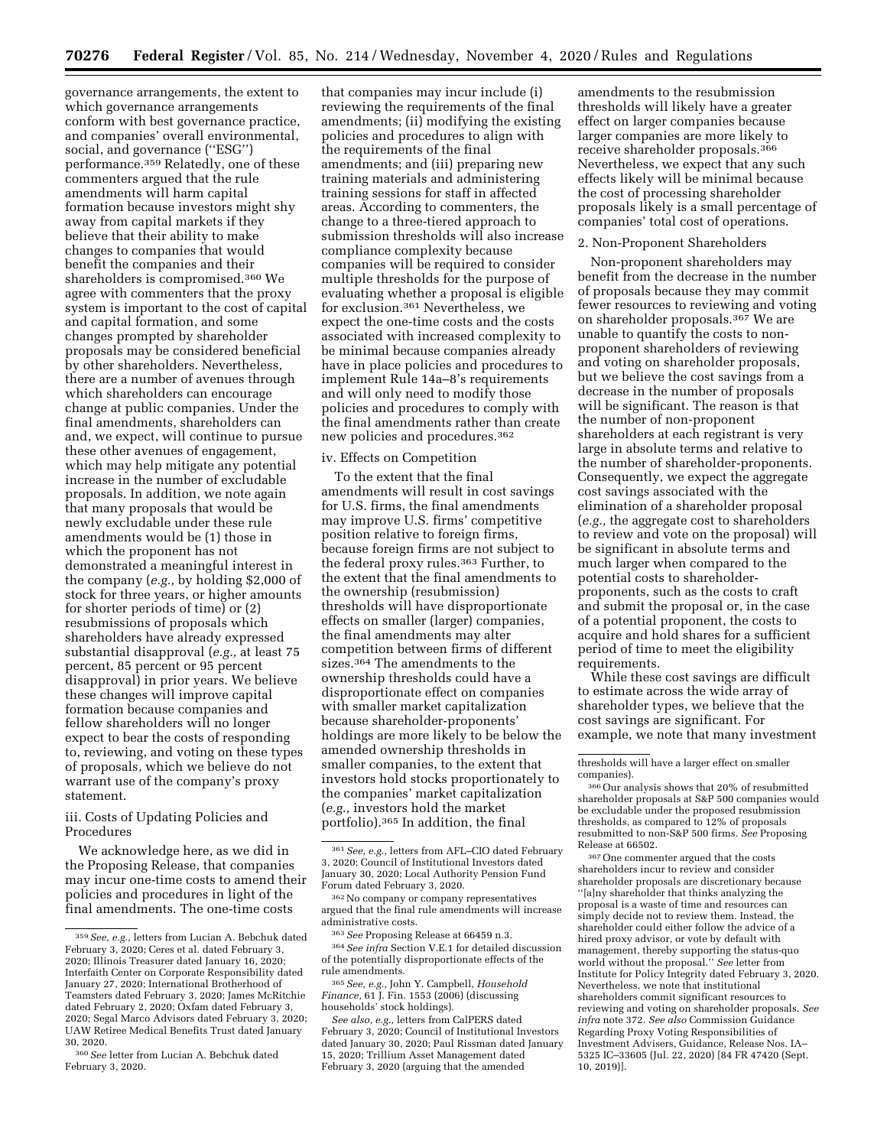governance arrangements, the extent to which governance arrangements conform with best governance practice, and companies' overall environmental, social, and governance (''ESG'') performance.359 Relatedly, one of these commenters argued that the rule amendments will harm capital formation because investors might shy away from capital markets if they believe that their ability to make changes to companies that would benefit the companies and their shareholders is compromised.360 We agree with commenters that the proxy system is important to the cost of capital and capital formation, and some changes prompted by shareholder proposals may be considered beneficial by other shareholders. Nevertheless, there are a number of avenues through which shareholders can encourage change at public companies. Under the final amendments, shareholders can and, we expect, will continue to pursue these other avenues of engagement, which may help mitigate any potential increase in the number of excludable proposals. In addition, we note again that many proposals that would be newly excludable under these rule amendments would be (1) those in which the proponent has not demonstrated a meaningful interest in the company (*e.g.,* by holding \$2,000 of stock for three years, or higher amounts for shorter periods of time) or (2) resubmissions of proposals which shareholders have already expressed substantial disapproval (*e.g.,* at least 75 percent, 85 percent or 95 percent disapproval) in prior years. We believe these changes will improve capital formation because companies and fellow shareholders will no longer expect to bear the costs of responding to, reviewing, and voting on these types of proposals, which we believe do not warrant use of the company's proxy statement.

iii. Costs of Updating Policies and Procedures

We acknowledge here, as we did in the Proposing Release, that companies may incur one-time costs to amend their policies and procedures in light of the final amendments. The one-time costs

that companies may incur include (i) reviewing the requirements of the final amendments; (ii) modifying the existing policies and procedures to align with the requirements of the final amendments; and (iii) preparing new training materials and administering training sessions for staff in affected areas. According to commenters, the change to a three-tiered approach to submission thresholds will also increase compliance complexity because companies will be required to consider multiple thresholds for the purpose of evaluating whether a proposal is eligible for exclusion.361 Nevertheless, we expect the one-time costs and the costs associated with increased complexity to be minimal because companies already have in place policies and procedures to implement Rule 14a–8's requirements and will only need to modify those policies and procedures to comply with the final amendments rather than create new policies and procedures.362

#### iv. Effects on Competition

To the extent that the final amendments will result in cost savings for U.S. firms, the final amendments may improve U.S. firms' competitive position relative to foreign firms, because foreign firms are not subject to the federal proxy rules.363 Further, to the extent that the final amendments to the ownership (resubmission) thresholds will have disproportionate effects on smaller (larger) companies, the final amendments may alter competition between firms of different sizes.364 The amendments to the ownership thresholds could have a disproportionate effect on companies with smaller market capitalization because shareholder-proponents' holdings are more likely to be below the amended ownership thresholds in smaller companies, to the extent that investors hold stocks proportionately to the companies' market capitalization (*e.g.,* investors hold the market portfolio).365 In addition, the final

amendments to the resubmission thresholds will likely have a greater effect on larger companies because larger companies are more likely to receive shareholder proposals.366 Nevertheless, we expect that any such effects likely will be minimal because the cost of processing shareholder proposals likely is a small percentage of companies' total cost of operations.

#### 2. Non-Proponent Shareholders

Non-proponent shareholders may benefit from the decrease in the number of proposals because they may commit fewer resources to reviewing and voting on shareholder proposals.367 We are unable to quantify the costs to nonproponent shareholders of reviewing and voting on shareholder proposals, but we believe the cost savings from a decrease in the number of proposals will be significant. The reason is that the number of non-proponent shareholders at each registrant is very large in absolute terms and relative to the number of shareholder-proponents. Consequently, we expect the aggregate cost savings associated with the elimination of a shareholder proposal (*e.g.,* the aggregate cost to shareholders to review and vote on the proposal) will be significant in absolute terms and much larger when compared to the potential costs to shareholderproponents, such as the costs to craft and submit the proposal or, in the case of a potential proponent, the costs to acquire and hold shares for a sufficient period of time to meet the eligibility requirements.

While these cost savings are difficult to estimate across the wide array of shareholder types, we believe that the cost savings are significant. For example, we note that many investment

367One commenter argued that the costs shareholders incur to review and consider shareholder proposals are discretionary because ''[a]ny shareholder that thinks analyzing the proposal is a waste of time and resources can simply decide not to review them. Instead, the shareholder could either follow the advice of a hired proxy advisor, or vote by default with management, thereby supporting the status-quo world without the proposal.'' *See* letter from Institute for Policy Integrity dated February 3, 2020. Nevertheless, we note that institutional shareholders commit significant resources to reviewing and voting on shareholder proposals. *See infra* note 372. *See also* Commission Guidance Regarding Proxy Voting Responsibilities of Investment Advisers, Guidance, Release Nos. IA– 5325 IC–33605 (Jul. 22, 2020) [84 FR 47420 (Sept. 10, 2019)].

<sup>359</sup>*See, e.g.,* letters from Lucian A. Bebchuk dated February 3, 2020; Ceres et al. dated February 3, 2020; Illinois Treasurer dated January 16, 2020; Interfaith Center on Corporate Responsibility dated January 27, 2020; International Brotherhood of Teamsters dated February 3, 2020; James McRitchie dated February 2, 2020; Oxfam dated February 3, 2020; Segal Marco Advisors dated February 3, 2020; UAW Retiree Medical Benefits Trust dated January 30, 2020.

<sup>360</sup>*See* letter from Lucian A. Bebchuk dated February 3, 2020.

<sup>361</sup>*See, e.g.,* letters from AFL–CIO dated February 3, 2020; Council of Institutional Investors dated January 30, 2020; Local Authority Pension Fund Forum dated February 3, 2020.

<sup>362</sup>No company or company representatives argued that the final rule amendments will increase administrative costs.

<sup>363</sup>*See* Proposing Release at 66459 n.3. 364*See infra* Section V.E.1 for detailed discussion of the potentially disproportionate effects of the rule amendments.

<sup>365</sup>*See, e.g.,* John Y. Campbell, *Household Finance,* 61 J. Fin. 1553 (2006) (discussing households' stock holdings).

*See also, e.g.,* letters from CalPERS dated February 3, 2020; Council of Institutional Investors dated January 30, 2020; Paul Rissman dated January 15, 2020; Trillium Asset Management dated February 3, 2020 (arguing that the amended

thresholds will have a larger effect on smaller companies).

<sup>366</sup>Our analysis shows that 20% of resubmitted shareholder proposals at S&P 500 companies would be excludable under the proposed resubmission thresholds, as compared to 12% of proposals resubmitted to non-S&P 500 firms. *See* Proposing Release at 66502.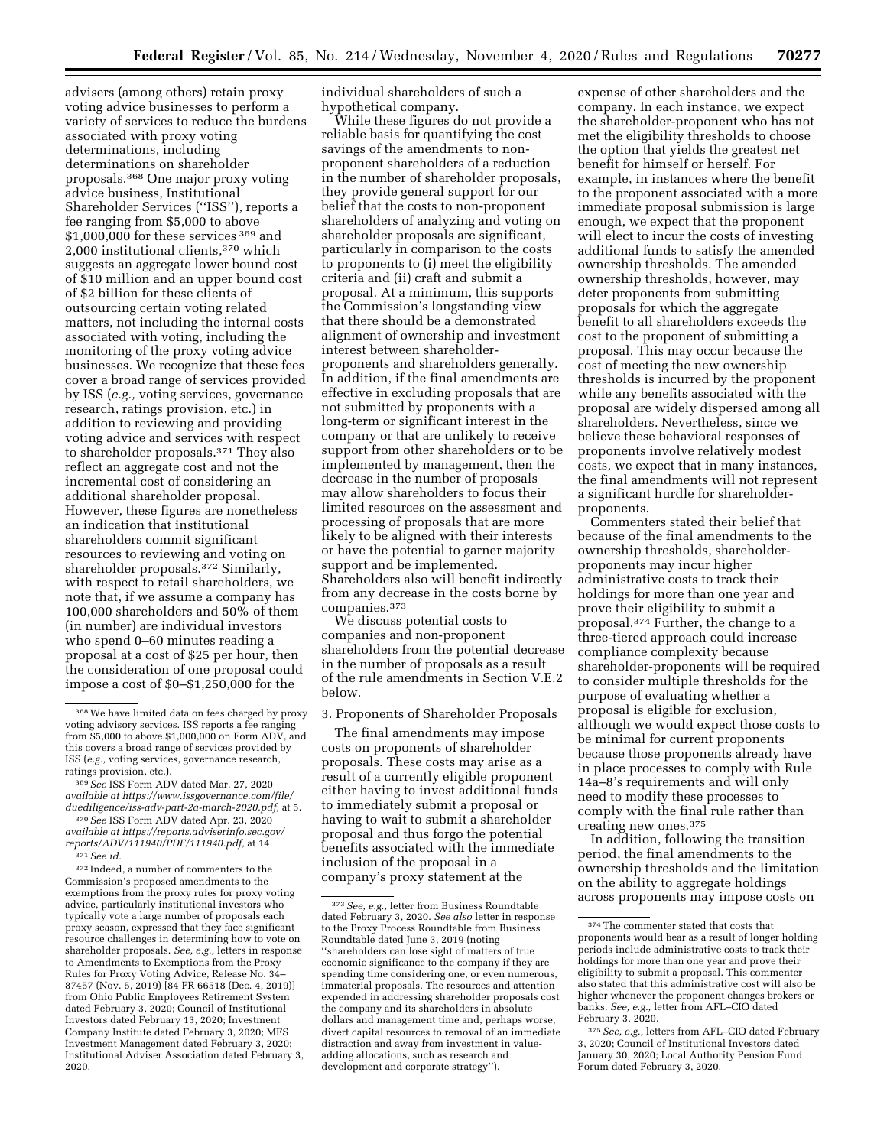advisers (among others) retain proxy voting advice businesses to perform a variety of services to reduce the burdens associated with proxy voting determinations, including determinations on shareholder proposals.368 One major proxy voting advice business, Institutional Shareholder Services (''ISS''), reports a fee ranging from \$5,000 to above \$1,000,000 for these services <sup>369</sup> and  $2,\!000$  institutional clients,  $^{370}$  which suggests an aggregate lower bound cost of \$10 million and an upper bound cost of \$2 billion for these clients of outsourcing certain voting related matters, not including the internal costs associated with voting, including the monitoring of the proxy voting advice businesses. We recognize that these fees cover a broad range of services provided by ISS (*e.g.,* voting services, governance research, ratings provision, etc.) in addition to reviewing and providing voting advice and services with respect to shareholder proposals.371 They also reflect an aggregate cost and not the incremental cost of considering an additional shareholder proposal. However, these figures are nonetheless an indication that institutional shareholders commit significant resources to reviewing and voting on shareholder proposals.372 Similarly, with respect to retail shareholders, we note that, if we assume a company has 100,000 shareholders and 50% of them (in number) are individual investors who spend 0–60 minutes reading a proposal at a cost of \$25 per hour, then the consideration of one proposal could impose a cost of \$0–\$1,250,000 for the

372 Indeed, a number of commenters to the Commission's proposed amendments to the exemptions from the proxy rules for proxy voting advice, particularly institutional investors who typically vote a large number of proposals each proxy season, expressed that they face significant resource challenges in determining how to vote on shareholder proposals. *See, e.g.,* letters in response to Amendments to Exemptions from the Proxy Rules for Proxy Voting Advice, Release No. 34– 87457 (Nov. 5, 2019) [84 FR 66518 (Dec. 4, 2019)] from Ohio Public Employees Retirement System dated February 3, 2020; Council of Institutional Investors dated February 13, 2020; Investment Company Institute dated February 3, 2020; MFS Investment Management dated February 3, 2020; Institutional Adviser Association dated February 3, 2020.

individual shareholders of such a hypothetical company.

While these figures do not provide a reliable basis for quantifying the cost savings of the amendments to nonproponent shareholders of a reduction in the number of shareholder proposals, they provide general support for our belief that the costs to non-proponent shareholders of analyzing and voting on shareholder proposals are significant, particularly in comparison to the costs to proponents to (i) meet the eligibility criteria and (ii) craft and submit a proposal. At a minimum, this supports the Commission's longstanding view that there should be a demonstrated alignment of ownership and investment interest between shareholderproponents and shareholders generally. In addition, if the final amendments are effective in excluding proposals that are not submitted by proponents with a long-term or significant interest in the company or that are unlikely to receive support from other shareholders or to be implemented by management, then the decrease in the number of proposals may allow shareholders to focus their limited resources on the assessment and processing of proposals that are more likely to be aligned with their interests or have the potential to garner majority support and be implemented. Shareholders also will benefit indirectly from any decrease in the costs borne by companies.373

We discuss potential costs to companies and non-proponent shareholders from the potential decrease in the number of proposals as a result of the rule amendments in Section V.E.2 below.

#### 3. Proponents of Shareholder Proposals

The final amendments may impose costs on proponents of shareholder proposals. These costs may arise as a result of a currently eligible proponent either having to invest additional funds to immediately submit a proposal or having to wait to submit a shareholder proposal and thus forgo the potential benefits associated with the immediate inclusion of the proposal in a company's proxy statement at the

expense of other shareholders and the company. In each instance, we expect the shareholder-proponent who has not met the eligibility thresholds to choose the option that yields the greatest net benefit for himself or herself. For example, in instances where the benefit to the proponent associated with a more immediate proposal submission is large enough, we expect that the proponent will elect to incur the costs of investing additional funds to satisfy the amended ownership thresholds. The amended ownership thresholds, however, may deter proponents from submitting proposals for which the aggregate benefit to all shareholders exceeds the cost to the proponent of submitting a proposal. This may occur because the cost of meeting the new ownership thresholds is incurred by the proponent while any benefits associated with the proposal are widely dispersed among all shareholders. Nevertheless, since we believe these behavioral responses of proponents involve relatively modest costs, we expect that in many instances, the final amendments will not represent a significant hurdle for shareholderproponents.

Commenters stated their belief that because of the final amendments to the ownership thresholds, shareholderproponents may incur higher administrative costs to track their holdings for more than one year and prove their eligibility to submit a proposal.374 Further, the change to a three-tiered approach could increase compliance complexity because shareholder-proponents will be required to consider multiple thresholds for the purpose of evaluating whether a proposal is eligible for exclusion, although we would expect those costs to be minimal for current proponents because those proponents already have in place processes to comply with Rule 14a–8's requirements and will only need to modify these processes to comply with the final rule rather than creating new ones.375

In addition, following the transition period, the final amendments to the ownership thresholds and the limitation on the ability to aggregate holdings across proponents may impose costs on

<sup>368</sup>We have limited data on fees charged by proxy voting advisory services. ISS reports a fee ranging from \$5,000 to above \$1,000,000 on Form ADV, and this covers a broad range of services provided by ISS (*e.g.,* voting services, governance research, ratings provision, etc.).

<sup>369</sup>*See* ISS Form ADV dated Mar. 27, 2020 *available at [https://www.issgovernance.com/file/](https://www.issgovernance.com/file/duediligence/iss-adv-part-2a-march-2020.pdf) [duediligence/iss-adv-part-2a-march-2020.pdf,](https://www.issgovernance.com/file/duediligence/iss-adv-part-2a-march-2020.pdf)* at 5.

<sup>370</sup>*See* ISS Form ADV dated Apr. 23, 2020 *available at [https://reports.adviserinfo.sec.gov/](https://reports.adviserinfo.sec.gov/reports/ADV/111940/PDF/111940.pdf) [reports/ADV/111940/PDF/111940.pdf,](https://reports.adviserinfo.sec.gov/reports/ADV/111940/PDF/111940.pdf)* at 14.

<sup>371</sup>*See id.* 

<sup>373</sup>*See, e.g.,* letter from Business Roundtable dated February 3, 2020. *See also* letter in response to the Proxy Process Roundtable from Business Roundtable dated June 3, 2019 (noting ''shareholders can lose sight of matters of true economic significance to the company if they are spending time considering one, or even numerous, immaterial proposals. The resources and attention expended in addressing shareholder proposals cost the company and its shareholders in absolute dollars and management time and, perhaps worse, divert capital resources to removal of an immediate distraction and away from investment in valueadding allocations, such as research and development and corporate strategy'').

<sup>374</sup>The commenter stated that costs that proponents would bear as a result of longer holding periods include administrative costs to track their holdings for more than one year and prove their eligibility to submit a proposal. This commenter also stated that this administrative cost will also be higher whenever the proponent changes brokers or banks. *See, e.g.,* letter from AFL–CIO dated February 3, 2020.

<sup>375</sup>*See, e.g.,* letters from AFL–CIO dated February 3, 2020; Council of Institutional Investors dated January 30, 2020; Local Authority Pension Fund Forum dated February 3, 2020.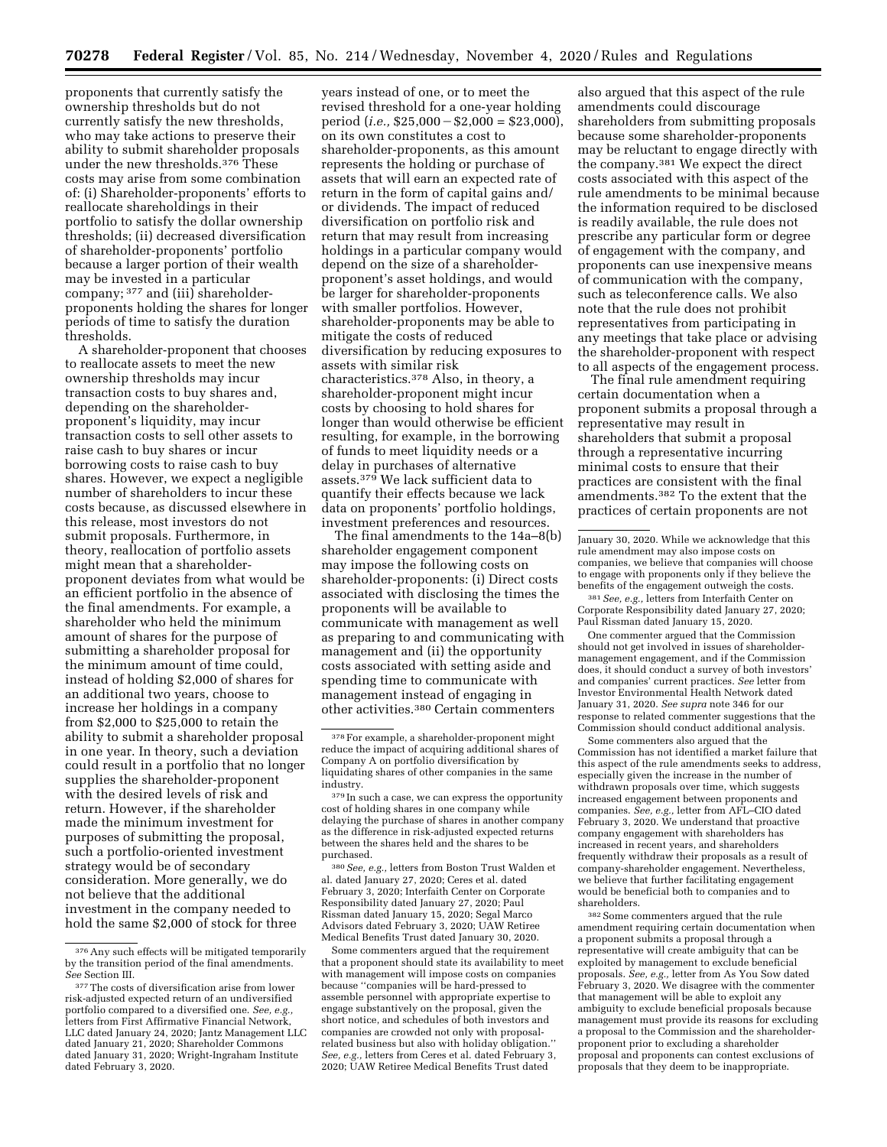proponents that currently satisfy the ownership thresholds but do not currently satisfy the new thresholds, who may take actions to preserve their ability to submit shareholder proposals under the new thresholds.376 These costs may arise from some combination of: (i) Shareholder-proponents' efforts to reallocate shareholdings in their portfolio to satisfy the dollar ownership thresholds; (ii) decreased diversification of shareholder-proponents' portfolio because a larger portion of their wealth may be invested in a particular company; 377 and (iii) shareholderproponents holding the shares for longer periods of time to satisfy the duration thresholds.

A shareholder-proponent that chooses to reallocate assets to meet the new ownership thresholds may incur transaction costs to buy shares and, depending on the shareholderproponent's liquidity, may incur transaction costs to sell other assets to raise cash to buy shares or incur borrowing costs to raise cash to buy shares. However, we expect a negligible number of shareholders to incur these costs because, as discussed elsewhere in this release, most investors do not submit proposals. Furthermore, in theory, reallocation of portfolio assets might mean that a shareholderproponent deviates from what would be an efficient portfolio in the absence of the final amendments. For example, a shareholder who held the minimum amount of shares for the purpose of submitting a shareholder proposal for the minimum amount of time could, instead of holding \$2,000 of shares for an additional two years, choose to increase her holdings in a company from \$2,000 to \$25,000 to retain the ability to submit a shareholder proposal in one year. In theory, such a deviation could result in a portfolio that no longer supplies the shareholder-proponent with the desired levels of risk and return. However, if the shareholder made the minimum investment for purposes of submitting the proposal, such a portfolio-oriented investment strategy would be of secondary consideration. More generally, we do not believe that the additional investment in the company needed to hold the same \$2,000 of stock for three

years instead of one, or to meet the revised threshold for a one-year holding period  $(i.e., $25,000 - $2,000 = $23,000$ , on its own constitutes a cost to shareholder-proponents, as this amount represents the holding or purchase of assets that will earn an expected rate of return in the form of capital gains and/ or dividends. The impact of reduced diversification on portfolio risk and return that may result from increasing holdings in a particular company would depend on the size of a shareholderproponent's asset holdings, and would be larger for shareholder-proponents with smaller portfolios. However, shareholder-proponents may be able to mitigate the costs of reduced diversification by reducing exposures to assets with similar risk characteristics.378 Also, in theory, a shareholder-proponent might incur costs by choosing to hold shares for longer than would otherwise be efficient resulting, for example, in the borrowing of funds to meet liquidity needs or a delay in purchases of alternative assets.379 We lack sufficient data to quantify their effects because we lack data on proponents' portfolio holdings, investment preferences and resources.

The final amendments to the 14a–8(b) shareholder engagement component may impose the following costs on shareholder-proponents: (i) Direct costs associated with disclosing the times the proponents will be available to communicate with management as well as preparing to and communicating with management and (ii) the opportunity costs associated with setting aside and spending time to communicate with management instead of engaging in other activities.380 Certain commenters

380*See, e.g.,* letters from Boston Trust Walden et al. dated January 27, 2020; Ceres et al. dated February 3, 2020; Interfaith Center on Corporate Responsibility dated January 27, 2020; Paul Rissman dated January 15, 2020; Segal Marco Advisors dated February 3, 2020; UAW Retiree Medical Benefits Trust dated January 30, 2020.

Some commenters argued that the requirement that a proponent should state its availability to meet with management will impose costs on companies because ''companies will be hard-pressed to assemble personnel with appropriate expertise to engage substantively on the proposal, given the short notice, and schedules of both investors and companies are crowded not only with proposalrelated business but also with holiday obligation.'' *See, e.g.,* letters from Ceres et al. dated February 3, 2020; UAW Retiree Medical Benefits Trust dated

also argued that this aspect of the rule amendments could discourage shareholders from submitting proposals because some shareholder-proponents may be reluctant to engage directly with the company.381 We expect the direct costs associated with this aspect of the rule amendments to be minimal because the information required to be disclosed is readily available, the rule does not prescribe any particular form or degree of engagement with the company, and proponents can use inexpensive means of communication with the company, such as teleconference calls. We also note that the rule does not prohibit representatives from participating in any meetings that take place or advising the shareholder-proponent with respect to all aspects of the engagement process.

The final rule amendment requiring certain documentation when a proponent submits a proposal through a representative may result in shareholders that submit a proposal through a representative incurring minimal costs to ensure that their practices are consistent with the final amendments.382 To the extent that the practices of certain proponents are not

381*See, e.g.,* letters from Interfaith Center on Corporate Responsibility dated January 27, 2020; Paul Rissman dated January 15, 2020.

One commenter argued that the Commission should not get involved in issues of shareholdermanagement engagement, and if the Commission does, it should conduct a survey of both investors' and companies' current practices. *See* letter from Investor Environmental Health Network dated January 31, 2020. *See supra* note 346 for our response to related commenter suggestions that the Commission should conduct additional analysis.

Some commenters also argued that the Commission has not identified a market failure that this aspect of the rule amendments seeks to address, especially given the increase in the number of withdrawn proposals over time, which suggests increased engagement between proponents and companies. *See, e.g.,* letter from AFL–CIO dated February 3, 2020. We understand that proactive company engagement with shareholders has increased in recent years, and shareholders frequently withdraw their proposals as a result of company-shareholder engagement. Nevertheless, we believe that further facilitating engagement would be beneficial both to companies and to shareholders.

382Some commenters argued that the rule amendment requiring certain documentation when a proponent submits a proposal through a representative will create ambiguity that can be exploited by management to exclude beneficial proposals. *See, e.g.,* letter from As You Sow dated February 3, 2020. We disagree with the commenter that management will be able to exploit any ambiguity to exclude beneficial proposals because management must provide its reasons for excluding a proposal to the Commission and the shareholderproponent prior to excluding a shareholder proposal and proponents can contest exclusions of proposals that they deem to be inappropriate.

<sup>376</sup>Any such effects will be mitigated temporarily by the transition period of the final amendments. *See* Section III.

<sup>&</sup>lt;sup>377</sup>The costs of diversification arise from lower risk-adjusted expected return of an undiversified portfolio compared to a diversified one. *See, e.g.,*  letters from First Affirmative Financial Network, LLC dated January 24, 2020; Jantz Management LLC dated January 21, 2020; Shareholder Commons dated January 31, 2020; Wright-Ingraham Institute dated February 3, 2020.

<sup>378</sup>For example, a shareholder-proponent might reduce the impact of acquiring additional shares of Company A on portfolio diversification by liquidating shares of other companies in the same industry.

<sup>379</sup> In such a case, we can express the opportunity cost of holding shares in one company while delaying the purchase of shares in another company as the difference in risk-adjusted expected returns between the shares held and the shares to be purchased.

January 30, 2020. While we acknowledge that this rule amendment may also impose costs on companies, we believe that companies will choose to engage with proponents only if they believe the benefits of the engagement outweigh the costs.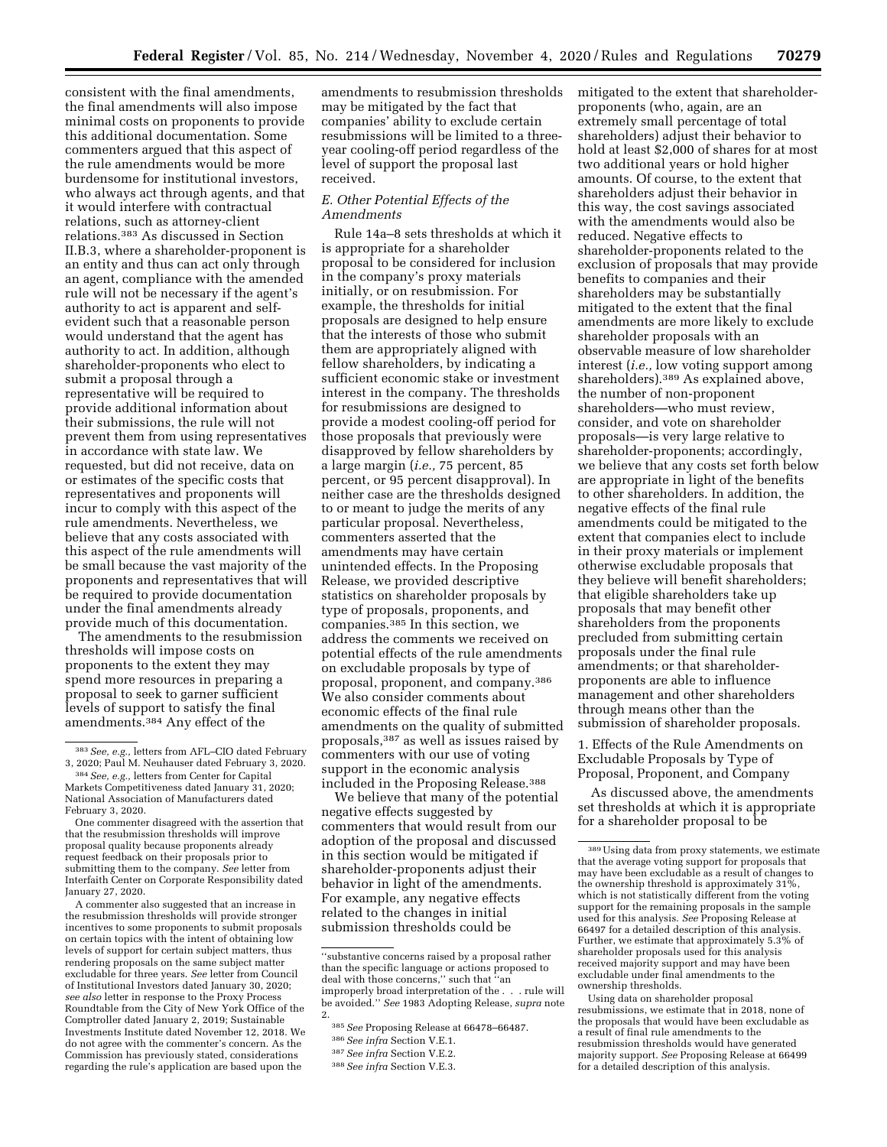consistent with the final amendments, the final amendments will also impose minimal costs on proponents to provide this additional documentation. Some commenters argued that this aspect of the rule amendments would be more burdensome for institutional investors, who always act through agents, and that it would interfere with contractual relations, such as attorney-client relations.383 As discussed in Section II.B.3, where a shareholder-proponent is an entity and thus can act only through an agent, compliance with the amended rule will not be necessary if the agent's authority to act is apparent and selfevident such that a reasonable person would understand that the agent has authority to act. In addition, although shareholder-proponents who elect to submit a proposal through a representative will be required to provide additional information about their submissions, the rule will not prevent them from using representatives in accordance with state law. We requested, but did not receive, data on or estimates of the specific costs that representatives and proponents will incur to comply with this aspect of the rule amendments. Nevertheless, we believe that any costs associated with this aspect of the rule amendments will be small because the vast majority of the proponents and representatives that will be required to provide documentation under the final amendments already provide much of this documentation.

The amendments to the resubmission thresholds will impose costs on proponents to the extent they may spend more resources in preparing a proposal to seek to garner sufficient levels of support to satisfy the final amendments.384 Any effect of the

A commenter also suggested that an increase in the resubmission thresholds will provide stronger incentives to some proponents to submit proposals on certain topics with the intent of obtaining low levels of support for certain subject matters, thus rendering proposals on the same subject matter excludable for three years. *See* letter from Council of Institutional Investors dated January 30, 2020; *see also* letter in response to the Proxy Process Roundtable from the City of New York Office of the Comptroller dated January 2, 2019; Sustainable Investments Institute dated November 12, 2018. We do not agree with the commenter's concern. As the Commission has previously stated, considerations regarding the rule's application are based upon the

amendments to resubmission thresholds may be mitigated by the fact that companies' ability to exclude certain resubmissions will be limited to a threeyear cooling-off period regardless of the level of support the proposal last received.

### *E. Other Potential Effects of the Amendments*

Rule 14a–8 sets thresholds at which it is appropriate for a shareholder proposal to be considered for inclusion in the company's proxy materials initially, or on resubmission. For example, the thresholds for initial proposals are designed to help ensure that the interests of those who submit them are appropriately aligned with fellow shareholders, by indicating a sufficient economic stake or investment interest in the company. The thresholds for resubmissions are designed to provide a modest cooling-off period for those proposals that previously were disapproved by fellow shareholders by a large margin (*i.e.,* 75 percent, 85 percent, or 95 percent disapproval). In neither case are the thresholds designed to or meant to judge the merits of any particular proposal. Nevertheless, commenters asserted that the amendments may have certain unintended effects. In the Proposing Release, we provided descriptive statistics on shareholder proposals by type of proposals, proponents, and companies.385 In this section, we address the comments we received on potential effects of the rule amendments on excludable proposals by type of proposal, proponent, and company.386 We also consider comments about economic effects of the final rule amendments on the quality of submitted proposals,387 as well as issues raised by commenters with our use of voting support in the economic analysis included in the Proposing Release.388

We believe that many of the potential negative effects suggested by commenters that would result from our adoption of the proposal and discussed in this section would be mitigated if shareholder-proponents adjust their behavior in light of the amendments. For example, any negative effects related to the changes in initial submission thresholds could be

mitigated to the extent that shareholderproponents (who, again, are an extremely small percentage of total shareholders) adjust their behavior to hold at least \$2,000 of shares for at most two additional years or hold higher amounts. Of course, to the extent that shareholders adjust their behavior in this way, the cost savings associated with the amendments would also be reduced. Negative effects to shareholder-proponents related to the exclusion of proposals that may provide benefits to companies and their shareholders may be substantially mitigated to the extent that the final amendments are more likely to exclude shareholder proposals with an observable measure of low shareholder interest (*i.e.,* low voting support among shareholders).389 As explained above, the number of non-proponent shareholders—who must review, consider, and vote on shareholder proposals—is very large relative to shareholder-proponents; accordingly, we believe that any costs set forth below are appropriate in light of the benefits to other shareholders. In addition, the negative effects of the final rule amendments could be mitigated to the extent that companies elect to include in their proxy materials or implement otherwise excludable proposals that they believe will benefit shareholders; that eligible shareholders take up proposals that may benefit other shareholders from the proponents precluded from submitting certain proposals under the final rule amendments; or that shareholderproponents are able to influence management and other shareholders through means other than the submission of shareholder proposals.

1. Effects of the Rule Amendments on Excludable Proposals by Type of Proposal, Proponent, and Company

As discussed above, the amendments set thresholds at which it is appropriate for a shareholder proposal to be

<sup>383</sup>*See, e.g.,* letters from AFL–CIO dated February 3, 2020; Paul M. Neuhauser dated February 3, 2020.

<sup>384</sup>*See, e.g.,* letters from Center for Capital Markets Competitiveness dated January 31, 2020; National Association of Manufacturers dated February 3, 2020.

One commenter disagreed with the assertion that that the resubmission thresholds will improve proposal quality because proponents already request feedback on their proposals prior to submitting them to the company. *See* letter from Interfaith Center on Corporate Responsibility dated January 27, 2020.

<sup>&#</sup>x27;'substantive concerns raised by a proposal rather than the specific language or actions proposed to deal with those concerns,'' such that ''an improperly broad interpretation of the . . . rule will be avoided.'' *See* 1983 Adopting Release, *supra* note 2.

<sup>385</sup>*See* Proposing Release at 66478–66487.

<sup>386</sup>*See infra* Section V.E.1.

<sup>387</sup>*See infra* Section V.E.2.

<sup>388</sup>*See infra* Section V.E.3.

<sup>389</sup>Using data from proxy statements, we estimate that the average voting support for proposals that may have been excludable as a result of changes to the ownership threshold is approximately 31%, which is not statistically different from the voting support for the remaining proposals in the sample used for this analysis. *See* Proposing Release at 66497 for a detailed description of this analysis. Further, we estimate that approximately 5.3% of shareholder proposals used for this analysis received majority support and may have been excludable under final amendments to the ownership thresholds.

Using data on shareholder proposal resubmissions, we estimate that in 2018, none of the proposals that would have been excludable as a result of final rule amendments to the resubmission thresholds would have generated majority support. *See* Proposing Release at 66499 for a detailed description of this analysis.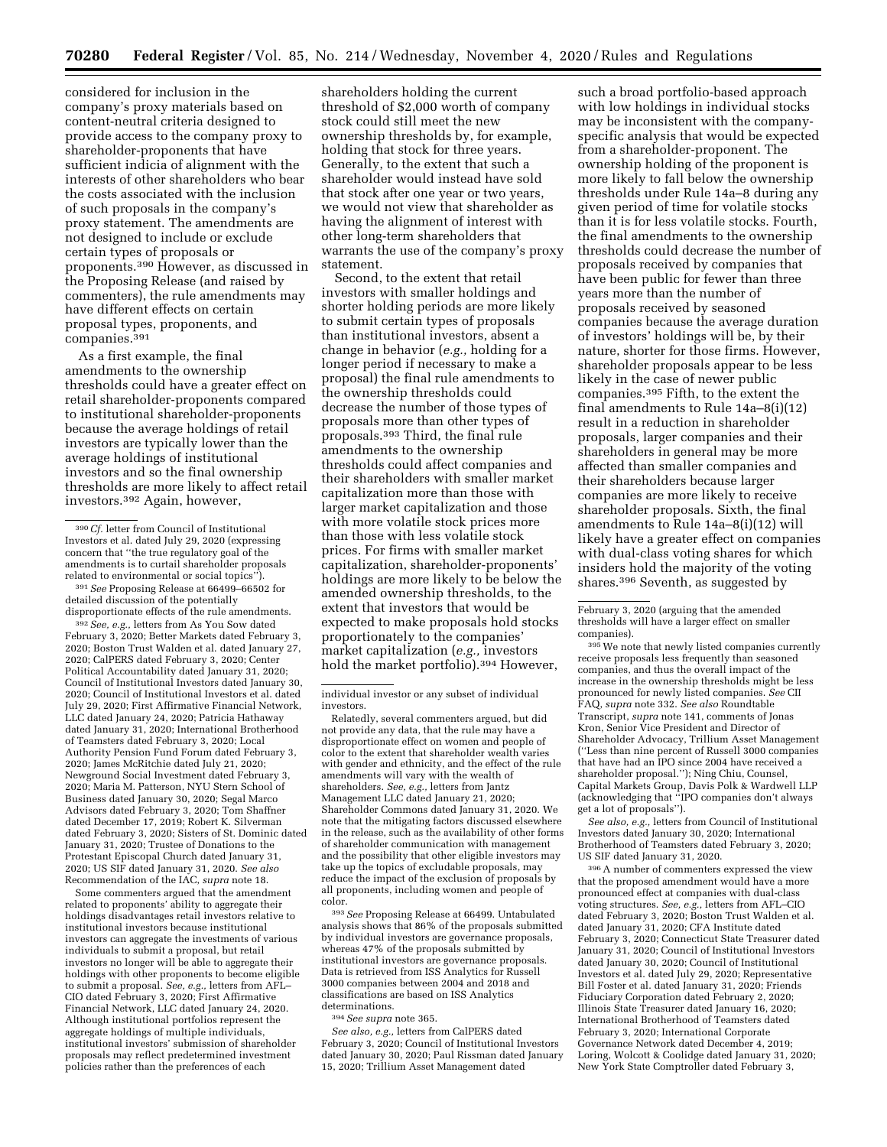considered for inclusion in the company's proxy materials based on content-neutral criteria designed to provide access to the company proxy to shareholder-proponents that have sufficient indicia of alignment with the interests of other shareholders who bear the costs associated with the inclusion of such proposals in the company's proxy statement. The amendments are not designed to include or exclude certain types of proposals or proponents.390 However, as discussed in the Proposing Release (and raised by commenters), the rule amendments may have different effects on certain proposal types, proponents, and companies.391

As a first example, the final amendments to the ownership thresholds could have a greater effect on retail shareholder-proponents compared to institutional shareholder-proponents because the average holdings of retail investors are typically lower than the average holdings of institutional investors and so the final ownership thresholds are more likely to affect retail investors.392 Again, however,

391*See* Proposing Release at 66499–66502 for detailed discussion of the potentially disproportionate effects of the rule amendments.

392*See, e.g.,* letters from As You Sow dated February 3, 2020; Better Markets dated February 3, 2020; Boston Trust Walden et al. dated January 27, 2020; CalPERS dated February 3, 2020; Center Political Accountability dated January 31, 2020; Council of Institutional Investors dated January 30, 2020; Council of Institutional Investors et al. dated July 29, 2020; First Affirmative Financial Network, LLC dated January 24, 2020; Patricia Hathaway dated January 31, 2020; International Brotherhood of Teamsters dated February 3, 2020; Local Authority Pension Fund Forum dated February 3, 2020; James McRitchie dated July 21, 2020; Newground Social Investment dated February 3, 2020; Maria M. Patterson, NYU Stern School of Business dated January 30, 2020; Segal Marco Advisors dated February 3, 2020; Tom Shaffner dated December 17, 2019; Robert K. Silverman dated February 3, 2020; Sisters of St. Dominic dated January 31, 2020; Trustee of Donations to the Protestant Episcopal Church dated January 31, 2020; US SIF dated January 31, 2020. *See also*  Recommendation of the IAC, *supra* note 18.

Some commenters argued that the amendment related to proponents' ability to aggregate their holdings disadvantages retail investors relative to institutional investors because institutional investors can aggregate the investments of various individuals to submit a proposal, but retail investors no longer will be able to aggregate their holdings with other proponents to become eligible to submit a proposal. *See, e.g.,* letters from AFL– CIO dated February 3, 2020; First Affirmative Financial Network, LLC dated January 24, 2020. Although institutional portfolios represent the aggregate holdings of multiple individuals, institutional investors' submission of shareholder proposals may reflect predetermined investment policies rather than the preferences of each

shareholders holding the current threshold of \$2,000 worth of company stock could still meet the new ownership thresholds by, for example, holding that stock for three years. Generally, to the extent that such a shareholder would instead have sold that stock after one year or two years, we would not view that shareholder as having the alignment of interest with other long-term shareholders that warrants the use of the company's proxy statement.

Second, to the extent that retail investors with smaller holdings and shorter holding periods are more likely to submit certain types of proposals than institutional investors, absent a change in behavior (*e.g.,* holding for a longer period if necessary to make a proposal) the final rule amendments to the ownership thresholds could decrease the number of those types of proposals more than other types of proposals.393 Third, the final rule amendments to the ownership thresholds could affect companies and their shareholders with smaller market capitalization more than those with larger market capitalization and those with more volatile stock prices more than those with less volatile stock prices. For firms with smaller market capitalization, shareholder-proponents' holdings are more likely to be below the amended ownership thresholds, to the extent that investors that would be expected to make proposals hold stocks proportionately to the companies' market capitalization (*e.g.,* investors hold the market portfolio).<sup>394</sup> However,

Relatedly, several commenters argued, but did not provide any data, that the rule may have a disproportionate effect on women and people of color to the extent that shareholder wealth varies with gender and ethnicity, and the effect of the rule amendments will vary with the wealth of shareholders. *See, e.g.,* letters from Jantz Management LLC dated January 21, 2020; Shareholder Commons dated January 31, 2020. We note that the mitigating factors discussed elsewhere in the release, such as the availability of other forms of shareholder communication with management and the possibility that other eligible investors may take up the topics of excludable proposals, may reduce the impact of the exclusion of proposals by all proponents, including women and people of color.

393*See* Proposing Release at 66499. Untabulated analysis shows that 86% of the proposals submitted by individual investors are governance proposals, whereas 47% of the proposals submitted by institutional investors are governance proposals. Data is retrieved from ISS Analytics for Russell 3000 companies between 2004 and 2018 and classifications are based on ISS Analytics determinations.

394*See supra* note 365.

*See also, e.g.,* letters from CalPERS dated February 3, 2020; Council of Institutional Investors dated January 30, 2020; Paul Rissman dated January 15, 2020; Trillium Asset Management dated

such a broad portfolio-based approach with low holdings in individual stocks may be inconsistent with the companyspecific analysis that would be expected from a shareholder-proponent. The ownership holding of the proponent is more likely to fall below the ownership thresholds under Rule 14a–8 during any given period of time for volatile stocks than it is for less volatile stocks. Fourth, the final amendments to the ownership thresholds could decrease the number of proposals received by companies that have been public for fewer than three years more than the number of proposals received by seasoned companies because the average duration of investors' holdings will be, by their nature, shorter for those firms. However, shareholder proposals appear to be less likely in the case of newer public companies.395 Fifth, to the extent the final amendments to Rule 14a–8(i)(12) result in a reduction in shareholder proposals, larger companies and their shareholders in general may be more affected than smaller companies and their shareholders because larger companies are more likely to receive shareholder proposals. Sixth, the final amendments to Rule 14a–8(i)(12) will likely have a greater effect on companies with dual-class voting shares for which insiders hold the majority of the voting shares.396 Seventh, as suggested by

395We note that newly listed companies currently receive proposals less frequently than seasoned companies, and thus the overall impact of the increase in the ownership thresholds might be less pronounced for newly listed companies. *See* CII FAQ, *supra* note 332. *See also* Roundtable Transcript, *supra* note 141, comments of Jonas Kron, Senior Vice President and Director of Shareholder Advocacy, Trillium Asset Management (''Less than nine percent of Russell 3000 companies that have had an IPO since 2004 have received a shareholder proposal.''); Ning Chiu, Counsel, Capital Markets Group, Davis Polk & Wardwell LLP (acknowledging that ''IPO companies don't always get a lot of proposals'').

*See also, e.g.,* letters from Council of Institutional Investors dated January 30, 2020; International Brotherhood of Teamsters dated February 3, 2020; US SIF dated January 31, 2020.

396A number of commenters expressed the view that the proposed amendment would have a more pronounced effect at companies with dual-class voting structures. *See, e.g.,* letters from AFL–CIO dated February 3, 2020; Boston Trust Walden et al. dated January 31, 2020; CFA Institute dated February 3, 2020; Connecticut State Treasurer dated January 31, 2020; Council of Institutional Investors dated January 30, 2020; Council of Institutional Investors et al. dated July 29, 2020; Representative Bill Foster et al. dated January 31, 2020; Friends Fiduciary Corporation dated February 2, 2020; Illinois State Treasurer dated January 16, 2020; International Brotherhood of Teamsters dated February 3, 2020; International Corporate Governance Network dated December 4, 2019; Loring, Wolcott & Coolidge dated January 31, 2020; New York State Comptroller dated February 3,

<sup>390</sup>*Cf.* letter from Council of Institutional Investors et al. dated July 29, 2020 (expressing concern that ''the true regulatory goal of the amendments is to curtail shareholder proposals related to environmental or social topics'').

individual investor or any subset of individual investors.

February 3, 2020 (arguing that the amended thresholds will have a larger effect on smaller companies).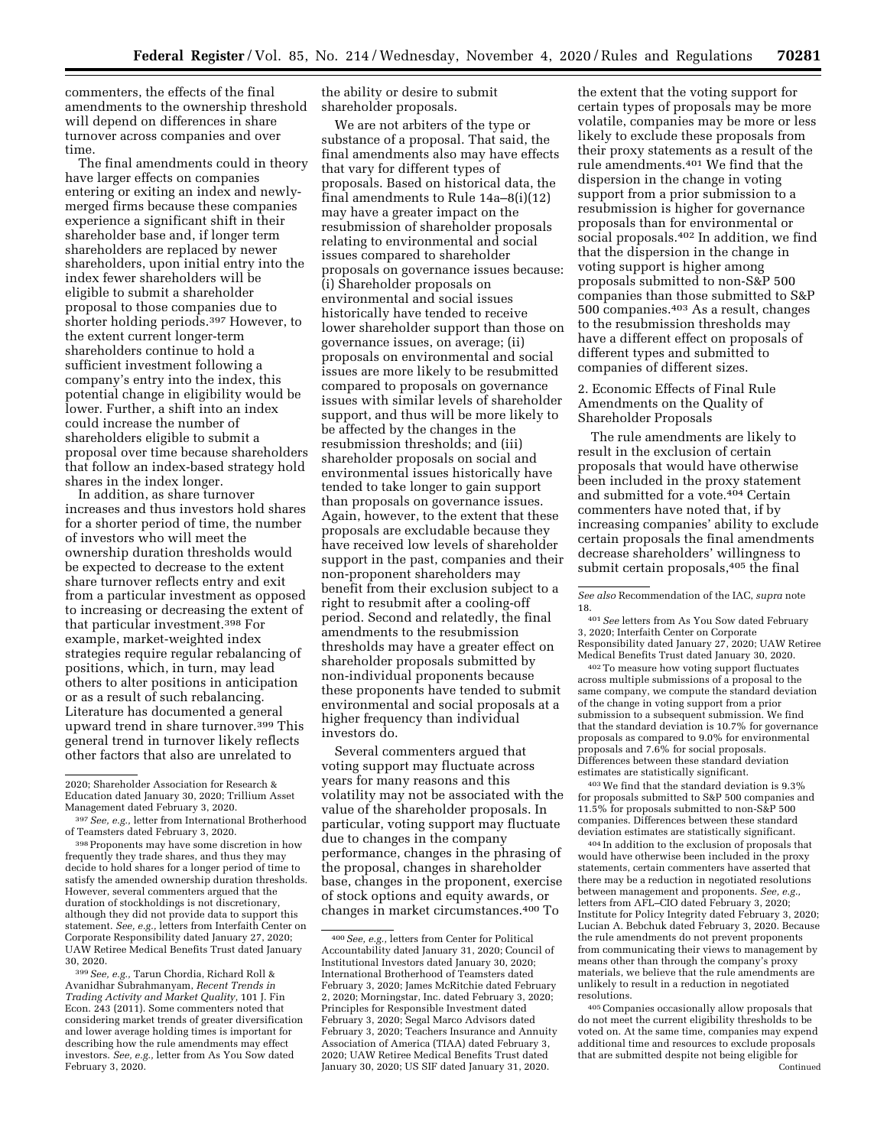commenters, the effects of the final amendments to the ownership threshold will depend on differences in share turnover across companies and over time.

The final amendments could in theory have larger effects on companies entering or exiting an index and newlymerged firms because these companies experience a significant shift in their shareholder base and, if longer term shareholders are replaced by newer shareholders, upon initial entry into the index fewer shareholders will be eligible to submit a shareholder proposal to those companies due to shorter holding periods.397 However, to the extent current longer-term shareholders continue to hold a sufficient investment following a company's entry into the index, this potential change in eligibility would be lower. Further, a shift into an index could increase the number of shareholders eligible to submit a proposal over time because shareholders that follow an index-based strategy hold shares in the index longer.

In addition, as share turnover increases and thus investors hold shares for a shorter period of time, the number of investors who will meet the ownership duration thresholds would be expected to decrease to the extent share turnover reflects entry and exit from a particular investment as opposed to increasing or decreasing the extent of that particular investment.398 For example, market-weighted index strategies require regular rebalancing of positions, which, in turn, may lead others to alter positions in anticipation or as a result of such rebalancing. Literature has documented a general upward trend in share turnover.399 This general trend in turnover likely reflects other factors that also are unrelated to

399*See, e.g.,* Tarun Chordia, Richard Roll & Avanidhar Subrahmanyam, *Recent Trends in Trading Activity and Market Quality,* 101 J. Fin Econ. 243 (2011). Some commenters noted that considering market trends of greater diversification and lower average holding times is important for describing how the rule amendments may effect investors. *See, e.g.,* letter from As You Sow dated February 3, 2020.

the ability or desire to submit shareholder proposals.

We are not arbiters of the type or substance of a proposal. That said, the final amendments also may have effects that vary for different types of proposals. Based on historical data, the final amendments to Rule 14a–8(i)(12) may have a greater impact on the resubmission of shareholder proposals relating to environmental and social issues compared to shareholder proposals on governance issues because: (i) Shareholder proposals on environmental and social issues historically have tended to receive lower shareholder support than those on governance issues, on average; (ii) proposals on environmental and social issues are more likely to be resubmitted compared to proposals on governance issues with similar levels of shareholder support, and thus will be more likely to be affected by the changes in the resubmission thresholds; and (iii) shareholder proposals on social and environmental issues historically have tended to take longer to gain support than proposals on governance issues. Again, however, to the extent that these proposals are excludable because they have received low levels of shareholder support in the past, companies and their non-proponent shareholders may benefit from their exclusion subject to a right to resubmit after a cooling-off period. Second and relatedly, the final amendments to the resubmission thresholds may have a greater effect on shareholder proposals submitted by non-individual proponents because these proponents have tended to submit environmental and social proposals at a higher frequency than individual investors do.

Several commenters argued that voting support may fluctuate across years for many reasons and this volatility may not be associated with the value of the shareholder proposals. In particular, voting support may fluctuate due to changes in the company performance, changes in the phrasing of the proposal, changes in shareholder base, changes in the proponent, exercise of stock options and equity awards, or changes in market circumstances.400 To

the extent that the voting support for certain types of proposals may be more volatile, companies may be more or less likely to exclude these proposals from their proxy statements as a result of the rule amendments.401 We find that the dispersion in the change in voting support from a prior submission to a resubmission is higher for governance proposals than for environmental or social proposals.402 In addition, we find that the dispersion in the change in voting support is higher among proposals submitted to non-S&P 500 companies than those submitted to S&P 500 companies.403 As a result, changes to the resubmission thresholds may have a different effect on proposals of different types and submitted to companies of different sizes.

2. Economic Effects of Final Rule Amendments on the Quality of Shareholder Proposals

The rule amendments are likely to result in the exclusion of certain proposals that would have otherwise been included in the proxy statement and submitted for a vote.404 Certain commenters have noted that, if by increasing companies' ability to exclude certain proposals the final amendments decrease shareholders' willingness to submit certain proposals,405 the final

401*See* letters from As You Sow dated February 3, 2020; Interfaith Center on Corporate Responsibility dated January 27, 2020; UAW Retiree Medical Benefits Trust dated January 30, 2020.

402To measure how voting support fluctuates across multiple submissions of a proposal to the same company, we compute the standard deviation of the change in voting support from a prior submission to a subsequent submission. We find that the standard deviation is 10.7% for governance proposals as compared to 9.0% for environmental proposals and 7.6% for social proposals. Differences between these standard deviation estimates are statistically significant.

 $^{403}\rm{We}$  find that the standard deviation is  $9.3\%$ for proposals submitted to S&P 500 companies and 11.5% for proposals submitted to non-S&P 500 companies. Differences between these standard deviation estimates are statistically significant.

404 In addition to the exclusion of proposals that would have otherwise been included in the proxy statements, certain commenters have asserted that there may be a reduction in negotiated resolutions between management and proponents. *See, e.g.,*  letters from AFL–CIO dated February 3, 2020; Institute for Policy Integrity dated February 3, 2020; Lucian A. Bebchuk dated February 3, 2020. Because the rule amendments do not prevent proponents from communicating their views to management by means other than through the company's proxy materials, we believe that the rule amendments are unlikely to result in a reduction in negotiated resolutions.

405Companies occasionally allow proposals that do not meet the current eligibility thresholds to be voted on. At the same time, companies may expend additional time and resources to exclude proposals that are submitted despite not being eligible for Continued

<sup>2020;</sup> Shareholder Association for Research & Education dated January 30, 2020; Trillium Asset Management dated February 3, 2020.

<sup>397</sup>*See, e.g.,* letter from International Brotherhood of Teamsters dated February 3, 2020.

<sup>398</sup>Proponents may have some discretion in how frequently they trade shares, and thus they may decide to hold shares for a longer period of time to satisfy the amended ownership duration thresholds. However, several commenters argued that the duration of stockholdings is not discretionary, although they did not provide data to support this statement. *See, e.g.,* letters from Interfaith Center on Corporate Responsibility dated January 27, 2020; UAW Retiree Medical Benefits Trust dated January 30, 2020.

<sup>400</sup>*See, e.g.,* letters from Center for Political Accountability dated January 31, 2020; Council of Institutional Investors dated January 30, 2020; International Brotherhood of Teamsters dated February 3, 2020; James McRitchie dated February 2, 2020; Morningstar, Inc. dated February 3, 2020; Principles for Responsible Investment dated February 3, 2020; Segal Marco Advisors dated February 3, 2020; Teachers Insurance and Annuity Association of America (TIAA) dated February 3, 2020; UAW Retiree Medical Benefits Trust dated January 30, 2020; US SIF dated January 31, 2020.

*See also* Recommendation of the IAC, *supra* note 18.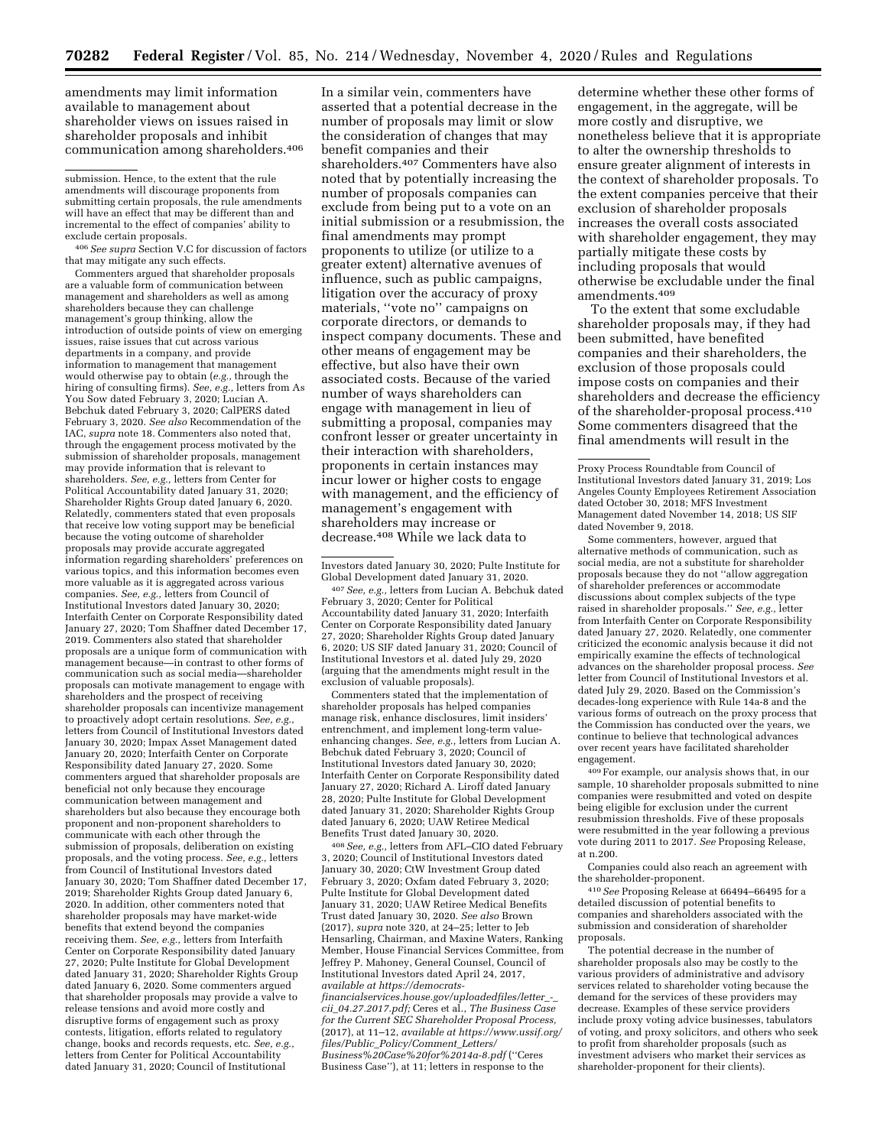amendments may limit information available to management about shareholder views on issues raised in shareholder proposals and inhibit communication among shareholders.406

406*See supra* Section V.C for discussion of factors that may mitigate any such effects.

Commenters argued that shareholder proposals are a valuable form of communication between management and shareholders as well as among shareholders because they can challenge management's group thinking, allow the introduction of outside points of view on emerging issues, raise issues that cut across various departments in a company, and provide information to management that management would otherwise pay to obtain (*e.g.,* through the hiring of consulting firms). *See, e.g.,* letters from As You Sow dated February 3, 2020; Lucian A. Bebchuk dated February 3, 2020; CalPERS dated February 3, 2020. *See also* Recommendation of the IAC, *supra* note 18. Commenters also noted that, through the engagement process motivated by the submission of shareholder proposals, management may provide information that is relevant to shareholders. *See, e.g.,* letters from Center for Political Accountability dated January 31, 2020; Shareholder Rights Group dated January 6, 2020. Relatedly, commenters stated that even proposals that receive low voting support may be beneficial because the voting outcome of shareholder proposals may provide accurate aggregated information regarding shareholders' preferences on various topics, and this information becomes even more valuable as it is aggregated across various companies. *See, e.g.,* letters from Council of Institutional Investors dated January 30, 2020; Interfaith Center on Corporate Responsibility dated January 27, 2020; Tom Shaffner dated December 17, 2019. Commenters also stated that shareholder proposals are a unique form of communication with management because—in contrast to other forms of communication such as social media—shareholder proposals can motivate management to engage with shareholders and the prospect of receiving shareholder proposals can incentivize management to proactively adopt certain resolutions. *See, e.g.,*  letters from Council of Institutional Investors dated January 30, 2020; Impax Asset Management dated January 20, 2020; Interfaith Center on Corporate Responsibility dated January 27, 2020. Some commenters argued that shareholder proposals are beneficial not only because they encourage communication between management and shareholders but also because they encourage both proponent and non-proponent shareholders to communicate with each other through the submission of proposals, deliberation on existing proposals, and the voting process. *See, e.g.,* letters from Council of Institutional Investors dated January 30, 2020; Tom Shaffner dated December 17, 2019; Shareholder Rights Group dated January 6, 2020. In addition, other commenters noted that shareholder proposals may have market-wide benefits that extend beyond the companies receiving them. *See, e.g.,* letters from Interfaith Center on Corporate Responsibility dated January 27, 2020; Pulte Institute for Global Development dated January 31, 2020; Shareholder Rights Group dated January 6, 2020. Some commenters argued that shareholder proposals may provide a valve to release tensions and avoid more costly and disruptive forms of engagement such as proxy contests, litigation, efforts related to regulatory change, books and records requests, etc. *See, e.g.,*  letters from Center for Political Accountability dated January 31, 2020; Council of Institutional

In a similar vein, commenters have asserted that a potential decrease in the number of proposals may limit or slow the consideration of changes that may benefit companies and their shareholders.407 Commenters have also noted that by potentially increasing the number of proposals companies can exclude from being put to a vote on an initial submission or a resubmission, the final amendments may prompt proponents to utilize (or utilize to a greater extent) alternative avenues of influence, such as public campaigns, litigation over the accuracy of proxy materials, ''vote no'' campaigns on corporate directors, or demands to inspect company documents. These and other means of engagement may be effective, but also have their own associated costs. Because of the varied number of ways shareholders can engage with management in lieu of submitting a proposal, companies may confront lesser or greater uncertainty in their interaction with shareholders, proponents in certain instances may incur lower or higher costs to engage with management, and the efficiency of management's engagement with shareholders may increase or decrease.408 While we lack data to

Investors dated January 30, 2020; Pulte Institute for Global Development dated January 31, 2020.

407*See, e.g.,* letters from Lucian A. Bebchuk dated February 3, 2020; Center for Political Accountability dated January 31, 2020; Interfaith Center on Corporate Responsibility dated January 27, 2020; Shareholder Rights Group dated January 6, 2020; US SIF dated January 31, 2020; Council of Institutional Investors et al. dated July 29, 2020 (arguing that the amendments might result in the exclusion of valuable proposals).

Commenters stated that the implementation of shareholder proposals has helped companies manage risk, enhance disclosures, limit insiders' entrenchment, and implement long-term valueenhancing changes. *See, e.g.,* letters from Lucian A. Bebchuk dated February 3, 2020; Council of Institutional Investors dated January 30, 2020; Interfaith Center on Corporate Responsibility dated January 27, 2020; Richard A. Liroff dated January 28, 2020; Pulte Institute for Global Development dated January 31, 2020; Shareholder Rights Group dated January 6, 2020; UAW Retiree Medical Benefits Trust dated January 30, 2020.

408*See, e.g.,* letters from AFL–CIO dated February 3, 2020; Council of Institutional Investors dated January 30, 2020; CtW Investment Group dated February 3, 2020; Oxfam dated February 3, 2020; Pulte Institute for Global Development dated January 31, 2020; UAW Retiree Medical Benefits Trust dated January 30, 2020. *See also* Brown (2017), *supra* note 320, at 24–25; letter to Jeb Hensarling, Chairman, and Maxine Waters, Ranking Member, House Financial Services Committee, from Jeffrey P. Mahoney, General Counsel, Council of Institutional Investors dated April 24, 2017, *available at [https://democrats](https://democrats-financialservices.house.gov/uploadedfiles/letter_-_cii_04.27.2017.pdf)[financialservices.house.gov/uploadedfiles/letter](https://democrats-financialservices.house.gov/uploadedfiles/letter_-_cii_04.27.2017.pdf)*\_*-*\_ *cii*\_*[04.27.2017.pdf;](https://democrats-financialservices.house.gov/uploadedfiles/letter_-_cii_04.27.2017.pdf)* Ceres et al., *The Business Case for the Current SEC Shareholder Proposal Process,*  (2017), at 11–12, *available at [https://www.ussif.org/](https://www.ussif.org/files/Public_Policy/Comment_Letters/Business%20Case%20for%2014a-8.pdf) files/Public*\_*[Policy/Comment](https://www.ussif.org/files/Public_Policy/Comment_Letters/Business%20Case%20for%2014a-8.pdf)*\_*Letters/ [Business%20Case%20for%2014a-8.pdf](https://www.ussif.org/files/Public_Policy/Comment_Letters/Business%20Case%20for%2014a-8.pdf)* (''Ceres Business Case''), at 11; letters in response to the

determine whether these other forms of engagement, in the aggregate, will be more costly and disruptive, we nonetheless believe that it is appropriate to alter the ownership thresholds to ensure greater alignment of interests in the context of shareholder proposals. To the extent companies perceive that their exclusion of shareholder proposals increases the overall costs associated with shareholder engagement, they may partially mitigate these costs by including proposals that would otherwise be excludable under the final amendments.409

To the extent that some excludable shareholder proposals may, if they had been submitted, have benefited companies and their shareholders, the exclusion of those proposals could impose costs on companies and their shareholders and decrease the efficiency of the shareholder-proposal process.410 Some commenters disagreed that the final amendments will result in the

Some commenters, however, argued that alternative methods of communication, such as social media, are not a substitute for shareholder proposals because they do not ''allow aggregation of shareholder preferences or accommodate discussions about complex subjects of the type raised in shareholder proposals.'' *See, e.g.,* letter from Interfaith Center on Corporate Responsibility dated January 27, 2020. Relatedly, one commenter criticized the economic analysis because it did not empirically examine the effects of technological advances on the shareholder proposal process. *See*  letter from Council of Institutional Investors et al. dated July 29, 2020. Based on the Commission's decades-long experience with Rule 14a-8 and the various forms of outreach on the proxy process that the Commission has conducted over the years, we continue to believe that technological advances over recent years have facilitated shareholder engagement.

409For example, our analysis shows that, in our sample, 10 shareholder proposals submitted to nine companies were resubmitted and voted on despite being eligible for exclusion under the current resubmission thresholds. Five of these proposals were resubmitted in the year following a previous vote during 2011 to 2017. *See* Proposing Release, at n.200.

Companies could also reach an agreement with the shareholder-proponent.

410*See* Proposing Release at 66494–66495 for a detailed discussion of potential benefits to companies and shareholders associated with the submission and consideration of shareholder proposals.

The potential decrease in the number of shareholder proposals also may be costly to the various providers of administrative and advisory services related to shareholder voting because the demand for the services of these providers may decrease. Examples of these service providers include proxy voting advice businesses, tabulators of voting, and proxy solicitors, and others who seek to profit from shareholder proposals (such as investment advisers who market their services as shareholder-proponent for their clients).

submission. Hence, to the extent that the rule amendments will discourage proponents from submitting certain proposals, the rule amendments will have an effect that may be different than and incremental to the effect of companies' ability to exclude certain proposals.

Proxy Process Roundtable from Council of Institutional Investors dated January 31, 2019; Los Angeles County Employees Retirement Association dated October 30, 2018; MFS Investment Management dated November 14, 2018; US SIF dated November 9, 2018.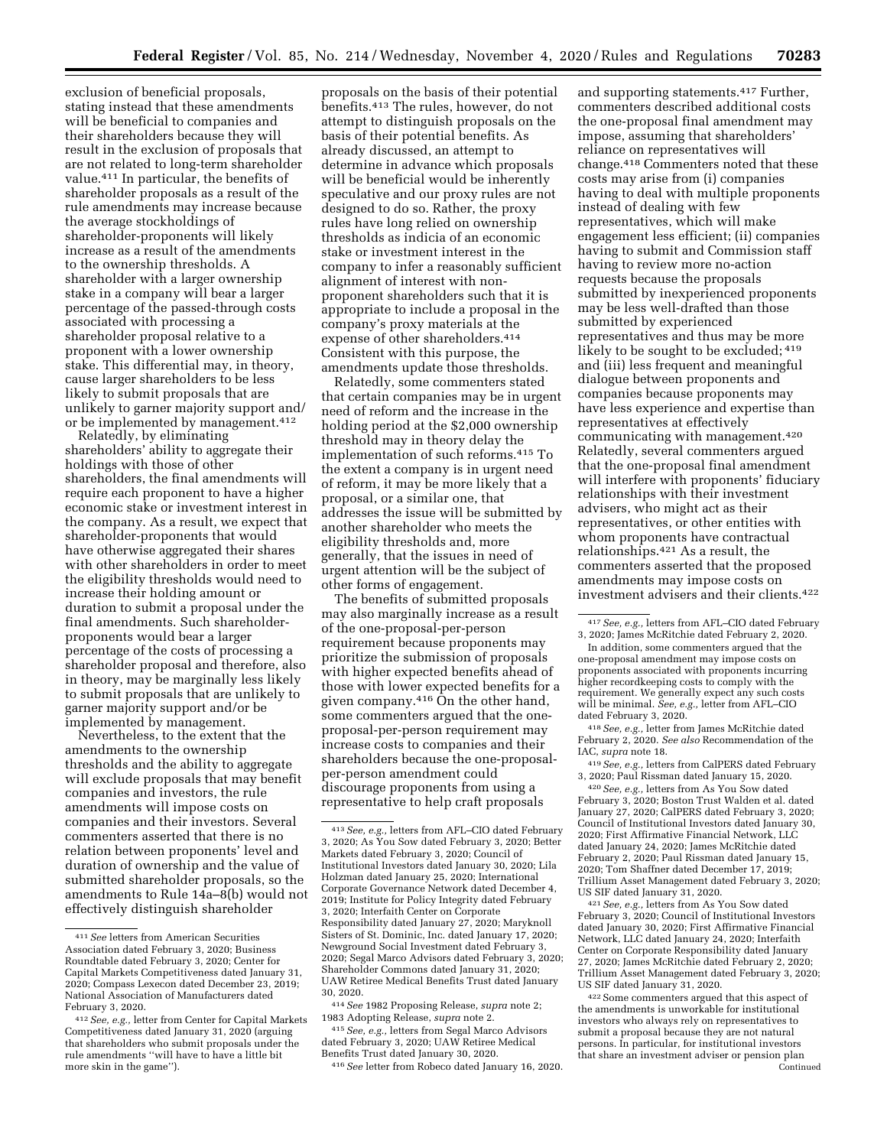exclusion of beneficial proposals, stating instead that these amendments will be beneficial to companies and their shareholders because they will result in the exclusion of proposals that are not related to long-term shareholder value.411 In particular, the benefits of shareholder proposals as a result of the rule amendments may increase because the average stockholdings of shareholder-proponents will likely increase as a result of the amendments to the ownership thresholds. A shareholder with a larger ownership stake in a company will bear a larger percentage of the passed-through costs associated with processing a shareholder proposal relative to a proponent with a lower ownership stake. This differential may, in theory, cause larger shareholders to be less likely to submit proposals that are unlikely to garner majority support and/ or be implemented by management.412

Relatedly, by eliminating shareholders' ability to aggregate their holdings with those of other shareholders, the final amendments will require each proponent to have a higher economic stake or investment interest in the company. As a result, we expect that shareholder-proponents that would have otherwise aggregated their shares with other shareholders in order to meet the eligibility thresholds would need to increase their holding amount or duration to submit a proposal under the final amendments. Such shareholderproponents would bear a larger percentage of the costs of processing a shareholder proposal and therefore, also in theory, may be marginally less likely to submit proposals that are unlikely to garner majority support and/or be implemented by management.

Nevertheless, to the extent that the amendments to the ownership thresholds and the ability to aggregate will exclude proposals that may benefit companies and investors, the rule amendments will impose costs on companies and their investors. Several commenters asserted that there is no relation between proponents' level and duration of ownership and the value of submitted shareholder proposals, so the amendments to Rule 14a–8(b) would not effectively distinguish shareholder

proposals on the basis of their potential benefits.413 The rules, however, do not attempt to distinguish proposals on the basis of their potential benefits. As already discussed, an attempt to determine in advance which proposals will be beneficial would be inherently speculative and our proxy rules are not designed to do so. Rather, the proxy rules have long relied on ownership thresholds as indicia of an economic stake or investment interest in the company to infer a reasonably sufficient alignment of interest with nonproponent shareholders such that it is appropriate to include a proposal in the company's proxy materials at the expense of other shareholders.414 Consistent with this purpose, the amendments update those thresholds.

Relatedly, some commenters stated that certain companies may be in urgent need of reform and the increase in the holding period at the \$2,000 ownership threshold may in theory delay the implementation of such reforms.415 To the extent a company is in urgent need of reform, it may be more likely that a proposal, or a similar one, that addresses the issue will be submitted by another shareholder who meets the eligibility thresholds and, more generally, that the issues in need of urgent attention will be the subject of other forms of engagement.

The benefits of submitted proposals may also marginally increase as a result of the one-proposal-per-person requirement because proponents may prioritize the submission of proposals with higher expected benefits ahead of those with lower expected benefits for a given company.416 On the other hand, some commenters argued that the oneproposal-per-person requirement may increase costs to companies and their shareholders because the one-proposalper-person amendment could discourage proponents from using a representative to help craft proposals

415*See, e.g.,* letters from Segal Marco Advisors dated February 3, 2020; UAW Retiree Medical Benefits Trust dated January 30, 2020.

416*See* letter from Robeco dated January 16, 2020.

and supporting statements.417 Further, commenters described additional costs the one-proposal final amendment may impose, assuming that shareholders' reliance on representatives will change.418 Commenters noted that these costs may arise from (i) companies having to deal with multiple proponents instead of dealing with few representatives, which will make engagement less efficient; (ii) companies having to submit and Commission staff having to review more no-action requests because the proposals submitted by inexperienced proponents may be less well-drafted than those submitted by experienced representatives and thus may be more likely to be sought to be excluded; 419 and (iii) less frequent and meaningful dialogue between proponents and companies because proponents may have less experience and expertise than representatives at effectively communicating with management.420 Relatedly, several commenters argued that the one-proposal final amendment will interfere with proponents' fiduciary relationships with their investment advisers, who might act as their representatives, or other entities with whom proponents have contractual relationships.421 As a result, the commenters asserted that the proposed amendments may impose costs on investment advisers and their clients.422

418*See, e.g.,* letter from James McRitchie dated February 2, 2020. *See also* Recommendation of the IAC, *supra* note 18.

419*See, e.g.,* letters from CalPERS dated February 3, 2020; Paul Rissman dated January 15, 2020.

420*See, e.g.,* letters from As You Sow dated February 3, 2020; Boston Trust Walden et al. dated January 27, 2020; CalPERS dated February 3, 2020; Council of Institutional Investors dated January 30, 2020; First Affirmative Financial Network, LLC dated January 24, 2020; James McRitchie dated February 2, 2020; Paul Rissman dated January 15, 2020; Tom Shaffner dated December 17, 2019; Trillium Asset Management dated February 3, 2020; US SIF dated January 31, 2020.

421*See, e.g.,* letters from As You Sow dated February 3, 2020; Council of Institutional Investors dated January 30, 2020; First Affirmative Financial Network, LLC dated January 24, 2020; Interfaith Center on Corporate Responsibility dated January 27, 2020; James McRitchie dated February 2, 2020; Trillium Asset Management dated February 3, 2020; US SIF dated January 31, 2020.

422Some commenters argued that this aspect of the amendments is unworkable for institutional investors who always rely on representatives to submit a proposal because they are not natural persons. In particular, for institutional investors that share an investment adviser or pension plan Continued

<sup>411</sup>*See* letters from American Securities Association dated February 3, 2020; Business Roundtable dated February 3, 2020; Center for Capital Markets Competitiveness dated January 31, 2020; Compass Lexecon dated December 23, 2019; National Association of Manufacturers dated February 3, 2020.

<sup>412</sup>*See, e.g.,* letter from Center for Capital Markets Competitiveness dated January 31, 2020 (arguing that shareholders who submit proposals under the rule amendments ''will have to have a little bit more skin in the game'').

<sup>413</sup>*See, e.g.,* letters from AFL–CIO dated February 3, 2020; As You Sow dated February 3, 2020; Better Markets dated February 3, 2020; Council of Institutional Investors dated January 30, 2020; Lila Holzman dated January 25, 2020; International Corporate Governance Network dated December 4, 2019; Institute for Policy Integrity dated February 3, 2020; Interfaith Center on Corporate Responsibility dated January 27, 2020; Maryknoll Sisters of St. Dominic, Inc. dated January 17, 2020; Newground Social Investment dated February 3, 2020; Segal Marco Advisors dated February 3, 2020; Shareholder Commons dated January 31, 2020; UAW Retiree Medical Benefits Trust dated January 30, 2020.

<sup>414</sup>*See* 1982 Proposing Release, *supra* note 2; 1983 Adopting Release, *supra* note 2.

<sup>417</sup>*See, e.g.,* letters from AFL–CIO dated February 3, 2020; James McRitchie dated February 2, 2020.

In addition, some commenters argued that the one-proposal amendment may impose costs on proponents associated with proponents incurring higher recordkeeping costs to comply with the requirement. We generally expect any such costs will be minimal. *See, e.g.,* letter from AFL–CIO dated February 3, 2020.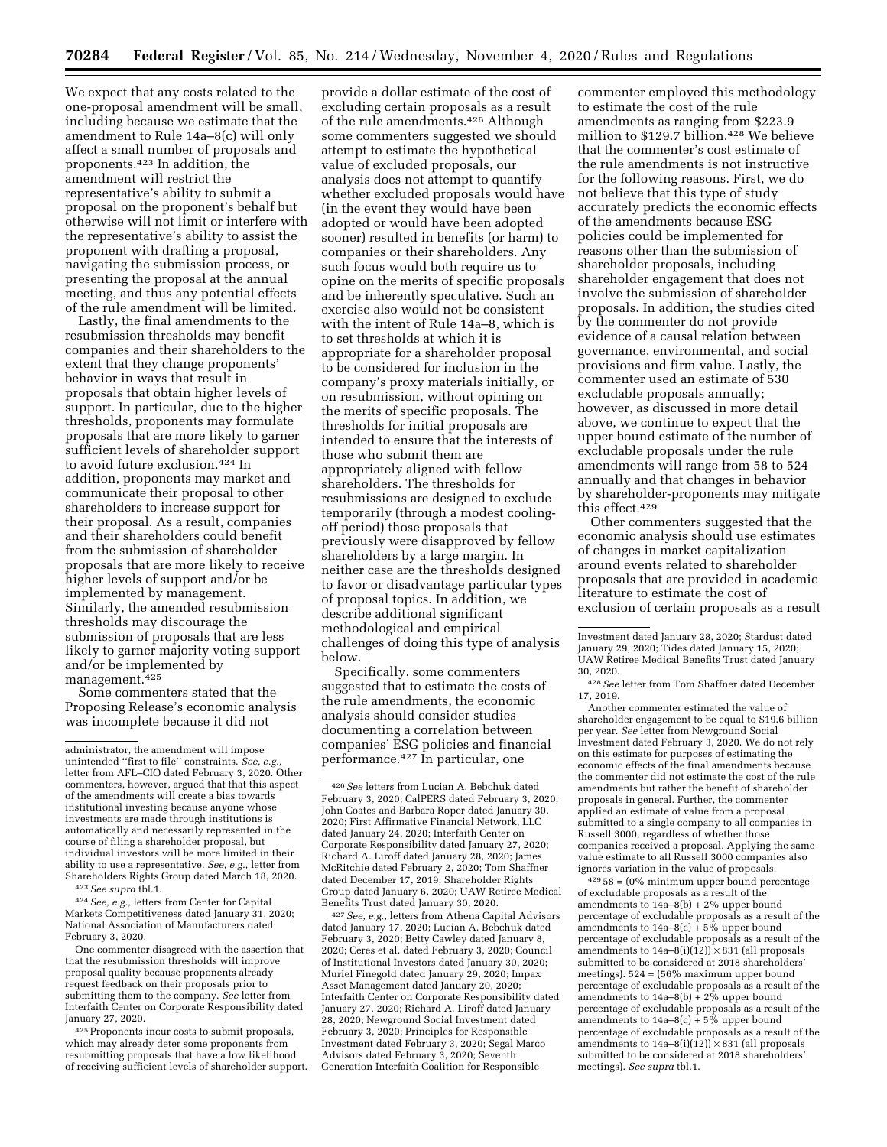We expect that any costs related to the one-proposal amendment will be small, including because we estimate that the amendment to Rule 14a–8(c) will only affect a small number of proposals and proponents.423 In addition, the amendment will restrict the representative's ability to submit a proposal on the proponent's behalf but otherwise will not limit or interfere with the representative's ability to assist the proponent with drafting a proposal, navigating the submission process, or presenting the proposal at the annual meeting, and thus any potential effects of the rule amendment will be limited.

Lastly, the final amendments to the resubmission thresholds may benefit companies and their shareholders to the extent that they change proponents' behavior in ways that result in proposals that obtain higher levels of support. In particular, due to the higher thresholds, proponents may formulate proposals that are more likely to garner sufficient levels of shareholder support to avoid future exclusion.424 In addition, proponents may market and communicate their proposal to other shareholders to increase support for their proposal. As a result, companies and their shareholders could benefit from the submission of shareholder proposals that are more likely to receive higher levels of support and/or be implemented by management. Similarly, the amended resubmission thresholds may discourage the submission of proposals that are less likely to garner majority voting support and/or be implemented by management.425

Some commenters stated that the Proposing Release's economic analysis was incomplete because it did not

423*See supra* tbl.1.

424*See, e.g.,* letters from Center for Capital Markets Competitiveness dated January 31, 2020; National Association of Manufacturers dated February 3, 2020.

One commenter disagreed with the assertion that that the resubmission thresholds will improve proposal quality because proponents already request feedback on their proposals prior to submitting them to the company. *See* letter from Interfaith Center on Corporate Responsibility dated January 27, 2020.

425Proponents incur costs to submit proposals, which may already deter some proponents from resubmitting proposals that have a low likelihood of receiving sufficient levels of shareholder support.

provide a dollar estimate of the cost of excluding certain proposals as a result of the rule amendments.426 Although some commenters suggested we should attempt to estimate the hypothetical value of excluded proposals, our analysis does not attempt to quantify whether excluded proposals would have (in the event they would have been adopted or would have been adopted sooner) resulted in benefits (or harm) to companies or their shareholders. Any such focus would both require us to opine on the merits of specific proposals and be inherently speculative. Such an exercise also would not be consistent with the intent of Rule 14a–8, which is to set thresholds at which it is appropriate for a shareholder proposal to be considered for inclusion in the company's proxy materials initially, or on resubmission, without opining on the merits of specific proposals. The thresholds for initial proposals are intended to ensure that the interests of those who submit them are appropriately aligned with fellow shareholders. The thresholds for resubmissions are designed to exclude temporarily (through a modest coolingoff period) those proposals that previously were disapproved by fellow shareholders by a large margin. In neither case are the thresholds designed to favor or disadvantage particular types of proposal topics. In addition, we describe additional significant methodological and empirical challenges of doing this type of analysis below.

Specifically, some commenters suggested that to estimate the costs of the rule amendments, the economic analysis should consider studies documenting a correlation between companies' ESG policies and financial performance.427 In particular, one

427*See, e.g.,* letters from Athena Capital Advisors dated January 17, 2020; Lucian A. Bebchuk dated February 3, 2020; Betty Cawley dated January 8, 2020; Ceres et al. dated February 3, 2020; Council of Institutional Investors dated January 30, 2020; Muriel Finegold dated January 29, 2020; Impax Asset Management dated January 20, 2020; Interfaith Center on Corporate Responsibility dated January 27, 2020; Richard A. Liroff dated January 28, 2020; Newground Social Investment dated February 3, 2020; Principles for Responsible Investment dated February 3, 2020; Segal Marco Advisors dated February 3, 2020; Seventh Generation Interfaith Coalition for Responsible

commenter employed this methodology to estimate the cost of the rule amendments as ranging from \$223.9 million to \$129.7 billion.428 We believe that the commenter's cost estimate of the rule amendments is not instructive for the following reasons. First, we do not believe that this type of study accurately predicts the economic effects of the amendments because ESG policies could be implemented for reasons other than the submission of shareholder proposals, including shareholder engagement that does not involve the submission of shareholder proposals. In addition, the studies cited by the commenter do not provide evidence of a causal relation between governance, environmental, and social provisions and firm value. Lastly, the commenter used an estimate of 530 excludable proposals annually; however, as discussed in more detail above, we continue to expect that the upper bound estimate of the number of excludable proposals under the rule amendments will range from 58 to 524 annually and that changes in behavior by shareholder-proponents may mitigate this effect.429

Other commenters suggested that the economic analysis should use estimates of changes in market capitalization around events related to shareholder proposals that are provided in academic literature to estimate the cost of exclusion of certain proposals as a result

Another commenter estimated the value of shareholder engagement to be equal to \$19.6 billion per year. *See* letter from Newground Social Investment dated February 3, 2020. We do not rely on this estimate for purposes of estimating the economic effects of the final amendments because the commenter did not estimate the cost of the rule amendments but rather the benefit of shareholder proposals in general. Further, the commenter applied an estimate of value from a proposal submitted to a single company to all companies in Russell 3000, regardless of whether those companies received a proposal. Applying the same value estimate to all Russell 3000 companies also ignores variation in the value of proposals.

 $^{429}58 = (0\%$  minimum upper bound percentage of excludable proposals as a result of the amendments to 14a–8(b) + 2% upper bound percentage of excludable proposals as a result of the amendments to  $14a-8(c) + 5%$  upper bound percentage of excludable proposals as a result of the amendments to  $14a-8(i)(12)) \times 831$  (all proposals submitted to be considered at 2018 shareholders' meetings). 524 = (56% maximum upper bound percentage of excludable proposals as a result of the amendments to  $14a-8(b) + 2%$  upper bound percentage of excludable proposals as a result of the amendments to  $14a-8(c) + 5\%$  upper bound percentage of excludable proposals as a result of the amendments to  $14a-8(i)(12)) \times 831$  (all proposals submitted to be considered at 2018 shareholders' meetings). *See supra* tbl.1.

administrator, the amendment will impose unintended "first to file" constraints. *See, e.g.* letter from AFL–CIO dated February 3, 2020. Other commenters, however, argued that that this aspect of the amendments will create a bias towards institutional investing because anyone whose investments are made through institutions is automatically and necessarily represented in the course of filing a shareholder proposal, but individual investors will be more limited in their ability to use a representative. *See, e.g.,* letter from Shareholders Rights Group dated March 18, 2020.

<sup>426</sup>*See* letters from Lucian A. Bebchuk dated February 3, 2020; CalPERS dated February 3, 2020; John Coates and Barbara Roper dated January 30, 2020; First Affirmative Financial Network, LLC dated January 24, 2020; Interfaith Center on Corporate Responsibility dated January 27, 2020; Richard A. Liroff dated January 28, 2020; James McRitchie dated February 2, 2020; Tom Shaffner dated December 17, 2019; Shareholder Rights Group dated January 6, 2020; UAW Retiree Medical Benefits Trust dated January 30, 2020.

Investment dated January 28, 2020; Stardust dated January 29, 2020; Tides dated January 15, 2020; UAW Retiree Medical Benefits Trust dated January 30, 2020.

<sup>428</sup>*See* letter from Tom Shaffner dated December 17, 2019.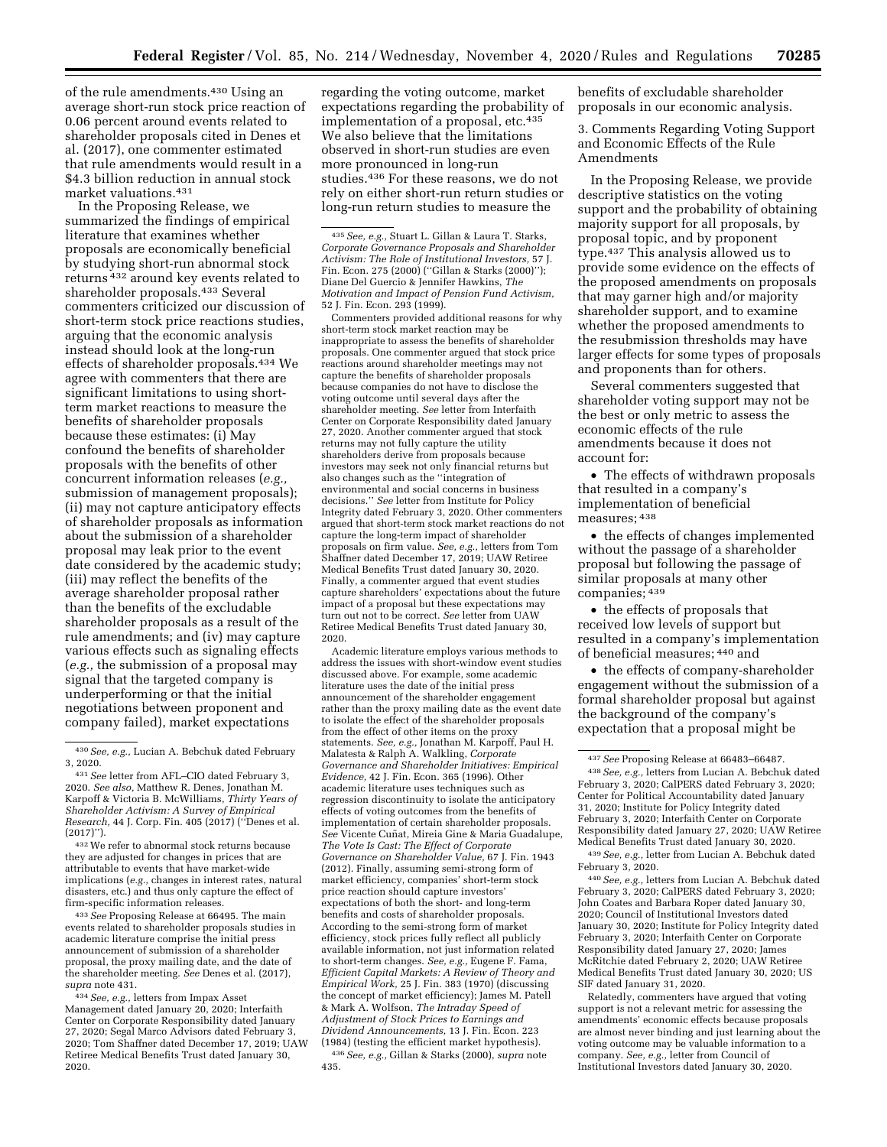of the rule amendments.430 Using an average short-run stock price reaction of 0.06 percent around events related to shareholder proposals cited in Denes et al. (2017), one commenter estimated that rule amendments would result in a \$4.3 billion reduction in annual stock market valuations.431

In the Proposing Release, we summarized the findings of empirical literature that examines whether proposals are economically beneficial by studying short-run abnormal stock returns 432 around key events related to shareholder proposals.433 Several commenters criticized our discussion of short-term stock price reactions studies, arguing that the economic analysis instead should look at the long-run effects of shareholder proposals.434 We agree with commenters that there are significant limitations to using shortterm market reactions to measure the benefits of shareholder proposals because these estimates: (i) May confound the benefits of shareholder proposals with the benefits of other concurrent information releases (*e.g.,*  submission of management proposals); (ii) may not capture anticipatory effects of shareholder proposals as information about the submission of a shareholder proposal may leak prior to the event date considered by the academic study; (iii) may reflect the benefits of the average shareholder proposal rather than the benefits of the excludable shareholder proposals as a result of the rule amendments; and (iv) may capture various effects such as signaling effects (*e.g.,* the submission of a proposal may signal that the targeted company is underperforming or that the initial negotiations between proponent and company failed), market expectations

432We refer to abnormal stock returns because they are adjusted for changes in prices that are attributable to events that have market-wide implications (*e.g.,* changes in interest rates, natural disasters, etc.) and thus only capture the effect of firm-specific information releases.

433*See* Proposing Release at 66495. The main events related to shareholder proposals studies in academic literature comprise the initial press announcement of submission of a shareholder proposal, the proxy mailing date, and the date of the shareholder meeting. *See* Denes et al. (2017), *supra* note 431.

434*See, e.g.,* letters from Impax Asset Management dated January 20, 2020; Interfaith Center on Corporate Responsibility dated January 27, 2020; Segal Marco Advisors dated February 3, 2020; Tom Shaffner dated December 17, 2019; UAW Retiree Medical Benefits Trust dated January 30, 2020.

regarding the voting outcome, market expectations regarding the probability of implementation of a proposal, etc.435 We also believe that the limitations observed in short-run studies are even more pronounced in long-run studies.436 For these reasons, we do not rely on either short-run return studies or long-run return studies to measure the

435*See, e.g.,* Stuart L. Gillan & Laura T. Starks, *Corporate Governance Proposals and Shareholder Activism: The Role of Institutional Investors,* 57 J. Fin. Econ. 275 (2000) (''Gillan & Starks (2000)''); Diane Del Guercio & Jennifer Hawkins, *The Motivation and Impact of Pension Fund Activism,*  52 J. Fin. Econ. 293 (1999).

Commenters provided additional reasons for why short-term stock market reaction may be inappropriate to assess the benefits of shareholder proposals. One commenter argued that stock price reactions around shareholder meetings may not capture the benefits of shareholder proposals because companies do not have to disclose the voting outcome until several days after the shareholder meeting. *See* letter from Interfaith Center on Corporate Responsibility dated January 27, 2020. Another commenter argued that stock returns may not fully capture the utility shareholders derive from proposals because investors may seek not only financial returns but also changes such as the ''integration of environmental and social concerns in business decisions.'' *See* letter from Institute for Policy Integrity dated February 3, 2020. Other commenters argued that short-term stock market reactions do not capture the long-term impact of shareholder proposals on firm value. *See, e.g.,* letters from Tom Shaffner dated December 17, 2019; UAW Retiree Medical Benefits Trust dated January 30, 2020. Finally, a commenter argued that event studies capture shareholders' expectations about the future impact of a proposal but these expectations may turn out not to be correct. *See* letter from UAW Retiree Medical Benefits Trust dated January 30, 2020.

Academic literature employs various methods to address the issues with short-window event studies discussed above. For example, some academic literature uses the date of the initial press announcement of the shareholder engagement rather than the proxy mailing date as the event date to isolate the effect of the shareholder proposals from the effect of other items on the proxy statements. *See, e.g.,* Jonathan M. Karpoff, Paul H. Malatesta & Ralph A. Walkling, *Corporate Governance and Shareholder Initiatives: Empirical Evidence,* 42 J. Fin. Econ. 365 (1996). Other academic literature uses techniques such as regression discontinuity to isolate the anticipatory effects of voting outcomes from the benefits of implementation of certain shareholder proposals. *See* Vicente Cun˜ at, Mireia Gine & Maria Guadalupe, *The Vote Is Cast: The Effect of Corporate Governance on Shareholder Value,* 67 J. Fin. 1943 (2012). Finally, assuming semi-strong form of market efficiency, companies' short-term stock price reaction should capture investors' expectations of both the short- and long-term benefits and costs of shareholder proposals. According to the semi-strong form of market efficiency, stock prices fully reflect all publicly available information, not just information related to short-term changes. *See, e.g.,* Eugene F. Fama, *Efficient Capital Markets: A Review of Theory and Empirical Work,* 25 J. Fin. 383 (1970) (discussing the concept of market efficiency); James M. Patell & Mark A. Wolfson, *The Intraday Speed of Adjustment of Stock Prices to Earnings and Dividend Announcements,* 13 J. Fin. Econ. 223 (1984) (testing the efficient market hypothesis).

436*See, e.g.,* Gillan & Starks (2000), *supra* note 435.

benefits of excludable shareholder proposals in our economic analysis.

3. Comments Regarding Voting Support and Economic Effects of the Rule Amendments

In the Proposing Release, we provide descriptive statistics on the voting support and the probability of obtaining majority support for all proposals, by proposal topic, and by proponent type.437 This analysis allowed us to provide some evidence on the effects of the proposed amendments on proposals that may garner high and/or majority shareholder support, and to examine whether the proposed amendments to the resubmission thresholds may have larger effects for some types of proposals and proponents than for others.

Several commenters suggested that shareholder voting support may not be the best or only metric to assess the economic effects of the rule amendments because it does not account for:

• The effects of withdrawn proposals that resulted in a company's implementation of beneficial measures; 438

• the effects of changes implemented without the passage of a shareholder proposal but following the passage of similar proposals at many other companies; 439

• the effects of proposals that received low levels of support but resulted in a company's implementation of beneficial measures; 440 and

• the effects of company-shareholder engagement without the submission of a formal shareholder proposal but against the background of the company's expectation that a proposal might be

440*See, e.g.,* letters from Lucian A. Bebchuk dated February 3, 2020; CalPERS dated February 3, 2020; John Coates and Barbara Roper dated January 30, 2020; Council of Institutional Investors dated January 30, 2020; Institute for Policy Integrity dated February 3, 2020; Interfaith Center on Corporate Responsibility dated January 27, 2020; James McRitchie dated February 2, 2020; UAW Retiree Medical Benefits Trust dated January 30, 2020; US SIF dated January 31, 2020.

Relatedly, commenters have argued that voting support is not a relevant metric for assessing the amendments' economic effects because proposals are almost never binding and just learning about the voting outcome may be valuable information to a company. *See, e.g.,* letter from Council of Institutional Investors dated January 30, 2020.

<sup>430</sup>*See, e.g.,* Lucian A. Bebchuk dated February 3, 2020.

<sup>431</sup>*See* letter from AFL–CIO dated February 3, 2020. *See also,* Matthew R. Denes, Jonathan M. Karpoff & Victoria B. McWilliams, *Thirty Years of Shareholder Activism: A Survey of Empirical Research,* 44 J. Corp. Fin. 405 (2017) (''Denes et al. (2017)'').

<sup>437</sup>*See* Proposing Release at 66483–66487. 438*See, e.g.,* letters from Lucian A. Bebchuk dated February 3, 2020; CalPERS dated February 3, 2020; Center for Political Accountability dated January 31, 2020; Institute for Policy Integrity dated February 3, 2020; Interfaith Center on Corporate Responsibility dated January 27, 2020; UAW Retiree Medical Benefits Trust dated January 30, 2020.

<sup>439</sup>*See, e.g.,* letter from Lucian A. Bebchuk dated February 3, 2020.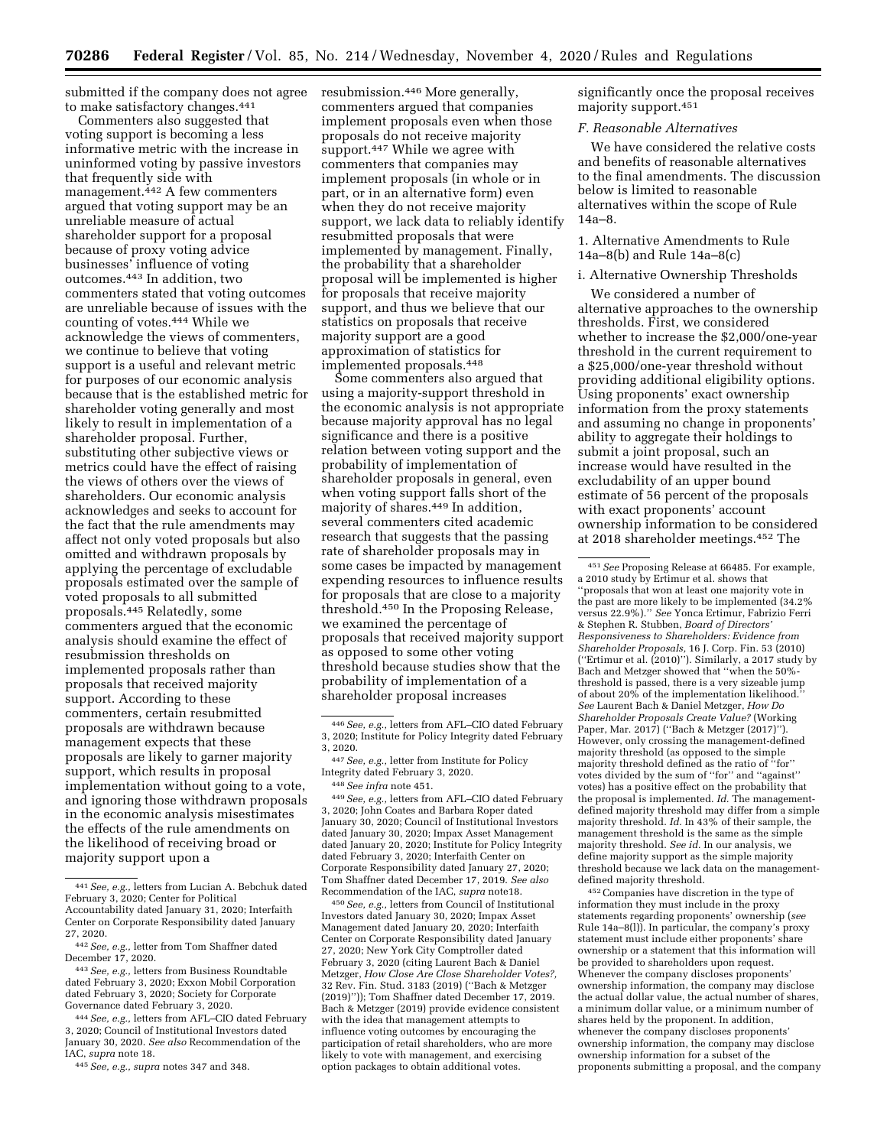submitted if the company does not agree to make satisfactory changes.441

Commenters also suggested that voting support is becoming a less informative metric with the increase in uninformed voting by passive investors that frequently side with management.442 A few commenters argued that voting support may be an unreliable measure of actual shareholder support for a proposal because of proxy voting advice businesses' influence of voting outcomes.443 In addition, two commenters stated that voting outcomes are unreliable because of issues with the counting of votes.444 While we acknowledge the views of commenters, we continue to believe that voting support is a useful and relevant metric for purposes of our economic analysis because that is the established metric for shareholder voting generally and most likely to result in implementation of a shareholder proposal. Further, substituting other subjective views or metrics could have the effect of raising the views of others over the views of shareholders. Our economic analysis acknowledges and seeks to account for the fact that the rule amendments may affect not only voted proposals but also omitted and withdrawn proposals by applying the percentage of excludable proposals estimated over the sample of voted proposals to all submitted proposals.445 Relatedly, some commenters argued that the economic analysis should examine the effect of resubmission thresholds on implemented proposals rather than proposals that received majority support. According to these commenters, certain resubmitted proposals are withdrawn because management expects that these proposals are likely to garner majority support, which results in proposal implementation without going to a vote, and ignoring those withdrawn proposals in the economic analysis misestimates the effects of the rule amendments on the likelihood of receiving broad or majority support upon a

443*See, e.g.,* letters from Business Roundtable dated February 3, 2020; Exxon Mobil Corporation dated February 3, 2020; Society for Corporate Governance dated February 3, 2020.

444*See, e.g.,* letters from AFL–CIO dated February 3, 2020; Council of Institutional Investors dated January 30, 2020. *See also* Recommendation of the IAC, *supra* note 18.

445*See, e.g., supra* notes 347 and 348.

resubmission.446 More generally, commenters argued that companies implement proposals even when those proposals do not receive majority support.<sup>447</sup> While we agree with commenters that companies may implement proposals (in whole or in part, or in an alternative form) even when they do not receive majority support, we lack data to reliably identify resubmitted proposals that were implemented by management. Finally, the probability that a shareholder proposal will be implemented is higher for proposals that receive majority support, and thus we believe that our statistics on proposals that receive majority support are a good approximation of statistics for implemented proposals.448

Some commenters also argued that using a majority-support threshold in the economic analysis is not appropriate because majority approval has no legal significance and there is a positive relation between voting support and the probability of implementation of shareholder proposals in general, even when voting support falls short of the majority of shares.449 In addition, several commenters cited academic research that suggests that the passing rate of shareholder proposals may in some cases be impacted by management expending resources to influence results for proposals that are close to a majority threshold.450 In the Proposing Release, we examined the percentage of proposals that received majority support as opposed to some other voting threshold because studies show that the probability of implementation of a shareholder proposal increases

449*See, e.g.,* letters from AFL–CIO dated February 3, 2020; John Coates and Barbara Roper dated January 30, 2020; Council of Institutional Investors dated January 30, 2020; Impax Asset Management dated January 20, 2020; Institute for Policy Integrity dated February 3, 2020; Interfaith Center on Corporate Responsibility dated January 27, 2020; Tom Shaffner dated December 17, 2019. *See also*  Recommendation of the IAC, *supra* note18.

450*See, e.g.,* letters from Council of Institutional Investors dated January 30, 2020; Impax Asset Management dated January 20, 2020; Interfaith Center on Corporate Responsibility dated January 27, 2020; New York City Comptroller dated February 3, 2020 (citing Laurent Bach & Daniel Metzger, *How Close Are Close Shareholder Votes?,*  32 Rev. Fin. Stud. 3183 (2019) (''Bach & Metzger (2019)'')); Tom Shaffner dated December 17, 2019. Bach & Metzger (2019) provide evidence consistent with the idea that management attempts to influence voting outcomes by encouraging the participation of retail shareholders, who are more likely to vote with management, and exercising option packages to obtain additional votes.

significantly once the proposal receives majority support.451

### *F. Reasonable Alternatives*

We have considered the relative costs and benefits of reasonable alternatives to the final amendments. The discussion below is limited to reasonable alternatives within the scope of Rule 14a–8.

1. Alternative Amendments to Rule 14a–8(b) and Rule 14a–8(c)

#### i. Alternative Ownership Thresholds

We considered a number of alternative approaches to the ownership thresholds. First, we considered whether to increase the \$2,000/one-year threshold in the current requirement to a \$25,000/one-year threshold without providing additional eligibility options. Using proponents' exact ownership information from the proxy statements and assuming no change in proponents' ability to aggregate their holdings to submit a joint proposal, such an increase would have resulted in the excludability of an upper bound estimate of 56 percent of the proposals with exact proponents' account ownership information to be considered at 2018 shareholder meetings.452 The

452Companies have discretion in the type of information they must include in the proxy statements regarding proponents' ownership (*see*  Rule 14a–8(l)). In particular, the company's proxy statement must include either proponents' share ownership or a statement that this information will be provided to shareholders upon request. Whenever the company discloses proponents' ownership information, the company may disclose the actual dollar value, the actual number of shares, a minimum dollar value, or a minimum number of shares held by the proponent. In addition, whenever the company discloses proponents' ownership information, the company may disclose ownership information for a subset of the proponents submitting a proposal, and the company

<sup>441</sup>*See, e.g.,* letters from Lucian A. Bebchuk dated February 3, 2020; Center for Political Accountability dated January 31, 2020; Interfaith Center on Corporate Responsibility dated January 27, 2020.

<sup>442</sup>*See, e.g.,* letter from Tom Shaffner dated December 17, 2020.

<sup>446</sup>*See, e.g.,* letters from AFL–CIO dated February 3, 2020; Institute for Policy Integrity dated February 3, 2020.

<sup>447</sup>*See, e.g.,* letter from Institute for Policy Integrity dated February 3, 2020.

<sup>448</sup>*See infra* note 451.

<sup>451</sup>*See* Proposing Release at 66485. For example, a 2010 study by Ertimur et al. shows that ''proposals that won at least one majority vote in the past are more likely to be implemented (34.2% versus 22.9%).'' *See* Yonca Ertimur, Fabrizio Ferri & Stephen R. Stubben, *Board of Directors' Responsiveness to Shareholders: Evidence from Shareholder Proposals,* 16 J. Corp. Fin. 53 (2010) (''Ertimur et al. (2010)''). Similarly, a 2017 study by Bach and Metzger showed that ''when the 50% threshold is passed, there is a very sizeable jump of about 20% of the implementation likelihood. *See* Laurent Bach & Daniel Metzger, *How Do Shareholder Proposals Create Value?* (Working Paper, Mar. 2017) ("Bach & Metzger (2017)' However, only crossing the management-defined majority threshold (as opposed to the simple majority threshold defined as the ratio of ''for'' votes divided by the sum of ''for'' and ''against'' votes) has a positive effect on the probability that the proposal is implemented. *Id.* The managementdefined majority threshold may differ from a simple majority threshold. *Id.* In 43% of their sample, the management threshold is the same as the simple majority threshold. *See id.* In our analysis, we define majority support as the simple majority threshold because we lack data on the managementdefined majority threshold.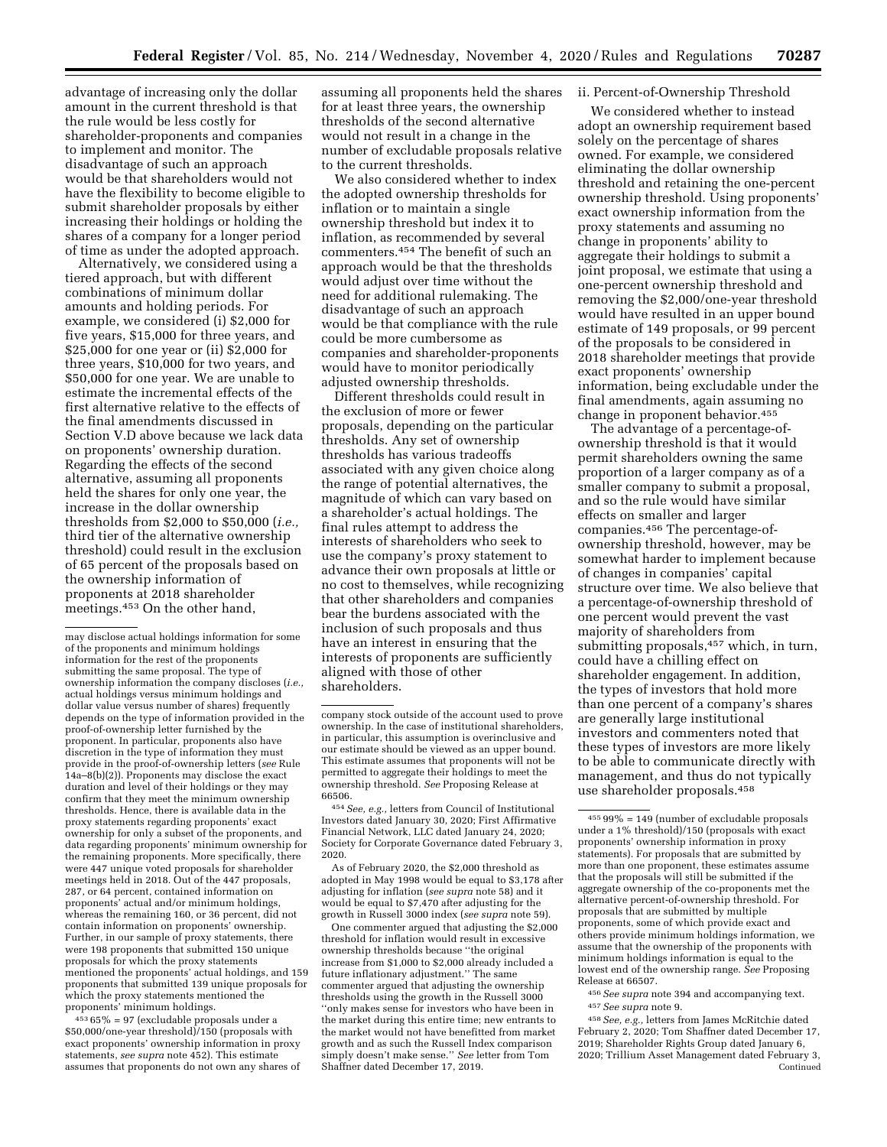advantage of increasing only the dollar amount in the current threshold is that the rule would be less costly for shareholder-proponents and companies to implement and monitor. The disadvantage of such an approach would be that shareholders would not have the flexibility to become eligible to submit shareholder proposals by either increasing their holdings or holding the shares of a company for a longer period of time as under the adopted approach.

Alternatively, we considered using a tiered approach, but with different combinations of minimum dollar amounts and holding periods. For example, we considered (i) \$2,000 for five years, \$15,000 for three years, and \$25,000 for one year or (ii) \$2,000 for three years, \$10,000 for two years, and \$50,000 for one year. We are unable to estimate the incremental effects of the first alternative relative to the effects of the final amendments discussed in Section V.D above because we lack data on proponents' ownership duration. Regarding the effects of the second alternative, assuming all proponents held the shares for only one year, the increase in the dollar ownership thresholds from \$2,000 to \$50,000 (*i.e.,*  third tier of the alternative ownership threshold) could result in the exclusion of 65 percent of the proposals based on the ownership information of proponents at 2018 shareholder meetings.453 On the other hand,

453 65% = 97 (excludable proposals under a \$50,000/one-year threshold)/150 (proposals with exact proponents' ownership information in proxy statements, *see supra* note 452). This estimate assumes that proponents do not own any shares of

assuming all proponents held the shares for at least three years, the ownership thresholds of the second alternative would not result in a change in the number of excludable proposals relative to the current thresholds.

We also considered whether to index the adopted ownership thresholds for inflation or to maintain a single ownership threshold but index it to inflation, as recommended by several commenters.454 The benefit of such an approach would be that the thresholds would adjust over time without the need for additional rulemaking. The disadvantage of such an approach would be that compliance with the rule could be more cumbersome as companies and shareholder-proponents would have to monitor periodically adjusted ownership thresholds.

Different thresholds could result in the exclusion of more or fewer proposals, depending on the particular thresholds. Any set of ownership thresholds has various tradeoffs associated with any given choice along the range of potential alternatives, the magnitude of which can vary based on a shareholder's actual holdings. The final rules attempt to address the interests of shareholders who seek to use the company's proxy statement to advance their own proposals at little or no cost to themselves, while recognizing that other shareholders and companies bear the burdens associated with the inclusion of such proposals and thus have an interest in ensuring that the interests of proponents are sufficiently aligned with those of other shareholders.

454*See, e.g.,* letters from Council of Institutional Investors dated January 30, 2020; First Affirmative Financial Network, LLC dated January 24, 2020; Society for Corporate Governance dated February 3, 2020.

As of February 2020, the \$2,000 threshold as adopted in May 1998 would be equal to \$3,178 after adjusting for inflation (*see supra* note 58) and it would be equal to \$7,470 after adjusting for the growth in Russell 3000 index (*see supra* note 59).

One commenter argued that adjusting the \$2,000 threshold for inflation would result in excessive ownership thresholds because ''the original increase from \$1,000 to \$2,000 already included a future inflationary adjustment.'' The same commenter argued that adjusting the ownership thresholds using the growth in the Russell 3000 ''only makes sense for investors who have been in the market during this entire time; new entrants to the market would not have benefitted from market growth and as such the Russell Index comparison simply doesn't make sense.'' *See* letter from Tom Shaffner dated December 17, 2019.

## ii. Percent-of-Ownership Threshold

We considered whether to instead adopt an ownership requirement based solely on the percentage of shares owned. For example, we considered eliminating the dollar ownership threshold and retaining the one-percent ownership threshold. Using proponents' exact ownership information from the proxy statements and assuming no change in proponents' ability to aggregate their holdings to submit a joint proposal, we estimate that using a one-percent ownership threshold and removing the \$2,000/one-year threshold would have resulted in an upper bound estimate of 149 proposals, or 99 percent of the proposals to be considered in 2018 shareholder meetings that provide exact proponents' ownership information, being excludable under the final amendments, again assuming no change in proponent behavior.455

The advantage of a percentage-ofownership threshold is that it would permit shareholders owning the same proportion of a larger company as of a smaller company to submit a proposal, and so the rule would have similar effects on smaller and larger companies.456 The percentage-ofownership threshold, however, may be somewhat harder to implement because of changes in companies' capital structure over time. We also believe that a percentage-of-ownership threshold of one percent would prevent the vast majority of shareholders from submitting proposals,457 which, in turn, could have a chilling effect on shareholder engagement. In addition, the types of investors that hold more than one percent of a company's shares are generally large institutional investors and commenters noted that these types of investors are more likely to be able to communicate directly with management, and thus do not typically use shareholder proposals.458

may disclose actual holdings information for some of the proponents and minimum holdings information for the rest of the proponents submitting the same proposal. The type of ownership information the company discloses (*i.e.,*  actual holdings versus minimum holdings and dollar value versus number of shares) frequently depends on the type of information provided in the proof-of-ownership letter furnished by the proponent. In particular, proponents also have discretion in the type of information they must provide in the proof-of-ownership letters (*see* Rule 14a–8(b)(2)). Proponents may disclose the exact duration and level of their holdings or they may confirm that they meet the minimum ownership thresholds. Hence, there is available data in the proxy statements regarding proponents' exact ownership for only a subset of the proponents, and data regarding proponents' minimum ownership for the remaining proponents. More specifically, there were 447 unique voted proposals for shareholder meetings held in 2018. Out of the 447 proposals, 287, or 64 percent, contained information on proponents' actual and/or minimum holdings, whereas the remaining 160, or 36 percent, did not contain information on proponents' ownership. Further, in our sample of proxy statements, there were 198 proponents that submitted 150 unique proposals for which the proxy statements mentioned the proponents' actual holdings, and 159 proponents that submitted 139 unique proposals for which the proxy statements mentioned the proponents' minimum holdings.

company stock outside of the account used to prove ownership. In the case of institutional shareholders, in particular, this assumption is overinclusive and our estimate should be viewed as an upper bound. This estimate assumes that proponents will not be permitted to aggregate their holdings to meet the ownership threshold. *See* Proposing Release at 66506.

 $45599\% = 149$  (number of excludable proposals under a 1% threshold)/150 (proposals with exact proponents' ownership information in proxy statements). For proposals that are submitted by more than one proponent, these estimates assume that the proposals will still be submitted if the aggregate ownership of the co-proponents met the alternative percent-of-ownership threshold. For proposals that are submitted by multiple proponents, some of which provide exact and others provide minimum holdings information, we assume that the ownership of the proponents with minimum holdings information is equal to the lowest end of the ownership range. *See* Proposing Release at 66507.

<sup>456</sup>*See supra* note 394 and accompanying text. 457*See supra* note 9.

<sup>458</sup>*See, e.g.,* letters from James McRitchie dated February 2, 2020; Tom Shaffner dated December 17, 2019; Shareholder Rights Group dated January 6, 2020; Trillium Asset Management dated February 3, Continued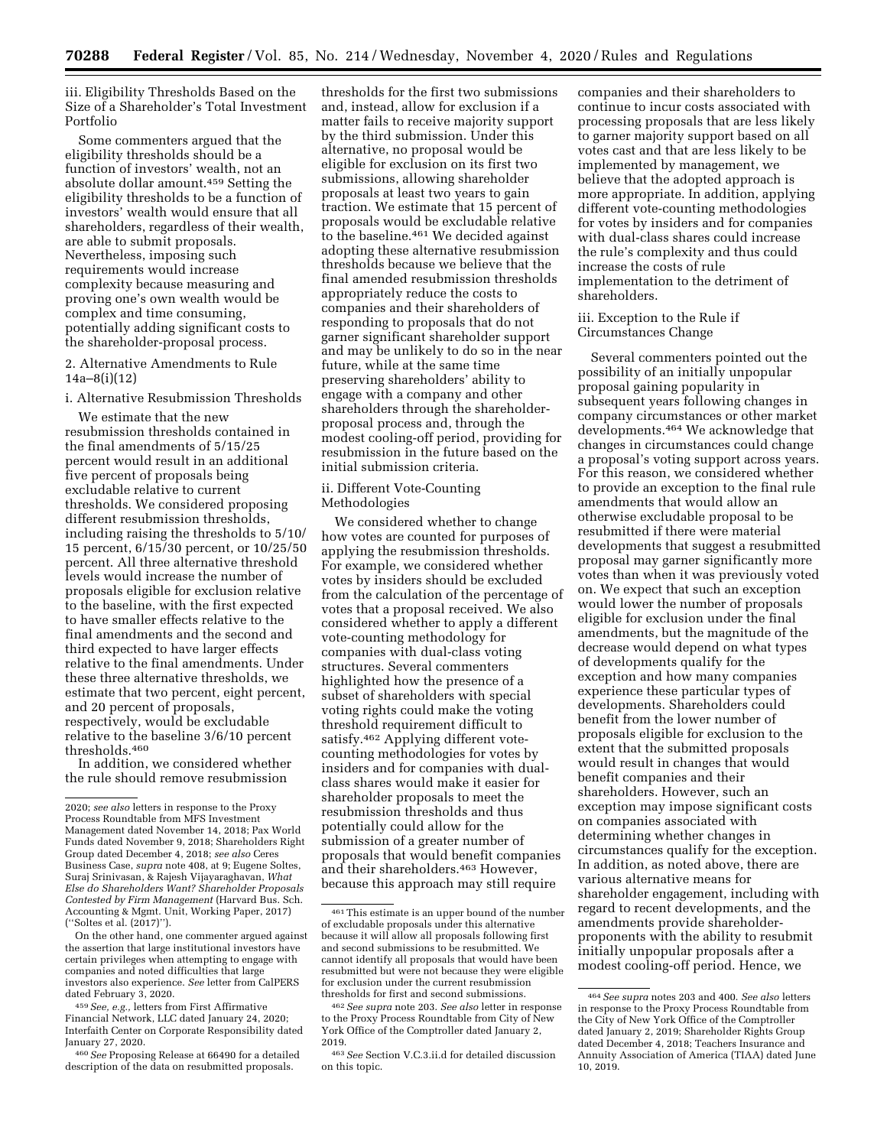iii. Eligibility Thresholds Based on the Size of a Shareholder's Total Investment Portfolio

Some commenters argued that the eligibility thresholds should be a function of investors' wealth, not an absolute dollar amount.459 Setting the eligibility thresholds to be a function of investors' wealth would ensure that all shareholders, regardless of their wealth, are able to submit proposals. Nevertheless, imposing such requirements would increase complexity because measuring and proving one's own wealth would be complex and time consuming, potentially adding significant costs to the shareholder-proposal process.

2. Alternative Amendments to Rule 14a–8(i)(12)

i. Alternative Resubmission Thresholds

We estimate that the new resubmission thresholds contained in the final amendments of 5/15/25 percent would result in an additional five percent of proposals being excludable relative to current thresholds. We considered proposing different resubmission thresholds, including raising the thresholds to 5/10/ 15 percent, 6/15/30 percent, or 10/25/50 percent. All three alternative threshold levels would increase the number of proposals eligible for exclusion relative to the baseline, with the first expected to have smaller effects relative to the final amendments and the second and third expected to have larger effects relative to the final amendments. Under these three alternative thresholds, we estimate that two percent, eight percent, and 20 percent of proposals, respectively, would be excludable relative to the baseline 3/6/10 percent thresholds.460

In addition, we considered whether the rule should remove resubmission

On the other hand, one commenter argued against the assertion that large institutional investors have certain privileges when attempting to engage with companies and noted difficulties that large investors also experience. *See* letter from CalPERS dated February 3, 2020.

460*See* Proposing Release at 66490 for a detailed description of the data on resubmitted proposals.

thresholds for the first two submissions and, instead, allow for exclusion if a matter fails to receive majority support by the third submission. Under this alternative, no proposal would be eligible for exclusion on its first two submissions, allowing shareholder proposals at least two years to gain traction. We estimate that 15 percent of proposals would be excludable relative to the baseline.461 We decided against adopting these alternative resubmission thresholds because we believe that the final amended resubmission thresholds appropriately reduce the costs to companies and their shareholders of responding to proposals that do not garner significant shareholder support and may be unlikely to do so in the near future, while at the same time preserving shareholders' ability to engage with a company and other shareholders through the shareholderproposal process and, through the modest cooling-off period, providing for resubmission in the future based on the initial submission criteria.

### ii. Different Vote-Counting Methodologies

We considered whether to change how votes are counted for purposes of applying the resubmission thresholds. For example, we considered whether votes by insiders should be excluded from the calculation of the percentage of votes that a proposal received. We also considered whether to apply a different vote-counting methodology for companies with dual-class voting structures. Several commenters highlighted how the presence of a subset of shareholders with special voting rights could make the voting threshold requirement difficult to satisfy.462 Applying different votecounting methodologies for votes by insiders and for companies with dualclass shares would make it easier for shareholder proposals to meet the resubmission thresholds and thus potentially could allow for the submission of a greater number of proposals that would benefit companies and their shareholders.463 However, because this approach may still require

companies and their shareholders to continue to incur costs associated with processing proposals that are less likely to garner majority support based on all votes cast and that are less likely to be implemented by management, we believe that the adopted approach is more appropriate. In addition, applying different vote-counting methodologies for votes by insiders and for companies with dual-class shares could increase the rule's complexity and thus could increase the costs of rule implementation to the detriment of shareholders.

iii. Exception to the Rule if Circumstances Change

Several commenters pointed out the possibility of an initially unpopular proposal gaining popularity in subsequent years following changes in company circumstances or other market developments.464 We acknowledge that changes in circumstances could change a proposal's voting support across years. For this reason, we considered whether to provide an exception to the final rule amendments that would allow an otherwise excludable proposal to be resubmitted if there were material developments that suggest a resubmitted proposal may garner significantly more votes than when it was previously voted on. We expect that such an exception would lower the number of proposals eligible for exclusion under the final amendments, but the magnitude of the decrease would depend on what types of developments qualify for the exception and how many companies experience these particular types of developments. Shareholders could benefit from the lower number of proposals eligible for exclusion to the extent that the submitted proposals would result in changes that would benefit companies and their shareholders. However, such an exception may impose significant costs on companies associated with determining whether changes in circumstances qualify for the exception. In addition, as noted above, there are various alternative means for shareholder engagement, including with regard to recent developments, and the amendments provide shareholderproponents with the ability to resubmit initially unpopular proposals after a modest cooling-off period. Hence, we

<sup>2020;</sup> *see also* letters in response to the Proxy Process Roundtable from MFS Investment Management dated November 14, 2018; Pax World Funds dated November 9, 2018; Shareholders Right Group dated December 4, 2018; *see also* Ceres Business Case, *supra* note 408, at 9; Eugene Soltes, Suraj Srinivasan, & Rajesh Vijayaraghavan, *What Else do Shareholders Want? Shareholder Proposals Contested by Firm Management* (Harvard Bus. Sch. Accounting & Mgmt. Unit, Working Paper, 2017) (''Soltes et al. (2017)'').

<sup>459</sup>*See, e.g.,* letters from First Affirmative Financial Network, LLC dated January 24, 2020; Interfaith Center on Corporate Responsibility dated January 27, 2020.

<sup>461</sup>This estimate is an upper bound of the number of excludable proposals under this alternative because it will allow all proposals following first and second submissions to be resubmitted. We cannot identify all proposals that would have been resubmitted but were not because they were eligible for exclusion under the current resubmission thresholds for first and second submissions.

<sup>462</sup>*See supra* note 203. *See also* letter in response to the Proxy Process Roundtable from City of New York Office of the Comptroller dated January 2, 2019.

<sup>463</sup>*See* Section V.C.3.ii.d for detailed discussion on this topic.

<sup>464</sup>*See supra* notes 203 and 400. *See also* letters in response to the Proxy Process Roundtable from the City of New York Office of the Comptroller dated January 2, 2019; Shareholder Rights Group dated December 4, 2018; Teachers Insurance and Annuity Association of America (TIAA) dated June 10, 2019.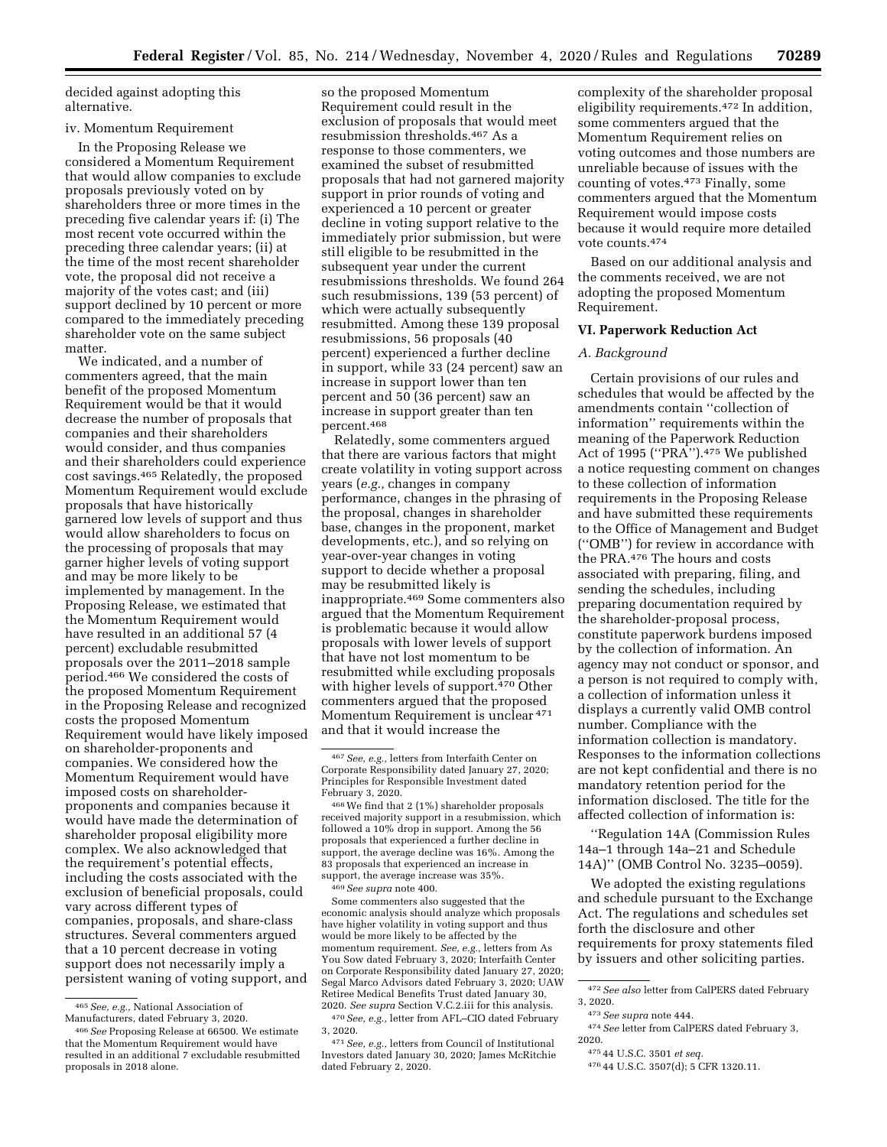decided against adopting this alternative.

#### iv. Momentum Requirement

In the Proposing Release we considered a Momentum Requirement that would allow companies to exclude proposals previously voted on by shareholders three or more times in the preceding five calendar years if: (i) The most recent vote occurred within the preceding three calendar years; (ii) at the time of the most recent shareholder vote, the proposal did not receive a majority of the votes cast; and (iii) support declined by 10 percent or more compared to the immediately preceding shareholder vote on the same subject matter.

We indicated, and a number of commenters agreed, that the main benefit of the proposed Momentum Requirement would be that it would decrease the number of proposals that companies and their shareholders would consider, and thus companies and their shareholders could experience cost savings.465 Relatedly, the proposed Momentum Requirement would exclude proposals that have historically garnered low levels of support and thus would allow shareholders to focus on the processing of proposals that may garner higher levels of voting support and may be more likely to be implemented by management. In the Proposing Release, we estimated that the Momentum Requirement would have resulted in an additional 57 (4 percent) excludable resubmitted proposals over the 2011–2018 sample period.466 We considered the costs of the proposed Momentum Requirement in the Proposing Release and recognized costs the proposed Momentum Requirement would have likely imposed on shareholder-proponents and companies. We considered how the Momentum Requirement would have imposed costs on shareholderproponents and companies because it would have made the determination of shareholder proposal eligibility more complex. We also acknowledged that the requirement's potential effects, including the costs associated with the exclusion of beneficial proposals, could vary across different types of companies, proposals, and share-class structures. Several commenters argued that a 10 percent decrease in voting support does not necessarily imply a persistent waning of voting support, and

so the proposed Momentum Requirement could result in the exclusion of proposals that would meet resubmission thresholds.467 As a response to those commenters, we examined the subset of resubmitted proposals that had not garnered majority support in prior rounds of voting and experienced a 10 percent or greater decline in voting support relative to the immediately prior submission, but were still eligible to be resubmitted in the subsequent year under the current resubmissions thresholds. We found 264 such resubmissions, 139 (53 percent) of which were actually subsequently resubmitted. Among these 139 proposal resubmissions, 56 proposals (40 percent) experienced a further decline in support, while 33 (24 percent) saw an increase in support lower than ten percent and 50 (36 percent) saw an increase in support greater than ten percent.468

Relatedly, some commenters argued that there are various factors that might create volatility in voting support across years (*e.g.,* changes in company performance, changes in the phrasing of the proposal, changes in shareholder base, changes in the proponent, market developments, etc.), and so relying on year-over-year changes in voting support to decide whether a proposal may be resubmitted likely is inappropriate.469 Some commenters also argued that the Momentum Requirement is problematic because it would allow proposals with lower levels of support that have not lost momentum to be resubmitted while excluding proposals with higher levels of support.470 Other commenters argued that the proposed Momentum Requirement is unclear <sup>471</sup> and that it would increase the

469*See supra* note 400.

Some commenters also suggested that the economic analysis should analyze which proposals have higher volatility in voting support and thus would be more likely to be affected by the momentum requirement. *See, e.g.,* letters from As You Sow dated February 3, 2020; Interfaith Center on Corporate Responsibility dated January 27, 2020; Segal Marco Advisors dated February 3, 2020; UAW Retiree Medical Benefits Trust dated January 30, 2020. *See supra* Section V.C.2.iii for this analysis. 470*See, e.g.,* letter from AFL–CIO dated February

complexity of the shareholder proposal eligibility requirements.472 In addition, some commenters argued that the Momentum Requirement relies on voting outcomes and those numbers are unreliable because of issues with the counting of votes.473 Finally, some commenters argued that the Momentum Requirement would impose costs because it would require more detailed vote counts.474

Based on our additional analysis and the comments received, we are not adopting the proposed Momentum Requirement.

### **VI. Paperwork Reduction Act**

#### *A. Background*

Certain provisions of our rules and schedules that would be affected by the amendments contain ''collection of information'' requirements within the meaning of the Paperwork Reduction Act of 1995 ("PRA").<sup>475</sup> We published a notice requesting comment on changes to these collection of information requirements in the Proposing Release and have submitted these requirements to the Office of Management and Budget (''OMB'') for review in accordance with the PRA.476 The hours and costs associated with preparing, filing, and sending the schedules, including preparing documentation required by the shareholder-proposal process, constitute paperwork burdens imposed by the collection of information. An agency may not conduct or sponsor, and a person is not required to comply with, a collection of information unless it displays a currently valid OMB control number. Compliance with the information collection is mandatory. Responses to the information collections are not kept confidential and there is no mandatory retention period for the information disclosed. The title for the affected collection of information is:

''Regulation 14A (Commission Rules 14a–1 through 14a–21 and Schedule 14A)'' (OMB Control No. 3235–0059).

We adopted the existing regulations and schedule pursuant to the Exchange Act. The regulations and schedules set forth the disclosure and other requirements for proxy statements filed by issuers and other soliciting parties.

474*See* letter from CalPERS dated February 3, 2020.

476 44 U.S.C. 3507(d); 5 CFR 1320.11.

<sup>465</sup>*See, e.g.,* National Association of Manufacturers, dated February 3, 2020.

<sup>466</sup>*See* Proposing Release at 66500. We estimate that the Momentum Requirement would have resulted in an additional 7 excludable resubmitted proposals in 2018 alone.

<sup>467</sup>*See, e.g.,* letters from Interfaith Center on Corporate Responsibility dated January 27, 2020; Principles for Responsible Investment dated February 3, 2020.

<sup>468</sup>We find that 2 (1%) shareholder proposals received majority support in a resubmission, which followed a 10% drop in support. Among the 56 proposals that experienced a further decline in support, the average decline was 16%. Among the 83 proposals that experienced an increase in support, the average increase was 35%.

<sup>3, 2020.</sup>  471*See, e.g.,* letters from Council of Institutional

Investors dated January 30, 2020; James McRitchie dated February 2, 2020.

<sup>472</sup>*See also* letter from CalPERS dated February 3, 2020.

<sup>473</sup>*See supra* note 444.

<sup>475</sup> 44 U.S.C. 3501 *et seq.*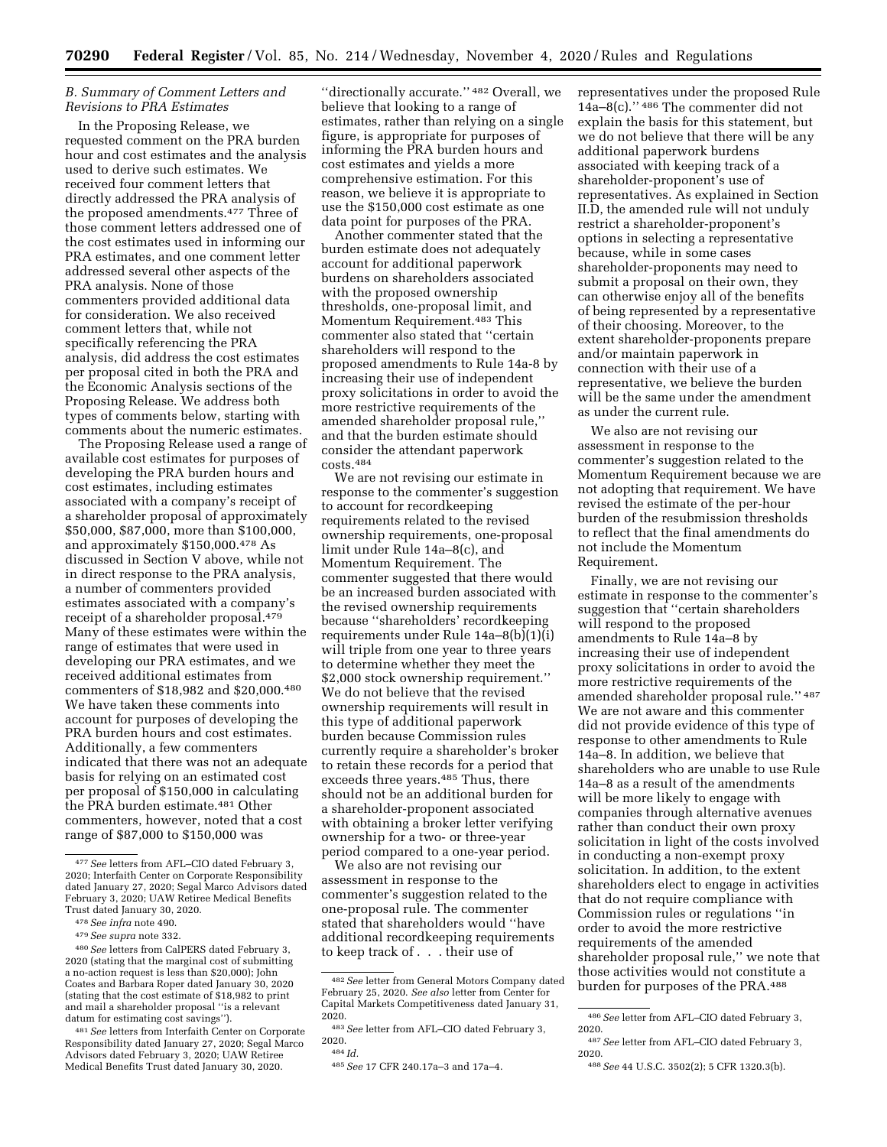## *B. Summary of Comment Letters and Revisions to PRA Estimates*

In the Proposing Release, we requested comment on the PRA burden hour and cost estimates and the analysis used to derive such estimates. We received four comment letters that directly addressed the PRA analysis of the proposed amendments.477 Three of those comment letters addressed one of the cost estimates used in informing our PRA estimates, and one comment letter addressed several other aspects of the PRA analysis. None of those commenters provided additional data for consideration. We also received comment letters that, while not specifically referencing the PRA analysis, did address the cost estimates per proposal cited in both the PRA and the Economic Analysis sections of the Proposing Release. We address both types of comments below, starting with comments about the numeric estimates.

The Proposing Release used a range of available cost estimates for purposes of developing the PRA burden hours and cost estimates, including estimates associated with a company's receipt of a shareholder proposal of approximately \$50,000, \$87,000, more than \$100,000, and approximately \$150,000.478 As discussed in Section V above, while not in direct response to the PRA analysis, a number of commenters provided estimates associated with a company's receipt of a shareholder proposal.<sup>479</sup> Many of these estimates were within the range of estimates that were used in developing our PRA estimates, and we received additional estimates from commenters of \$18,982 and \$20,000.480 We have taken these comments into account for purposes of developing the PRA burden hours and cost estimates. Additionally, a few commenters indicated that there was not an adequate basis for relying on an estimated cost per proposal of \$150,000 in calculating the PRA burden estimate.481 Other commenters, however, noted that a cost range of \$87,000 to \$150,000 was

"directionally accurate." <sup>482</sup> Overall, we believe that looking to a range of estimates, rather than relying on a single figure, is appropriate for purposes of informing the PRA burden hours and cost estimates and yields a more comprehensive estimation. For this reason, we believe it is appropriate to use the \$150,000 cost estimate as one data point for purposes of the PRA.

Another commenter stated that the burden estimate does not adequately account for additional paperwork burdens on shareholders associated with the proposed ownership thresholds, one-proposal limit, and Momentum Requirement.483 This commenter also stated that ''certain shareholders will respond to the proposed amendments to Rule 14a-8 by increasing their use of independent proxy solicitations in order to avoid the more restrictive requirements of the amended shareholder proposal rule,'' and that the burden estimate should consider the attendant paperwork  $\rm{costs.484}$ 

We are not revising our estimate in response to the commenter's suggestion to account for recordkeeping requirements related to the revised ownership requirements, one-proposal limit under Rule 14a–8(c), and Momentum Requirement. The commenter suggested that there would be an increased burden associated with the revised ownership requirements because ''shareholders' recordkeeping requirements under Rule  $14a-8(b)(1)(i)$ will triple from one year to three years to determine whether they meet the \$2,000 stock ownership requirement.'' We do not believe that the revised ownership requirements will result in this type of additional paperwork burden because Commission rules currently require a shareholder's broker to retain these records for a period that exceeds three years.<sup>485</sup> Thus, there should not be an additional burden for a shareholder-proponent associated with obtaining a broker letter verifying ownership for a two- or three-year period compared to a one-year period.

We also are not revising our assessment in response to the commenter's suggestion related to the one-proposal rule. The commenter stated that shareholders would ''have additional recordkeeping requirements to keep track of . . . their use of

representatives under the proposed Rule 14a–8(c).'' 486 The commenter did not explain the basis for this statement, but we do not believe that there will be any additional paperwork burdens associated with keeping track of a shareholder-proponent's use of representatives. As explained in Section II.D, the amended rule will not unduly restrict a shareholder-proponent's options in selecting a representative because, while in some cases shareholder-proponents may need to submit a proposal on their own, they can otherwise enjoy all of the benefits of being represented by a representative of their choosing. Moreover, to the extent shareholder-proponents prepare and/or maintain paperwork in connection with their use of a representative, we believe the burden will be the same under the amendment as under the current rule.

We also are not revising our assessment in response to the commenter's suggestion related to the Momentum Requirement because we are not adopting that requirement. We have revised the estimate of the per-hour burden of the resubmission thresholds to reflect that the final amendments do not include the Momentum Requirement.

Finally, we are not revising our estimate in response to the commenter's suggestion that ''certain shareholders will respond to the proposed amendments to Rule 14a–8 by increasing their use of independent proxy solicitations in order to avoid the more restrictive requirements of the amended shareholder proposal rule.'' 487 We are not aware and this commenter did not provide evidence of this type of response to other amendments to Rule 14a–8. In addition, we believe that shareholders who are unable to use Rule 14a–8 as a result of the amendments will be more likely to engage with companies through alternative avenues rather than conduct their own proxy solicitation in light of the costs involved in conducting a non-exempt proxy solicitation. In addition, to the extent shareholders elect to engage in activities that do not require compliance with Commission rules or regulations ''in order to avoid the more restrictive requirements of the amended shareholder proposal rule,'' we note that those activities would not constitute a burden for purposes of the PRA.488

<sup>477</sup>*See* letters from AFL–CIO dated February 3, 2020; Interfaith Center on Corporate Responsibility dated January 27, 2020; Segal Marco Advisors dated February 3, 2020; UAW Retiree Medical Benefits Trust dated January 30, 2020.

<sup>478</sup>*See infra* note 490.

<sup>479</sup>*See supra* note 332.

<sup>480</sup>*See* letters from CalPERS dated February 3, 2020 (stating that the marginal cost of submitting a no-action request is less than \$20,000); John Coates and Barbara Roper dated January 30, 2020 (stating that the cost estimate of \$18,982 to print and mail a shareholder proposal ''is a relevant datum for estimating cost savings'').

<sup>481</sup>*See* letters from Interfaith Center on Corporate Responsibility dated January 27, 2020; Segal Marco Advisors dated February 3, 2020; UAW Retiree Medical Benefits Trust dated January 30, 2020.

<sup>482</sup>*See* letter from General Motors Company dated February 25, 2020. *See also* letter from Center for Capital Markets Competitiveness dated January 31, 2020.

<sup>483</sup>*See* letter from AFL–CIO dated February 3, 2020.

<sup>484</sup> *Id.* 

<sup>485</sup>*See* 17 CFR 240.17a–3 and 17a–4.

<sup>486</sup>*See* letter from AFL–CIO dated February 3, 2020.

<sup>487</sup>*See* letter from AFL–CIO dated February 3, 2020.

<sup>488</sup>*See* 44 U.S.C. 3502(2); 5 CFR 1320.3(b).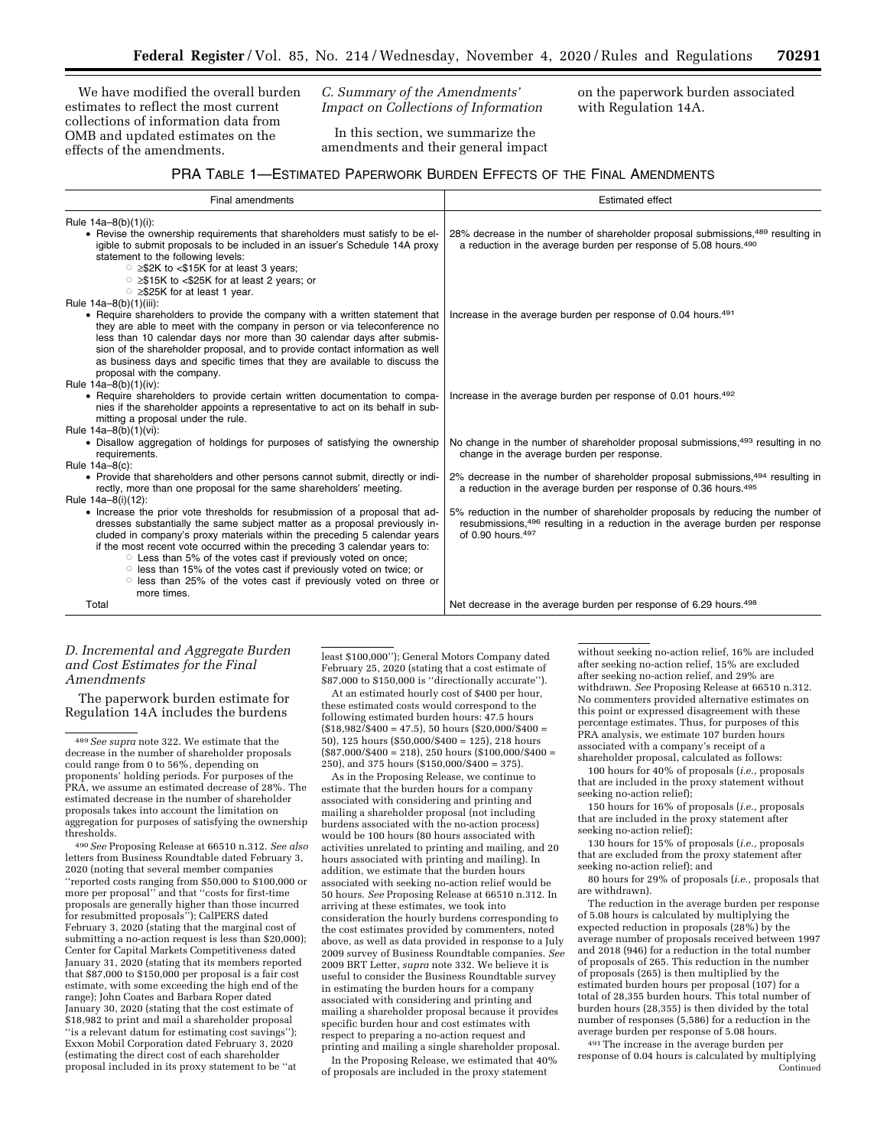We have modified the overall burden estimates to reflect the most current collections of information data from OMB and updated estimates on the effects of the amendments.

*C. Summary of the Amendments' Impact on Collections of Information* 

In this section, we summarize the amendments and their general impact on the paperwork burden associated with Regulation 14A.

# PRA TABLE 1—ESTIMATED PAPERWORK BURDEN EFFECTS OF THE FINAL AMENDMENTS

| Final amendments                                                                                                                                                                                                                                                                                                                                                                                                                                                                                                                                                       | <b>Estimated effect</b>                                                                                                                                                               |
|------------------------------------------------------------------------------------------------------------------------------------------------------------------------------------------------------------------------------------------------------------------------------------------------------------------------------------------------------------------------------------------------------------------------------------------------------------------------------------------------------------------------------------------------------------------------|---------------------------------------------------------------------------------------------------------------------------------------------------------------------------------------|
| Rule 14a-8(b)(1)(i):                                                                                                                                                                                                                                                                                                                                                                                                                                                                                                                                                   |                                                                                                                                                                                       |
| • Revise the ownership requirements that shareholders must satisfy to be el-<br>igible to submit proposals to be included in an issuer's Schedule 14A proxy<br>statement to the following levels:<br>$\circ$ $\geq$ \$2K to $\lt$ \$15K for at least 3 years;<br>○ ≥\$15K to <\$25K for at least 2 years; or<br>○ ≥\$25K for at least 1 year.                                                                                                                                                                                                                          | 28% decrease in the number of shareholder proposal submissions, <sup>489</sup> resulting in<br>a reduction in the average burden per response of 5.08 hours. <sup>490</sup>           |
| Rule 14a-8(b)(1)(iii):                                                                                                                                                                                                                                                                                                                                                                                                                                                                                                                                                 |                                                                                                                                                                                       |
| • Require shareholders to provide the company with a written statement that<br>they are able to meet with the company in person or via teleconference no<br>less than 10 calendar days nor more than 30 calendar days after submis-<br>sion of the shareholder proposal, and to provide contact information as well<br>as business days and specific times that they are available to discuss the<br>proposal with the company.                                                                                                                                        | Increase in the average burden per response of 0.04 hours. <sup>491</sup>                                                                                                             |
| Rule $14a-8(b)(1)(iv)$ :<br>• Require shareholders to provide certain written documentation to compa-<br>nies if the shareholder appoints a representative to act on its behalf in sub-<br>mitting a proposal under the rule.                                                                                                                                                                                                                                                                                                                                          | Increase in the average burden per response of 0.01 hours. <sup>492</sup>                                                                                                             |
| Rule 14a-8(b)(1)(vi):                                                                                                                                                                                                                                                                                                                                                                                                                                                                                                                                                  |                                                                                                                                                                                       |
| • Disallow aggregation of holdings for purposes of satisfying the ownership<br>requirements.                                                                                                                                                                                                                                                                                                                                                                                                                                                                           | No change in the number of shareholder proposal submissions, <sup>493</sup> resulting in no<br>change in the average burden per response.                                             |
| Rule 14a-8(c):                                                                                                                                                                                                                                                                                                                                                                                                                                                                                                                                                         |                                                                                                                                                                                       |
| • Provide that shareholders and other persons cannot submit, directly or indi-<br>rectly, more than one proposal for the same shareholders' meeting.                                                                                                                                                                                                                                                                                                                                                                                                                   | 2% decrease in the number of shareholder proposal submissions, 494 resulting in<br>a reduction in the average burden per response of 0.36 hours. <sup>495</sup>                       |
| Rule 14a-8(i)(12):<br>• Increase the prior vote thresholds for resubmission of a proposal that ad-<br>dresses substantially the same subject matter as a proposal previously in-<br>cluded in company's proxy materials within the preceding 5 calendar years<br>if the most recent vote occurred within the preceding 3 calendar years to:<br>○ Less than 5% of the votes cast if previously voted on once;<br>○ less than 15% of the votes cast if previously voted on twice; or<br>o less than 25% of the votes cast if previously voted on three or<br>more times. | 5% reduction in the number of shareholder proposals by reducing the number of<br>resubmissions, 496 resulting in a reduction in the average burden per response<br>of 0.90 hours. 497 |
| Total                                                                                                                                                                                                                                                                                                                                                                                                                                                                                                                                                                  | Net decrease in the average burden per response of 6.29 hours. <sup>498</sup>                                                                                                         |

## *D. Incremental and Aggregate Burden and Cost Estimates for the Final Amendments*

The paperwork burden estimate for Regulation 14A includes the burdens

490*See* Proposing Release at 66510 n.312. *See also*  letters from Business Roundtable dated February 3, 2020 (noting that several member companies ''reported costs ranging from \$50,000 to \$100,000 or more per proposal'' and that ''costs for first-time proposals are generally higher than those incurred for resubmitted proposals''); CalPERS dated February 3, 2020 (stating that the marginal cost of submitting a no-action request is less than \$20,000); Center for Capital Markets Competitiveness dated January 31, 2020 (stating that its members reported that \$87,000 to \$150,000 per proposal is a fair cost estimate, with some exceeding the high end of the range); John Coates and Barbara Roper dated January 30, 2020 (stating that the cost estimate of \$18,982 to print and mail a shareholder proposal ''is a relevant datum for estimating cost savings''); Exxon Mobil Corporation dated February 3, 2020 (estimating the direct cost of each shareholder proposal included in its proxy statement to be ''at

least \$100,000''); General Motors Company dated February 25, 2020 (stating that a cost estimate of \$87,000 to \$150,000 is ''directionally accurate'').

At an estimated hourly cost of \$400 per hour, these estimated costs would correspond to the following estimated burden hours: 47.5 hours  $($18,982/$400 = 47.5), 50 hours ($20,000/$400 =$ 50), 125 hours (\$50,000/\$400 = 125), 218 hours  $($87,000/\$400 = 218), 250 hours ($100,000/\$400 =$ 250), and 375 hours (\$150,000/\$400 = 375).

As in the Proposing Release, we continue to estimate that the burden hours for a company associated with considering and printing and mailing a shareholder proposal (not including burdens associated with the no-action process) would be 100 hours (80 hours associated with activities unrelated to printing and mailing, and 20 hours associated with printing and mailing). In addition, we estimate that the burden hours associated with seeking no-action relief would be 50 hours. *See* Proposing Release at 66510 n.312. In arriving at these estimates, we took into consideration the hourly burdens corresponding to the cost estimates provided by commenters, noted above, as well as data provided in response to a July 2009 survey of Business Roundtable companies. *See*  2009 BRT Letter, *supra* note 332. We believe it is useful to consider the Business Roundtable survey in estimating the burden hours for a company associated with considering and printing and mailing a shareholder proposal because it provides specific burden hour and cost estimates with respect to preparing a no-action request and printing and mailing a single shareholder proposal.

In the Proposing Release, we estimated that 40% of proposals are included in the proxy statement

without seeking no-action relief, 16% are included after seeking no-action relief, 15% are excluded after seeking no-action relief, and 29% are withdrawn. *See* Proposing Release at 66510 n.312. No commenters provided alternative estimates on this point or expressed disagreement with these percentage estimates. Thus, for purposes of this PRA analysis, we estimate 107 burden hours associated with a company's receipt of a shareholder proposal, calculated as follows:

100 hours for 40% of proposals (*i.e.,* proposals that are included in the proxy statement without seeking no-action relief);

150 hours for 16% of proposals (*i.e.,* proposals that are included in the proxy statement after seeking no-action relief);

130 hours for 15% of proposals (*i.e.,* proposals that are excluded from the proxy statement after seeking no-action relief); and

80 hours for 29% of proposals (*i.e.,* proposals that are withdrawn).

The reduction in the average burden per response of 5.08 hours is calculated by multiplying the expected reduction in proposals (28%) by the average number of proposals received between 1997 and 2018 (946) for a reduction in the total number of proposals of 265. This reduction in the number of proposals (265) is then multiplied by the estimated burden hours per proposal (107) for a total of 28,355 burden hours. This total number of burden hours (28,355) is then divided by the total number of responses (5,586) for a reduction in the average burden per response of 5.08 hours.

491The increase in the average burden per response of 0.04 hours is calculated by multiplying Continued

<sup>489</sup>*See supra* note 322. We estimate that the decrease in the number of shareholder proposals could range from 0 to 56%, depending on proponents' holding periods. For purposes of the PRA, we assume an estimated decrease of 28%. The estimated decrease in the number of shareholder proposals takes into account the limitation on aggregation for purposes of satisfying the ownership thresholds.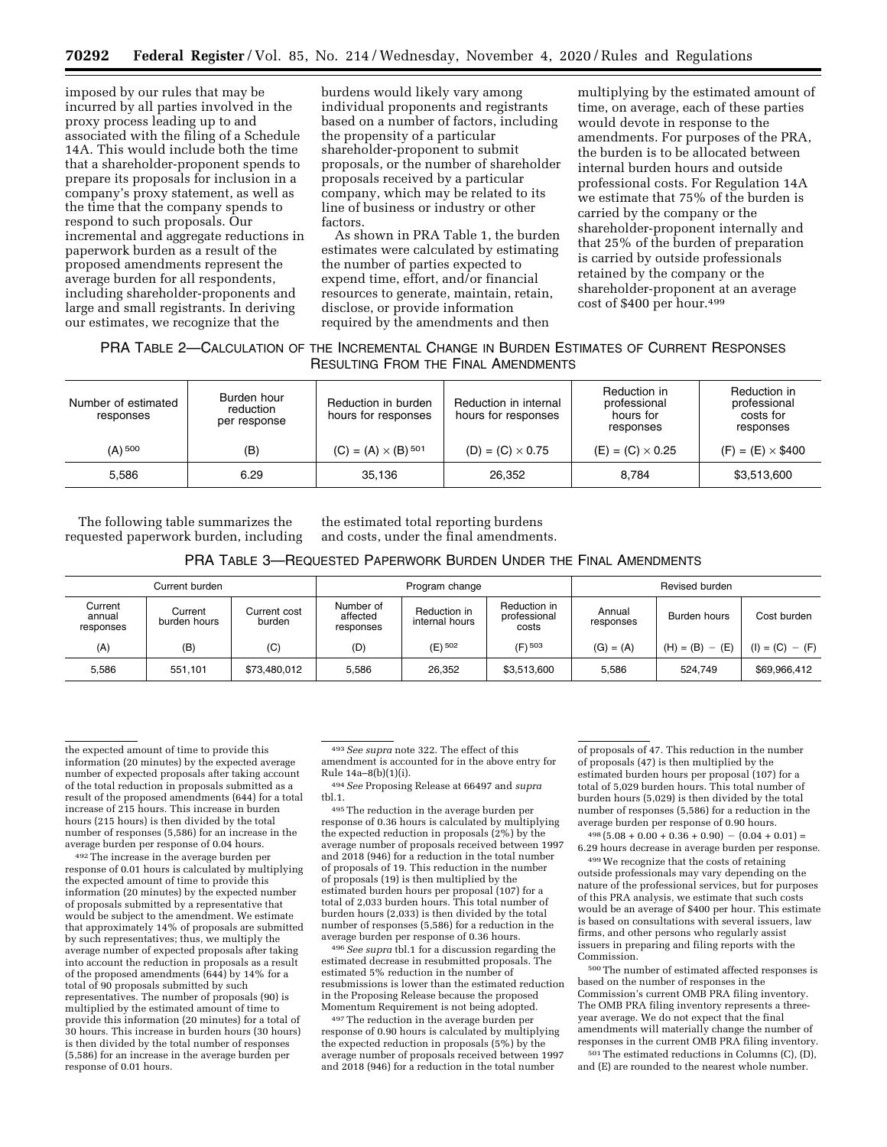imposed by our rules that may be incurred by all parties involved in the proxy process leading up to and associated with the filing of a Schedule 14A. This would include both the time that a shareholder-proponent spends to prepare its proposals for inclusion in a company's proxy statement, as well as the time that the company spends to respond to such proposals. Our incremental and aggregate reductions in paperwork burden as a result of the proposed amendments represent the average burden for all respondents, including shareholder-proponents and large and small registrants. In deriving our estimates, we recognize that the

burdens would likely vary among individual proponents and registrants based on a number of factors, including the propensity of a particular shareholder-proponent to submit proposals, or the number of shareholder proposals received by a particular company, which may be related to its line of business or industry or other factors.

As shown in PRA Table 1, the burden estimates were calculated by estimating the number of parties expected to expend time, effort, and/or financial resources to generate, maintain, retain, disclose, or provide information required by the amendments and then

multiplying by the estimated amount of time, on average, each of these parties would devote in response to the amendments. For purposes of the PRA, the burden is to be allocated between internal burden hours and outside professional costs. For Regulation 14A we estimate that 75% of the burden is carried by the company or the shareholder-proponent internally and that 25% of the burden of preparation is carried by outside professionals retained by the company or the shareholder-proponent at an average cost of \$400 per hour.499

## PRA TABLE 2—CALCULATION OF THE INCREMENTAL CHANGE IN BURDEN ESTIMATES OF CURRENT RESPONSES RESULTING FROM THE FINAL AMENDMENTS

| Number of estimated<br>responses | Burden hour<br>Reduction in burden<br>reduction<br>hours for responses<br>per response |                                       | Reduction in internal<br>hours for responses | Reduction in<br>professional<br>hours for<br>responses | Reduction in<br>professional<br>costs for<br>responses |  |
|----------------------------------|----------------------------------------------------------------------------------------|---------------------------------------|----------------------------------------------|--------------------------------------------------------|--------------------------------------------------------|--|
| $(A)$ <sup>500</sup>             | (B)                                                                                    | $(C) = (A) \times (B)$ <sup>501</sup> | $(D) = (C) \times 0.75$                      | $(E) = (C) \times 0.25$                                | $(F) = (E) \times $400$                                |  |
| 5.586                            | 6.29                                                                                   | 35.136                                | 26.352                                       | 8.784                                                  | \$3,513,600                                            |  |

The following table summarizes the requested paperwork burden, including

the estimated total reporting burdens and costs, under the final amendments.

#### PRA TABLE 3—REQUESTED PAPERWORK BURDEN UNDER THE FINAL AMENDMENTS

| Current burden                 |                         | Program change         |                                    |                                | Revised burden                        |                     |                   |                   |
|--------------------------------|-------------------------|------------------------|------------------------------------|--------------------------------|---------------------------------------|---------------------|-------------------|-------------------|
| Current<br>annual<br>responses | Current<br>burden hours | Current cost<br>burden | Number of<br>affected<br>responses | Reduction in<br>internal hours | Reduction in<br>professional<br>costs | Annual<br>responses | Burden hours      | Cost burden       |
| (A)                            | (B)                     | (C)                    | (D)                                | (E) <sup>502</sup>             | $(F)$ 503                             | $(G) = (A)$         | $(H) = (B) - (E)$ | $(I) = (C) - (F)$ |
| 5.586                          | 551.101                 | \$73,480,012           | 5.586                              | 26.352                         | \$3.513.600                           | 5.586               | 524.749           | \$69.966.412      |

the expected amount of time to provide this information (20 minutes) by the expected average number of expected proposals after taking account of the total reduction in proposals submitted as a result of the proposed amendments (644) for a total increase of 215 hours. This increase in burden hours (215 hours) is then divided by the total number of responses (5,586) for an increase in the average burden per response of 0.04 hours.

492The increase in the average burden per response of 0.01 hours is calculated by multiplying the expected amount of time to provide this information (20 minutes) by the expected number of proposals submitted by a representative that would be subject to the amendment. We estimate that approximately 14% of proposals are submitted by such representatives; thus, we multiply the average number of expected proposals after taking into account the reduction in proposals as a result of the proposed amendments (644) by 14% for a total of 90 proposals submitted by such representatives. The number of proposals (90) is multiplied by the estimated amount of time to provide this information (20 minutes) for a total of 30 hours. This increase in burden hours (30 hours) is then divided by the total number of responses (5,586) for an increase in the average burden per response of 0.01 hours.

493*See supra* note 322. The effect of this amendment is accounted for in the above entry for Rule 14a–8(b)(1)(i).

494*See* Proposing Release at 66497 and *supra*  tbl.1.

495The reduction in the average burden per response of 0.36 hours is calculated by multiplying the expected reduction in proposals  $(2%)$  by the average number of proposals received between 1997 and 2018 (946) for a reduction in the total number of proposals of 19. This reduction in the number of proposals (19) is then multiplied by the estimated burden hours per proposal (107) for a total of 2,033 burden hours. This total number of burden hours (2,033) is then divided by the total number of responses (5,586) for a reduction in the average burden per response of 0.36 hours.

496*See supra* tbl.1 for a discussion regarding the estimated decrease in resubmitted proposals. The estimated 5% reduction in the number of resubmissions is lower than the estimated reduction in the Proposing Release because the proposed Momentum Requirement is not being adopted.

497The reduction in the average burden per response of 0.90 hours is calculated by multiplying the expected reduction in proposals (5%) by the average number of proposals received between 1997 and 2018 (946) for a reduction in the total number

of proposals of 47. This reduction in the number of proposals (47) is then multiplied by the estimated burden hours per proposal (107) for a total of 5,029 burden hours. This total number of burden hours (5,029) is then divided by the total number of responses (5,586) for a reduction in the average burden per response of 0.90 hours.

 $498 (5.08 + 0.00 + 0.36 + 0.90) - (0.04 + 0.01) =$ 6.29 hours decrease in average burden per response.

499We recognize that the costs of retaining outside professionals may vary depending on the nature of the professional services, but for purposes of this PRA analysis, we estimate that such costs would be an average of \$400 per hour. This estimate is based on consultations with several issuers, law firms, and other persons who regularly assist issuers in preparing and filing reports with the Commission.

500The number of estimated affected responses is based on the number of responses in the Commission's current OMB PRA filing inventory. The OMB PRA filing inventory represents a threeyear average. We do not expect that the final amendments will materially change the number of responses in the current OMB PRA filing inventory.

501The estimated reductions in Columns (C), (D), and (E) are rounded to the nearest whole number.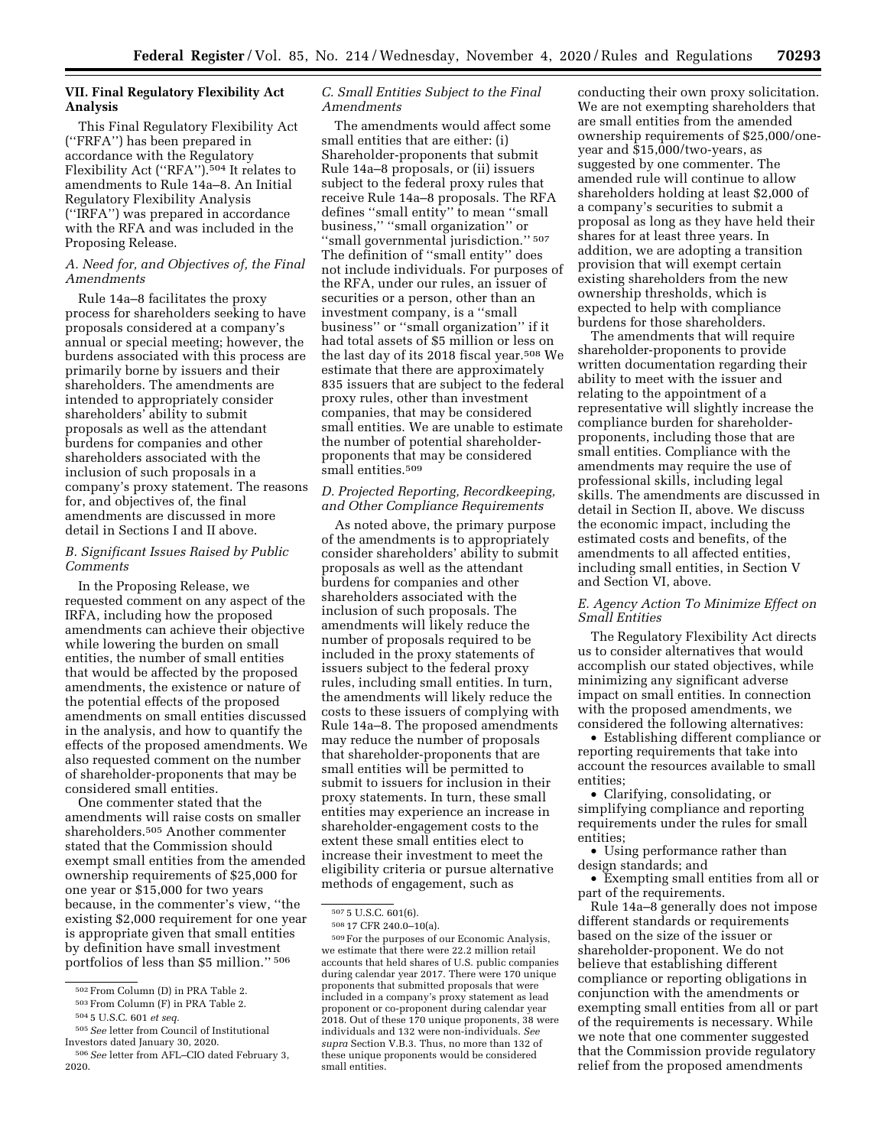## **VII. Final Regulatory Flexibility Act Analysis**

This Final Regulatory Flexibility Act (''FRFA'') has been prepared in accordance with the Regulatory Flexibility Act (''RFA'').504 It relates to amendments to Rule 14a–8. An Initial Regulatory Flexibility Analysis (''IRFA'') was prepared in accordance with the RFA and was included in the Proposing Release.

## *A. Need for, and Objectives of, the Final Amendments*

Rule 14a–8 facilitates the proxy process for shareholders seeking to have proposals considered at a company's annual or special meeting; however, the burdens associated with this process are primarily borne by issuers and their shareholders. The amendments are intended to appropriately consider shareholders' ability to submit proposals as well as the attendant burdens for companies and other shareholders associated with the inclusion of such proposals in a company's proxy statement. The reasons for, and objectives of, the final amendments are discussed in more detail in Sections I and II above.

## *B. Significant Issues Raised by Public Comments*

In the Proposing Release, we requested comment on any aspect of the IRFA, including how the proposed amendments can achieve their objective while lowering the burden on small entities, the number of small entities that would be affected by the proposed amendments, the existence or nature of the potential effects of the proposed amendments on small entities discussed in the analysis, and how to quantify the effects of the proposed amendments. We also requested comment on the number of shareholder-proponents that may be considered small entities.

One commenter stated that the amendments will raise costs on smaller shareholders.505 Another commenter stated that the Commission should exempt small entities from the amended ownership requirements of \$25,000 for one year or \$15,000 for two years because, in the commenter's view, ''the existing \$2,000 requirement for one year is appropriate given that small entities by definition have small investment portfolios of less than \$5 million.'' 506

505*See* letter from Council of Institutional Investors dated January 30, 2020.

## *C. Small Entities Subject to the Final Amendments*

The amendments would affect some small entities that are either: (i) Shareholder-proponents that submit Rule 14a–8 proposals, or (ii) issuers subject to the federal proxy rules that receive Rule 14a–8 proposals. The RFA defines ''small entity'' to mean ''small business,'' ''small organization'' or ''small governmental jurisdiction.'' 507 The definition of ''small entity'' does not include individuals. For purposes of the RFA, under our rules, an issuer of securities or a person, other than an investment company, is a ''small business'' or ''small organization'' if it had total assets of \$5 million or less on the last day of its 2018 fiscal year.508 We estimate that there are approximately 835 issuers that are subject to the federal proxy rules, other than investment companies, that may be considered small entities. We are unable to estimate the number of potential shareholderproponents that may be considered small entities.<sup>509</sup>

### *D. Projected Reporting, Recordkeeping, and Other Compliance Requirements*

As noted above, the primary purpose of the amendments is to appropriately consider shareholders' ability to submit proposals as well as the attendant burdens for companies and other shareholders associated with the inclusion of such proposals. The amendments will likely reduce the number of proposals required to be included in the proxy statements of issuers subject to the federal proxy rules, including small entities. In turn, the amendments will likely reduce the costs to these issuers of complying with Rule 14a–8. The proposed amendments may reduce the number of proposals that shareholder-proponents that are small entities will be permitted to submit to issuers for inclusion in their proxy statements. In turn, these small entities may experience an increase in shareholder-engagement costs to the extent these small entities elect to increase their investment to meet the eligibility criteria or pursue alternative methods of engagement, such as

conducting their own proxy solicitation. We are not exempting shareholders that are small entities from the amended ownership requirements of \$25,000/oneyear and \$15,000/two-years, as suggested by one commenter. The amended rule will continue to allow shareholders holding at least \$2,000 of a company's securities to submit a proposal as long as they have held their shares for at least three years. In addition, we are adopting a transition provision that will exempt certain existing shareholders from the new ownership thresholds, which is expected to help with compliance burdens for those shareholders.

The amendments that will require shareholder-proponents to provide written documentation regarding their ability to meet with the issuer and relating to the appointment of a representative will slightly increase the compliance burden for shareholderproponents, including those that are small entities. Compliance with the amendments may require the use of professional skills, including legal skills. The amendments are discussed in detail in Section II, above. We discuss the economic impact, including the estimated costs and benefits, of the amendments to all affected entities, including small entities, in Section V and Section VI, above.

## *E. Agency Action To Minimize Effect on Small Entities*

The Regulatory Flexibility Act directs us to consider alternatives that would accomplish our stated objectives, while minimizing any significant adverse impact on small entities. In connection with the proposed amendments, we considered the following alternatives:

• Establishing different compliance or reporting requirements that take into account the resources available to small entities;

• Clarifying, consolidating, or simplifying compliance and reporting requirements under the rules for small entities;

• Using performance rather than design standards; and

• Exempting small entities from all or part of the requirements.

Rule 14a–8 generally does not impose different standards or requirements based on the size of the issuer or shareholder-proponent. We do not believe that establishing different compliance or reporting obligations in conjunction with the amendments or exempting small entities from all or part of the requirements is necessary. While we note that one commenter suggested that the Commission provide regulatory relief from the proposed amendments

<sup>502</sup>From Column (D) in PRA Table 2.

<sup>503</sup>From Column (F) in PRA Table 2.

<sup>504</sup> 5 U.S.C. 601 *et seq.* 

<sup>506</sup>*See* letter from AFL–CIO dated February 3, 2020.

<sup>507</sup> 5 U.S.C. 601(6).

<sup>508</sup> 17 CFR 240.0–10(a).

<sup>509</sup>For the purposes of our Economic Analysis, we estimate that there were 22.2 million retail accounts that held shares of U.S. public companies during calendar year 2017. There were 170 unique proponents that submitted proposals that were included in a company's proxy statement as lead proponent or co-proponent during calendar year 2018. Out of these 170 unique proponents, 38 were individuals and 132 were non-individuals. *See supra* Section V.B.3. Thus, no more than 132 of these unique proponents would be considered small entities.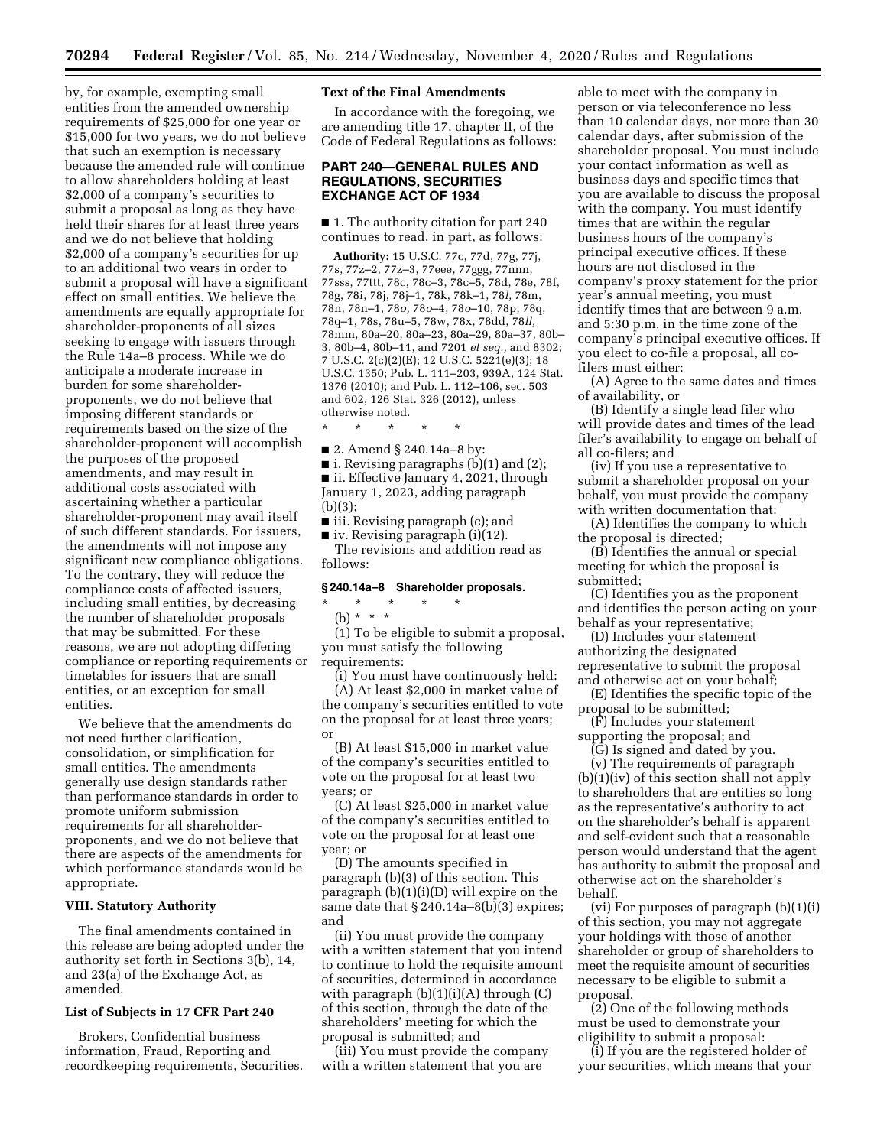by, for example, exempting small entities from the amended ownership requirements of \$25,000 for one year or \$15,000 for two years, we do not believe that such an exemption is necessary because the amended rule will continue to allow shareholders holding at least \$2,000 of a company's securities to submit a proposal as long as they have held their shares for at least three years and we do not believe that holding \$2,000 of a company's securities for up to an additional two years in order to submit a proposal will have a significant effect on small entities. We believe the amendments are equally appropriate for shareholder-proponents of all sizes seeking to engage with issuers through the Rule 14a–8 process. While we do anticipate a moderate increase in burden for some shareholderproponents, we do not believe that imposing different standards or requirements based on the size of the shareholder-proponent will accomplish the purposes of the proposed amendments, and may result in additional costs associated with ascertaining whether a particular shareholder-proponent may avail itself of such different standards. For issuers, the amendments will not impose any significant new compliance obligations. To the contrary, they will reduce the compliance costs of affected issuers, including small entities, by decreasing the number of shareholder proposals that may be submitted. For these reasons, we are not adopting differing compliance or reporting requirements or timetables for issuers that are small entities, or an exception for small entities.

We believe that the amendments do not need further clarification, consolidation, or simplification for small entities. The amendments generally use design standards rather than performance standards in order to promote uniform submission requirements for all shareholderproponents, and we do not believe that there are aspects of the amendments for which performance standards would be appropriate.

#### **VIII. Statutory Authority**

The final amendments contained in this release are being adopted under the authority set forth in Sections 3(b), 14, and 23(a) of the Exchange Act, as amended.

### **List of Subjects in 17 CFR Part 240**

Brokers, Confidential business information, Fraud, Reporting and recordkeeping requirements, Securities.

## **Text of the Final Amendments**

In accordance with the foregoing, we are amending title 17, chapter II, of the Code of Federal Regulations as follows:

## **PART 240—GENERAL RULES AND REGULATIONS, SECURITIES EXCHANGE ACT OF 1934**

■ 1. The authority citation for part 240 continues to read, in part, as follows:

**Authority:** 15 U.S.C. 77c, 77d, 77g, 77j, 77s, 77z–2, 77z–3, 77eee, 77ggg, 77nnn, 77sss, 77ttt, 78c, 78c–3, 78c–5, 78d, 78e, 78f, 78g, 78i, 78j, 78j–1, 78k, 78k–1, 78*l,* 78m, 78n, 78n–1, 78*o,* 78*o*–4, 78*o*–10, 78p, 78q, 78q–1, 78s, 78u–5, 78w, 78x, 78dd, 78*ll,*  78mm, 80a–20, 80a–23, 80a–29, 80a–37, 80b– 3, 80b–4, 80b–11, and 7201 *et seq.,* and 8302; 7 U.S.C. 2(c)(2)(E); 12 U.S.C. 5221(e)(3); 18 U.S.C. 1350; Pub. L. 111–203, 939A, 124 Stat. 1376 (2010); and Pub. L. 112–106, sec. 503 and 602, 126 Stat. 326 (2012), unless otherwise noted.

\* \* \* \* \*

■ 2. Amend § 240.14a–8 by:

■ i. Revising paragraphs (b)(1) and (2); ■ ii. Effective January 4, 2021, through January 1, 2023, adding paragraph (b)(3);

■ iii. Revising paragraph (c); and

 $\blacksquare$  iv. Revising paragraph (i)(12). The revisions and addition read as follows:

### **§ 240.14a–8 Shareholder proposals.**

\* \* \* \* \* (b) \* \* \*

(1) To be eligible to submit a proposal, you must satisfy the following requirements:

(i) You must have continuously held: (A) At least \$2,000 in market value of the company's securities entitled to vote on the proposal for at least three years; or

(B) At least \$15,000 in market value of the company's securities entitled to vote on the proposal for at least two years; or

(C) At least \$25,000 in market value of the company's securities entitled to vote on the proposal for at least one year; or

(D) The amounts specified in paragraph (b)(3) of this section. This paragraph (b)(1)(i)(D) will expire on the same date that § 240.14a–8(b)(3) expires; and

(ii) You must provide the company with a written statement that you intend to continue to hold the requisite amount of securities, determined in accordance with paragraph  $(b)(1)(i)(A)$  through  $(C)$ of this section, through the date of the shareholders' meeting for which the proposal is submitted; and

(iii) You must provide the company with a written statement that you are

able to meet with the company in person or via teleconference no less than 10 calendar days, nor more than 30 calendar days, after submission of the shareholder proposal. You must include your contact information as well as business days and specific times that you are available to discuss the proposal with the company. You must identify times that are within the regular business hours of the company's principal executive offices. If these hours are not disclosed in the company's proxy statement for the prior year's annual meeting, you must identify times that are between 9 a.m. and 5:30 p.m. in the time zone of the company's principal executive offices. If you elect to co-file a proposal, all cofilers must either:

(A) Agree to the same dates and times of availability, or

(B) Identify a single lead filer who will provide dates and times of the lead filer's availability to engage on behalf of all co-filers; and

(iv) If you use a representative to submit a shareholder proposal on your behalf, you must provide the company with written documentation that:

(A) Identifies the company to which the proposal is directed;

(B) Identifies the annual or special meeting for which the proposal is submitted;

(C) Identifies you as the proponent and identifies the person acting on your behalf as your representative;

(D) Includes your statement authorizing the designated representative to submit the proposal and otherwise act on your behalf;

(E) Identifies the specific topic of the proposal to be submitted;

(F) Includes your statement supporting the proposal; and

(G) Is signed and dated by you.

(v) The requirements of paragraph (b)(1)(iv) of this section shall not apply to shareholders that are entities so long as the representative's authority to act on the shareholder's behalf is apparent and self-evident such that a reasonable person would understand that the agent has authority to submit the proposal and otherwise act on the shareholder's behalf.

(vi) For purposes of paragraph (b)(1)(i) of this section, you may not aggregate your holdings with those of another shareholder or group of shareholders to meet the requisite amount of securities necessary to be eligible to submit a proposal.

(2) One of the following methods must be used to demonstrate your eligibility to submit a proposal:

(i) If you are the registered holder of your securities, which means that your